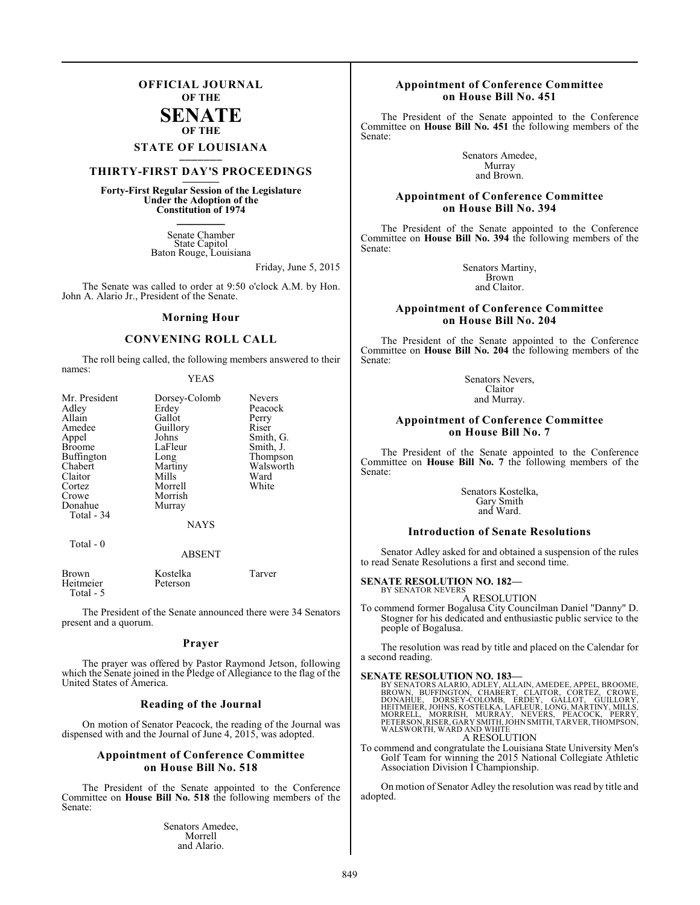## **OFFICIAL JOURNAL OF THE**

## **SENATE OF THE**

# **STATE OF LOUISIANA \_\_\_\_\_\_\_**

## **THIRTY-FIRST DAY'S PROCEEDINGS \_\_\_\_\_\_\_**

**Forty-First Regular Session of the Legislature Under the Adoption of the Constitution of 1974 \_\_\_\_\_\_\_**

> Senate Chamber State Capitol Baton Rouge, Louisiana

> > Friday, June 5, 2015

The Senate was called to order at 9:50 o'clock A.M. by Hon. John A. Alario Jr., President of the Senate.

#### **Morning Hour**

## **CONVENING ROLL CALL**

The roll being called, the following members answered to their names:

YEAS

| Mr. President<br>Adley<br>Allain<br>Amedee<br>Appel<br><b>Broome</b><br><b>Buffington</b><br>Chabert<br>Claitor<br>Cortez<br>Crowe<br>Donahue<br>Total - 34 | Dorsey-Colomb<br>Erdey<br>Gallot<br>Guillory<br>Johns<br>LaFleur<br>Long<br>Martiny<br>Mills<br>Morrell<br>Morrish<br>Murray<br><b>NAYS</b> | <b>Nevers</b><br>Peacock<br>Perry<br>Riser<br>Smith, G.<br>Smith, J.<br>Thompson<br>Walsworth<br>Ward<br>White |
|-------------------------------------------------------------------------------------------------------------------------------------------------------------|---------------------------------------------------------------------------------------------------------------------------------------------|----------------------------------------------------------------------------------------------------------------|
| Total $-0$                                                                                                                                                  | <b>ABSENT</b>                                                                                                                               |                                                                                                                |

| <b>Brown</b> | Kostelka | Tarver |
|--------------|----------|--------|
| Heitmeier    | Peterson |        |
| Total - 5    |          |        |

The President of the Senate announced there were 34 Senators present and a quorum.

#### **Prayer**

The prayer was offered by Pastor Raymond Jetson, following which the Senate joined in the Pledge of Allegiance to the flag of the United States of America.

#### **Reading of the Journal**

On motion of Senator Peacock, the reading of the Journal was dispensed with and the Journal of June 4, 2015, was adopted.

#### **Appointment of Conference Committee on House Bill No. 518**

The President of the Senate appointed to the Conference Committee on **House Bill No. 518** the following members of the Senate:

> Senators Amedee, Morrell and Alario.

#### **Appointment of Conference Committee on House Bill No. 451**

The President of the Senate appointed to the Conference Committee on **House Bill No. 451** the following members of the Senate:

> Senators Amedee, Murray and Brown.

#### **Appointment of Conference Committee on House Bill No. 394**

The President of the Senate appointed to the Conference Committee on **House Bill No. 394** the following members of the Senate:

> Senators Martiny, Brown and Claitor.

## **Appointment of Conference Committee on House Bill No. 204**

The President of the Senate appointed to the Conference Committee on **House Bill No. 204** the following members of the Senate:

> Senators Nevers, Claitor and Murray.

#### **Appointment of Conference Committee on House Bill No. 7**

The President of the Senate appointed to the Conference Committee on **House Bill No. 7** the following members of the Senate:

> Senators Kostelka, Gary Smith and Ward.

#### **Introduction of Senate Resolutions**

Senator Adley asked for and obtained a suspension of the rules to read Senate Resolutions a first and second time.

#### **SENATE RESOLUTION NO. 182—**

BY SENATOR NEVERS A RESOLUTION

To commend former Bogalusa City Councilman Daniel "Danny" D. Stogner for his dedicated and enthusiastic public service to the people of Bogalusa.

The resolution was read by title and placed on the Calendar for a second reading.

#### **SENATE RESOLUTION NO. 183—**

BY SENATORS ALARIO, ADLEY, ALLAIN, AMEDEE, APPEL, BROOME,<br>BROWN, BUFFINGTON, CHABERT, CLAITOR, CORTEZ, CROWE,<br>DONAHUE, DORSEY-COLOMB, ERDEY, GALLOT, GUILLORY,<br>HEITMEIER, JOHNS, KOSTELKA, LAFLEUR, LONG, MARTINY, MILLS,<br>MORR A RESOLUTION

To commend and congratulate the Louisiana State University Men's Golf Team for winning the 2015 National Collegiate Athletic Association Division I Championship.

On motion of Senator Adley the resolution was read by title and adopted.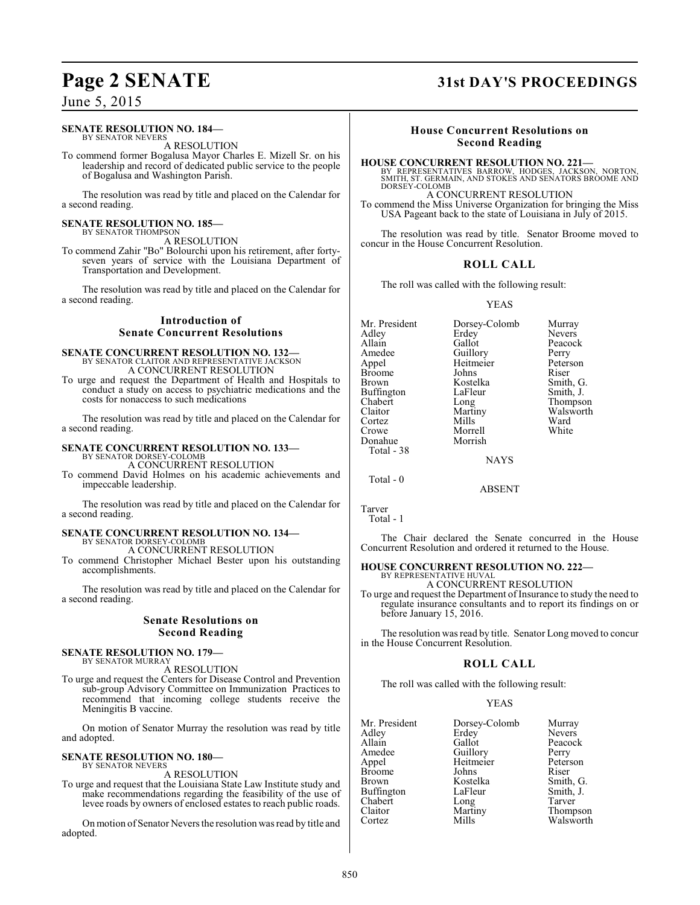#### **SENATE RESOLUTION NO. 184—**

BY SENATOR NEVERS A RESOLUTION

To commend former Bogalusa Mayor Charles E. Mizell Sr. on his leadership and record of dedicated public service to the people of Bogalusa and Washington Parish.

The resolution was read by title and placed on the Calendar for a second reading.

#### **SENATE RESOLUTION NO. 185—** BY SENATOR THOMPSON

A RESOLUTION

To commend Zahir "Bo" Bolourchi upon his retirement, after fortyseven years of service with the Louisiana Department of Transportation and Development.

The resolution was read by title and placed on the Calendar for a second reading.

## **Introduction of Senate Concurrent Resolutions**

#### **SENATE CONCURRENT RESOLUTION NO. 132—** BY SENATOR CLAITOR AND REPRESENTATIVE JACKSON A CONCURRENT RESOLUTION

To urge and request the Department of Health and Hospitals to conduct a study on access to psychiatric medications and the costs for nonaccess to such medications

The resolution was read by title and placed on the Calendar for a second reading.

# **SENATE CONCURRENT RESOLUTION NO. 133—** BY SENATOR DORSEY-COLOMB

A CONCURRENT RESOLUTION

To commend David Holmes on his academic achievements and impeccable leadership.

The resolution was read by title and placed on the Calendar for a second reading.

## **SENATE CONCURRENT RESOLUTION NO. 134—** BY SENATOR DORSEY-COLOMB A CONCURRENT RESOLUTION

To commend Christopher Michael Bester upon his outstanding accomplishments.

The resolution was read by title and placed on the Calendar for a second reading.

#### **Senate Resolutions on Second Reading**

#### **SENATE RESOLUTION NO. 179—** BY SENATOR MURRAY

A RESOLUTION

To urge and request the Centers for Disease Control and Prevention sub-group Advisory Committee on Immunization Practices to recommend that incoming college students receive the Meningitis B vaccine.

On motion of Senator Murray the resolution was read by title and adopted.

#### **SENATE RESOLUTION NO. 180—** BY SENATOR NEVERS

A RESOLUTION

To urge and request that the Louisiana State Law Institute study and make recommendations regarding the feasibility of the use of levee roads by owners of enclosed estates to reach public roads.

On motion of Senator Nevers the resolution was read by title and adopted.

# **Page 2 SENATE 31st DAY'S PROCEEDINGS**

## **House Concurrent Resolutions on Second Reading**

**HOUSE CONCURRENT RESOLUTION NO. 221—**

BY REPRESENTATIVES BARROW, HODGES, JACKSON, NORTON, SMITH, ST. GERMAIN, AND STOKES AND SENATORS BROOME AND DORSEY-COLOMB

## A CONCURRENT RESOLUTION

To commend the Miss Universe Organization for bringing the Miss USA Pageant back to the state of Louisiana in July of 2015.

The resolution was read by title. Senator Broome moved to concur in the House Concurrent Resolution.

## **ROLL CALL**

The roll was called with the following result:

#### YEAS

Mr. President Dorsey-Colomb Murray<br>Adley Erdey Nevers Adley Erdey Nevers<br>Allain Gallot Peacock Allain Gallot Peaco<br>
Amedee Guillory Perry Amedee Guillory Perry<br>Appel Heitmeier Peterson Heitmeier Peters<br>Johns Riser Broome Johns<br>Brown Kostelka Kostelka Smith, G.<br>LaFleur Smith, J. Buffington LaFle<br>Chabert Long Chabert Long Thompson Martiny Walsworth<br>Mills Ward Cortez Mills Ward<br>Crowe Morrell White Morrell<br>Morrish Donahue Total - 38 NAYS

Total - 0

Tarver Total - 1

The Chair declared the Senate concurred in the House Concurrent Resolution and ordered it returned to the House.

ABSENT

#### **HOUSE CONCURRENT RESOLUTION NO. 222—** BY REPRESENTATIVE HUVAL

A CONCURRENT RESOLUTION

To urge and request the Department of Insurance to study the need to regulate insurance consultants and to report its findings on or before January 15, 2016.

The resolution was read by title. Senator Long moved to concur in the House Concurrent Resolution.

#### **ROLL CALL**

The roll was called with the following result:

#### YEAS

| Mr. President | Dorsey-Colomb | Murray        |
|---------------|---------------|---------------|
| Adley         | Erdey         | <b>Nevers</b> |
| Allain        | Gallot        | Peacock       |
| Amedee        | Guillory      | Perry         |
| Appel         | Heitmeier     | Peterson      |
| Broome        | Johns         | Riser         |
| Brown         | Kostelka      | Smith, G.     |
| Buffington    | LaFleur       | Smith, J.     |
| Chabert       | Long          | Tarver        |
| Claitor       | Martiny       | Thompson      |
| Cortez        | Mills         | Walsworth     |
|               |               |               |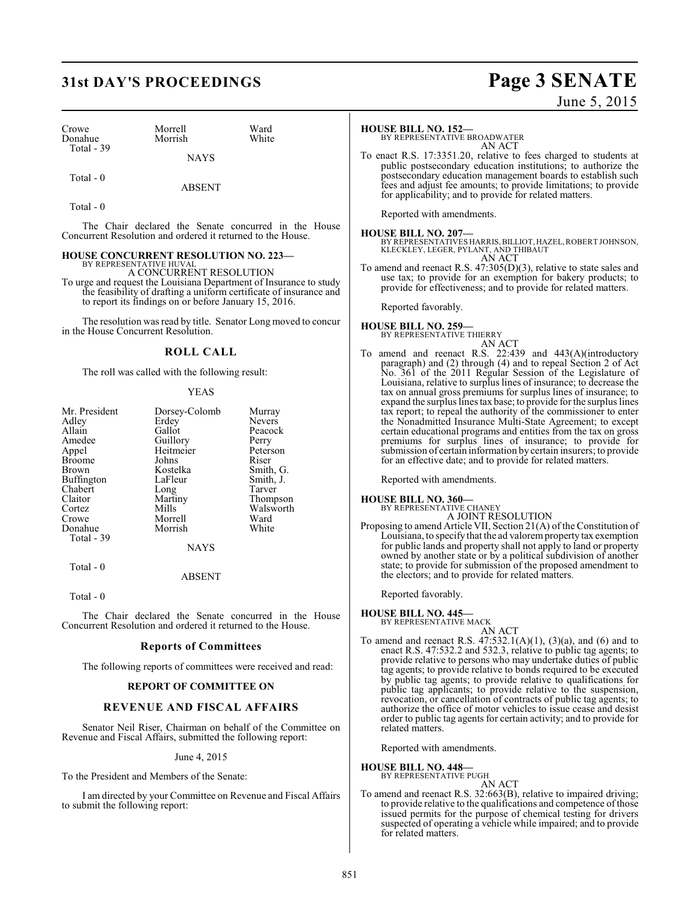# **31st DAY'S PROCEEDINGS Page 3 SENATE**

Morrish

| Crowe      |  |
|------------|--|
| Donahue    |  |
| Total - 39 |  |

Morrell Ward<br>
Morrish White

 Total - 0 ABSENT

Total - 0

The Chair declared the Senate concurred in the House Concurrent Resolution and ordered it returned to the House.

**NAYS** 

#### **HOUSE CONCURRENT RESOLUTION NO. 223—** BY REPRESENTATIVE HUVAL

A CONCURRENT RESOLUTION

To urge and request the Louisiana Department of Insurance to study the feasibility of drafting a uniform certificate of insurance and to report its findings on or before January 15, 2016.

The resolution was read by title. Senator Long moved to concur in the House Concurrent Resolution.

## **ROLL CALL**

The roll was called with the following result:

#### YEAS

| Mr. President | Dorsey-Colomb | Murray    |
|---------------|---------------|-----------|
| Adley         | Erdey         | Nevers    |
| Allain        | Gallot        | Peacock   |
| Amedee        | Guillory      | Perry     |
| Appel         | Heitmeier     | Peterson  |
| <b>Broome</b> | Johns         | Riser     |
| Brown         | Kostelka      | Smith, G. |
| Buffington    | LaFleur       | Smith, J. |
| Chabert       | Long          | Tarver    |
| Claitor       | Martiny       | Thompson  |
| Cortez        | Mills         | Walsworth |
| Crowe         | Morrell       | Ward      |
| Donahue       | Morrish       | White     |
| Total - 39    |               |           |
|               | <b>NAYS</b>   |           |

ABSENT

Total - 0

Total - 0

The Chair declared the Senate concurred in the House Concurrent Resolution and ordered it returned to the House.

#### **Reports of Committees**

The following reports of committees were received and read:

#### **REPORT OF COMMITTEE ON**

## **REVENUE AND FISCAL AFFAIRS**

Senator Neil Riser, Chairman on behalf of the Committee on Revenue and Fiscal Affairs, submitted the following report:

June 4, 2015

To the President and Members of the Senate:

I am directed by your Committee on Revenue and Fiscal Affairs to submit the following report:

June 5, 2015

#### **HOUSE BILL NO. 152—**

BY REPRESENTATIVE BROADWATER AN ACT

To enact R.S. 17:3351.20, relative to fees charged to students at public postsecondary education institutions; to authorize the postsecondary education management boards to establish such fees and adjust fee amounts; to provide limitations; to provide for applicability; and to provide for related matters.

Reported with amendments.

**HOUSE BILL NO. 207—** BY REPRESENTATIVES HARRIS, BILLIOT, HAZEL, ROBERT JOHNSON, KLECKLEY, LEGER, PYLANT, AND THIBAUT AN ACT

To amend and reenact R.S. 47:305(D)(3), relative to state sales and use tax; to provide for an exemption for bakery products; to provide for effectiveness; and to provide for related matters.

Reported favorably.

# **HOUSE BILL NO. 259—** BY REPRESENTATIVE THIERRY

## AN ACT

To amend and reenact R.S. 22:439 and 443(A)(introductory paragraph) and (2) through (4) and to repeal Section 2 of Act No. 361 of the 2011 Regular Session of the Legislature of Louisiana, relative to surpluslines of insurance; to decrease the tax on annual gross premiums for surplus lines of insurance; to expand the surplus lines tax base; to provide for the surplus lines tax report; to repeal the authority of the commissioner to enter the Nonadmitted Insurance Multi-State Agreement; to except certain educational programs and entities from the tax on gross premiums for surplus lines of insurance; to provide for submission of certain information by certain insurers; to provide for an effective date; and to provide for related matters.

Reported with amendments.

**HOUSE BILL NO. 360—**<br>BY REPRESENTATIVE CHANEY<br>A JOINT RESOLUTION

Proposing to amend Article VII, Section 21(A) of the Constitution of Louisiana, to specify that the ad valorem property tax exemption for public lands and property shall not apply to land or property owned by another state or by a political subdivision of another state; to provide for submission of the proposed amendment to the electors; and to provide for related matters.

Reported favorably.

# **HOUSE BILL NO. 445—** BY REPRESENTATIVE MACK

AN ACT

To amend and reenact R.S.  $47:532.1(A)(1)$ ,  $(3)(a)$ , and  $(6)$  and to enact R.S. 47:532.2 and 532.3, relative to public tag agents; to provide relative to persons who may undertake duties of public tag agents; to provide relative to bonds required to be executed by public tag agents; to provide relative to qualifications for public tag applicants; to provide relative to the suspension, revocation, or cancellation of contracts of public tag agents; to authorize the office of motor vehicles to issue cease and desist order to public tag agents for certain activity; and to provide for related matters.

Reported with amendments.

# **HOUSE BILL NO. 448—** BY REPRESENTATIVE PUGH

AN ACT

To amend and reenact R.S. 32:663(B), relative to impaired driving; to provide relative to the qualifications and competence of those issued permits for the purpose of chemical testing for drivers suspected of operating a vehicle while impaired; and to provide for related matters.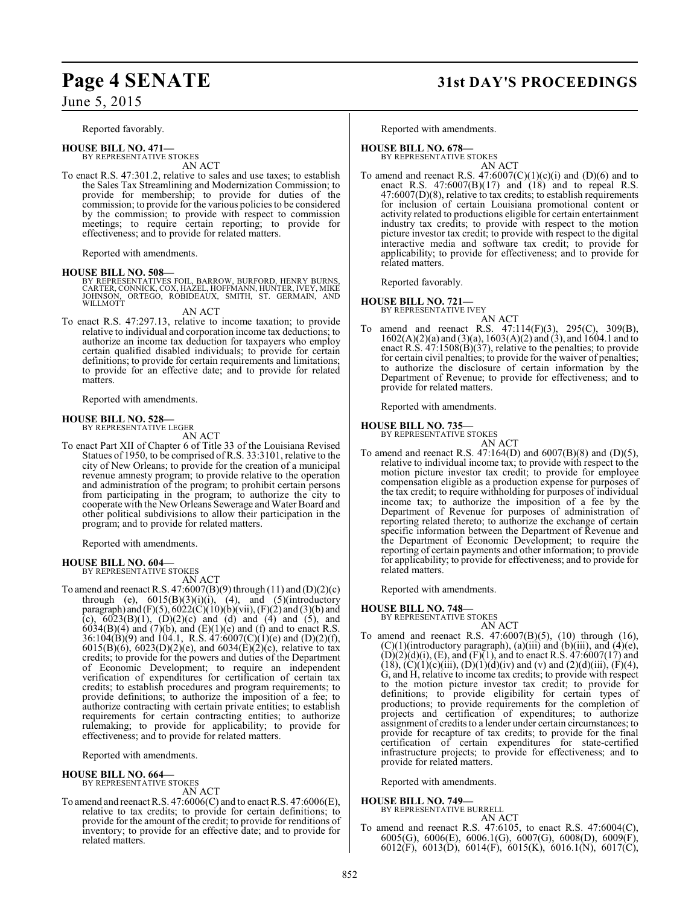Reported favorably.

**HOUSE BILL NO. 471—** BY REPRESENTATIVE STOKES

AN ACT

To enact R.S. 47:301.2, relative to sales and use taxes; to establish the Sales Tax Streamlining and Modernization Commission; to provide for membership; to provide for duties of the commission; to provide for the various policies to be considered by the commission; to provide with respect to commission meetings; to require certain reporting; to provide for effectiveness; and to provide for related matters.

Reported with amendments.

**HOUSE BILL NO. 508—**<br>BY REPRESENTATIVES FOIL, BARROW, BURFORD, HENRY BURNS, CARTER, CONNICK, COX, HAZEL, HOFFMANN, HUNTER, IVEY, MIKE<br>JOHNSON, ORTEGO, ROBIDEAUX, SMITH, ST. GERMAIN, AND<br>WILLMOTT

AN ACT

To enact R.S. 47:297.13, relative to income taxation; to provide relative to individual and corporation income tax deductions; to authorize an income tax deduction for taxpayers who employ certain qualified disabled individuals; to provide for certain definitions; to provide for certain requirements and limitations; to provide for an effective date; and to provide for related matters.

Reported with amendments.

#### **HOUSE BILL NO. 528—** BY REPRESENTATIVE LEGER

AN ACT

To enact Part XII of Chapter 6 of Title 33 of the Louisiana Revised Statues of 1950, to be comprised of R.S. 33:3101, relative to the city of New Orleans; to provide for the creation of a municipal revenue amnesty program; to provide relative to the operation and administration of the program; to prohibit certain persons from participating in the program; to authorize the city to cooperate with the New Orleans Sewerage and Water Board and other political subdivisions to allow their participation in the program; and to provide for related matters.

Reported with amendments.

**HOUSE BILL NO. 604—** BY REPRESENTATIVE STOKES

AN ACT

To amend and reenact R.S. 47:6007(B)(9) through (11) and (D)(2)(c) through (e),  $6015(B)(3)(i)(i)$ , (4), and  $(5)(introducing$ paragraph) and (F)(5),  $6022(C)(10)(b)(vii)$ , (F)(2) and (3)(b) and (c),  $6023(B)(1)$ ,  $(D)(2)(c)$  and  $(d)$  and  $(4)$  and  $(5)$ , and  $6034(B)(4)$  and  $(7)(b)$ , and  $(E)(1)(e)$  and  $(f)$  and to enact R.S.  $36:104(B)(9)$  and  $104.1$ , R.S.  $47:6007(C)(1)(e)$  and  $(D)(2)(f)$ , 6015(B)(6), 6023(D)(2)(e), and 6034(E)(2)(c), relative to tax credits; to provide for the powers and duties of the Department of Economic Development; to require an independent verification of expenditures for certification of certain tax credits; to establish procedures and program requirements; to provide definitions; to authorize the imposition of a fee; to authorize contracting with certain private entities; to establish requirements for certain contracting entities; to authorize rulemaking; to provide for applicability; to provide for effectiveness; and to provide for related matters.

Reported with amendments.

#### **HOUSE BILL NO. 664—**

BY REPRESENTATIVE STOKES

- AN ACT
- To amend and reenactR.S. 47:6006(C) and to enact R.S. 47:6006(E), relative to tax credits; to provide for certain definitions; to provide for the amount of the credit; to provide for renditions of inventory; to provide for an effective date; and to provide for related matters.

# **Page 4 SENATE 31st DAY'S PROCEEDINGS**

Reported with amendments.

#### **HOUSE BILL NO. 678—**

BY REPRESENTATIVE STOKES AN ACT

To amend and reenact R.S.  $47:6007(C)(1)(c)(i)$  and  $(D)(6)$  and to enact R.S.  $47:6007(B)(17)$  and  $(18)$  and to repeal R.S. 47:6007(D)(8), relative to tax credits; to establish requirements for inclusion of certain Louisiana promotional content or activity related to productions eligible for certain entertainment industry tax credits; to provide with respect to the motion picture investor tax credit; to provide with respect to the digital interactive media and software tax credit; to provide for applicability; to provide for effectiveness; and to provide for related matters.

Reported favorably.

## **HOUSE BILL NO. 721—**

BY REPRESENTATIVE IVEY

- AN ACT
- To amend and reenact R.S. 47:114(F)(3), 295(C), 309(B), 1602(A)(2)(a) and (3)(a), 1603(A)(2) and (3), and 1604.1 and to enact R.S. 47:1508(B)(37), relative to the penalties; to provide for certain civil penalties; to provide for the waiver of penalties; to authorize the disclosure of certain information by the Department of Revenue; to provide for effectiveness; and to provide for related matters.

Reported with amendments.

#### **HOUSE BILL NO. 735—** BY REPRESENTATIVE STOKES

- 
- AN ACT To amend and reenact R.S.  $47:164(D)$  and  $6007(B)(8)$  and  $(D)(5)$ , relative to individual income tax; to provide with respect to the motion picture investor tax credit; to provide for employee compensation eligible as a production expense for purposes of the tax credit; to require withholding for purposes of individual income tax; to authorize the imposition of a fee by the Department of Revenue for purposes of administration of reporting related thereto; to authorize the exchange of certain specific information between the Department of Revenue and the Department of Economic Development; to require the reporting of certain payments and other information; to provide for applicability; to provide for effectiveness; and to provide for related matters.

Reported with amendments.

**HOUSE BILL NO. 748—** BY REPRESENTATIVE STOKES

- AN ACT
- To amend and reenact R.S. 47:6007(B)(5), (10) through (16),  $(C)(1)$ (introductory paragraph),  $(a)$ (iii) and  $(b)$ (iii), and  $(4)$ (e),  $(D)(2)(d)(i)$ ,  $(E)$ , and  $(F)(1)$ , and to enact R.S. 47:6007(17) and (18), (C)(1)(c)(iii), (D)(1)(d)(iv) and (v) and (2)(d)(iii), (F)(4), G, and H, relative to income tax credits; to provide with respect to the motion picture investor tax credit; to provide for definitions; to provide eligibility for certain types of productions; to provide requirements for the completion of projects and certification of expenditures; to authorize assignment of credits to a lender under certain circumstances; to provide for recapture of tax credits; to provide for the final certification of certain expenditures for state-certified infrastructure projects; to provide for effectiveness; and to provide for related matters.

Reported with amendments.

#### **HOUSE BILL NO. 749—**

BY REPRESENTATIVE BURRELL AN ACT

To amend and reenact R.S. 47:6105, to enact R.S. 47:6004(C), 6005(G), 6006(E), 6006.1(G), 6007(G), 6008(D), 6009(F), 6012(F), 6013(D), 6014(F), 6015(K), 6016.1(N), 6017(C),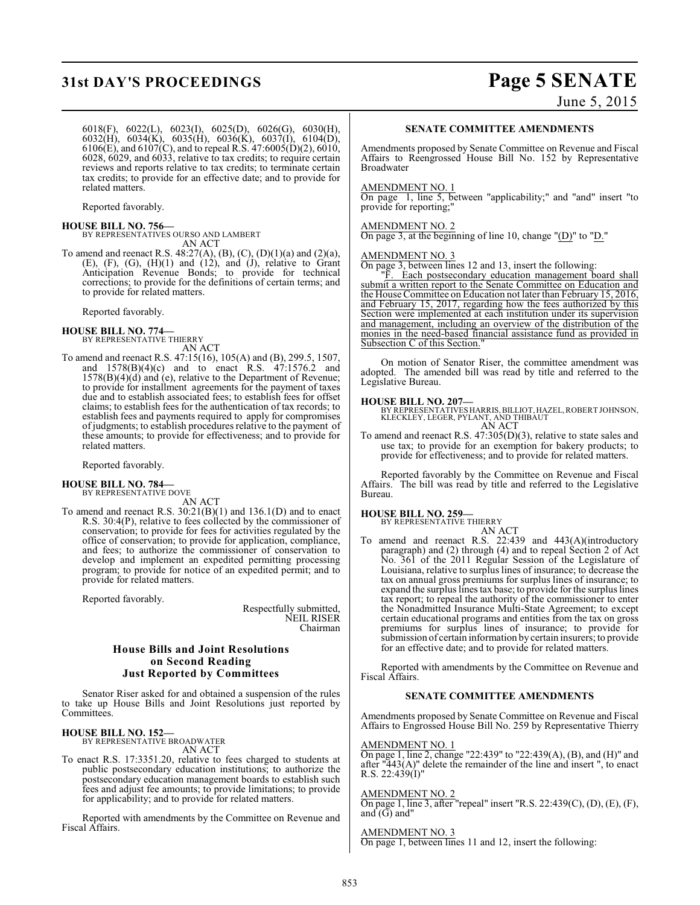# **31st DAY'S PROCEEDINGS Page 5 SENATE**

June 5, 2015

6018(F), 6022(L), 6023(I), 6025(D), 6026(G), 6030(H), 6032(H), 6034(K), 6035(H), 6036(K), 6037(I), 6104(D), 6106(E), and 6107(C), and to repeal R.S. 47:6005(D)(2), 6010, 6028, 6029, and 6033, relative to tax credits; to require certain reviews and reports relative to tax credits; to terminate certain tax credits; to provide for an effective date; and to provide for related matters.

Reported favorably.

## **HOUSE BILL NO. 756—**

BY REPRESENTATIVES OURSO AND LAMBERT AN ACT

To amend and reenact R.S.  $48:27(A)$ , (B), (C), (D)(1)(a) and (2)(a),  $(E)$ ,  $(F)$ ,  $(G)$ ,  $(H)(1)$  and  $(12)$ , and  $(J)$ , relative to Grant Anticipation Revenue Bonds; to provide for technical corrections; to provide for the definitions of certain terms; and to provide for related matters.

Reported favorably.

- **HOUSE BILL NO. 774—** BY REPRESENTATIVE THIERRY AN ACT
- To amend and reenact R.S. 47:15(16), 105(A) and (B), 299.5, 1507, and 1578(B)(4)(c) and to enact R.S. 47:1576.2 and 1578(B)(4)(d) and (e), relative to the Department of Revenue; to provide for installment agreements for the payment of taxes due and to establish associated fees; to establish fees for offset claims; to establish fees for the authentication of tax records; to establish fees and payments required to apply for compromises of judgments; to establish procedures relative to the payment of these amounts; to provide for effectiveness; and to provide for related matters.

Reported favorably.

# **HOUSE BILL NO. 784—** BY REPRESENTATIVE DOVE

AN ACT

To amend and reenact R.S. 30:21(B)(1) and 136.1(D) and to enact R.S. 30:4(P), relative to fees collected by the commissioner of conservation; to provide for fees for activities regulated by the office of conservation; to provide for application, compliance, and fees; to authorize the commissioner of conservation to develop and implement an expedited permitting processing program; to provide for notice of an expedited permit; and to provide for related matters.

Reported favorably.

Respectfully submitted, NEIL RISER Chairman

#### **House Bills and Joint Resolutions on Second Reading Just Reported by Committees**

Senator Riser asked for and obtained a suspension of the rules to take up House Bills and Joint Resolutions just reported by Committees.

#### **HOUSE BILL NO. 152—** BY REPRESENTATIVE BROADWATER

AN ACT

To enact R.S. 17:3351.20, relative to fees charged to students at public postsecondary education institutions; to authorize the postsecondary education management boards to establish such fees and adjust fee amounts; to provide limitations; to provide for applicability; and to provide for related matters.

Reported with amendments by the Committee on Revenue and Fiscal Affairs.

#### **SENATE COMMITTEE AMENDMENTS**

Amendments proposed by Senate Committee on Revenue and Fiscal Affairs to Reengrossed House Bill No. 152 by Representative Broadwater

#### AMENDMENT NO. 1

On page 1, line 5, between "applicability;" and "and" insert "to provide for reporting;"

## AMENDMENT NO. 2

On page 3, at the beginning of line 10, change "(D)" to "D."

AMENDMENT NO. 3 On page 3, between lines 12 and 13, insert the following:

"F. Each postsecondary education management board shall submit a written report to the Senate Committee on Education and the House Committee on Education not later than February 15, 2016, and February 15, 2017, regarding how the fees authorized by this Section were implemented at each institution under its supervision and management, including an overview of the distribution of the monies in the need-based financial assistance fund as provided in Subsection C of this Section.

On motion of Senator Riser, the committee amendment was adopted. The amended bill was read by title and referred to the Legislative Bureau.

#### **HOUSE BILL NO. 207—**

BY REPRESENTATIVES HARRIS, BILLIOT, HAZEL, ROBERT JOHNSON, KLECKLEY, LEGER, PYLANT, AND THIBAUT AN ACT

To amend and reenact R.S. 47:305(D)(3), relative to state sales and use tax; to provide for an exemption for bakery products; to provide for effectiveness; and to provide for related matters.

Reported favorably by the Committee on Revenue and Fiscal Affairs. The bill was read by title and referred to the Legislative Bureau.

# **HOUSE BILL NO. 259—** BY REPRESENTATIVE THIERRY

- AN ACT
- To amend and reenact R.S. 22:439 and 443(A)(introductory paragraph) and (2) through (4) and to repeal Section 2 of Act No. 361 of the 2011 Regular Session of the Legislature of Louisiana, relative to surplus lines of insurance; to decrease the tax on annual gross premiums for surplus lines of insurance; to expand the surplus lines tax base; to provide for the surplus lines tax report; to repeal the authority of the commissioner to enter the Nonadmitted Insurance Multi-State Agreement; to except certain educational programs and entities from the tax on gross premiums for surplus lines of insurance; to provide for submission of certain information by certain insurers; to provide for an effective date; and to provide for related matters.

Reported with amendments by the Committee on Revenue and Fiscal Affairs.

#### **SENATE COMMITTEE AMENDMENTS**

Amendments proposed by Senate Committee on Revenue and Fiscal Affairs to Engrossed House Bill No. 259 by Representative Thierry

#### AMENDMENT NO. 1

On page 1, line 2, change "22:439" to "22:439(A), (B), and (H)" and after "443(A)" delete the remainder of the line and insert ", to enact R.S. 22:439(I)"

#### AMENDMENT NO. 2

On page 1, line 3, after "repeal" insert "R.S. 22:439(C), (D), (E), (F), and  $(G)$  and"

AMENDMENT NO. On page 1, between lines 11 and 12, insert the following: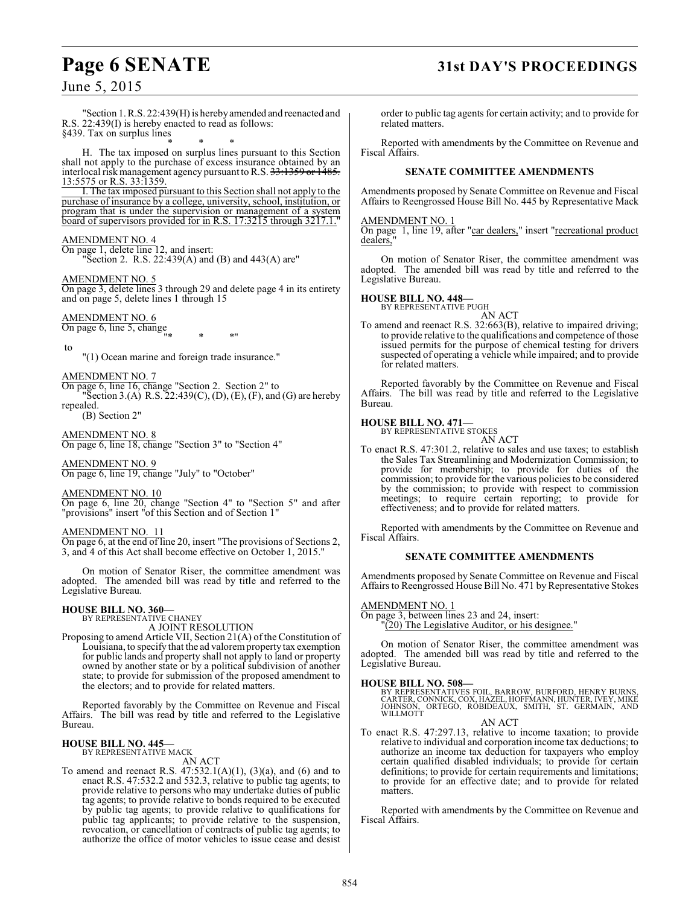# **Page 6 SENATE 31st DAY'S PROCEEDINGS**

June 5, 2015

"Section 1. R.S. 22:439(H) is hereby amended and reenacted and R.S. 22:439(I) is hereby enacted to read as follows: §439. Tax on surplus lines

\* \* \* H. The tax imposed on surplus lines pursuant to this Section shall not apply to the purchase of excess insurance obtained by an interlocal risk management agency pursuant to R.S. 33:1359 or 1485. 13:5575 or R.S. 33:1359.

I. The tax imposed pursuant to this Section shall not apply to the purchase of insurance by a college, university, school, institution, or program that is under the supervision or management of a system board of supervisors provided for in R.S. 17:3215 through 3217.1."

#### AMENDMENT NO. 4

On page 1, delete line 12, and insert: "Section 2. R.S. 22:439(A) and (B) and 443(A) are"

#### AMENDMENT NO. 5

On page 3, delete lines 3 through 29 and delete page 4 in its entirety and on page 5, delete lines 1 through 15

## AMENDMENT NO. 6

- On page 6, line 5, change "\* \* \*"
- to

"(1) Ocean marine and foreign trade insurance."

AMENDMENT NO. 7

On page 6, line 16, change "Section 2. Section 2" to "Section 3.(A) R.S.  $22:439(C)$ , (D), (E), (F), and (G) are hereby repealed.

(B) Section 2"

AMENDMENT NO. 8

On page 6, line 18, change "Section 3" to "Section 4"

AMENDMENT NO. 9 On page 6, line 19, change "July" to "October"

#### AMENDMENT NO. 10

On page 6, line 20, change "Section 4" to "Section 5" and after "provisions" insert "of this Section and of Section 1"

#### AMENDMENT NO. 11

On page 6, at the end of line 20, insert "The provisions of Sections 2, 3, and 4 of this Act shall become effective on October 1, 2015."

On motion of Senator Riser, the committee amendment was adopted. The amended bill was read by title and referred to the Legislative Bureau.

# **HOUSE BILL NO. 360—** BY REPRESENTATIVE CHANEY

A JOINT RESOLUTION

Proposing to amend Article VII, Section 21(A) of the Constitution of Louisiana, to specify that the ad valorem property tax exemption for public lands and property shall not apply to land or property owned by another state or by a political subdivision of another state; to provide for submission of the proposed amendment to the electors; and to provide for related matters.

Reported favorably by the Committee on Revenue and Fiscal Affairs. The bill was read by title and referred to the Legislative Bureau.

#### **HOUSE BILL NO. 445—** BY REPRESENTATIVE MACK

AN ACT

To amend and reenact R.S. 47:532.1(A)(1), (3)(a), and (6) and to enact R.S. 47:532.2 and 532.3, relative to public tag agents; to provide relative to persons who may undertake duties of public tag agents; to provide relative to bonds required to be executed by public tag agents; to provide relative to qualifications for public tag applicants; to provide relative to the suspension, revocation, or cancellation of contracts of public tag agents; to authorize the office of motor vehicles to issue cease and desist

order to public tag agents for certain activity; and to provide for related matters.

Reported with amendments by the Committee on Revenue and Fiscal Affairs.

#### **SENATE COMMITTEE AMENDMENTS**

Amendments proposed by Senate Committee on Revenue and Fiscal Affairs to Reengrossed House Bill No. 445 by Representative Mack

#### AMENDMENT NO. 1

On page 1, line 19, after "car dealers," insert "recreational product dealers,

On motion of Senator Riser, the committee amendment was adopted. The amended bill was read by title and referred to the Legislative Bureau.

#### **HOUSE BILL NO. 448—**

BY REPRESENTATIVE PUGH AN ACT

To amend and reenact R.S. 32:663(B), relative to impaired driving; to provide relative to the qualifications and competence of those issued permits for the purpose of chemical testing for drivers suspected of operating a vehicle while impaired; and to provide for related matters.

Reported favorably by the Committee on Revenue and Fiscal Affairs. The bill was read by title and referred to the Legislative Bureau.

#### **HOUSE BILL NO. 471—** BY REPRESENTATIVE STOKES

AN ACT

To enact R.S. 47:301.2, relative to sales and use taxes; to establish the Sales Tax Streamlining and Modernization Commission; to provide for membership; to provide for duties of the commission; to provide for the various policies to be considered by the commission; to provide with respect to commission meetings; to require certain reporting; to provide for effectiveness; and to provide for related matters.

Reported with amendments by the Committee on Revenue and Fiscal Affairs.

#### **SENATE COMMITTEE AMENDMENTS**

Amendments proposed by Senate Committee on Revenue and Fiscal Affairs to Reengrossed House Bill No. 471 by Representative Stokes

AMENDMENT NO. 1

On page 3, between lines 23 and 24, insert: "(20) The Legislative Auditor, or his designee."

On motion of Senator Riser, the committee amendment was adopted. The amended bill was read by title and referred to the Legislative Bureau.

**HOUSE BILL NO. 508—**<br>BY REPRESENTATIVES FOIL, BARROW, BURFORD, HENRY BURNS, CARTER, CONNICK, COX, HAZEL, HOFFMANN, HUNTER, IVEY, MIKE<br>JOHNSON, ORTEGO, ROBIDEAUX, SMITH, ST. GERMAIN, AND<br>WILLMOTT

AN ACT

To enact R.S. 47:297.13, relative to income taxation; to provide relative to individual and corporation income tax deductions; to authorize an income tax deduction for taxpayers who employ certain qualified disabled individuals; to provide for certain definitions; to provide for certain requirements and limitations; to provide for an effective date; and to provide for related matters.

Reported with amendments by the Committee on Revenue and Fiscal Affairs.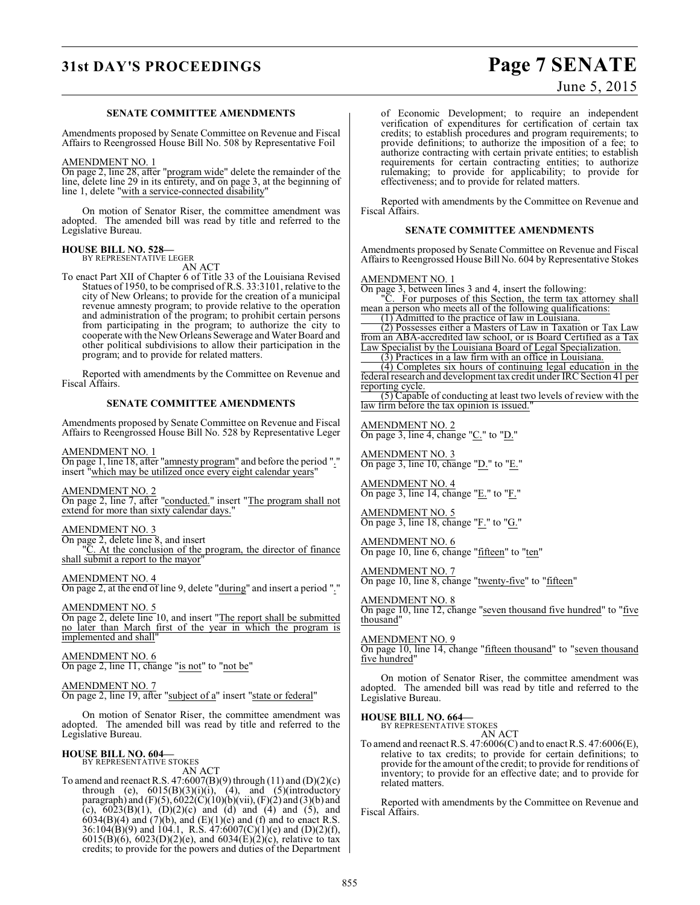# **31st DAY'S PROCEEDINGS Page 7 SENATE**

## June 5, 2015

#### **SENATE COMMITTEE AMENDMENTS**

Amendments proposed by Senate Committee on Revenue and Fiscal Affairs to Reengrossed House Bill No. 508 by Representative Foil

#### AMENDMENT NO. 1

On page 2, line 28, after "program wide" delete the remainder of the line, delete line 29 in its entirety, and on page 3, at the beginning of line 1, delete "with a service-connected disability"

On motion of Senator Riser, the committee amendment was adopted. The amended bill was read by title and referred to the Legislative Bureau.

#### **HOUSE BILL NO. 528—**

BY REPRESENTATIVE LEGER AN ACT

To enact Part XII of Chapter 6 of Title 33 of the Louisiana Revised Statues of 1950, to be comprised of R.S. 33:3101, relative to the city of New Orleans; to provide for the creation of a municipal revenue amnesty program; to provide relative to the operation and administration of the program; to prohibit certain persons from participating in the program; to authorize the city to cooperate with the New Orleans Sewerage and Water Board and other political subdivisions to allow their participation in the program; and to provide for related matters.

Reported with amendments by the Committee on Revenue and Fiscal Affairs.

#### **SENATE COMMITTEE AMENDMENTS**

Amendments proposed by Senate Committee on Revenue and Fiscal Affairs to Reengrossed House Bill No. 528 by Representative Leger

#### AMENDMENT NO. 1

On page 1, line 18, after "amnesty program" and before the period "." insert "which may be utilized once every eight calendar years'

AMENDMENT NO. 2

On page 2, line 7, after "conducted." insert "The program shall not extend for more than sixty calendar days."

#### AMENDMENT NO. 3

On page 2, delete line 8, and insert

. At the conclusion of the program, the director of finance shall submit a report to the mayor

#### AMENDMENT NO. 4

On page 2, at the end of line 9, delete "during" and insert a period "."

#### AMENDMENT NO. 5

On page 2, delete line 10, and insert "The report shall be submitted no later than March first of the year in which the program is implemented and shall"

#### AMENDMENT NO. 6

On page 2, line 11, change "is not" to "not be"

#### AMENDMENT NO. 7 On page 2, line 19, after "subject of a" insert "state or federal"

On motion of Senator Riser, the committee amendment was adopted. The amended bill was read by title and referred to the Legislative Bureau.

#### **HOUSE BILL NO. 604—** BY REPRESENTATIVE STOKES

AN ACT

To amend and reenact R.S.  $47:6007(B)(9)$  through  $(11)$  and  $(D)(2)(c)$ through (e),  $6015(B)(3)(i)(i)$ ,  $(4)$ , and  $(5)(introducing$ paragraph) and  $(F)(5)$ , 6022 $(C)(10)(b)(vi)$ ,  $(F)(2)$  and  $(3)(b)$  and (c),  $6023(B)(1)$ ,  $(D)(2)(c)$  and  $(d)$  and  $(4)$  and  $(5)$ , and  $6034(B)(4)$  and  $(7)(b)$ , and  $(E)(1)(e)$  and  $(f)$  and to enact R.S. 36:10 $\hat{A}(B)(9)$  and 104.1, R.S.  $\hat{A}7.6007(C)(1)(e)$  and  $(D)(2)(f)$ , 6015(B)(6), 6023(D)(2)(e), and 6034(E)(2)(c), relative to tax credits; to provide for the powers and duties of the Department of Economic Development; to require an independent verification of expenditures for certification of certain tax credits; to establish procedures and program requirements; to provide definitions; to authorize the imposition of a fee; to authorize contracting with certain private entities; to establish requirements for certain contracting entities; to authorize rulemaking; to provide for applicability; to provide for effectiveness; and to provide for related matters.

Reported with amendments by the Committee on Revenue and Fiscal Affairs.

#### **SENATE COMMITTEE AMENDMENTS**

Amendments proposed by Senate Committee on Revenue and Fiscal Affairs to Reengrossed House Bill No. 604 by Representative Stokes

#### AMENDMENT NO. 1

On page 3, between lines 3 and 4, insert the following: "C. For purposes of this Section, the term tax attorney shall

mean a person who meets all of the following qualifications: (1) Admitted to the practice of law in Louisiana.

(2) Possesses either a Masters of Law in Taxation or Tax Law from an ABA-accredited law school, or is Board Certified as a Tax Law Specialist by the Louisiana Board of Legal Specialization.

(3) Practices in a law firm with an office in Louisiana. (4) Completes six hours of continuing legal education in the federal research and development tax credit under IRC Section 41 per reporting cycle.

(5) Capable of conducting at least two levels of review with the law firm before the tax opinion is issued."

AMENDMENT NO. 2 On page 3, line 4, change "C." to "D."

AMENDMENT NO. 3 On page 3, line 10, change "D." to "E."

AMENDMENT NO. 4 On page 3, line 14, change "E." to "F."

AMENDMENT NO. 5 On page 3, line 18, change "F." to "G."

AMENDMENT NO. 6 On page 10, line 6, change "fifteen" to "ten"

AMENDMENT NO. 7 On page 10, line 8, change "twenty-five" to "fifteen"

## AMENDMENT NO. 8

On page 10, line 12, change "seven thousand five hundred" to "five thousand"

#### AMENDMENT NO. 9

On page 10, line 14, change "fifteen thousand" to "seven thousand five hundred"

On motion of Senator Riser, the committee amendment was adopted. The amended bill was read by title and referred to the Legislative Bureau.

# **HOUSE BILL NO. 664—** BY REPRESENTATIVE STOKES

AN ACT

To amend and reenact R.S. 47:6006(C) and to enact R.S. 47:6006(E), relative to tax credits; to provide for certain definitions; to provide for the amount of the credit; to provide for renditions of inventory; to provide for an effective date; and to provide for related matters.

Reported with amendments by the Committee on Revenue and Fiscal Affairs.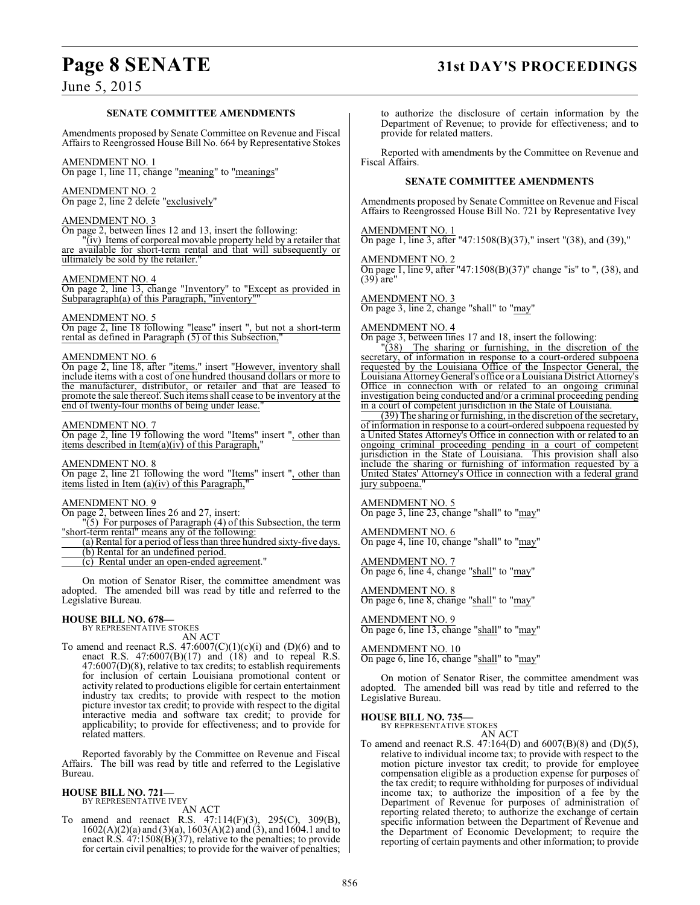#### **SENATE COMMITTEE AMENDMENTS**

Amendments proposed by Senate Committee on Revenue and Fiscal Affairs to Reengrossed House Bill No. 664 by Representative Stokes

#### AMENDMENT NO. 1

On page 1, line 11, change "meaning" to "meanings"

#### AMENDMENT NO. 2

On page 2, line 2 delete "exclusively"

#### AMENDMENT NO. 3

On page 2, between lines 12 and 13, insert the following:

"(iv) Items of corporeal movable property held by a retailer that available for short-term rental and that will subsequently or ultimately be sold by the retailer."

#### AMENDMENT NO. 4

On page 2, line 13, change "Inventory" to "Except as provided in Subparagraph(a) of this Paragraph, "inventory""

#### AMENDMENT NO. 5

On page 2, line 18 following "lease" insert ", but not a short-term rental as defined in Paragraph (5) of this Subsection,"

#### AMENDMENT NO. 6

On page 2, line 18, after "items." insert "However, inventory shall include items with a cost of one hundred thousand dollars or more to the manufacturer, distributor, or retailer and that are leased to promote the sale thereof. Such items shall cease to be inventory at the end of twenty-four months of being under lease.

#### AMENDMENT NO. 7

On page 2, line 19 following the word "Items" insert ", other than items described in Item $(a)(iv)$  of this Paragraph,

#### AMENDMENT NO. 8

On page 2, line 21 following the word "Items" insert ", other than items listed in Item (a)(iv) of this Paragraph,

#### AMENDMENT NO. 9

On page 2, between lines 26 and 27, insert:

"(5) For purposes of Paragraph (4) of this Subsection, the term "short-term rental" means any of the following:

(a) Rental for a period of less than three hundred sixty-five days. (b) Rental for an undefined period.

- (c) Rental under an open-ended agreement."
- 

On motion of Senator Riser, the committee amendment was adopted. The amended bill was read by title and referred to the Legislative Bureau.

# **HOUSE BILL NO. 678—** BY REPRESENTATIVE STOKES

AN ACT

To amend and reenact R.S.  $47:6007(C)(1)(c)(i)$  and  $(D)(6)$  and to enact R.S.  $47:6007(B)(17)$  and  $(18)$  and to repeal R.S. 47:6007(D)(8), relative to tax credits; to establish requirements for inclusion of certain Louisiana promotional content or activity related to productions eligible for certain entertainment industry tax credits; to provide with respect to the motion picture investor tax credit; to provide with respect to the digital interactive media and software tax credit; to provide for applicability; to provide for effectiveness; and to provide for related matters.

Reported favorably by the Committee on Revenue and Fiscal Affairs. The bill was read by title and referred to the Legislative Bureau.

#### **HOUSE BILL NO. 721—** BY REPRESENTATIVE IVEY

AN ACT

To amend and reenact R.S. 47:114(F)(3), 295(C), 309(B), 1602(A)(2)(a) and (3)(a), 1603(A)(2) and (3), and 1604.1 and to enact R.S. 47:1508(B)(37), relative to the penalties; to provide for certain civil penalties; to provide for the waiver of penalties;

to authorize the disclosure of certain information by the Department of Revenue; to provide for effectiveness; and to provide for related matters.

Reported with amendments by the Committee on Revenue and Fiscal Affairs.

#### **SENATE COMMITTEE AMENDMENTS**

Amendments proposed by Senate Committee on Revenue and Fiscal Affairs to Reengrossed House Bill No. 721 by Representative Ivey

AMENDMENT NO. 1 On page 1, line 3, after "47:1508(B)(37)," insert "(38), and (39),"

AMENDMENT NO. 2 On page 1, line 9, after "47:1508(B)(37)" change "is" to ", (38), and (39) are"

AMENDMENT NO. 3 On page 3, line 2, change "shall" to "may"

#### AMENDMENT NO. 4

On page 3, between lines 17 and 18, insert the following:

"(38) The sharing or furnishing, in the discretion of the secretary, of information in response to a court-ordered subpoena requested by the Louisiana Office of the Inspector General, the Louisiana Attorney General's office or a Louisiana District Attorney's Office in connection with or related to an ongoing criminal investigation being conducted and/or a criminal proceeding pending in a court of competent jurisdiction in the State of Louisiana.

(39) The sharing or furnishing, in the discretion of the secretary, of information in response to a court-ordered subpoena requested by a United States Attorney's Office in connection with or related to an ongoing criminal proceeding pending in a court of competent jurisdiction in the State of Louisiana. This provision shall also include the sharing or furnishing of information requested by a United States' Attorney's Office in connection with a federal grand jury subpoena.

AMENDMENT NO. 5

On page 3, line 23, change "shall" to "may"

AMENDMENT NO. 6 On page 4, line 10, change "shall" to "may"

AMENDMENT NO. 7 On page 6, line 4, change "shall" to "may"

AMENDMENT NO. 8 On page 6, line 8, change "shall" to "may"

AMENDMENT NO. 9 On page 6, line 13, change "shall" to "may"

#### AMENDMENT NO. 10

On page 6, line 16, change "shall" to "may"

On motion of Senator Riser, the committee amendment was adopted. The amended bill was read by title and referred to the Legislative Bureau.

#### **HOUSE BILL NO. 735—**

BY REPRESENTATIVE STOKES AN ACT

To amend and reenact R.S. 47:164(D) and 6007(B)(8) and (D)(5), relative to individual income tax; to provide with respect to the motion picture investor tax credit; to provide for employee compensation eligible as a production expense for purposes of the tax credit; to require withholding for purposes of individual income tax; to authorize the imposition of a fee by the Department of Revenue for purposes of administration of reporting related thereto; to authorize the exchange of certain specific information between the Department of Revenue and the Department of Economic Development; to require the reporting of certain payments and other information; to provide

# **Page 8 SENATE 31st DAY'S PROCEEDINGS**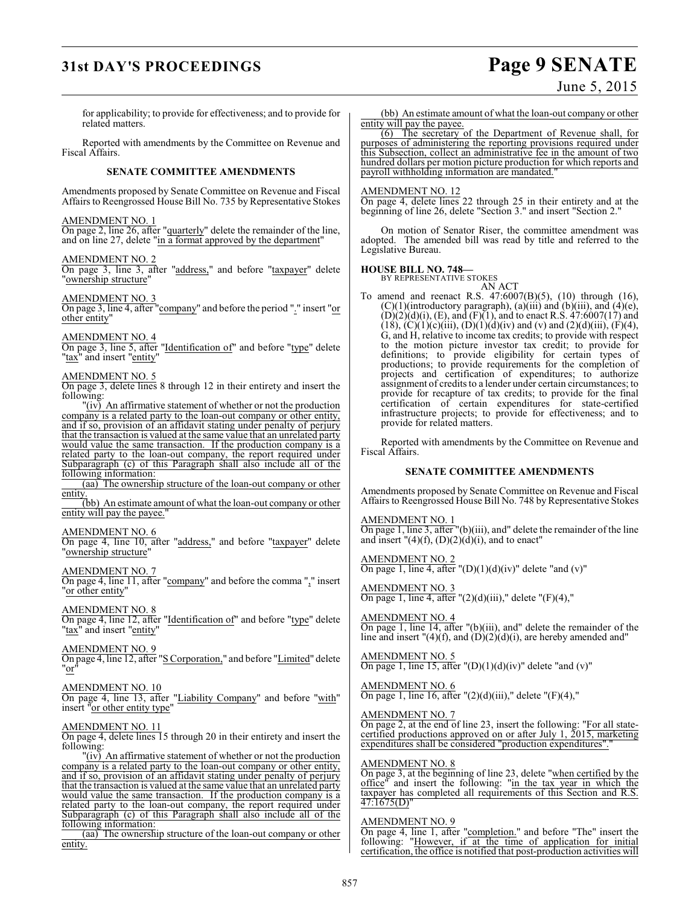# **31st DAY'S PROCEEDINGS Page 9 SENATE**

for applicability; to provide for effectiveness; and to provide for related matters.

Reported with amendments by the Committee on Revenue and Fiscal Affairs.

#### **SENATE COMMITTEE AMENDMENTS**

Amendments proposed by Senate Committee on Revenue and Fiscal Affairs to Reengrossed House Bill No. 735 by Representative Stokes

#### AMENDMENT NO. 1

On page 2, line 26, after "quarterly" delete the remainder of the line, and on line 27, delete "in a format approved by the department"

#### AMENDMENT NO. 2

On page 3, line 3, after "address," and before "taxpayer" delete "ownership structure"

AMENDMENT NO. 3

On page 3, line 4, after "company" and before the period "." insert "or other entity"

AMENDMENT NO. 4

On page 3, line 5, after "Identification of" and before "type" delete "tax<sup>"</sup> and insert "entity"

#### AMENDMENT NO. 5

On page 3, delete lines 8 through 12 in their entirety and insert the following:

 $\overline{f}(iv)$  An affirmative statement of whether or not the production company is a related party to the loan-out company or other entity, and if so, provision of an affidavit stating under penalty of perjury that the transaction is valued at the same value that an unrelated party would value the same transaction. If the production company is a related party to the loan-out company, the report required under Subparagraph (c) of this Paragraph shall also include all of the following information:

(aa) The ownership structure of the loan-out company or other entity

(bb) An estimate amount of what the loan-out company or other entity will pay the payee."

#### AMENDMENT NO. 6

On page 4, line 10, after "address," and before "taxpayer" delete "ownership structure"

AMENDMENT NO. 7

On page 4, line 11, after "company" and before the comma "," insert "or other entity"

#### AMENDMENT NO. 8

On page 4, line 12, after "Identification of" and before "type" delete "tax" and insert "entity"

#### AMENDMENT NO. 9

On page 4, line 12, after "S Corporation," and before "Limited" delete 'or

#### AMENDMENT NO. 10

On page 4, line 13, after "Liability Company" and before "with" insert "or other entity type"

#### AMENDMENT NO. 11

On page 4, delete lines 15 through 20 in their entirety and insert the following:

"(iv) An affirmative statement of whether or not the production company is a related party to the loan-out company or other entity, and if so, provision of an affidavit stating under penalty of perjury that the transaction is valued at the same value that an unrelated party would value the same transaction. If the production company is a related party to the loan-out company, the report required under Subparagraph (c) of this Paragraph shall also include all of the following information:

(aa) The ownership structure of the loan-out company or other entity.

(bb) An estimate amount of what the loan-out company or other entity will pay the payee.

(6) The secretary of the Department of Revenue shall, for purposes of administering the reporting provisions required under this Subsection, collect an administrative fee in the amount of two hundred dollars per motion picture production for which reports and payroll withholding information are mandated."

#### AMENDMENT NO. 12

On page 4, delete lines 22 through 25 in their entirety and at the beginning of line 26, delete "Section 3." and insert "Section 2.

On motion of Senator Riser, the committee amendment was adopted. The amended bill was read by title and referred to the Legislative Bureau.

#### **HOUSE BILL NO. 748—**

BY REPRESENTATIVE STOKES AN ACT

To amend and reenact R.S. 47:6007(B)(5), (10) through (16),  $(C)(1)$ (introductory paragraph), (a)(iii) and (b)(iii), and (4)(e),  $(D)(2)(d)(i)$ ,  $(E)$ , and  $(F)(1)$ , and to enact R.S. 47:6007(17) and (18), (C)(1)(c)(iii), (D)(1)(d)(iv) and (v) and (2)(d)(iii), (F)(4), G, and H, relative to income tax credits; to provide with respect to the motion picture investor tax credit; to provide for definitions; to provide eligibility for certain types of productions; to provide requirements for the completion of projects and certification of expenditures; to authorize assignment of credits to a lender under certain circumstances; to provide for recapture of tax credits; to provide for the final certification of certain expenditures for state-certified infrastructure projects; to provide for effectiveness; and to provide for related matters.

Reported with amendments by the Committee on Revenue and Fiscal Affairs.

#### **SENATE COMMITTEE AMENDMENTS**

Amendments proposed by Senate Committee on Revenue and Fiscal Affairs to Reengrossed House Bill No. 748 by Representative Stokes

AMENDMENT NO. 1 On page 1, line 3, after "(b)(iii), and" delete the remainder of the line and insert  $"(4)(f)$ ,  $(D)(2)(d)(i)$ , and to enact"

AMENDMENT NO. 2 On page 1, line 4, after  $"({\rm D})(1)(d)(iv)"$  delete "and  $(v)"$ 

AMENDMENT NO. 3 On page 1, line 4, after  $"(2)(d)(iii)$ ," delete  $"(F)(4)$ ,"

AMENDMENT NO. 4 On page 1, line 14, after "(b)(iii), and" delete the remainder of the line and insert  $"(4)(f)$ , and  $(D)(2)(d)(i)$ , are hereby amended and"

AMENDMENT NO. 5 On page 1, line 15, after  $"({D})(1)(d)(iv)"$  delete "and  $(v)"$ 

AMENDMENT NO. 6 On page 1, line 16, after  $"(2)(d)(iii)$ ," delete  $"(F)(4)$ ,"

AMENDMENT NO. 7

On page 2, at the end of line 23, insert the following: "For all statecertified productions approved on or after July 1, 2015, marketing expenditures shall be considered "production expenditures".

#### AMENDMENT NO. 8

On page 3, at the beginning of line 23, delete "when certified by the office" and insert the following: "in the tax year in which the taxpayer has completed all requirements of this Section and R.S.  $47:1675(D)$ 

#### AMENDMENT NO. 9

On page 4, line 1, after "completion." and before "The" insert the following: "However, if at the time of application for initial certification, the office is notified that post-production activities will

June 5, 2015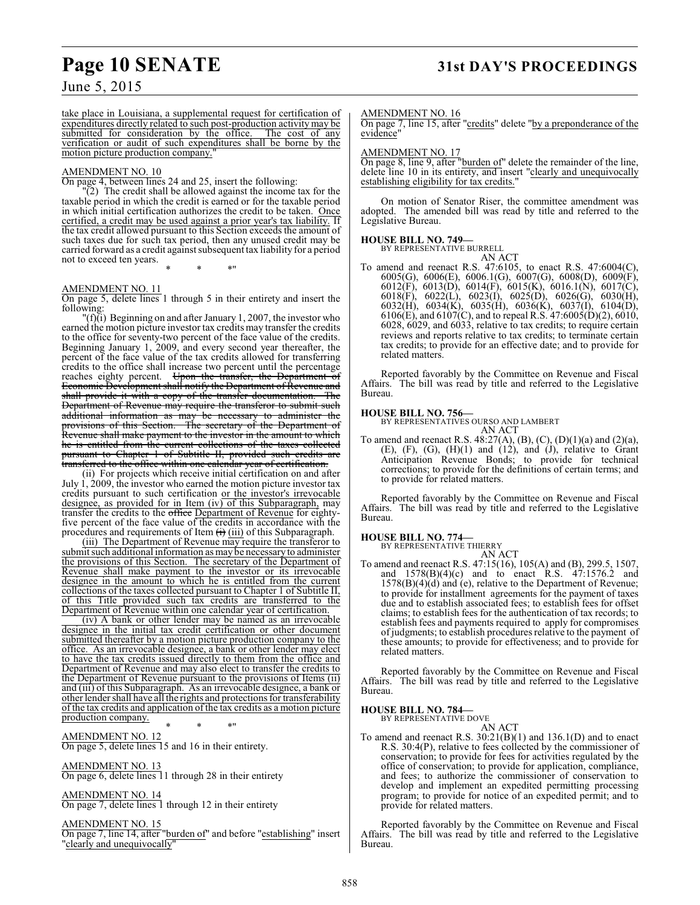# **Page 10 SENATE 31st DAY'S PROCEEDINGS**

June 5, 2015

take place in Louisiana, a supplemental request for certification of expenditures directly related to such post-production activity may be submitted for consideration by the office. The cost of any verification or audit of such expenditures shall be borne by the motion picture production company.

#### AMENDMENT NO. 10

On page 4, between lines 24 and 25, insert the following:

"(2) The credit shall be allowed against the income tax for the taxable period in which the credit is earned or for the taxable period in which initial certification authorizes the credit to be taken. Once certified, a credit may be used against a prior year's tax liability. If the tax credit allowed pursuant to this Section exceeds the amount of such taxes due for such tax period, then any unused credit may be carried forward as a credit against subsequent tax liability for a period not to exceed ten years. \* \* \*"

#### AMENDMENT NO. 11

On page 5, delete lines 1 through 5 in their entirety and insert the following:

 $"({\bf f})$ (i) Beginning on and after January 1, 2007, the investor who earned the motion picture investor tax credits may transfer the credits to the office for seventy-two percent of the face value of the credits. Beginning January 1, 2009, and every second year thereafter, the percent of the face value of the tax credits allowed for transferring credits to the office shall increase two percent until the percentage reaches eighty percent. Upon the transfer, the Department of Economic Development shall notify the Department of Revenue and shall provide it with a copy of the transfer documentation. The Department of Revenue may require the transferor to submit such additional information as may be necessary to administer the provisions of this Section. The secretary of the Department of Revenue shall make payment to the investor in the amount to which he is entitled from the current collections of the taxes collected pursuant to Chapter 1 of Subtitle II, provided such credits are transferred to the office within one calendar year of certification.

(ii) For projects which receive initial certification on and after July 1, 2009, the investor who earned the motion picture investor tax credits pursuant to such certification or the investor's irrevocable designee, as provided for in Item (iv) of this Subparagraph, may transfer the credits to the <del>office</del> Department of Revenue for eightyfive percent of the face value of the credits in accordance with the procedures and requirements of Item  $\overrightarrow{H}$  (iii) of this Subparagraph.

(iii) The Department of Revenue may require the transferor to submit such additional information as may be necessary to administer the provisions of this Section. The secretary of the Department of Revenue shall make payment to the investor or its irrevocable designee in the amount to which he is entitled from the current collections of the taxes collected pursuant to Chapter 1 of Subtitle II, of this Title provided such tax credits are transferred to the Department of Revenue within one calendar year of certification.

(iv) A bank or other lender may be named as an irrevocable designee in the initial tax credit certification or other document submitted thereafter by a motion picture production company to the office. As an irrevocable designee, a bank or other lender may elect to have the tax credits issued directly to them from the office and Department of Revenue and may also elect to transfer the credits to the Department of Revenue pursuant to the provisions of Items (ii) and (iii) of this Subparagraph. As an irrevocable designee, a bank or other lender shall have all the rights and protections for transferability of the tax credits and application ofthe tax credits as a motion picture production company.

\* \* \*"

AMENDMENT NO. 12 On page 5, delete lines 15 and 16 in their entirety.

#### AMENDMENT NO. 13

On page 6, delete lines 11 through 28 in their entirety

#### AMENDMENT NO. 14

On page 7, delete lines 1 through 12 in their entirety

#### AMENDMENT NO. 15 On page 7, line 14, after "burden of" and before "establishing" insert "clearly and unequivocally"

#### AMENDMENT NO. 16

On page 7, line 15, after "credits" delete "by a preponderance of the evidence"

#### AMENDMENT NO. 17

 $\overline{On}$  page 8, line 9, after "burden of" delete the remainder of the line, delete line 10 in its entirety, and insert "clearly and unequivocally establishing eligibility for tax credits."

On motion of Senator Riser, the committee amendment was adopted. The amended bill was read by title and referred to the Legislative Bureau.

#### **HOUSE BILL NO. 749—**

BY REPRESENTATIVE BURRELL AN ACT

To amend and reenact R.S. 47:6105, to enact R.S. 47:6004(C), 6005(G), 6006(E), 6006.1(G), 6007(G), 6008(D), 6009(F), 6012(F), 6013(D), 6014(F), 6015(K), 6016.1(N), 6017(C), 6018(F), 6022(L), 6023(I), 6025(D), 6026(G), 6030(H), 6032(H), 6034(K), 6035(H), 6036(K), 6037(I), 6104(D), 6106(E), and 6107(C), and to repeal R.S. 47:6005(D)(2), 6010, 6028, 6029, and 6033, relative to tax credits; to require certain reviews and reports relative to tax credits; to terminate certain tax credits; to provide for an effective date; and to provide for related matters.

Reported favorably by the Committee on Revenue and Fiscal Affairs. The bill was read by title and referred to the Legislative Bureau.

#### **HOUSE BILL NO. 756—**

BY REPRESENTATIVES OURSO AND LAMBERT AN ACT

To amend and reenact R.S.  $48:27(A)$ , (B), (C), (D)(1)(a) and (2)(a),  $(E)$ ,  $(F)$ ,  $(G)$ ,  $(H)(1)$  and  $(12)$ , and  $(J)$ , relative to Grant Anticipation Revenue Bonds; to provide for technical corrections; to provide for the definitions of certain terms; and to provide for related matters.

Reported favorably by the Committee on Revenue and Fiscal Affairs. The bill was read by title and referred to the Legislative Bureau.

#### **HOUSE BILL NO. 774—**

BY REPRESENTATIVE THIERRY AN ACT

To amend and reenact R.S. 47:15(16), 105(A) and (B), 299.5, 1507, and 1578(B)(4)(c) and to enact R.S. 47:1576.2 and 1578(B)(4)(d) and (e), relative to the Department of Revenue; to provide for installment agreements for the payment of taxes due and to establish associated fees; to establish fees for offset claims; to establish fees for the authentication of tax records; to establish fees and payments required to apply for compromises of judgments; to establish proceduresrelative to the payment of these amounts; to provide for effectiveness; and to provide for related matters.

Reported favorably by the Committee on Revenue and Fiscal Affairs. The bill was read by title and referred to the Legislative Bureau.

# **HOUSE BILL NO. 784—** BY REPRESENTATIVE DOVE

AN ACT

To amend and reenact R.S. 30:21(B)(1) and 136.1(D) and to enact R.S. 30:4(P), relative to fees collected by the commissioner of conservation; to provide for fees for activities regulated by the office of conservation; to provide for application, compliance, and fees; to authorize the commissioner of conservation to develop and implement an expedited permitting processing program; to provide for notice of an expedited permit; and to provide for related matters.

Reported favorably by the Committee on Revenue and Fiscal Affairs. The bill was read by title and referred to the Legislative Bureau.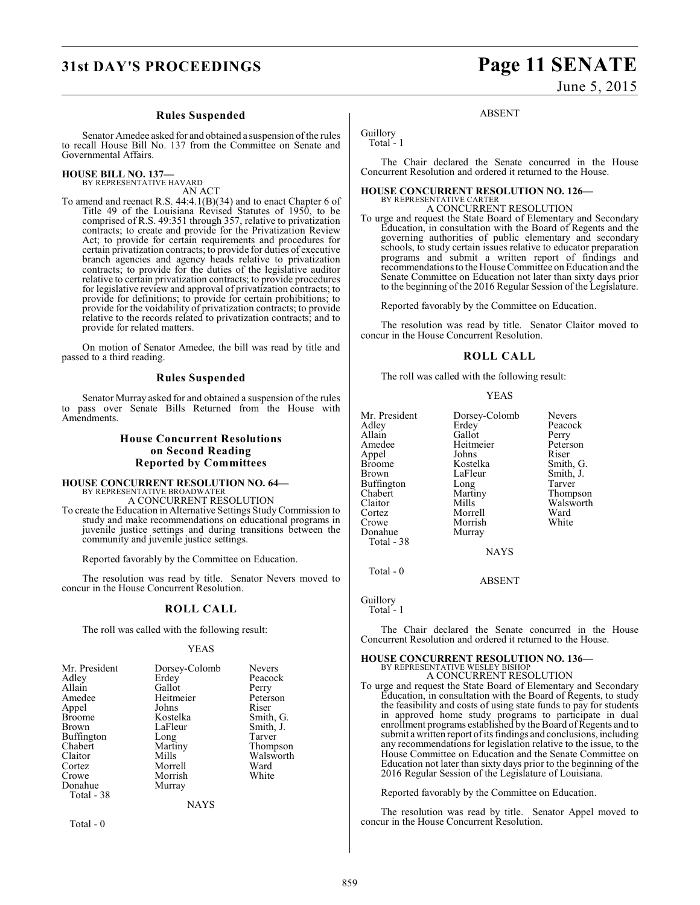#### **Rules Suspended**

Senator Amedee asked for and obtained a suspension of the rules to recall House Bill No. 137 from the Committee on Senate and Governmental Affairs.

# **HOUSE BILL NO. 137—** BY REPRESENTATIVE HAVARD

AN ACT

To amend and reenact R.S. 44:4.1(B)(34) and to enact Chapter 6 of Title 49 of the Louisiana Revised Statutes of 1950, to be comprised of R.S. 49:351 through 357, relative to privatization contracts; to create and provide for the Privatization Review Act; to provide for certain requirements and procedures for certain privatization contracts; to provide for duties of executive branch agencies and agency heads relative to privatization contracts; to provide for the duties of the legislative auditor relative to certain privatization contracts; to provide procedures for legislative review and approval of privatization contracts; to provide for definitions; to provide for certain prohibitions; to provide for the voidability of privatization contracts; to provide relative to the records related to privatization contracts; and to provide for related matters.

On motion of Senator Amedee, the bill was read by title and passed to a third reading.

#### **Rules Suspended**

Senator Murray asked for and obtained a suspension of the rules to pass over Senate Bills Returned from the House with Amendments.

## **House Concurrent Resolutions on Second Reading Reported by Committees**

# **HOUSE CONCURRENT RESOLUTION NO. 64—** BY REPRESENTATIVE BROADWATER A CONCURRENT RESOLUTION

To create the Education in Alternative Settings Study Commission to study and make recommendations on educational programs in juvenile justice settings and during transitions between the community and juvenile justice settings.

Reported favorably by the Committee on Education.

The resolution was read by title. Senator Nevers moved to concur in the House Concurrent Resolution.

#### **ROLL CALL**

The roll was called with the following result:

#### YEAS

| Mr. President | Dorsey-Colomb | <b>Nevers</b> |
|---------------|---------------|---------------|
| Adley         | Erdey         | Peacock       |
| Allain        | Gallot        | Perry         |
| Amedee        | Heitmeier     | Peterson      |
| Appel         | Johns         | Riser         |
| <b>Broome</b> | Kostelka      | Smith, G.     |
| Brown         | LaFleur       | Smith, J.     |
| Buffington    | Long          | Tarver        |
| Chabert       | Martiny       | Thompson      |
| Claitor       | Mills         | Walsworth     |
| Cortez        | Morrell       | Ward          |
| Crowe         | Morrish       | White         |
| Donahue       | Murray        |               |
| Total - 38    |               |               |
|               | NAYS          |               |

Total - 0

# **31st DAY'S PROCEEDINGS Page 11 SENATE**

June 5, 2015

**ABSENT** 

Guillory Total - 1

The Chair declared the Senate concurred in the House Concurrent Resolution and ordered it returned to the House.

#### **HOUSE CONCURRENT RESOLUTION NO. 126—**

BY REPRESENTATIVE CARTER A CONCURRENT RESOLUTION

To urge and request the State Board of Elementary and Secondary Education, in consultation with the Board of Regents and the governing authorities of public elementary and secondary schools, to study certain issues relative to educator preparation programs and submit a written report of findings and recommendations to the House Committee on Education and the Senate Committee on Education not later than sixty days prior to the beginning of the 2016 Regular Session of the Legislature.

Reported favorably by the Committee on Education.

The resolution was read by title. Senator Claitor moved to concur in the House Concurrent Resolution.

#### **ROLL CALL**

The roll was called with the following result:

YEAS

| Mr. President<br>Adley<br>Allain<br>Amedee<br>Appel<br>Broome<br>Brown<br>Buffington<br>Chabert<br>Claitor<br>Cortez<br>Crowe<br>Donahue | Dorsey-Colomb<br>Erdey<br>Gallot<br>Heitmeier<br>Johns<br>Kostelka<br>LaFleur<br>Long<br>Martiny<br>Mills<br>Morrell<br>Morrish<br>Murray | <b>Nevers</b><br>Peacock<br>Perry<br>Peterson<br>Riser<br>Smith, G.<br>Smith, J.<br>Tarver<br>Thompson<br>Walsworth<br>Ward<br>White |
|------------------------------------------------------------------------------------------------------------------------------------------|-------------------------------------------------------------------------------------------------------------------------------------------|--------------------------------------------------------------------------------------------------------------------------------------|
| Total - 38                                                                                                                               |                                                                                                                                           |                                                                                                                                      |
|                                                                                                                                          |                                                                                                                                           |                                                                                                                                      |

**NAYS** 

ABSENT

Guillory

Total - 0

Total<sup>-1</sup>

The Chair declared the Senate concurred in the House Concurrent Resolution and ordered it returned to the House.

# **HOUSE CONCURRENT RESOLUTION NO. 136—** BY REPRESENTATIVE WESLEY BISHOP

A CONCURRENT RESOLUTION To urge and request the State Board of Elementary and Secondary Education, in consultation with the Board of Regents, to study the feasibility and costs of using state funds to pay for students in approved home study programs to participate in dual enrollment programs established by the Board of Regents and to submit a written report of its findings and conclusions, including any recommendations for legislation relative to the issue, to the House Committee on Education and the Senate Committee on Education not later than sixty days prior to the beginning of the 2016 Regular Session of the Legislature of Louisiana.

Reported favorably by the Committee on Education.

The resolution was read by title. Senator Appel moved to concur in the House Concurrent Resolution.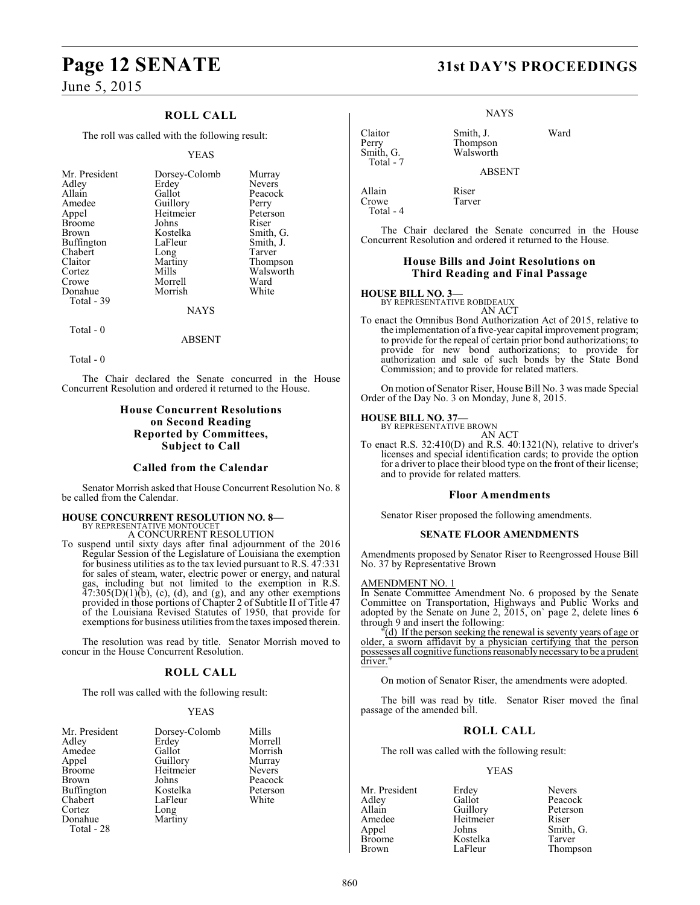# **Page 12 SENATE 31st DAY'S PROCEEDINGS**

June 5, 2015

## **ROLL CALL**

The roll was called with the following result:

#### YEAS

| Mr. President     | Dorsey-Colomb | Murray        |
|-------------------|---------------|---------------|
| Adley             | Erdey         | <b>Nevers</b> |
| Allain            | Gallot        | Peacock       |
| Amedee            | Guillory      | Perry         |
| Appel             | Heitmeier     | Peterson      |
| <b>Broome</b>     | Johns         | Riser         |
| <b>Brown</b>      | Kostelka      | Smith, G.     |
| <b>Buffington</b> | LaFleur       | Smith, J.     |
| Chabert           | Long          | Tarver        |
| Claitor           | Martiny       | Thompson      |
| Cortez            | Mills         | Walsworth     |
| Crowe             | Morrell       | Ward          |
| Donahue           | Morrish       | White         |
| Total - 39        |               |               |
|                   | <b>NAYS</b>   |               |

Total - 0

ABSENT

Total - 0

The Chair declared the Senate concurred in the House Concurrent Resolution and ordered it returned to the House.

#### **House Concurrent Resolutions on Second Reading Reported by Committees, Subject to Call**

#### **Called from the Calendar**

Senator Morrish asked that House Concurrent Resolution No. 8 be called from the Calendar.

#### **HOUSE CONCURRENT RESOLUTION NO. 8—** BY REPRESENTATIVE MONTOUCET

A CONCURRENT RESOLUTION

To suspend until sixty days after final adjournment of the 2016 Regular Session of the Legislature of Louisiana the exemption for business utilities as to the tax levied pursuant to R.S.  $47:331$ for sales of steam, water, electric power or energy, and natural gas, including but not limited to the exemption in R.S.  $47:305(D)(1)(b)$ , (c), (d), and (g), and any other exemptions provided in those portions of Chapter 2 of Subtitle II of Title 47 of the Louisiana Revised Statutes of 1950, that provide for exemptions for business utilities from the taxes imposed therein.

The resolution was read by title. Senator Morrish moved to concur in the House Concurrent Resolution.

## **ROLL CALL**

The roll was called with the following result:

#### YEAS

| Mr. President<br>Adley<br>Amedee<br>Appel<br><b>Broome</b><br><b>Brown</b><br>Buffington<br>Chabert | Dorsey-Colomb<br>Erdey<br>Gallot<br>Guillory<br>Heitmeier<br>Johns<br>Kostelka<br>LaFleur | Mills<br>Morrell<br>Morrish<br>Murray<br><b>Nevers</b><br>Peacock<br>Peterson<br>White |
|-----------------------------------------------------------------------------------------------------|-------------------------------------------------------------------------------------------|----------------------------------------------------------------------------------------|
|                                                                                                     |                                                                                           |                                                                                        |
| Cortez                                                                                              | Long                                                                                      |                                                                                        |
| Donahue                                                                                             | Martiny                                                                                   |                                                                                        |
| Total - 28                                                                                          |                                                                                           |                                                                                        |

NAYS

Claitor Smith, J. Ward Perry Thompson<br>
Smith, G. Walsworth Walsworth

Tarver

ABSENT

Allain Riser<br>Crowe Tarve Total - 4

Total - 7

The Chair declared the Senate concurred in the House Concurrent Resolution and ordered it returned to the House.

#### **House Bills and Joint Resolutions on Third Reading and Final Passage**

**HOUSE BILL NO. 3—** BY REPRESENTATIVE ROBIDEAUX

AN ACT

To enact the Omnibus Bond Authorization Act of 2015, relative to the implementation of a five-year capital improvement program; to provide for the repeal of certain prior bond authorizations; to provide for new bond authorizations; to provide for authorization and sale of such bonds by the State Bond Commission; and to provide for related matters.

On motion of Senator Riser, House Bill No. 3 was made Special Order of the Day No. 3 on Monday, June 8, 2015.

#### **HOUSE BILL NO. 37—**

BY REPRESENTATIVE BROWN AN ACT

To enact R.S. 32:410(D) and R.S. 40:1321(N), relative to driver's licenses and special identification cards; to provide the option for a driver to place their blood type on the front of their license; and to provide for related matters.

#### **Floor Amendments**

Senator Riser proposed the following amendments.

#### **SENATE FLOOR AMENDMENTS**

Amendments proposed by Senator Riser to Reengrossed House Bill No. 37 by Representative Brown

#### AMENDMENT NO. 1

In Senate Committee Amendment No. 6 proposed by the Senate Committee on Transportation, Highways and Public Works and adopted by the Senate on June 2, 2015, on` page 2, delete lines 6 through 9 and insert the following:

 $\bar{p}(d)$  If the person seeking the renewal is seventy years of age or older, a sworn affidavit by a physician certifying that the person possesses all cognitive functions reasonably necessary to be a prudent driver.

On motion of Senator Riser, the amendments were adopted.

The bill was read by title. Senator Riser moved the final passage of the amended bill.

## **ROLL CALL**

The roll was called with the following result:

#### YEAS

Adley Gallot Gallot Peacock<br>Allain Guillory Peterson Allain Guillory Peters<br>
Amedee Heitmeier Riser Amedee Heitmeier<br>Appel Johns Appel Johns Smith, G.<br>Broome Kostelka Tarver Broome Kostelka<br>Brown LaFleur

Mr. President Erdey Nevers<br>Adley Gallot Peacocl Thompson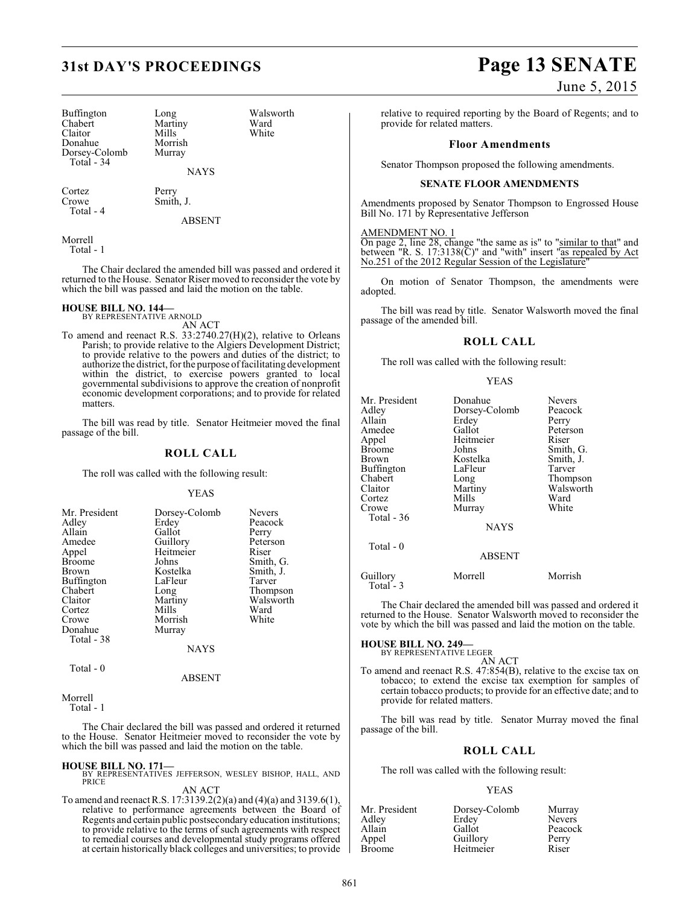| Buffington<br>Chabert<br>Claitor<br>Donahue<br>Dorsey-Colomb<br>Total - 34 | Long<br>Martiny<br>Mills<br>Morrish<br>Murray | Walsv<br>Ward<br>White |
|----------------------------------------------------------------------------|-----------------------------------------------|------------------------|
|                                                                            | <b>NAYS</b>                                   |                        |
|                                                                            |                                               |                        |

Cortez Perry Total - 4

Smith, J.

ABSENT

Walsworth<br>Ward

Morrell Total - 1

The Chair declared the amended bill was passed and ordered it returned to the House. Senator Riser moved to reconsider the vote by which the bill was passed and laid the motion on the table.

# **HOUSE BILL NO. 144—** BY REPRESENTATIVE ARNOLD

AN ACT

To amend and reenact R.S. 33:2740.27(H)(2), relative to Orleans Parish; to provide relative to the Algiers Development District; to provide relative to the powers and duties of the district; to authorize the district, for the purpose of facilitating development within the district, to exercise powers granted to local governmental subdivisions to approve the creation of nonprofit economic development corporations; and to provide for related matters.

The bill was read by title. Senator Heitmeier moved the final passage of the bill.

#### **ROLL CALL**

The roll was called with the following result:

#### YEAS

| Mr. President<br>Adley<br>Allain<br>Amedee<br>Appel<br><b>Broome</b><br><b>Brown</b><br>Buffington<br>Chabert<br>Claitor<br>Cortez<br>Crowe<br>Donahue | Dorsey-Colomb<br>Erdey<br>Gallot<br>Guillory<br>Heitmeier<br>Johns<br>Kostelka<br>LaFleur<br>Long<br>Martiny<br>Mills<br>Morrish<br>Murray | <b>Nevers</b><br>Peacock<br>Perry<br>Peterson<br>Riser<br>Smith, G.<br>Smith, J.<br>Tarver<br>Thompson<br>Walsworth<br>Ward<br>White |
|--------------------------------------------------------------------------------------------------------------------------------------------------------|--------------------------------------------------------------------------------------------------------------------------------------------|--------------------------------------------------------------------------------------------------------------------------------------|
| Total - 38<br>Total - 0                                                                                                                                | <b>NAYS</b>                                                                                                                                |                                                                                                                                      |

#### ABSENT

Morrell Total - 1

The Chair declared the bill was passed and ordered it returned to the House. Senator Heitmeier moved to reconsider the vote by which the bill was passed and laid the motion on the table.

**HOUSE BILL NO. 171—** BY REPRESENTATIVES JEFFERSON, WESLEY BISHOP, HALL, AND PRICE

AN ACT

To amend and reenactR.S. 17:3139.2(2)(a) and (4)(a) and 3139.6(1), relative to performance agreements between the Board of Regents and certain public postsecondary education institutions; to provide relative to the terms of such agreements with respect to remedial courses and developmental study programs offered at certain historically black colleges and universities; to provide

# **31st DAY'S PROCEEDINGS Page 13 SENATE**

## June 5, 2015

relative to required reporting by the Board of Regents; and to provide for related matters.

#### **Floor Amendments**

Senator Thompson proposed the following amendments.

#### **SENATE FLOOR AMENDMENTS**

Amendments proposed by Senator Thompson to Engrossed House Bill No. 171 by Representative Jefferson

AMENDMENT NO. 1

On page 2, line 28, change "the same as is" to "similar to that" and between "R. S.  $17:3138(\overline{C})$ " and "with" insert " $\overline{as}$  repealed by Act No.251 of the 2012 Regular Session of the Legislature'

On motion of Senator Thompson, the amendments were adopted.

The bill was read by title. Senator Walsworth moved the final passage of the amended bill.

#### **ROLL CALL**

The roll was called with the following result:

#### YEAS

| Mr. President<br>Adley<br>Allain<br>Amedee<br>Appel<br>Broome<br>Brown<br>Buffington<br>Chabert<br>Claitor<br>Cortez<br>Crowe<br>Total - 36<br>Total $-0$ | Donahue<br>Dorsey-Colomb<br>Erdey<br>Gallot<br>Heitmeier<br>Johns<br>Kostelka<br>LaFleur<br>Long<br>Martiny<br>Mills<br>Murray<br><b>NAYS</b><br><b>ABSENT</b> | <b>Nevers</b><br>Peacock<br>Perry<br>Peterson<br>Riser<br>Smith, G.<br>Smith, J.<br>Tarver<br>Thompson<br>Walsworth<br>Ward<br>White |
|-----------------------------------------------------------------------------------------------------------------------------------------------------------|----------------------------------------------------------------------------------------------------------------------------------------------------------------|--------------------------------------------------------------------------------------------------------------------------------------|
| Guillory                                                                                                                                                  | Morrell                                                                                                                                                        | Morrish                                                                                                                              |
| Total - 3                                                                                                                                                 |                                                                                                                                                                |                                                                                                                                      |

The Chair declared the amended bill was passed and ordered it returned to the House. Senator Walsworth moved to reconsider the vote by which the bill was passed and laid the motion on the table.

# **HOUSE BILL NO. 249—** BY REPRESENTATIVE LEGER

AN ACT To amend and reenact R.S. 47:854(B), relative to the excise tax on tobacco; to extend the excise tax exemption for samples of certain tobacco products; to provide for an effective date; and to provide for related matters.

The bill was read by title. Senator Murray moved the final passage of the bill.

## **ROLL CALL**

The roll was called with the following result:

#### YEAS

| Mr. President | Dorsey-Colomb | Murray        |
|---------------|---------------|---------------|
| Adley         | Erdey         | <b>Nevers</b> |
| Allain        | Gallot        | Peacock       |
| Appel         | Guillory      | Perry         |
| Broome        | Heitmeier     | Riser         |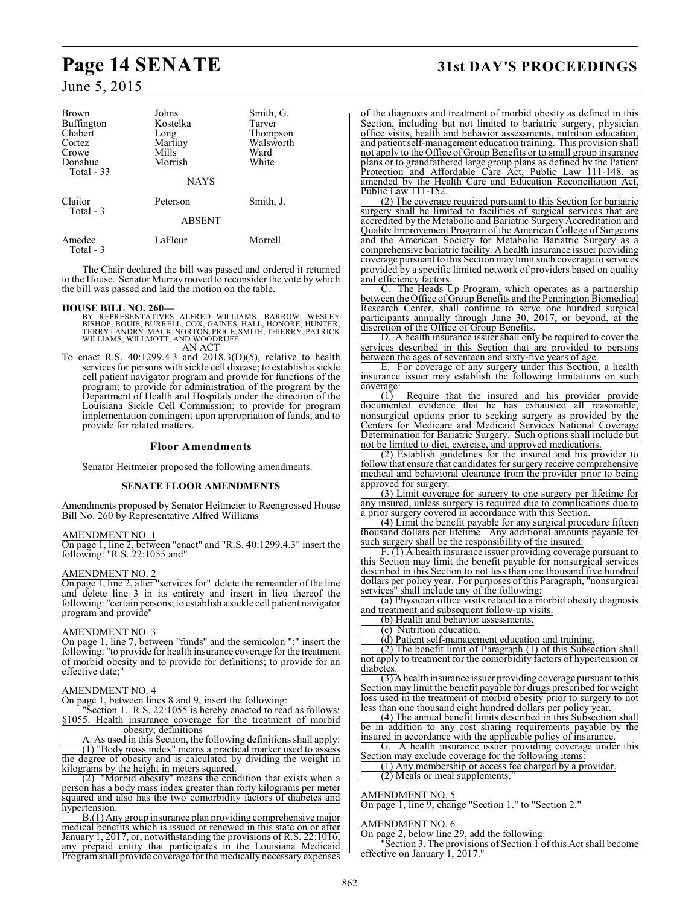| <b>Brown</b><br><b>Buffington</b><br>Chabert<br>Cortez<br>Crowe<br>Donahue<br>Total - 33 | Johns<br>Kostelka<br>Long<br>Martiny<br>Mills<br>Morrish<br><b>NAYS</b> | Smith, G.<br>Tarver<br>Thompson<br>Walsworth<br>Ward<br>White |
|------------------------------------------------------------------------------------------|-------------------------------------------------------------------------|---------------------------------------------------------------|
| Claitor<br>Total - 3                                                                     | Peterson                                                                | Smith, J.                                                     |
|                                                                                          | <b>ABSENT</b>                                                           |                                                               |
| Amedee<br>Total - 3                                                                      | LaFleur                                                                 | Morrell                                                       |

The Chair declared the bill was passed and ordered it returned to the House. Senator Murraymoved to reconsider the vote by which the bill was passed and laid the motion on the table.

- **HOUSE BILL NO. 260—**<br>BY REPRESENTATIVES ALFRED WILLIAMS, BARROW, WESLEY<br>BISHOP, BOUIE, BURRELL, COX, GAINES, HALL, HONORE, HUNTER,<br>TERRY LANDRY, MACK, NORTON, PRICE, SMITH, THIERRY, PATRICK<br>WILLIAMS, WILLMOTT, AND WOODRUF
- To enact R.S. 40:1299.4.3 and 2018.3(D)(5), relative to health services for persons with sickle cell disease; to establish a sickle cell patient navigator program and provide for functions of the program; to provide for administration of the program by the Department of Health and Hospitals under the direction of the Louisiana Sickle Cell Commission; to provide for program implementation contingent upon appropriation of funds; and to provide for related matters.

#### **Floor Amendments**

Senator Heitmeier proposed the following amendments.

#### **SENATE FLOOR AMENDMENTS**

Amendments proposed by Senator Heitmeier to Reengrossed House Bill No. 260 by Representative Alfred Williams

#### AMENDMENT NO. 1

On page 1, line 2, between "enact" and "R.S. 40:1299.4.3" insert the following: "R.S. 22:1055 and"

## AMENDMENT NO. 2

On page 1, line 2, after "services for" delete the remainder of the line and delete line 3 in its entirety and insert in lieu thereof the following: "certain persons; to establish a sickle cell patient navigator program and provide"

#### AMENDMENT NO. 3

On page 1, line 7, between "funds" and the semicolon ";" insert the following: "to provide for health insurance coverage for the treatment of morbid obesity and to provide for definitions; to provide for an effective date;"

#### AMENDMENT NO. 4

On page 1, between lines 8 and 9, insert the following:

"Section 1. R.S. 22:1055 is hereby enacted to read as follows: §1055. Health insurance coverage for the treatment of morbid obesity; definitions

A. As used in this Section, the following definitions shall apply: (1) "Body mass index" means a practical marker used to assess the degree of obesity and is calculated by dividing the weight in kilograms by the height in meters squared.

(2) "Morbid obesity" means the condition that exists when a person has a body mass index greater than forty kilograms per meter squared and also has the two comorbidity factors of diabetes and hypertension.

B.(1) Any group insurance plan providing comprehensive major medical benefits which is issued or renewed in this state on or after January 1, 2017, or, notwithstanding the provisions of R.S. 22:1016, any prepaid entity that participates in the Louisiana Medicaid Program shall provide coverage for the medically necessary expenses

# **Page 14 SENATE 31st DAY'S PROCEEDINGS**

of the diagnosis and treatment of morbid obesity as defined in this Section, including but not limited to bariatric surgery, physician office visits, health and behavior assessments, nutrition education, and patient self-management education training. This provision shall not apply to the Office of Group Benefits or to small group insurance plans or to grandfathered large group plans as defined by the Patient Protection and Affordable Care Act, Public Law 111-148, as amended by the Health Care and Education Reconciliation Act, Public Law 111-152.

(2) The coverage required pursuant to this Section for bariatric surgery shall be limited to facilities of surgical services that are accredited by the Metabolic and Bariatric Surgery Accreditation and Quality Improvement Program of the American College of Surgeons and the American Society for Metabolic Bariatric Surgery as a comprehensive bariatric facility. A health insurance issuer providing coverage pursuant to this Section may limit such coverage to services provided by a specific limited network of providers based on quality and efficiency factors.

The Heads Up Program, which operates as a partnership between the Office of Group Benefits and the Pennington Biomedical Research Center, shall continue to serve one hundred surgical participants annually through June 30, 2017, or beyond, at the discretion of the Office of Group Benefits.

D. A health insurance issuer shall only be required to cover the services described in this Section that are provided to persons between the ages of seventeen and sixty-five years of age.

E. For coverage of any surgery under this Section, a health insurance issuer may establish the following limitations on such coverage:

(1) Require that the insured and his provider provide documented evidence that he has exhausted all reasonable, nonsurgical options prior to seeking surgery as provided by the Centers for Medicare and Medicaid Services National Coverage Determination for Bariatric Surgery. Such options shall include but not be limited to diet, exercise, and approved medications.

(2) Establish guidelines for the insured and his provider to follow that ensure that candidates for surgery receive comprehensive medical and behavioral clearance from the provider prior to being approved for surgery.

(3) Limit coverage for surgery to one surgery per lifetime for any insured, unless surgery is required due to complications due to a prior surgery covered in accordance with this Section.

(4) Limit the benefit payable for any surgical procedure fifteen thousand dollars per lifetime. Any additional amounts payable for such surgery shall be the responsibility of the insured.

F. (1) A health insurance issuer providing coverage pursuant to this Section may limit the benefit payable for nonsurgical services described in this Section to not less than one thousand five hundred dollars per policy year. For purposes of this Paragraph, "nonsurgical services" shall include any of the following:

(a) Physician office visits related to a morbid obesity diagnosis and treatment and subsequent follow-up visits.

(b) Health and behavior assessments.

(c) Nutrition education.

(d) Patient self-management education and training.

(2) The benefit limit of Paragraph (1) of this Subsection shall not apply to treatment for the comorbidity factors of hypertension or diabetes

 $\overline{(3)}$  A health insurance issuer providing coverage pursuant to this Section may limit the benefit payable for drugs prescribed for weight loss used in the treatment of morbid obesity prior to surgery to not less than one thousand eight hundred dollars per policy year.

(4) The annual benefit limits described in this Subsection shall be in addition to any cost sharing requirements payable by the insured in accordance with the applicable policy of insurance.

G. A health insurance issuer providing coverage under this Section may exclude coverage for the following items:

(1) Any membership or access fee charged by a provider. (2) Meals or meal supplements.

#### AMENDMENT NO. 5

On page 1, line 9, change "Section 1." to "Section 2."

#### AMENDMENT NO. 6

On page 2, below line 29, add the following:

"Section 3. The provisions of Section 1 of this Act shall become effective on January 1, 2017."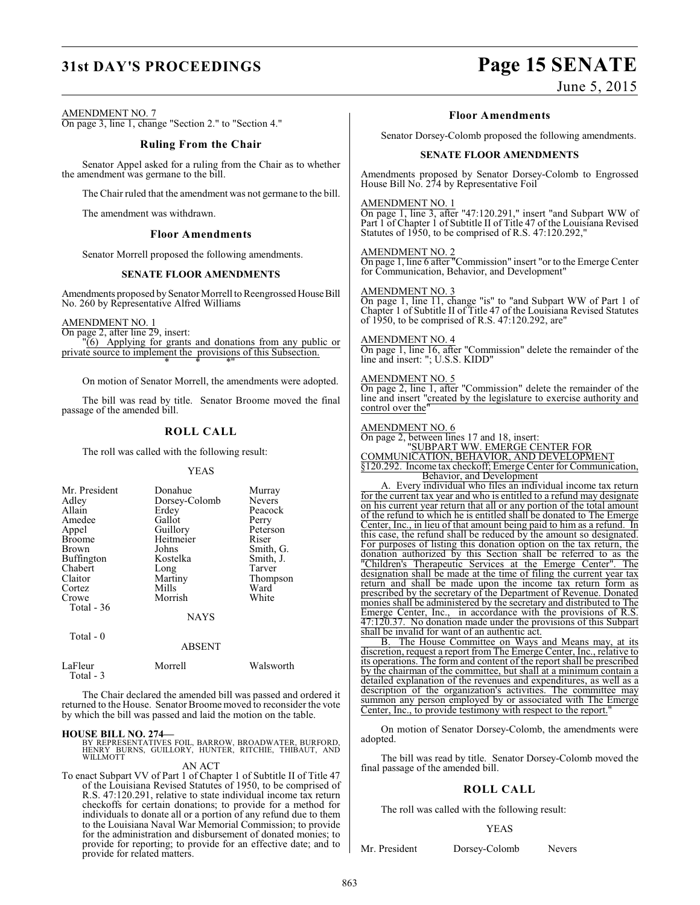# **31st DAY'S PROCEEDINGS Page 15 SENATE**

June 5, 2015

## AMENDMENT NO. 7

On page 3, line 1, change "Section 2." to "Section 4."

#### **Ruling From the Chair**

Senator Appel asked for a ruling from the Chair as to whether the amendment was germane to the bill.

The Chair ruled that the amendment was not germane to the bill.

The amendment was withdrawn.

#### **Floor Amendments**

Senator Morrell proposed the following amendments.

#### **SENATE FLOOR AMENDMENTS**

Amendments proposed by Senator Morrell to Reengrossed House Bill No. 260 by Representative Alfred Williams

AMENDMENT NO. 1

On page 2, after line 29, insert: "(6) Applying for grants and donations from any public or private source to implement the provisions of this Subsection. \* \* \*"

On motion of Senator Morrell, the amendments were adopted.

The bill was read by title. Senator Broome moved the final passage of the amended bill.

## **ROLL CALL**

The roll was called with the following result:

#### YEAS

| Mr. President | Donahue       | Murray        |
|---------------|---------------|---------------|
| Adley         | Dorsey-Colomb | <b>Nevers</b> |
| Allain        | Erdey         | Peacock       |
| Amedee        | Gallot        | Perry         |
| Appel         | Guillory      | Peterson      |
| <b>Broome</b> | Heitmeier     | Riser         |
| <b>Brown</b>  | Johns         | Smith, G.     |
| Buffington    | Kostelka      | Smith, J.     |
| Chabert       | Long          | Tarver        |
| Claitor       | Martiny       | Thompson      |
| Cortez        | Mills         | Ward          |
| Crowe         | Morrish       | White         |
| Total - 36    |               |               |
|               | <b>NAYS</b>   |               |
| Total - 0     |               |               |
|               | ABSENT        |               |

|                       | <b>ABSENT</b> |           |
|-----------------------|---------------|-----------|
| LaFleur<br>Total $-3$ | Morrell       | Walsworth |

The Chair declared the amended bill was passed and ordered it returned to the House. Senator Broome moved to reconsider the vote by which the bill was passed and laid the motion on the table.

## **HOUSE BILL NO. 274—**

BY REPRESENTATIVES FOIL, BARROW, BROADWATER, BURFORD, HENRY BURNS, GUILLORY, HUNTER, RITCHIE, THIBAUT, AND WILLMOTT

AN ACT

To enact Subpart VV of Part 1 of Chapter 1 of Subtitle II of Title 47 of the Louisiana Revised Statutes of 1950, to be comprised of R.S. 47:120.291, relative to state individual income tax return checkoffs for certain donations; to provide for a method for individuals to donate all or a portion of any refund due to them to the Louisiana Naval War Memorial Commission; to provide for the administration and disbursement of donated monies; to provide for reporting; to provide for an effective date; and to provide for related matters.

#### **Floor Amendments**

Senator Dorsey-Colomb proposed the following amendments.

#### **SENATE FLOOR AMENDMENTS**

Amendments proposed by Senator Dorsey-Colomb to Engrossed House Bill No. 274 by Representative Foil

AMENDMENT NO. 1

On page 1, line 3, after "47:120.291," insert "and Subpart WW of Part 1 of Chapter 1 of Subtitle II of Title 47 of the Louisiana Revised Statutes of 1950, to be comprised of R.S. 47:120.292,"

#### AMENDMENT NO. 2

On page 1, line 6 after "Commission" insert "or to the Emerge Center for Communication, Behavior, and Development"

#### AMENDMENT NO. 3

On page 1, line 11, change "is" to "and Subpart WW of Part 1 of Chapter 1 of Subtitle II of Title 47 of the Louisiana Revised Statutes of 1950, to be comprised of R.S. 47:120.292, are"

#### AMENDMENT NO. 4

On page 1, line 16, after "Commission" delete the remainder of the line and insert: "; U.S.S. KIDD"

#### AMENDMENT NO. 5

On page 2, line 1, after "Commission" delete the remainder of the line and insert "created by the legislature to exercise authority and control over the"

#### AMENDMENT NO. 6

On page 2, between lines 17 and 18, insert: "SUBPART WW. EMERGE CENTER FOR COMMUNICATION, BEHAVIOR, AND DEVELOPMENT §120.292. Income tax checkoff; Emerge Center for Communication, Behavior, and Development

A. Every individual who files an individual income tax return for the current tax year and who is entitled to a refund may designate on his current year return that all or any portion of the total amount of the refund to which he is entitled shall be donated to The Emerge Center, Inc., in lieu of that amount being paid to him as a refund. In this case, the refund shall be reduced by the amount so designated. For purposes of listing this donation option on the tax return, the donation authorized by this Section shall be referred to as the "Children's Therapeutic Services at the Emerge Center". The "Children's Therapeutic Services at the Emerge Center". designation shall be made at the time of filing the current year tax return and shall be made upon the income tax return form as prescribed by the secretary of the Department of Revenue. Donated monies shall be administered by the secretary and distributed to The Emerge Center, Inc., in accordance with the provisions of R.S. 47:120.37. No donation made under the provisions of this Subpart shall be invalid for want of an authentic act.<br>B. The House Committee on Ways

The House Committee on Ways and Means may, at its discretion, request a report from The Emerge Center, Inc., relative to its operations. The form and content of the report shall be prescribed by the chairman of the committee, but shall at a minimum contain a detailed explanation of the revenues and expenditures, as well as a description of the organization's activities. The committee may summon any person employed by or associated with The Emerge Center, Inc., to provide testimony with respect to the report.

On motion of Senator Dorsey-Colomb, the amendments were adopted.

The bill was read by title. Senator Dorsey-Colomb moved the final passage of the amended bill.

## **ROLL CALL**

The roll was called with the following result:

#### YEAS

Mr. President Dorsey-Colomb Nevers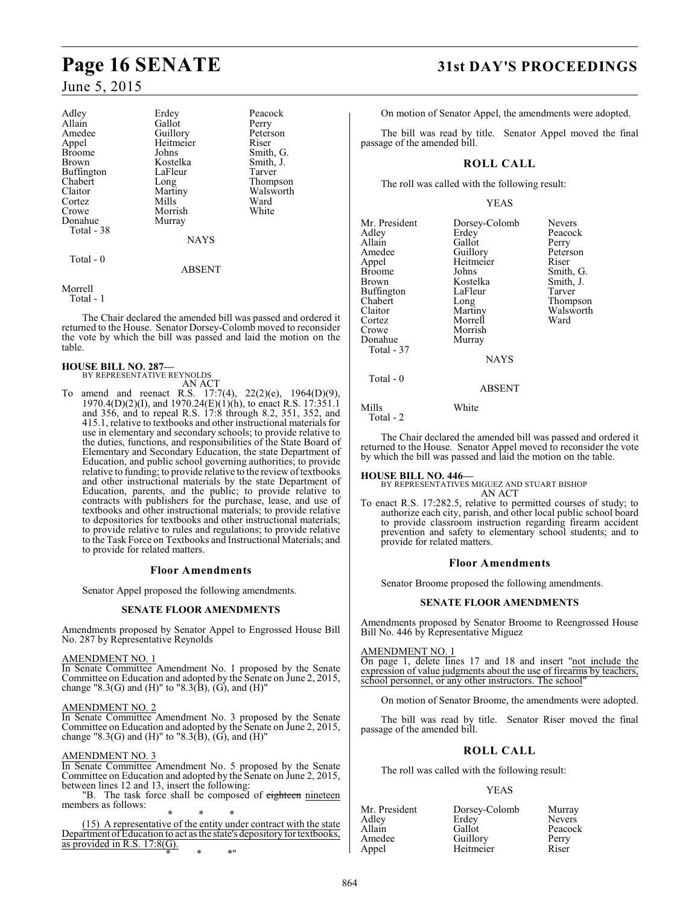# **Page 16 SENATE 31st DAY'S PROCEEDINGS**

## June 5, 2015

| Adley             | Erdey       | Peacock   |
|-------------------|-------------|-----------|
| Allain            | Gallot      | Perry     |
| Amedee            | Guillory    | Peterson  |
| Appel             | Heitmeier   | Riser     |
| <b>Broome</b>     | Johns       | Smith, G. |
| Brown             | Kostelka    | Smith, J. |
| <b>Buffington</b> | LaFleur     | Tarver    |
| Chabert           | Long        | Thompson  |
| Claitor           | Martiny     | Walsworth |
| Cortez            | Mills       | Ward      |
| Crowe             | Morrish     | White     |
| Donahue           | Murray      |           |
| Total - 38        |             |           |
|                   | <b>NAYS</b> |           |
| Total - 0         |             |           |

Morrell

Total - 1

The Chair declared the amended bill was passed and ordered it returned to the House. Senator Dorsey-Colomb moved to reconsider the vote by which the bill was passed and laid the motion on the table.

ABSENT

#### **HOUSE BILL NO. 287—** BY REPRESENTATIVE REYNOLDS

AN ACT

To amend and reenact R.S. 17:7(4), 22(2)(e), 1964(D)(9), 1970.4(D)(2)(I), and 1970.24(E)(1)(h), to enact R.S. 17:351.1 and 356, and to repeal R.S. 17:8 through 8.2, 351, 352, and 415.1, relative to textbooks and other instructional materials for use in elementary and secondary schools; to provide relative to the duties, functions, and responsibilities of the State Board of Elementary and Secondary Education, the state Department of Education, and public school governing authorities; to provide relative to funding; to provide relative to the review of textbooks and other instructional materials by the state Department of Education, parents, and the public; to provide relative to contracts with publishers for the purchase, lease, and use of textbooks and other instructional materials; to provide relative to depositories for textbooks and other instructional materials; to provide relative to rules and regulations; to provide relative to the Task Force on Textbooks and Instructional Materials; and to provide for related matters.

#### **Floor Amendments**

Senator Appel proposed the following amendments.

#### **SENATE FLOOR AMENDMENTS**

Amendments proposed by Senator Appel to Engrossed House Bill No. 287 by Representative Reynolds

#### AMENDMENT NO. 1

In Senate Committee Amendment No. 1 proposed by the Senate Committee on Education and adopted by the Senate on June 2, 2015, change "8.3(G) and (H)" to "8.3(B), (G), and (H)"

#### AMENDMENT NO. 2

In Senate Committee Amendment No. 3 proposed by the Senate Committee on Education and adopted by the Senate on June 2, 2015, change "8.3(G) and (H)" to "8.3(B), (G), and (H)"

#### AMENDMENT NO. 3

In Senate Committee Amendment No. 5 proposed by the Senate Committee on Education and adopted by the Senate on June 2, 2015, between lines 12 and 13, insert the following:

"B. The task force shall be composed of eighteen nineteen members as follows:

\* \* \* (15) A representative of the entity under contract with the state Department of Education to act as the state's depository for textbooks, as provided in R.S. 17:8(G). \* \* \*"

On motion of Senator Appel, the amendments were adopted.

The bill was read by title. Senator Appel moved the final passage of the amended bill.

#### **ROLL CALL**

The roll was called with the following result:

YEAS

| Mr. President<br>Adley<br>Allain<br>Amedee<br>Appel<br><b>Broome</b><br>Brown<br>Buffington<br>Chabert<br>Claitor<br>Cortez | Dorsey-Colomb<br>Erdey<br>Gallot<br>Guillory<br>Heitmeier<br>Johns<br>Kostelka<br>LaFleur<br>Long<br>Martiny<br>Morrell | Nevers<br>Peacock<br>Perry<br>Peterson<br>Riser<br>Smith, G.<br>Smith, J.<br>Tarver<br>Thompson<br>Walsworth<br>Ward |
|-----------------------------------------------------------------------------------------------------------------------------|-------------------------------------------------------------------------------------------------------------------------|----------------------------------------------------------------------------------------------------------------------|
| Crowe<br>Donahue<br>Total - 37                                                                                              | Morrish<br>Murray<br><b>NAYS</b>                                                                                        |                                                                                                                      |
| Total $-0$                                                                                                                  | <b>ABSENT</b>                                                                                                           |                                                                                                                      |
| Mills                                                                                                                       | White                                                                                                                   |                                                                                                                      |

Total - 2

The Chair declared the amended bill was passed and ordered it returned to the House. Senator Appel moved to reconsider the vote by which the bill was passed and laid the motion on the table.

**HOUSE BILL NO. 446—** BY REPRESENTATIVES MIGUEZ AND STUART BISHOP AN ACT

To enact R.S. 17:282.5, relative to permitted courses of study; to authorize each city, parish, and other local public school board to provide classroom instruction regarding firearm accident prevention and safety to elementary school students; and to provide for related matters.

#### **Floor Amendments**

Senator Broome proposed the following amendments.

#### **SENATE FLOOR AMENDMENTS**

Amendments proposed by Senator Broome to Reengrossed House Bill No. 446 by Representative Miguez

#### AMENDMENT NO. 1

On page 1, delete lines 17 and 18 and insert "not include the expression of value judgments about the use of firearms by teachers, school personnel, or any other instructors. The school

On motion of Senator Broome, the amendments were adopted.

The bill was read by title. Senator Riser moved the final passage of the amended bill.

## **ROLL CALL**

The roll was called with the following result:

YEAS

| Mr. President | Dorsey-Colomb | Murray        |
|---------------|---------------|---------------|
| Adley         | Erdey         | <b>Nevers</b> |
| Allain        | Gallot        | Peacock       |
| Amedee        | Guillory      | Perry         |
| Annel         | Heitmeier     | Riser         |

Appel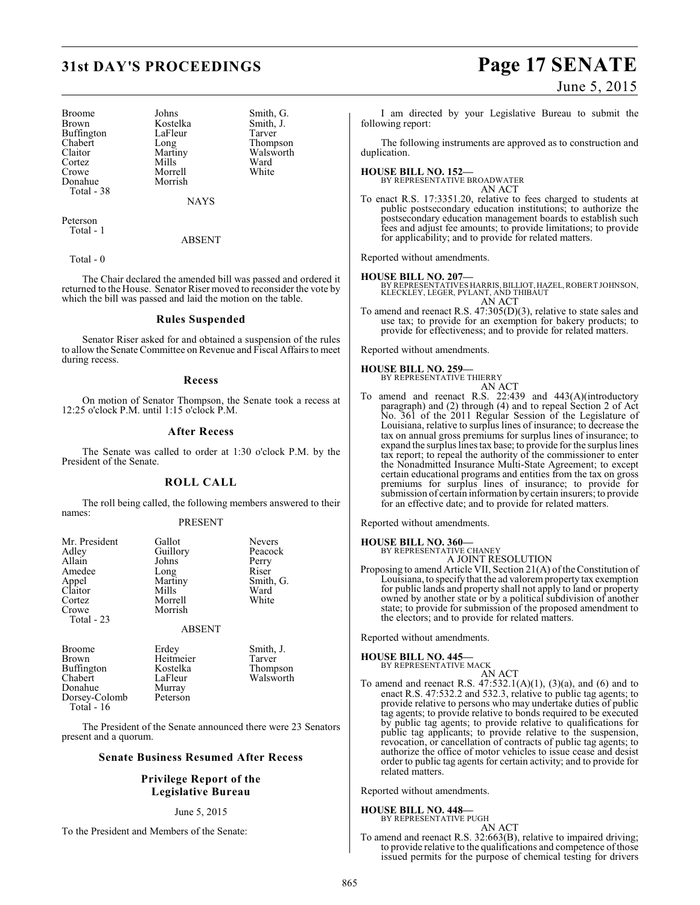# **31st DAY'S PROCEEDINGS Page 17 SENATE**

Broome Johns Smith, G.<br>Brown Kostelka Smith, J. Buffington LaFle<br>Chabert Long Chabert Long Thompson<br>Claitor Martiny Walsworth Claitor Martiny Walsworth<br>
Cortez Mills Ward Cortez Mills Ward<br>Crowe Morrell White Crowe Morrell<br>Donahue Morrish Total - 38

Kostelka Smith,<br>LaFleur Tarver Morrish

NAYS

Peterson Total - 1

ABSENT

Total - 0

The Chair declared the amended bill was passed and ordered it returned to the House. Senator Riser moved to reconsider the vote by which the bill was passed and laid the motion on the table.

#### **Rules Suspended**

Senator Riser asked for and obtained a suspension of the rules to allow the Senate Committee on Revenue and Fiscal Affairs to meet during recess.

#### **Recess**

On motion of Senator Thompson, the Senate took a recess at 12:25 o'clock P.M. until 1:15 o'clock P.M.

#### **After Recess**

The Senate was called to order at 1:30 o'clock P.M. by the President of the Senate.

#### **ROLL CALL**

The roll being called, the following members answered to their names:

#### PRESENT

| Mr. President | Gallot   | <b>Nevers</b> |
|---------------|----------|---------------|
| Adley         | Guillory | Peacock       |
| Allain        | Johns    | Perry         |
| Amedee        | Long     | Riser         |
| Appel         | Martiny  | Smith, G.     |
| Claitor       | Mills    | Ward          |
| Cortez        | Morrell  | White         |
| Crowe         | Morrish  |               |
| Total - 23    |          |               |

#### ABSENT

| <b>Broome</b>     | Erdey     | Smith, J. |
|-------------------|-----------|-----------|
| <b>Brown</b>      | Heitmeier | Tarver    |
| <b>Buffington</b> | Kostelka  | Thompson  |
| Chabert           | LaFleur   | Walsworth |
| Donahue           | Murray    |           |
| Dorsey-Colomb     | Peterson  |           |
| <b>Total - 16</b> |           |           |

The President of the Senate announced there were 23 Senators present and a quorum.

#### **Senate Business Resumed After Recess**

#### **Privilege Report of the Legislative Bureau**

#### June 5, 2015

To the President and Members of the Senate:

June 5, 2015

I am directed by your Legislative Bureau to submit the following report:

The following instruments are approved as to construction and duplication.

#### **HOUSE BILL NO. 152—**

BY REPRESENTATIVE BROADWATER AN ACT

To enact R.S. 17:3351.20, relative to fees charged to students at public postsecondary education institutions; to authorize the postsecondary education management boards to establish such fees and adjust fee amounts; to provide limitations; to provide for applicability; and to provide for related matters.

Reported without amendments.

#### **HOUSE BILL NO. 207—**

BY REPRESENTATIVES HARRIS, BILLIOT, HAZEL, ROBERT JOHNSON, KLECKLEY, LEGER, PYLANT, AND THIBAUT AN ACT

To amend and reenact R.S. 47:305(D)(3), relative to state sales and use tax; to provide for an exemption for bakery products; to provide for effectiveness; and to provide for related matters.

Reported without amendments.

# **HOUSE BILL NO. 259—** BY REPRESENTATIVE THIERRY

- AN ACT
- To amend and reenact R.S. 22:439 and 443(A)(introductory paragraph) and (2) through (4) and to repeal Section 2 of Act No. 361 of the 2011 Regular Session of the Legislature of Louisiana, relative to surplus lines of insurance; to decrease the tax on annual gross premiums for surplus lines of insurance; to expand the surplus lines tax base; to provide for the surplus lines tax report; to repeal the authority of the commissioner to enter the Nonadmitted Insurance Multi-State Agreement; to except certain educational programs and entities from the tax on gross premiums for surplus lines of insurance; to provide for submission of certain information by certain insurers; to provide for an effective date; and to provide for related matters.

Reported without amendments.

#### **HOUSE BILL NO. 360—** BY REPRESENTATIVE CHANEY

A JOINT RESOLUTION

Proposing to amend Article VII, Section 21(A) of the Constitution of Louisiana, to specify that the ad valorem property tax exemption for public lands and property shall not apply to land or property owned by another state or by a political subdivision of another state; to provide for submission of the proposed amendment to the electors; and to provide for related matters.

Reported without amendments.

#### **HOUSE BILL NO. 445—**

BY REPRESENTATIVE MACK AN ACT

To amend and reenact R.S.  $47:532.1(A)(1)$ ,  $(3)(a)$ , and  $(6)$  and to enact R.S. 47:532.2 and 532.3, relative to public tag agents; to provide relative to persons who may undertake duties of public tag agents; to provide relative to bonds required to be executed by public tag agents; to provide relative to qualifications for public tag applicants; to provide relative to the suspension, revocation, or cancellation of contracts of public tag agents; to authorize the office of motor vehicles to issue cease and desist order to public tag agents for certain activity; and to provide for related matters.

Reported without amendments.

#### **HOUSE BILL NO. 448—**

BY REPRESENTATIVE PUGH AN ACT

To amend and reenact R.S. 32:663(B), relative to impaired driving; to provide relative to the qualifications and competence of those issued permits for the purpose of chemical testing for drivers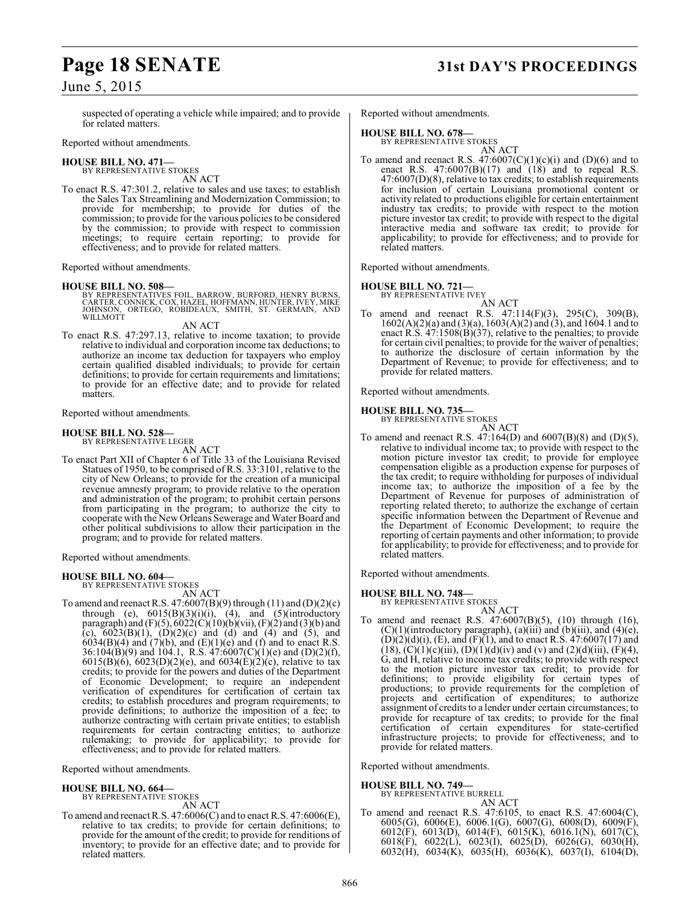# **Page 18 SENATE 31st DAY'S PROCEEDINGS**

## June 5, 2015

suspected of operating a vehicle while impaired; and to provide for related matters.

#### Reported without amendments.

**HOUSE BILL NO. 471—** BY REPRESENTATIVE STOKES

AN ACT To enact R.S. 47:301.2, relative to sales and use taxes; to establish the Sales Tax Streamlining and Modernization Commission; to provide for membership; to provide for duties of the commission; to provide for the various policies to be considered by the commission; to provide with respect to commission meetings; to require certain reporting; to provide for effectiveness; and to provide for related matters.

Reported without amendments.

**HOUSE BILL NO. 508—**<br>BY REPRESENTATIVES FOIL, BARROW, BURFORD, HENRY BURNS, CARTER, CONNICK, COX, HAZEL, HOFFMANN, HUNTER, IVEY, MIKE<br>JOHNSON, ORTEGO, ROBIDEAUX, SMITH, ST. GERMAIN, AND<br>WILLMOTT

AN ACT

To enact R.S. 47:297.13, relative to income taxation; to provide relative to individual and corporation income tax deductions; to authorize an income tax deduction for taxpayers who employ certain qualified disabled individuals; to provide for certain definitions; to provide for certain requirements and limitations; to provide for an effective date; and to provide for related matters.

Reported without amendments.

#### **HOUSE BILL NO. 528—**

BY REPRESENTATIVE LEGER AN ACT

To enact Part XII of Chapter 6 of Title 33 of the Louisiana Revised Statues of 1950, to be comprised of R.S. 33:3101, relative to the city of New Orleans; to provide for the creation of a municipal revenue amnesty program; to provide relative to the operation and administration of the program; to prohibit certain persons from participating in the program; to authorize the city to cooperate with the New Orleans Sewerage and Water Board and other political subdivisions to allow their participation in the program; and to provide for related matters.

Reported without amendments.

#### **HOUSE BILL NO. 604—** BY REPRESENTATIVE STOKES

AN ACT

To amend and reenact R.S. 47:6007(B)(9) through (11) and (D)(2)(c) through (e),  $6015(B)(3)(i)(i)$ ,  $(4)$ , and  $(5)(introducing$ paragraph) and  $(F)(5)$ ,  $6022(C)(10)(b)(vii)$ ,  $(F)(2)$  and  $(3)(b)$  and (c),  $6023(B)(1)$ ,  $(D)(2)(c)$  and  $(d)$  and  $(4)$  and  $(5)$ , and  $6034(B)(4)$  and  $(7)(b)$ , and  $(E)(1)(e)$  and  $(f)$  and to enact R.S.  $36:104(B)(9)$  and  $104.1$ , R.S.  $47:6007(C)(1)(e)$  and  $(D)(2)(f)$ , 6015(B)(6), 6023(D)(2)(e), and 6034(E)(2)(c), relative to tax credits; to provide for the powers and duties of the Department of Economic Development; to require an independent verification of expenditures for certification of certain tax credits; to establish procedures and program requirements; to provide definitions; to authorize the imposition of a fee; to authorize contracting with certain private entities; to establish requirements for certain contracting entities; to authorize rulemaking; to provide for applicability; to provide for effectiveness; and to provide for related matters.

Reported without amendments.

# **HOUSE BILL NO. 664—** BY REPRESENTATIVE STOKES

AN ACT

To amend and reenactR.S. 47:6006(C) and to enact R.S. 47:6006(E), relative to tax credits; to provide for certain definitions; to provide for the amount of the credit; to provide for renditions of inventory; to provide for an effective date; and to provide for related matters.

Reported without amendments.

#### **HOUSE BILL NO. 678—**

BY REPRESENTATIVE STOKES

AN ACT To amend and reenact R.S.  $47:6007(C)(1)(c)(i)$  and  $(D)(6)$  and to enact R.S.  $47:6007(B)(17)$  and  $(18)$  and to repeal R.S. 47:6007(D)(8), relative to tax credits; to establish requirements for inclusion of certain Louisiana promotional content or activity related to productions eligible for certain entertainment industry tax credits; to provide with respect to the motion picture investor tax credit; to provide with respect to the digital interactive media and software tax credit; to provide for applicability; to provide for effectiveness; and to provide for related matters.

Reported without amendments.

#### **HOUSE BILL NO. 721—**

BY REPRESENTATIVE IVEY

AN ACT To amend and reenact R.S. 47:114(F)(3), 295(C), 309(B), 1602(A)(2)(a) and (3)(a), 1603(A)(2) and (3), and 1604.1 and to enact R.S. 47:1508(B)(37), relative to the penalties; to provide for certain civil penalties; to provide for the waiver of penalties; to authorize the disclosure of certain information by the Department of Revenue; to provide for effectiveness; and to provide for related matters.

Reported without amendments.

#### **HOUSE BILL NO. 735—**

BY REPRESENTATIVE STOKES AN ACT

To amend and reenact R.S. 47:164(D) and 6007(B)(8) and (D)(5), relative to individual income tax; to provide with respect to the motion picture investor tax credit; to provide for employee compensation eligible as a production expense for purposes of the tax credit; to require withholding for purposes of individual income tax; to authorize the imposition of a fee by the Department of Revenue for purposes of administration of reporting related thereto; to authorize the exchange of certain specific information between the Department of Revenue and the Department of Economic Development; to require the reporting of certain payments and other information; to provide for applicability; to provide for effectiveness; and to provide for related matters.

Reported without amendments.

#### **HOUSE BILL NO. 748—**

BY REPRESENTATIVE STOKES

- AN ACT
- To amend and reenact R.S. 47:6007(B)(5), (10) through (16),  $(C)(1)$ (introductory paragraph),  $(a)$ (iii) and  $(b)$ (iii), and  $(4)$ (e),  $(D)(2)(d)(i)$ ,  $(E)$ , and  $(F)(1)$ , and to enact R.S. 47:6007(17) and  $(18)$ ,  $(C)(1)(c)(iii)$ ,  $(D)(1)(d)(iv)$  and  $(v)$  and  $(2)(d)(iii)$ ,  $(F)(4)$ , G, and H, relative to income tax credits; to provide with respect to the motion picture investor tax credit; to provide for definitions; to provide eligibility for certain types of productions; to provide requirements for the completion of projects and certification of expenditures; to authorize assignment of credits to a lender under certain circumstances; to provide for recapture of tax credits; to provide for the final certification of certain expenditures for state-certified infrastructure projects; to provide for effectiveness; and to provide for related matters.

Reported without amendments.

#### **HOUSE BILL NO. 749—**

BY REPRESENTATIVE BURRELL AN ACT

To amend and reenact R.S. 47:6105, to enact R.S. 47:6004(C), 6005(G), 6006(E), 6006.1(G), 6007(G), 6008(D), 6009(F), 6012(F), 6013(D), 6014(F), 6015(K), 6016.1(N), 6017(C), 6018(F), 6022(L), 6023(I), 6025(D), 6026(G), 6030(H), 6032(H), 6034(K), 6035(H), 6036(K), 6037(I), 6104(D),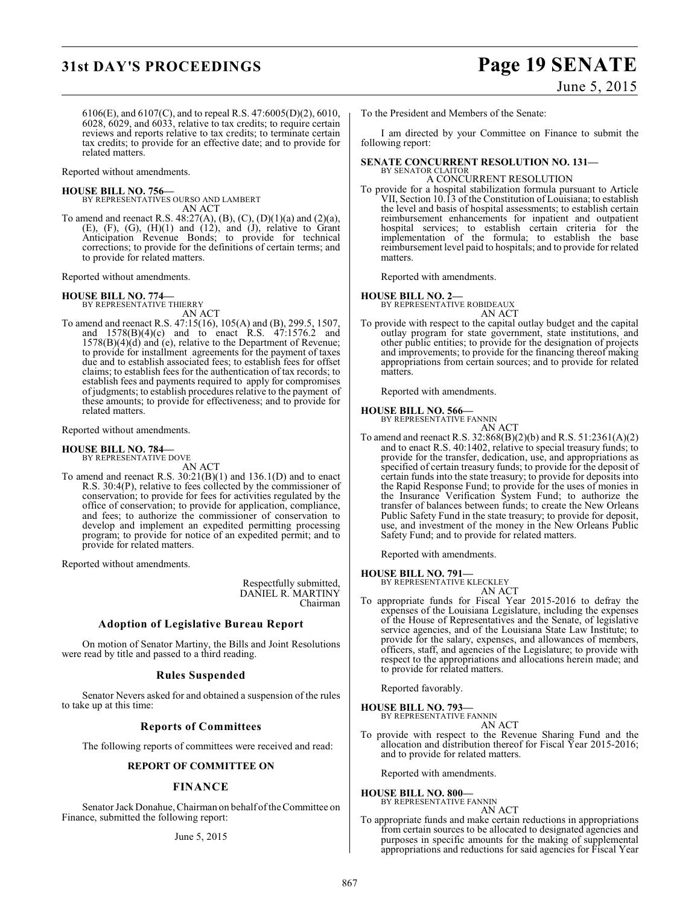# **31st DAY'S PROCEEDINGS Page 19 SENATE**

June 5, 2015

6106(E), and 6107(C), and to repeal R.S. 47:6005(D)(2), 6010, 6028, 6029, and 6033, relative to tax credits; to require certain reviews and reports relative to tax credits; to terminate certain tax credits; to provide for an effective date; and to provide for related matters.

Reported without amendments.

#### **HOUSE BILL NO. 756—**

BY REPRESENTATIVES OURSO AND LAMBERT AN ACT

To amend and reenact R.S. 48:27(A), (B), (C), (D)(1)(a) and (2)(a),  $(E)$ ,  $(F)$ ,  $(G)$ ,  $(H)(1)$  and  $(12)$ , and  $(J)$ , relative to Grant Anticipation Revenue Bonds; to provide for technical corrections; to provide for the definitions of certain terms; and to provide for related matters.

Reported without amendments.

# **HOUSE BILL NO. 774—** BY REPRESENTATIVE THIERRY

AN ACT

To amend and reenact R.S. 47:15(16), 105(A) and (B), 299.5, 1507, and 1578(B)(4)(c) and to enact R.S. 47:1576.2 and 1578(B)(4)(d) and (e), relative to the Department of Revenue; to provide for installment agreements for the payment of taxes due and to establish associated fees; to establish fees for offset claims; to establish fees for the authentication of tax records; to establish fees and payments required to apply for compromises of judgments; to establish procedures relative to the payment of these amounts; to provide for effectiveness; and to provide for related matters.

Reported without amendments.

**HOUSE BILL NO. 784—** BY REPRESENTATIVE DOVE

AN ACT

To amend and reenact R.S. 30:21(B)(1) and 136.1(D) and to enact R.S. 30:4(P), relative to fees collected by the commissioner of conservation; to provide for fees for activities regulated by the office of conservation; to provide for application, compliance, and fees; to authorize the commissioner of conservation to develop and implement an expedited permitting processing program; to provide for notice of an expedited permit; and to provide for related matters.

Reported without amendments.

Respectfully submitted, DANIEL R. MARTINY Chairman

#### **Adoption of Legislative Bureau Report**

On motion of Senator Martiny, the Bills and Joint Resolutions were read by title and passed to a third reading.

## **Rules Suspended**

Senator Nevers asked for and obtained a suspension of the rules to take up at this time:

## **Reports of Committees**

The following reports of committees were received and read:

#### **REPORT OF COMMITTEE ON**

## **FINANCE**

Senator Jack Donahue, Chairman on behalf of the Committee on Finance, submitted the following report:

#### June 5, 2015

To the President and Members of the Senate:

I am directed by your Committee on Finance to submit the following report:

#### **SENATE CONCURRENT RESOLUTION NO. 131—** BY SENATOR CLAITOR A CONCURRENT RESOLUTION

To provide for a hospital stabilization formula pursuant to Article VII, Section 10.13 of the Constitution of Louisiana; to establish the level and basis of hospital assessments; to establish certain reimbursement enhancements for inpatient and outpatient hospital services; to establish certain criteria for the implementation of the formula; to establish the base reimbursement level paid to hospitals; and to provide for related matters.

Reported with amendments.

# **HOUSE BILL NO. 2—** BY REPRESENTATIVE ROBIDEAUX

AN ACT

To provide with respect to the capital outlay budget and the capital outlay program for state government, state institutions, and other public entities; to provide for the designation of projects and improvements; to provide for the financing thereof making appropriations from certain sources; and to provide for related matters.

Reported with amendments.

#### **HOUSE BILL NO. 566—**



To amend and reenact R.S. 32:868(B)(2)(b) and R.S. 51:2361(A)(2) and to enact R.S. 40:1402, relative to special treasury funds; to provide for the transfer, dedication, use, and appropriations as specified of certain treasury funds; to provide for the deposit of certain funds into the state treasury; to provide for deposits into the Rapid Response Fund; to provide for the uses of monies in the Insurance Verification System Fund; to authorize the transfer of balances between funds; to create the New Orleans Public Safety Fund in the state treasury; to provide for deposit, use, and investment of the money in the New Orleans Public Safety Fund; and to provide for related matters.

Reported with amendments.

# **HOUSE BILL NO. 791—** BY REPRESENTATIVE KLECKLEY

AN ACT To appropriate funds for Fiscal Year 2015-2016 to defray the expenses of the Louisiana Legislature, including the expenses of the House of Representatives and the Senate, of legislative service agencies, and of the Louisiana State Law Institute; to provide for the salary, expenses, and allowances of members, officers, staff, and agencies of the Legislature; to provide with respect to the appropriations and allocations herein made; and to provide for related matters.

Reported favorably.

#### **HOUSE BILL NO. 793—** BY REPRESENTATIVE FANNIN

AN ACT

To provide with respect to the Revenue Sharing Fund and the allocation and distribution thereof for Fiscal Year 2015-2016; and to provide for related matters.

Reported with amendments.

#### **HOUSE BILL NO. 800—**

BY REPRESENTATIVE FANNIN AN ACT

To appropriate funds and make certain reductions in appropriations from certain sources to be allocated to designated agencies and purposes in specific amounts for the making of supplemental appropriations and reductions for said agencies for Fiscal Year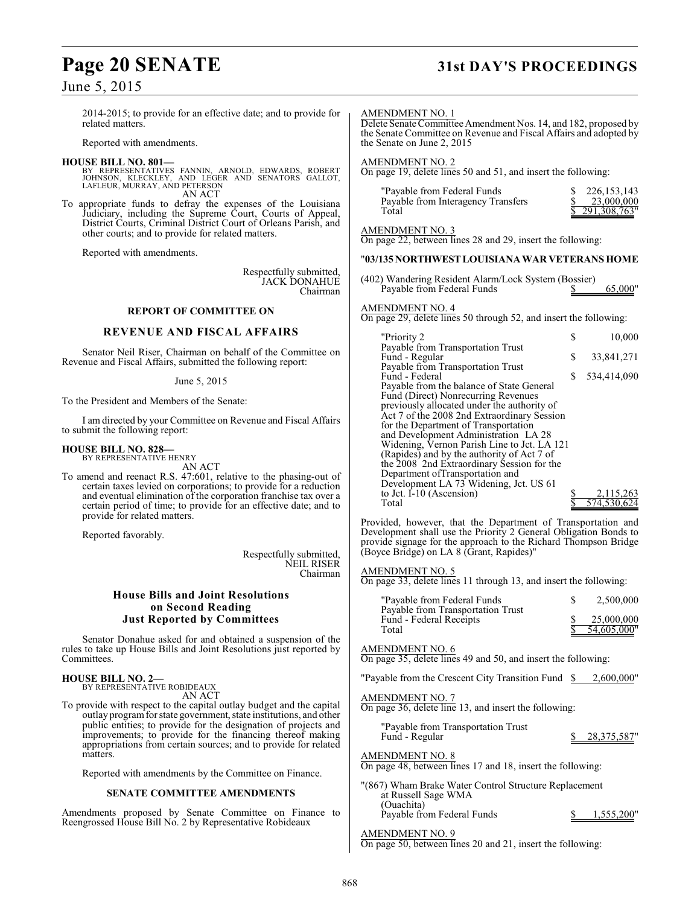# **Page 20 SENATE 31st DAY'S PROCEEDINGS**

## June 5, 2015

2014-2015; to provide for an effective date; and to provide for related matters.

Reported with amendments.

#### **HOUSE BILL NO. 801—**

- BY REPRESENTATIVES FANNIN, ARNOLD, EDWARDS, ROBERT JOHNSON, KLECKLEY, AND LEGER AND SENATORS GALLOT, LAFLEUR, MURRAY, AND PETERSON AN ACT
- To appropriate funds to defray the expenses of the Louisiana Judiciary, including the Supreme Court, Courts of Appeal, District Courts, Criminal District Court of Orleans Parish, and other courts; and to provide for related matters.

Reported with amendments.

Respectfully submitted, JACK DONAHUE Chairman

#### **REPORT OF COMMITTEE ON**

#### **REVENUE AND FISCAL AFFAIRS**

Senator Neil Riser, Chairman on behalf of the Committee on Revenue and Fiscal Affairs, submitted the following report:

June 5, 2015

To the President and Members of the Senate:

I am directed by your Committee on Revenue and Fiscal Affairs to submit the following report:

#### **HOUSE BILL NO. 828—**

BY REPRESENTATIVE HENRY AN ACT

To amend and reenact R.S. 47:601, relative to the phasing-out of certain taxes levied on corporations; to provide for a reduction and eventual elimination of the corporation franchise tax over a certain period of time; to provide for an effective date; and to provide for related matters.

Reported favorably.

Respectfully submitted, NEIL RISER Chairman

#### **House Bills and Joint Resolutions on Second Reading Just Reported by Committees**

Senator Donahue asked for and obtained a suspension of the rules to take up House Bills and Joint Resolutions just reported by Committees.

**HOUSE BILL NO. 2—** BY REPRESENTATIVE ROBIDEAUX

AN ACT

To provide with respect to the capital outlay budget and the capital outlay program for state government, state institutions, and other public entities; to provide for the designation of projects and improvements; to provide for the financing thereof making appropriations from certain sources; and to provide for related matters.

Reported with amendments by the Committee on Finance.

#### **SENATE COMMITTEE AMENDMENTS**

Amendments proposed by Senate Committee on Finance to Reengrossed House Bill No. 2 by Representative Robideaux

#### AMENDMENT NO. 1

Delete Senate Committee Amendment Nos. 14, and 182, proposed by the Senate Committee on Revenue and Fiscal Affairs and adopted by the Senate on June 2, 2015

AMENDMENT NO. 2

On page 19, delete lines 50 and 51, and insert the following:

| "Payable from Federal Funds"       | 226, 153, 143  |
|------------------------------------|----------------|
| Payable from Interagency Transfers | 23,000,000     |
| Total                              | \$291,308,763" |

AMENDMENT NO. 3

On page 22, between lines 28 and 29, insert the following:

#### "**03/135 NORTHWEST LOUISIANA WAR VETERANS HOME**

| (402) Wandering Resident Alarm/Lock System (Bossier) |         |
|------------------------------------------------------|---------|
| Payable from Federal Funds                           | 65,000" |

#### AMENDMENT NO. 4

On page 29, delete lines 50 through 52, and insert the following:

| "Priority 2                                                                      | S | 10,000      |
|----------------------------------------------------------------------------------|---|-------------|
| Payable from Transportation Trust                                                |   |             |
| Fund - Regular                                                                   | S | 33,841,271  |
| Payable from Transportation Trust<br>Fund - Federal                              | S | 534,414,090 |
| Payable from the balance of State General<br>Fund (Direct) Nonrecurring Revenues |   |             |
| previously allocated under the authority of                                      |   |             |
| Act 7 of the 2008 2nd Extraordinary Session                                      |   |             |
| for the Department of Transportation                                             |   |             |
| and Development Administration LA 28                                             |   |             |
| Widening, Vernon Parish Line to Jct. LA 121                                      |   |             |
| (Rapides) and by the authority of Act 7 of                                       |   |             |
| the 2008 2nd Extraordinary Session for the                                       |   |             |
| Department of Transportation and                                                 |   |             |
| Development LA 73 Widening, Jct. US 61                                           |   |             |
| to Jct. I-10 (Ascension)                                                         |   | 2,115,263   |
| Total                                                                            |   |             |

Provided, however, that the Department of Transportation and Development shall use the Priority 2 General Obligation Bonds to provide signage for the approach to the Richard Thompson Bridge (Boyce Bridge) on LA 8 (Grant, Rapides)"

#### AMENDMENT NO. 5

On page 33, delete lines 11 through 13, and insert the following:

| "Payable from Federal Funds"<br>Payable from Transportation Trust | 2,500,000   |
|-------------------------------------------------------------------|-------------|
| Fund - Federal Receipts                                           | 25,000,000  |
| Total                                                             | 54,605,000" |

#### AMENDMENT NO. 6

On page 35, delete lines 49 and 50, and insert the following:

"Payable from the Crescent City Transition Fund \$ 2,600,000"

#### AMENDMENT NO. 7

On page 36, delete line 13, and insert the following:

"Payable from Transportation Trust Fund - Regular \$ 28,375,587"

#### AMENDMENT NO. 8

On page 48, between lines 17 and 18, insert the following:

"(867) Wham Brake Water Control Structure Replacement at Russell Sage WMA (Ouachita) Payable from Federal Funds  $\qquad \qquad$  \$ 1,555,200"

AMENDMENT NO. 9 On page 50, between lines 20 and 21, insert the following: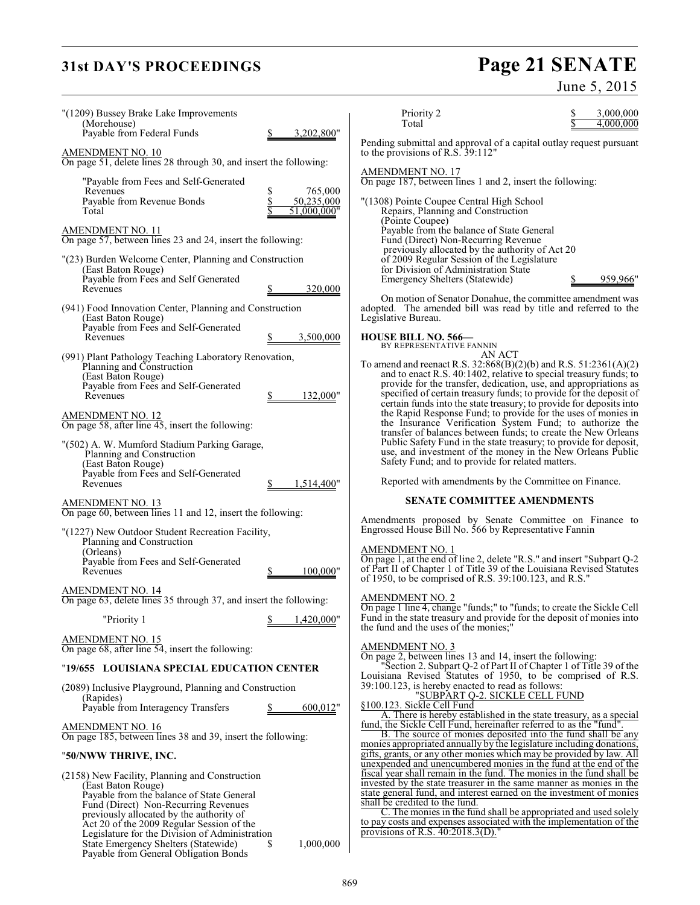# **31st DAY'S PROCEEDINGS**

# Page 21 SENATE<br>June 5, 2015

| "(1209) Bussey Brake Lake Improvements                                                                                                                                                                                                                                                                                                                                                |                           | Priority 2                                                                                                                                                                                                                                                                                                                                                                                                                              | 3,000,000 |
|---------------------------------------------------------------------------------------------------------------------------------------------------------------------------------------------------------------------------------------------------------------------------------------------------------------------------------------------------------------------------------------|---------------------------|-----------------------------------------------------------------------------------------------------------------------------------------------------------------------------------------------------------------------------------------------------------------------------------------------------------------------------------------------------------------------------------------------------------------------------------------|-----------|
| (Morehouse)<br>Payable from Federal Funds                                                                                                                                                                                                                                                                                                                                             | 3,202,800"                | Total<br>Pending submittal and approval of a capital outlay request pursuant                                                                                                                                                                                                                                                                                                                                                            | 4,000,000 |
| <u>AMENDMENT NO. 10</u><br>On page 51, delete lines 28 through 30, and insert the following:                                                                                                                                                                                                                                                                                          |                           | to the provisions of R.S. 39:112"                                                                                                                                                                                                                                                                                                                                                                                                       |           |
| "Payable from Fees and Self-Generated<br>Revenues<br>S                                                                                                                                                                                                                                                                                                                                | 765,000                   | <b>AMENDMENT NO. 17</b><br>On page 187, between lines 1 and 2, insert the following:                                                                                                                                                                                                                                                                                                                                                    |           |
| \$<br>Payable from Revenue Bonds<br>Total                                                                                                                                                                                                                                                                                                                                             | 50,235,000<br>51,000,000" | "(1308) Pointe Coupee Central High School<br>Repairs, Planning and Construction<br>(Pointe Coupee)                                                                                                                                                                                                                                                                                                                                      |           |
| <b>AMENDMENT NO. 11</b><br>On page 57, between lines 23 and 24, insert the following:                                                                                                                                                                                                                                                                                                 |                           | Payable from the balance of State General<br>Fund (Direct) Non-Recurring Revenue                                                                                                                                                                                                                                                                                                                                                        |           |
| "(23) Burden Welcome Center, Planning and Construction<br>(East Baton Rouge)<br>Payable from Fees and Self Generated                                                                                                                                                                                                                                                                  |                           | previously allocated by the authority of Act 20<br>of 2009 Regular Session of the Legislature<br>for Division of Administration State<br><b>Emergency Shelters (Statewide)</b>                                                                                                                                                                                                                                                          | 959,966"  |
| Revenues                                                                                                                                                                                                                                                                                                                                                                              | 320,000                   | On motion of Senator Donahue, the committee amendment was                                                                                                                                                                                                                                                                                                                                                                               |           |
| (941) Food Innovation Center, Planning and Construction<br>(East Baton Rouge)<br>Payable from Fees and Self-Generated                                                                                                                                                                                                                                                                 |                           | adopted. The amended bill was read by title and referred to the<br>Legislative Bureau.                                                                                                                                                                                                                                                                                                                                                  |           |
| Revenues                                                                                                                                                                                                                                                                                                                                                                              | 3,500,000                 | <b>HOUSE BILL NO. 566-</b><br>BY REPRESENTATIVE FANNIN                                                                                                                                                                                                                                                                                                                                                                                  |           |
| (991) Plant Pathology Teaching Laboratory Renovation,<br>Planning and Construction<br>(East Baton Rouge)<br>Payable from Fees and Self-Generated<br>Revenues                                                                                                                                                                                                                          | 132,000"                  | AN ACT<br>To amend and reenact R.S. $32:868(B)(2)(b)$ and R.S. $51:2361(A)(2)$<br>and to enact R.S. 40:1402, relative to special treasury funds; to<br>provide for the transfer, dedication, use, and appropriations as<br>specified of certain treasury funds; to provide for the deposit of<br>certain funds into the state treasury; to provide for deposits into                                                                    |           |
| <b>AMENDMENT NO. 12</b><br>On page 58, after line 45, insert the following:                                                                                                                                                                                                                                                                                                           |                           | the Rapid Response Fund; to provide for the uses of monies in<br>the Insurance Verification System Fund; to authorize the<br>transfer of balances between funds; to create the New Orleans                                                                                                                                                                                                                                              |           |
| "(502) A. W. Mumford Stadium Parking Garage,<br>Planning and Construction<br>(East Baton Rouge)<br>Payable from Fees and Self-Generated                                                                                                                                                                                                                                               |                           | Public Safety Fund in the state treasury; to provide for deposit,<br>use, and investment of the money in the New Orleans Public<br>Safety Fund; and to provide for related matters.                                                                                                                                                                                                                                                     |           |
| Revenues                                                                                                                                                                                                                                                                                                                                                                              | 1,514,400"                | Reported with amendments by the Committee on Finance.                                                                                                                                                                                                                                                                                                                                                                                   |           |
| AMENDMENT NO. 13<br>On page 60, between lines 11 and 12, insert the following:                                                                                                                                                                                                                                                                                                        |                           | <b>SENATE COMMITTEE AMENDMENTS</b>                                                                                                                                                                                                                                                                                                                                                                                                      |           |
| "(1227) New Outdoor Student Recreation Facility,<br>Planning and Construction                                                                                                                                                                                                                                                                                                         |                           | Amendments proposed by Senate Committee on Finance to<br>Engrossed House Bill No. 566 by Representative Fannin                                                                                                                                                                                                                                                                                                                          |           |
| (Orleans)<br>Payable from Fees and Self-Generated<br>Revenues                                                                                                                                                                                                                                                                                                                         | 100.000"                  | <b>AMENDMENT NO. 1</b><br>On page 1, at the end of line 2, delete "R.S." and insert "Subpart Q-2<br>of Part II of Chapter 1 of Title 39 of the Louisiana Revised Statutes<br>of 1950, to be comprised of R.S. 39:100.123, and R.S."                                                                                                                                                                                                     |           |
| <b>AMENDMENT NO. 14</b><br>On page 63, delete lines 35 through 37, and insert the following:                                                                                                                                                                                                                                                                                          |                           | <b>AMENDMENT NO. 2</b><br>On page 1 line 4, change "funds;" to "funds; to create the Sickle Cell                                                                                                                                                                                                                                                                                                                                        |           |
| "Priority 1                                                                                                                                                                                                                                                                                                                                                                           | 1,420,000"                | Fund in the state treasury and provide for the deposit of monies into<br>the fund and the uses of the monies;"                                                                                                                                                                                                                                                                                                                          |           |
| <b>AMENDMENT NO. 15</b><br>On page 68, after line 54, insert the following:                                                                                                                                                                                                                                                                                                           |                           | AMENDMENT NO. 3<br>On page 2, between lines 13 and 14, insert the following:                                                                                                                                                                                                                                                                                                                                                            |           |
| "19/655 LOUISIANA SPECIAL EDUCATION CENTER                                                                                                                                                                                                                                                                                                                                            |                           | "Section 2. Subpart Q-2 of Part II of Chapter 1 of Title 39 of the<br>Louisiana Revised Statutes of 1950, to be comprised of R.S.                                                                                                                                                                                                                                                                                                       |           |
| (2089) Inclusive Playground, Planning and Construction<br>(Rapides)                                                                                                                                                                                                                                                                                                                   |                           | 39:100.123, is hereby enacted to read as follows:<br>"SUBPART Q-2. SICKLE CELL FUND                                                                                                                                                                                                                                                                                                                                                     |           |
| Payable from Interagency Transfers                                                                                                                                                                                                                                                                                                                                                    | 600,012"                  | §100.123. Sickle Cell Fund<br>A. There is hereby established in the state treasury, as a special                                                                                                                                                                                                                                                                                                                                        |           |
| <b>AMENDMENT NO. 16</b><br>On page 185, between lines 38 and 39, insert the following:                                                                                                                                                                                                                                                                                                |                           | fund, the Sickle Cell Fund, hereinafter referred to as the "fund".<br>B. The source of monies deposited into the fund shall be any<br>monies appropriated annually by the legislature including donations,                                                                                                                                                                                                                              |           |
| "50/NWW THRIVE, INC.                                                                                                                                                                                                                                                                                                                                                                  |                           | gifts, grants, or any other monies which may be provided by law. All<br>unexpended and unencumbered monies in the fund at the end of the                                                                                                                                                                                                                                                                                                |           |
| (2158) New Facility, Planning and Construction<br>(East Baton Rouge)<br>Payable from the balance of State General<br>Fund (Direct) Non-Recurring Revenues<br>previously allocated by the authority of<br>Act 20 of the 2009 Regular Session of the<br>Legislature for the Division of Administration<br>State Emergency Shelters (Statewide)<br>Payable from General Obligation Bonds | 1,000,000                 | fiscal year shall remain in the fund. The monies in the fund shall be<br>invested by the state treasurer in the same manner as monies in the<br>state general fund, and interest earned on the investment of monies<br>shall be credited to the fund.<br>C. The monies in the fund shall be appropriated and used solely<br>to pay costs and expenses associated with the implementation of the<br>provisions of R.S. $40:2018.3(D)$ ." |           |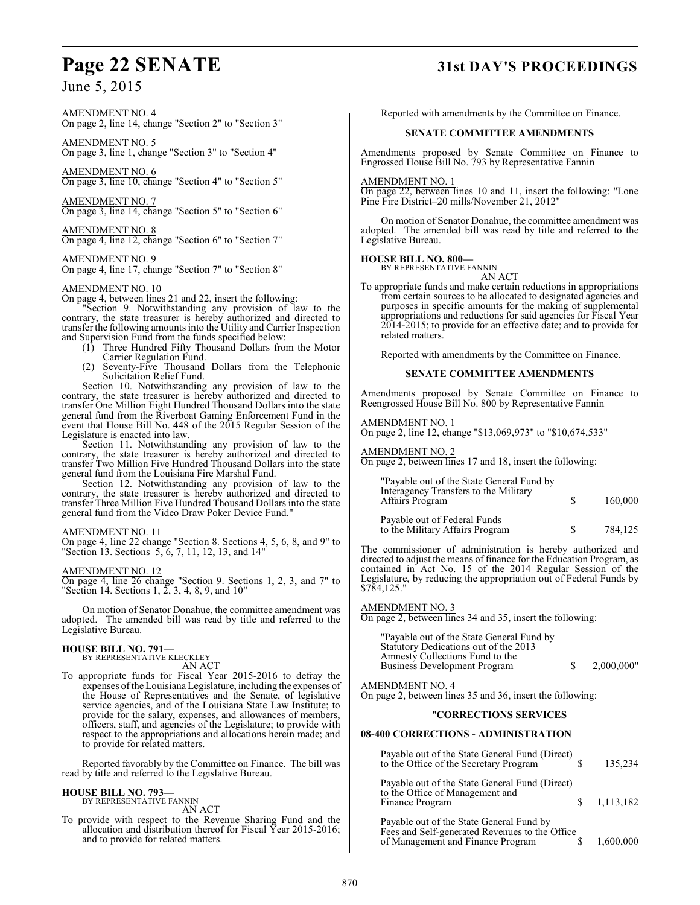#### AMENDMENT NO. 4 On page 2, line 14, change "Section 2" to "Section 3"

AMENDMENT NO. 5 On page 3, line 1, change "Section 3" to "Section 4"

AMENDMENT NO. 6 On page 3, line 10, change "Section 4" to "Section 5"

AMENDMENT NO. 7 On page 3, line 14, change "Section 5" to "Section 6"

AMENDMENT NO. 8 On page 4, line 12, change "Section 6" to "Section 7"

AMENDMENT NO. 9 On page 4, line 17, change "Section 7" to "Section 8"

#### AMENDMENT NO. 10

On page 4, between lines 21 and 22, insert the following:

Section 9. Notwithstanding any provision of law to the contrary, the state treasurer is hereby authorized and directed to transfer the following amounts into the Utility and Carrier Inspection and Supervision Fund from the funds specified below:

- (1) Three Hundred Fifty Thousand Dollars from the Motor Carrier Regulation Fund.
- (2) Seventy-Five Thousand Dollars from the Telephonic Solicitation Relief Fund.

Section 10. Notwithstanding any provision of law to the contrary, the state treasurer is hereby authorized and directed to transfer One Million Eight Hundred Thousand Dollars into the state general fund from the Riverboat Gaming Enforcement Fund in the event that House Bill No. 448 of the 2015 Regular Session of the Legislature is enacted into law.

Section 11. Notwithstanding any provision of law to the contrary, the state treasurer is hereby authorized and directed to transfer Two Million Five Hundred Thousand Dollars into the state general fund from the Louisiana Fire Marshal Fund.

Section 12. Notwithstanding any provision of law to the contrary, the state treasurer is hereby authorized and directed to transfer Three Million Five Hundred Thousand Dollarsinto the state general fund from the Video Draw Poker Device Fund."

#### AMENDMENT NO. 11

On page 4, line 22 change "Section 8. Sections 4, 5, 6, 8, and 9" to "Section 13. Sections 5, 6, 7, 11, 12, 13, and 14"

AMENDMENT NO. 12

On page 4, line 26 change "Section 9. Sections 1, 2, 3, and 7" to "Section 14. Sections 1,  $2, 3, 4, 8, 9$ , and  $10"$ 

On motion of Senator Donahue, the committee amendment was adopted. The amended bill was read by title and referred to the Legislative Bureau.

#### **HOUSE BILL NO. 791—**

BY REPRESENTATIVE KLECKLEY AN ACT

To appropriate funds for Fiscal Year 2015-2016 to defray the expenses of the Louisiana Legislature, including the expenses of the House of Representatives and the Senate, of legislative service agencies, and of the Louisiana State Law Institute; to provide for the salary, expenses, and allowances of members, officers, staff, and agencies of the Legislature; to provide with respect to the appropriations and allocations herein made; and to provide for related matters.

Reported favorably by the Committee on Finance. The bill was read by title and referred to the Legislative Bureau.

#### **HOUSE BILL NO. 793—**

BY REPRESENTATIVE FANNIN AN ACT

To provide with respect to the Revenue Sharing Fund and the allocation and distribution thereof for Fiscal Year 2015-2016; and to provide for related matters.

# **Page 22 SENATE 31st DAY'S PROCEEDINGS**

Reported with amendments by the Committee on Finance.

#### **SENATE COMMITTEE AMENDMENTS**

Amendments proposed by Senate Committee on Finance to Engrossed House Bill No. 793 by Representative Fannin

#### AMENDMENT NO. 1

On page 22, between lines 10 and 11, insert the following: "Lone Pine Fire District–20 mills/November 21, 2012"

On motion of Senator Donahue, the committee amendment was adopted. The amended bill was read by title and referred to the Legislative Bureau.

#### **HOUSE BILL NO. 800—**

BY REPRESENTATIVE FANNIN AN ACT

To appropriate funds and make certain reductions in appropriations from certain sources to be allocated to designated agencies and purposes in specific amounts for the making of supplemental appropriations and reductions for said agencies for Fiscal Year 2014-2015; to provide for an effective date; and to provide for related matters.

Reported with amendments by the Committee on Finance.

#### **SENATE COMMITTEE AMENDMENTS**

Amendments proposed by Senate Committee on Finance to Reengrossed House Bill No. 800 by Representative Fannin

AMENDMENT NO. 1

On page 2, line 12, change "\$13,069,973" to "\$10,674,533"

AMENDMENT NO. 2

On page 2, between lines 17 and 18, insert the following:

| "Payable out of the State General Fund by<br>Interagency Transfers to the Military<br>Affairs Program | S  | 160,000 |
|-------------------------------------------------------------------------------------------------------|----|---------|
| Payable out of Federal Funds<br>to the Military Affairs Program                                       | S. | 784.125 |

The commissioner of administration is hereby authorized and directed to adjust the means of finance for the Education Program, as contained in Act No. 15 of the 2014 Regular Session of the Legislature, by reducing the appropriation out of Federal Funds by \$784,125."

AMENDMENT NO. 3

On page 2, between lines 34 and 35, insert the following:

| "Payable out of the State General Fund by |            |
|-------------------------------------------|------------|
| Statutory Dedications out of the 2013     |            |
| Amnesty Collections Fund to the           |            |
| <b>Business Development Program</b>       | 2.000.000" |

AMENDMENT NO. 4 On page 2, between lines 35 and 36, insert the following:

## "**CORRECTIONS SERVICES**

#### **08-400 CORRECTIONS - ADMINISTRATION**

| Payable out of the State General Fund (Direct)<br>to the Office of the Secretary Program                                        | 135,234   |
|---------------------------------------------------------------------------------------------------------------------------------|-----------|
| Payable out of the State General Fund (Direct)<br>to the Office of Management and<br>Finance Program                            | 1,113,182 |
| Payable out of the State General Fund by<br>Fees and Self-generated Revenues to the Office<br>of Management and Finance Program | 1,600,000 |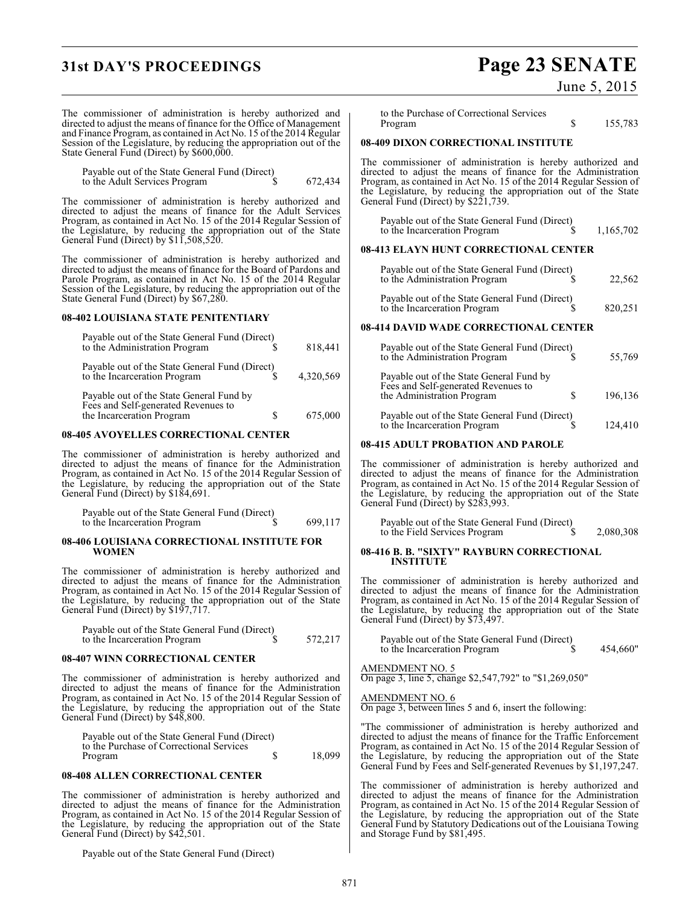# **31st DAY'S PROCEEDINGS Page 23 SENATE**

## June 5, 2015

The commissioner of administration is hereby authorized and directed to adjust the means of finance for the Office of Management and Finance Program, as contained in Act No. 15 of the 2014 Regular Session of the Legislature, by reducing the appropriation out of the State General Fund (Direct) by \$600,000.

Payable out of the State General Fund (Direct) to the Adult Services Program  $\qquad$  \$ 672,434

The commissioner of administration is hereby authorized and directed to adjust the means of finance for the Adult Services Program, as contained in Act No. 15 of the 2014 Regular Session of the Legislature, by reducing the appropriation out of the State General Fund (Direct) by \$11,508,520.

The commissioner of administration is hereby authorized and directed to adjust the means of finance for the Board of Pardons and Parole Program, as contained in Act No. 15 of the 2014 Regular Session of the Legislature, by reducing the appropriation out of the State General Fund (Direct) by \$67,280.

## **08-402 LOUISIANA STATE PENITENTIARY**

| Payable out of the State General Fund (Direct)<br>to the Administration Program                              |   | 818,441   |
|--------------------------------------------------------------------------------------------------------------|---|-----------|
| Payable out of the State General Fund (Direct)<br>to the Incarceration Program                               |   | 4,320,569 |
| Payable out of the State General Fund by<br>Fees and Self-generated Revenues to<br>the Incarceration Program | S | 675,000   |

## **08-405 AVOYELLES CORRECTIONAL CENTER**

The commissioner of administration is hereby authorized and directed to adjust the means of finance for the Administration Program, as contained in Act No. 15 of the 2014 Regular Session of the Legislature, by reducing the appropriation out of the State General Fund (Direct) by \$184,691.

| Payable out of the State General Fund (Direct) |         |
|------------------------------------------------|---------|
| to the Incarceration Program                   | 699,117 |

#### **08-406 LOUISIANA CORRECTIONAL INSTITUTE FOR WOMEN**

The commissioner of administration is hereby authorized and directed to adjust the means of finance for the Administration Program, as contained in Act No. 15 of the 2014 Regular Session of the Legislature, by reducing the appropriation out of the State General Fund (Direct) by \$197,717.

| Payable out of the State General Fund (Direct) |         |
|------------------------------------------------|---------|
| to the Incarceration Program                   | 572,217 |

## **08-407 WINN CORRECTIONAL CENTER**

The commissioner of administration is hereby authorized and directed to adjust the means of finance for the Administration Program, as contained in Act No. 15 of the 2014 Regular Session of the Legislature, by reducing the appropriation out of the State General Fund (Direct) by \$48,800.

| Payable out of the State General Fund (Direct) |        |
|------------------------------------------------|--------|
| to the Purchase of Correctional Services       |        |
| Program                                        | 18.099 |

## **08-408 ALLEN CORRECTIONAL CENTER**

The commissioner of administration is hereby authorized and directed to adjust the means of finance for the Administration Program, as contained in Act No. 15 of the 2014 Regular Session of the Legislature, by reducing the appropriation out of the State General Fund (Direct) by \$42,501.

Payable out of the State General Fund (Direct)

to the Purchase of Correctional Services Program \$ 155,783

## **08-409 DIXON CORRECTIONAL INSTITUTE**

The commissioner of administration is hereby authorized and directed to adjust the means of finance for the Administration Program, as contained in Act No. 15 of the 2014 Regular Session of the Legislature, by reducing the appropriation out of the State General Fund (Direct) by \$221,739.

| Payable out of the State General Fund (Direct) |           |
|------------------------------------------------|-----------|
| to the Incarceration Program                   | 1,165,702 |

## **08-413 ELAYN HUNT CORRECTIONAL CENTER**

| Payable out of the State General Fund (Direct)<br>to the Administration Program | 22,562  |
|---------------------------------------------------------------------------------|---------|
| Payable out of the State General Fund (Direct)<br>to the Incarceration Program  | 820.251 |

## **08-414 DAVID WADE CORRECTIONAL CENTER**

| Payable out of the State General Fund (Direct)<br>to the Administration Program                               |   | 55,769  |
|---------------------------------------------------------------------------------------------------------------|---|---------|
| Payable out of the State General Fund by<br>Fees and Self-generated Revenues to<br>the Administration Program | S | 196,136 |
| Payable out of the State General Fund (Direct)<br>to the Incarceration Program                                |   | 124.410 |

## **08-415 ADULT PROBATION AND PAROLE**

The commissioner of administration is hereby authorized and directed to adjust the means of finance for the Administration Program, as contained in Act No. 15 of the 2014 Regular Session of the Legislature, by reducing the appropriation out of the State General Fund (Direct) by \$283,993.

Payable out of the State General Fund (Direct) to the Field Services Program  $\qquad \qquad$  \$ 2,080,308

#### **08-416 B. B. "SIXTY" RAYBURN CORRECTIONAL INSTITUTE**

The commissioner of administration is hereby authorized and directed to adjust the means of finance for the Administration Program, as contained in Act No. 15 of the 2014 Regular Session of the Legislature, by reducing the appropriation out of the State General Fund (Direct) by \$73,497.

| Payable out of the State General Fund (Direct) |          |
|------------------------------------------------|----------|
| to the Incarceration Program                   | 454,660" |

AMENDMENT NO. 5 On page 3, line 5, change \$2,547,792" to "\$1,269,050"

AMENDMENT NO. 6

On page 3, between lines 5 and 6, insert the following:

"The commissioner of administration is hereby authorized and directed to adjust the means of finance for the Traffic Enforcement Program, as contained in Act No. 15 of the 2014 Regular Session of the Legislature, by reducing the appropriation out of the State General Fund by Fees and Self-generated Revenues by \$1,197,247.

The commissioner of administration is hereby authorized and directed to adjust the means of finance for the Administration Program, as contained in Act No. 15 of the 2014 Regular Session of the Legislature, by reducing the appropriation out of the State General Fund by Statutory Dedications out of the Louisiana Towing and Storage Fund by \$81,495.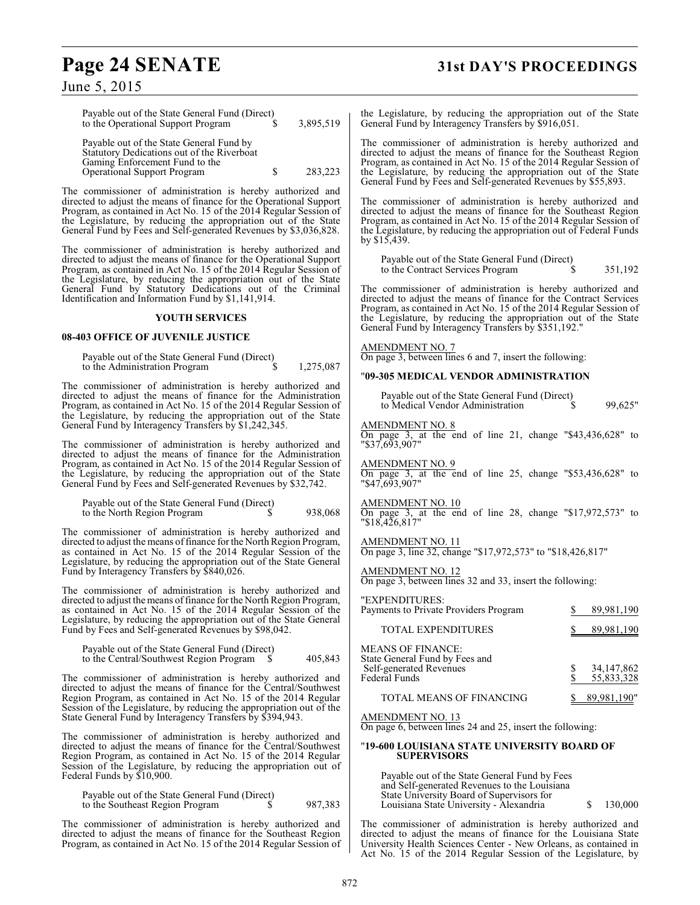# **Page 24 SENATE 31st DAY'S PROCEEDINGS**

| Payable out of the State General Fund (Direct) |   |           |
|------------------------------------------------|---|-----------|
| to the Operational Support Program             |   | 3,895,519 |
| Payable out of the State General Fund by       |   |           |
| Statutory Dedications out of the Riverboat     |   |           |
| Gaming Enforcement Fund to the                 |   |           |
| Operational Support Program                    | S | 283,223   |

The commissioner of administration is hereby authorized and directed to adjust the means of finance for the Operational Support Program, as contained in Act No. 15 of the 2014 Regular Session of the Legislature, by reducing the appropriation out of the State General Fund by Fees and Self-generated Revenues by \$3,036,828.

The commissioner of administration is hereby authorized and directed to adjust the means of finance for the Operational Support Program, as contained in Act No. 15 of the 2014 Regular Session of the Legislature, by reducing the appropriation out of the State General Fund by Statutory Dedications out of the Criminal Identification and Information Fund by \$1,141,914.

#### **YOUTH SERVICES**

#### **08-403 OFFICE OF JUVENILE JUSTICE**

| Payable out of the State General Fund (Direct) |           |
|------------------------------------------------|-----------|
| to the Administration Program                  | 1,275,087 |

The commissioner of administration is hereby authorized and directed to adjust the means of finance for the Administration Program, as contained in Act No. 15 of the 2014 Regular Session of the Legislature, by reducing the appropriation out of the State General Fund by Interagency Transfers by \$1,242,345.

The commissioner of administration is hereby authorized and directed to adjust the means of finance for the Administration Program, as contained in Act No. 15 of the 2014 Regular Session of the Legislature, by reducing the appropriation out of the State General Fund by Fees and Self-generated Revenues by \$32,742.

| Payable out of the State General Fund (Direct) |         |
|------------------------------------------------|---------|
| to the North Region Program                    | 938,068 |

The commissioner of administration is hereby authorized and directed to adjust the means of finance for the North Region Program, as contained in Act No. 15 of the 2014 Regular Session of the Legislature, by reducing the appropriation out of the State General Fund by Interagency Transfers by \$840,026.

The commissioner of administration is hereby authorized and directed to adjust the means of finance for the North Region Program, as contained in Act No. 15 of the 2014 Regular Session of the Legislature, by reducing the appropriation out of the State General Fund by Fees and Self-generated Revenues by \$98,042.

| Payable out of the State General Fund (Direct) |         |
|------------------------------------------------|---------|
| to the Central/Southwest Region Program        | 405,843 |

The commissioner of administration is hereby authorized and directed to adjust the means of finance for the Central/Southwest Region Program, as contained in Act No. 15 of the 2014 Regular Session of the Legislature, by reducing the appropriation out of the State General Fund by Interagency Transfers by \$394,943.

The commissioner of administration is hereby authorized and directed to adjust the means of finance for the Central/Southwest Region Program, as contained in Act No. 15 of the 2014 Regular Session of the Legislature, by reducing the appropriation out of Federal Funds by \$10,900.

| Payable out of the State General Fund (Direct) |   |         |
|------------------------------------------------|---|---------|
| to the Southeast Region Program                | J | 987,383 |

The commissioner of administration is hereby authorized and directed to adjust the means of finance for the Southeast Region Program, as contained in Act No. 15 of the 2014 Regular Session of the Legislature, by reducing the appropriation out of the State General Fund by Interagency Transfers by \$916,051.

The commissioner of administration is hereby authorized and directed to adjust the means of finance for the Southeast Region Program, as contained in Act No. 15 of the 2014 Regular Session of the Legislature, by reducing the appropriation out of the State General Fund by Fees and Self-generated Revenues by \$55,893.

The commissioner of administration is hereby authorized and directed to adjust the means of finance for the Southeast Region Program, as contained in Act No. 15 of the 2014 Regular Session of the Legislature, by reducing the appropriation out of Federal Funds by \$15,439.

Payable out of the State General Fund (Direct) to the Contract Services Program  $\qquad$  \$ 351,192

The commissioner of administration is hereby authorized and directed to adjust the means of finance for the Contract Services Program, as contained in Act No. 15 of the 2014 Regular Session of the Legislature, by reducing the appropriation out of the State General Fund by Interagency Transfers by \$351,192."

#### AMENDMENT NO. 7

On page 3, between lines 6 and 7, insert the following:

#### "**09-305 MEDICAL VENDOR ADMINISTRATION**

| Payable out of the State General Fund (Direct) |   |         |
|------------------------------------------------|---|---------|
| to Medical Vendor Administration               | S | 99.625" |

#### AMENDMENT NO. 8

On page 3, at the end of line 21, change "\$43,436,628" to "\$37,693,907"

AMENDMENT NO. 9

On page 3, at the end of line 25, change "\$53,436,628" to "\$47,693,907"

#### AMENDMENT NO. 10

On page 3, at the end of line 28, change "\$17,972,573" to "\$18,426,817"

AMENDMENT NO. 11

On page 3, line 32, change "\$17,972,573" to "\$18,426,817"

AMENDMENT NO. 12 On page 3, between lines 32 and 33, insert the following:

| "EXPENDITURES:<br>Payments to Private Providers Program                                                | 89,981,190                   |
|--------------------------------------------------------------------------------------------------------|------------------------------|
| <b>TOTAL EXPENDITURES</b>                                                                              | 89,981,190                   |
| <b>MEANS OF FINANCE:</b><br>State General Fund by Fees and<br>Self-generated Revenues<br>Federal Funds | 34, 147, 862<br>55, 833, 328 |
| TOTAL MEANS OF FINANCING                                                                               | 89.981.190"                  |

AMENDMENT NO. 13

On page 6, between lines 24 and 25, insert the following:

#### "**19-600 LOUISIANA STATE UNIVERSITY BOARD OF SUPERVISORS**

Payable out of the State General Fund by Fees and Self-generated Revenues to the Louisiana State University Board of Supervisors for Louisiana State University - Alexandria \$ 130,000

The commissioner of administration is hereby authorized and directed to adjust the means of finance for the Louisiana State University Health Sciences Center - New Orleans, as contained in Act No. 15 of the 2014 Regular Session of the Legislature, by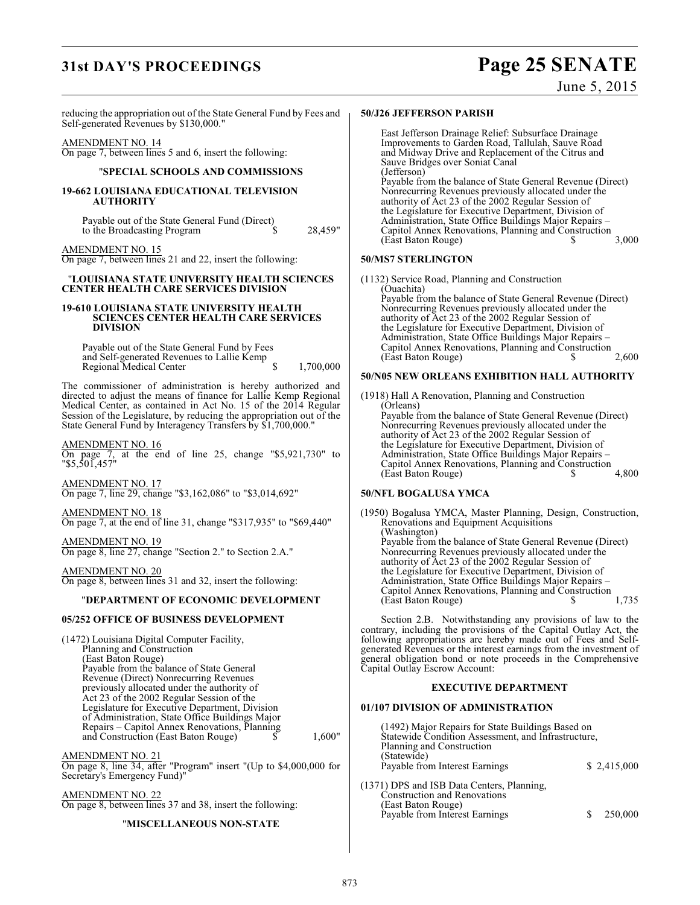# **31st DAY'S PROCEEDINGS Page 25 SENATE**

## June 5, 2015

reducing the appropriation out of the State General Fund by Fees and Self-generated Revenues by \$130,000."

#### AMENDMENT NO. 14

On page 7, between lines 5 and 6, insert the following:

#### "**SPECIAL SCHOOLS AND COMMISSIONS**

#### **19-662 LOUISIANA EDUCATIONAL TELEVISION AUTHORITY**

Payable out of the State General Fund (Direct) to the Broadcasting Program  $\sim$  \$ 28,459"

AMENDMENT NO. 15

On page 7, between lines 21 and 22, insert the following:

#### "**LOUISIANA STATE UNIVERSITY HEALTH SCIENCES CENTER HEALTH CARE SERVICES DIVISION**

#### **19-610 LOUISIANA STATE UNIVERSITY HEALTH SCIENCES CENTER HEALTH CARE SERVICES DIVISION**

Payable out of the State General Fund by Fees and Self-generated Revenues to Lallie Kemp Regional Medical Center  $\qquad$  \$ 1,700,000

The commissioner of administration is hereby authorized and directed to adjust the means of finance for Lallie Kemp Regional Medical Center, as contained in Act No. 15 of the 2014 Regular Session of the Legislature, by reducing the appropriation out of the State General Fund by Interagency Transfers by \$1,700,000."

#### AMENDMENT NO. 16

On page 7, at the end of line 25, change "\$5,921,730" to "\$5,501,457"

AMENDMENT NO. 17 On page 7, line 29, change "\$3,162,086" to "\$3,014,692"

AMENDMENT NO. 18 On page 7, at the end of line 31, change "\$317,935" to "\$69,440"

AMENDMENT NO. 19 On page 8, line 27, change "Section 2." to Section 2.A."

AMENDMENT NO. 20 On page 8, between lines 31 and 32, insert the following:

#### "**DEPARTMENT OF ECONOMIC DEVELOPMENT**

#### **05/252 OFFICE OF BUSINESS DEVELOPMENT**

(1472) Louisiana Digital Computer Facility, Planning and Construction (East Baton Rouge) Payable from the balance of State General Revenue (Direct) Nonrecurring Revenues previously allocated under the authority of Act 23 of the 2002 Regular Session of the Legislature for Executive Department, Division of Administration, State Office Buildings Major Repairs – Capitol Annex Renovations, Planning and Construction (East Baton Rouge)  $\widetilde{\$}$  1,600"

AMENDMENT NO. 21 On page 8, line 34, after "Program" insert "(Up to \$4,000,000 for Secretary's Emergency Fund)"

AMENDMENT NO. 22 On page 8, between lines 37 and 38, insert the following:

#### "**MISCELLANEOUS NON-STATE**

#### **50/J26 JEFFERSON PARISH**

East Jefferson Drainage Relief: Subsurface Drainage Improvements to Garden Road, Tallulah, Sauve Road and Midway Drive and Replacement of the Citrus and Sauve Bridges over Soniat Canal (Jefferson) Payable from the balance of State General Revenue (Direct) Nonrecurring Revenues previously allocated under the authority of Act 23 of the 2002 Regular Session of the Legislature for Executive Department, Division of Administration, State Office Buildings Major Repairs – Capitol Annex Renovations, Planning and Construction (East Baton Rouge) \$ 3,000

#### **50/MS7 STERLINGTON**

(1132) Service Road, Planning and Construction (Ouachita) Payable from the balance of State General Revenue (Direct) Nonrecurring Revenues previously allocated under the authority of Act 23 of the 2002 Regular Session of the Legislature for Executive Department, Division of Administration, State Office Buildings Major Repairs – Capitol Annex Renovations, Planning and Construction (East Baton Rouge) \$ 2,600

#### **50/N05 NEW ORLEANS EXHIBITION HALL AUTHORITY**

(1918) Hall A Renovation, Planning and Construction (Orleans) Payable from the balance of State General Revenue (Direct) Nonrecurring Revenues previously allocated under the authority of Act 23 of the 2002 Regular Session of the Legislature for Executive Department, Division of Administration, State Office Buildings Major Repairs – Capitol Annex Renovations, Planning and Construction (East Baton Rouge) \$ 4,800

#### **50/NFL BOGALUSA YMCA**

(1950) Bogalusa YMCA, Master Planning, Design, Construction, Renovations and Equipment Acquisitions (Washington) Payable from the balance of State General Revenue (Direct) Nonrecurring Revenues previously allocated under the authority of Act 23 of the 2002 Regular Session of the Legislature for Executive Department, Division of Administration, State Office Buildings Major Repairs – Capitol Annex Renovations, Planning and Construction (East Baton Rouge) \$ 1,735

Section 2.B. Notwithstanding any provisions of law to the contrary, including the provisions of the Capital Outlay Act, the following appropriations are hereby made out of Fees and Selfgenerated Revenues or the interest earnings from the investment of general obligation bond or note proceeds in the Comprehensive Capital Outlay Escrow Account:

#### **EXECUTIVE DEPARTMENT**

#### **01/107 DIVISION OF ADMINISTRATION**

(1492) Major Repairs for State Buildings Based on Statewide Condition Assessment, and Infrastructure, Planning and Construction (Statewide) Payable from Interest Earnings \$ 2,415,000

(1371) DPS and ISB Data Centers, Planning, Construction and Renovations (East Baton Rouge) Payable from Interest Earnings \$ 250,000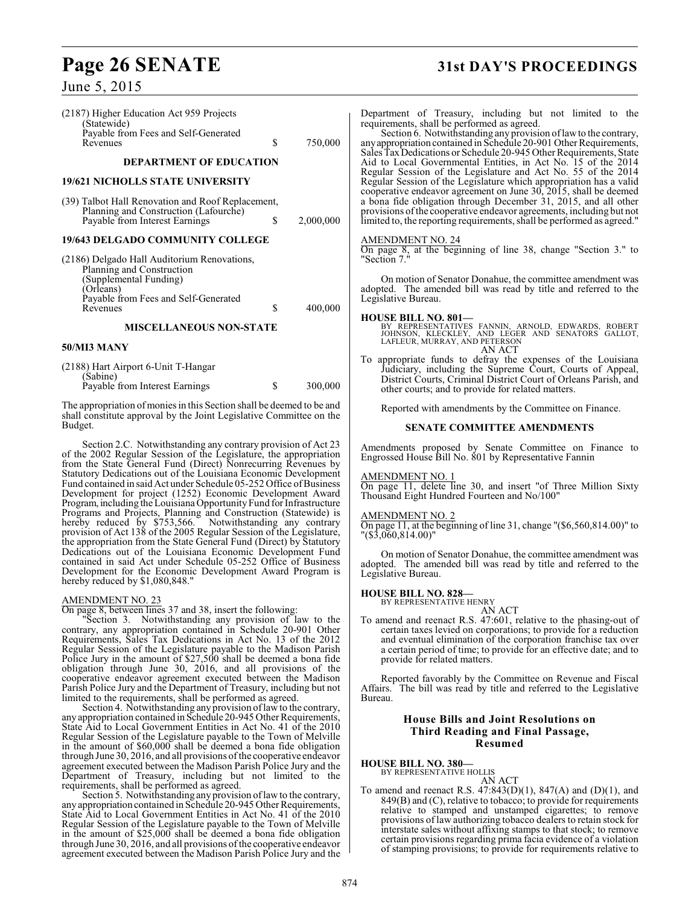| (2187) Higher Education Act 959 Projects<br>(Statewide)                                                                           |           | I                |
|-----------------------------------------------------------------------------------------------------------------------------------|-----------|------------------|
| Payable from Fees and Self-Generated<br>\$<br>Revenues                                                                            | 750,000   | r<br>a           |
| <b>DEPARTMENT OF EDUCATION</b>                                                                                                    |           | S<br>⊿F<br>F     |
| 19/621 NICHOLLS STATE UNIVERSITY                                                                                                  |           |                  |
| (39) Talbot Hall Renovation and Roof Replacement,<br>Planning and Construction (Lafourche)<br>Payable from Interest Earnings<br>S | 2,000,000 | C<br>a<br>f<br>İ |
| 19/643 DELGADO COMMUNITY COLLEGE                                                                                                  |           | ا<br>آ           |
| (2186) Delgado Hall Auditorium Renovations,<br>Planning and Construction<br>(Supplemental Funding)                                |           | Ħ                |
| (Orleans)<br>Payable from Fees and Self-Generated                                                                                 |           | a<br>I           |
| S<br>Revenues                                                                                                                     | 400,000   | I                |
| <b>MISCELLANEOUS NON-STATE</b>                                                                                                    |           |                  |

#### **50/MI3 MANY**

| (2188) Hart Airport 6-Unit T-Hangar<br>(Sabine) |         |
|-------------------------------------------------|---------|
| Payable from Interest Earnings                  | 300,000 |

The appropriation of monies in this Section shall be deemed to be and shall constitute approval by the Joint Legislative Committee on the Budget.

Section 2.C. Notwithstanding any contrary provision of Act 23 of the 2002 Regular Session of the Legislature, the appropriation from the State General Fund (Direct) Nonrecurring Revenues by Statutory Dedications out of the Louisiana Economic Development Fund contained in said Act under Schedule 05-252 Office of Business Development for project (1252) Economic Development Award Program, including the Louisiana Opportunity Fund for Infrastructure Programs and Projects, Planning and Construction (Statewide) is hereby reduced by \$753,566. Notwithstanding any contrary provision of Act 138 of the 2005 Regular Session of the Legislature, the appropriation from the State General Fund (Direct) by Statutory Dedications out of the Louisiana Economic Development Fund contained in said Act under Schedule 05-252 Office of Business Development for the Economic Development Award Program is hereby reduced by \$1,080,848."

## AMENDMENT NO. 23

On page 8, between lines 37 and 38, insert the following:

"Section 3. Notwithstanding any provision of law to the contrary, any appropriation contained in Schedule 20-901 Other Requirements, Sales Tax Dedications in Act No. 13 of the 2012 Regular Session of the Legislature payable to the Madison Parish Police Jury in the amount of \$27,500 shall be deemed a bona fide obligation through June 30, 2016, and all provisions of the cooperative endeavor agreement executed between the Madison Parish Police Jury and the Department of Treasury, including but not limited to the requirements, shall be performed as agreed.

Section 4. Notwithstanding any provision of law to the contrary, any appropriation contained in Schedule 20-945 Other Requirements, State Aid to Local Government Entities in Act No. 41 of the 2010 Regular Session of the Legislature payable to the Town of Melville in the amount of \$60,000 shall be deemed a bona fide obligation through June 30, 2016, and all provisions of the cooperative endeavor agreement executed between the Madison Parish Police Jury and the Department of Treasury, including but not limited to the requirements, shall be performed as agreed.

Section 5. Notwithstanding any provision of law to the contrary, any appropriation contained in Schedule 20-945 Other Requirements, State Aid to Local Government Entities in Act No. 41 of the 2010 Regular Session of the Legislature payable to the Town of Melville in the amount of \$25,000 shall be deemed a bona fide obligation through June 30, 2016, and all provisions of the cooperative endeavor agreement executed between the Madison Parish Police Jury and the

# **Page 26 SENATE 31st DAY'S PROCEEDINGS**

Department of Treasury, including but not limited to the requirements, shall be performed as agreed.

Section 6. Notwithstanding any provision of law to the contrary, any appropriation contained in Schedule 20-901 Other Requirements, Sales Tax Dedications or Schedule 20-945 Other Requirements, State Aid to Local Governmental Entities, in Act No. 15 of the 2014 Regular Session of the Legislature and Act No. 55 of the 2014 Regular Session of the Legislature which appropriation has a valid cooperative endeavor agreement on June 30, 2015, shall be deemed bona fide obligation through December 31, 2015, and all other provisions of the cooperative endeavor agreements, including but not limited to, the reporting requirements, shall be performed as agreed."

## AMENDMENT NO. 24

On page 8, at the beginning of line 38, change "Section 3." to Section 7.

On motion of Senator Donahue, the committee amendment was adopted. The amended bill was read by title and referred to the Legislative Bureau.

**HOUSE BILL NO. 801—**<br>BY REPRESENTATIVES FANNIN, ARNOLD, EDWARDS, ROBERT<br>JOHNSON, KLECKLEY, AND LEGER AND SENATORS GALLOT,<br>LAFLEUR, MURRAY, AND PETERSON AN ACT

To appropriate funds to defray the expenses of the Louisiana Judiciary, including the Supreme Court, Courts of Appeal, District Courts, Criminal District Court of Orleans Parish, and other courts; and to provide for related matters.

Reported with amendments by the Committee on Finance.

## **SENATE COMMITTEE AMENDMENTS**

Amendments proposed by Senate Committee on Finance to Engrossed House Bill No. 801 by Representative Fannin

#### AMENDMENT NO. 1

On page 11, delete line 30, and insert "of Three Million Sixty Thousand Eight Hundred Fourteen and No/100"

#### AMENDMENT NO. 2

On page 11, at the beginning of line 31, change "(\$6,560,814.00)" to "(\$3,060,814.00)"

On motion of Senator Donahue, the committee amendment was adopted. The amended bill was read by title and referred to the Legislative Bureau.

#### **HOUSE BILL NO. 828—**

BY REPRESENTATIVE HENRY

- 
- AN ACT To amend and reenact R.S. 47:601, relative to the phasing-out of certain taxes levied on corporations; to provide for a reduction and eventual elimination of the corporation franchise tax over a certain period of time; to provide for an effective date; and to provide for related matters.

Reported favorably by the Committee on Revenue and Fiscal Affairs. The bill was read by title and referred to the Legislative Bureau.

#### **House Bills and Joint Resolutions on Third Reading and Final Passage, Resumed**

#### **HOUSE BILL NO. 380—**

BY REPRESENTATIVE HOLLIS AN ACT

To amend and reenact R.S.  $47:843(D)(1)$ ,  $847(A)$  and  $(D)(1)$ , and 849(B) and (C), relative to tobacco; to provide for requirements relative to stamped and unstamped cigarettes; to remove provisions of law authorizing tobacco dealers to retain stock for interstate sales without affixing stamps to that stock; to remove certain provisions regarding prima facia evidence of a violation of stamping provisions; to provide for requirements relative to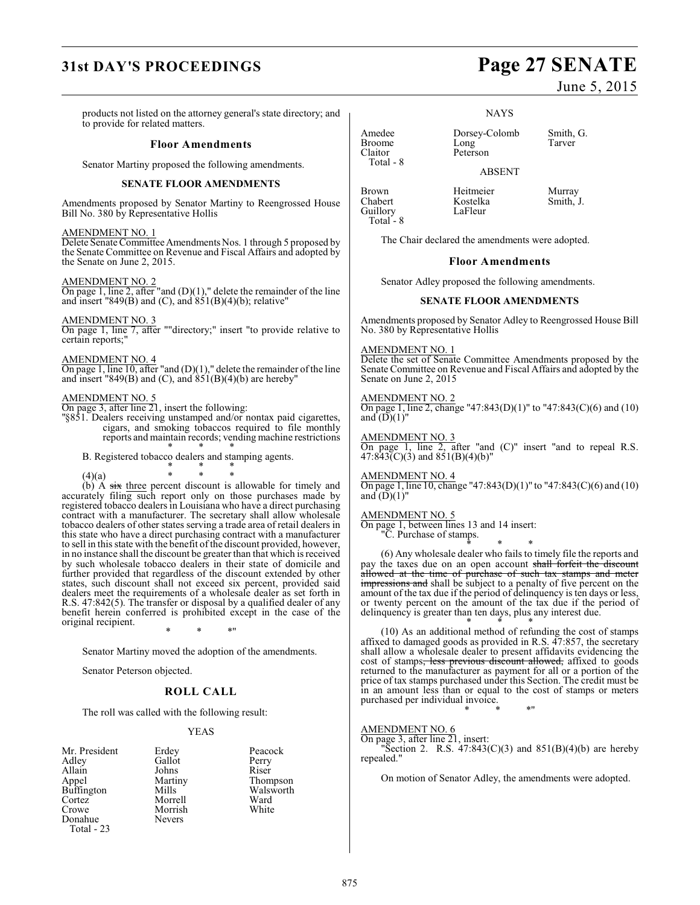# **31st DAY'S PROCEEDINGS Page 27 SENATE**

products not listed on the attorney general's state directory; and to provide for related matters.

#### **Floor Amendments**

Senator Martiny proposed the following amendments.

#### **SENATE FLOOR AMENDMENTS**

Amendments proposed by Senator Martiny to Reengrossed House Bill No. 380 by Representative Hollis

#### AMENDMENT NO. 1

Delete Senate Committee Amendments Nos. 1 through 5 proposed by the Senate Committee on Revenue and Fiscal Affairs and adopted by the Senate on June 2, 2015.

AMENDMENT NO. 2 On page 1, line 2, after "and  $(D)(1)$ ," delete the remainder of the line

and insert "849 $(B)$  and  $(C)$ , and  $851(B)(4)(b)$ ; relative"

#### AMENDMENT NO. 3

On page 1, line 7, after ""directory;" insert "to provide relative to certain reports;"

#### AMENDMENT NO. 4

On page 1, line 10, after "and (D)(1)," delete the remainder of the line and insert "849 $(B)$  and  $(C)$ , and  $851(B)(4)(b)$  are hereby"

#### AMENDMENT NO. 5

On page 3, after line 21, insert the following:

"§851. Dealers receiving unstamped and/or nontax paid cigarettes, cigars, and smoking tobaccos required to file monthly reports and maintain records; vending machine restrictions \* \* \*

B. Registered tobacco dealers and stamping agents. \* \* \*

(4)(a) \* \* \* (b)  $\overrightarrow{A}$  six three percent discount is allowable for timely and accurately filing such report only on those purchases made by registered tobacco dealers in Louisiana who have a direct purchasing contract with a manufacturer. The secretary shall allow wholesale tobacco dealers of other states serving a trade area of retail dealers in this state who have a direct purchasing contract with a manufacturer to sell in this state with the benefit of the discount provided, however, in no instance shall the discount be greater than that which is received by such wholesale tobacco dealers in their state of domicile and further provided that regardless of the discount extended by other states, such discount shall not exceed six percent, provided said dealers meet the requirements of a wholesale dealer as set forth in R.S. 47:842(5). The transfer or disposal by a qualified dealer of any benefit herein conferred is prohibited except in the case of the original recipient.

\* \* \*"

Senator Martiny moved the adoption of the amendments.

Senator Peterson objected.

#### **ROLL CALL**

The roll was called with the following result:

#### YEAS

| Mr. President     | Erdey   | Peaco |
|-------------------|---------|-------|
| Adley             | Gallot  | Perry |
| Allain            | Johns   | Riser |
| Appel             | Martiny | Thon  |
| <b>Buffington</b> | Mills   | Wals  |
| Cortez            | Morrell | Ward  |
| Crowe             | Morrish | Whit  |
| Donahue           | Nevers  |       |
| <b>Total - 23</b> |         |       |

Sident Erdey Peacock<br>
Gallot Perry Gallot Perry<br>Johns Riser Martiny Thompson<br>Mills Walsworth Walsworth<br>Ward Morrell Ward<br>
Morrish White

June 5, 2015

**NAYS** 

Amedee Dorsey-Colomb Smith, G.<br>Broome Long Tarver Peterson

ABSENT

Brown Heitmeier Murray<br>
Rostelka Smith, J. Kostelka<br>LaFleur Total - 8

Broome<br>Claitor

Guillory

Total - 8

The Chair declared the amendments were adopted.

#### **Floor Amendments**

Senator Adley proposed the following amendments.

#### **SENATE FLOOR AMENDMENTS**

Amendments proposed by Senator Adley to Reengrossed House Bill No. 380 by Representative Hollis

#### AMENDMENT NO. 1

Delete the set of Senate Committee Amendments proposed by the Senate Committee on Revenue and Fiscal Affairs and adopted by the Senate on June 2, 2015

#### AMENDMENT NO. 2

On page 1, line 2, change "47:843(D)(1)" to "47:843(C)(6) and (10) and  $(D)(1)$ "

#### AMENDMENT NO. 3

On page 1, line 2, after "and (C)" insert "and to repeal R.S.  $47:843(C)(3)$  and  $851(B)(4)(b)$ "

#### AMENDMENT NO. 4

On page 1, line 10, change "47:843(D)(1)" to "47:843(C)(6) and (10) and  $(D)(1)$ "

#### AMENDMENT NO. 5

On page 1, between lines 13 and 14 insert:

"C. Purchase of stamps. \* \* \*

(6) Any wholesale dealer who fails to timely file the reports and pay the taxes due on an open account shall forfeit the discount allowed at the time of purchase of such tax stamps and meter impressions and shall be subject to a penalty of five percent on the amount of the tax due if the period of delinquency is ten days or less, or twenty percent on the amount of the tax due if the period of delinquency is greater than ten days, plus any interest due.

\* \* \* (10) As an additional method of refunding the cost of stamps affixed to damaged goods as provided in R.S. 47:857, the secretary shall allow a wholesale dealer to present affidavits evidencing the cost of stamps<del>, less previous discount allowed,</del> affixed to goods returned to the manufacturer as payment for all or a portion of the price of tax stamps purchased under this Section. The credit must be in an amount less than or equal to the cost of stamps or meters purchased per individual invoice.

#### AMENDMENT NO. 6

On page 3, after line 21, insert: "Section 2. R.S.  $47:843(C)(3)$  and  $851(B)(4)(b)$  are hereby repealed."

\* \* \*"

On motion of Senator Adley, the amendments were adopted.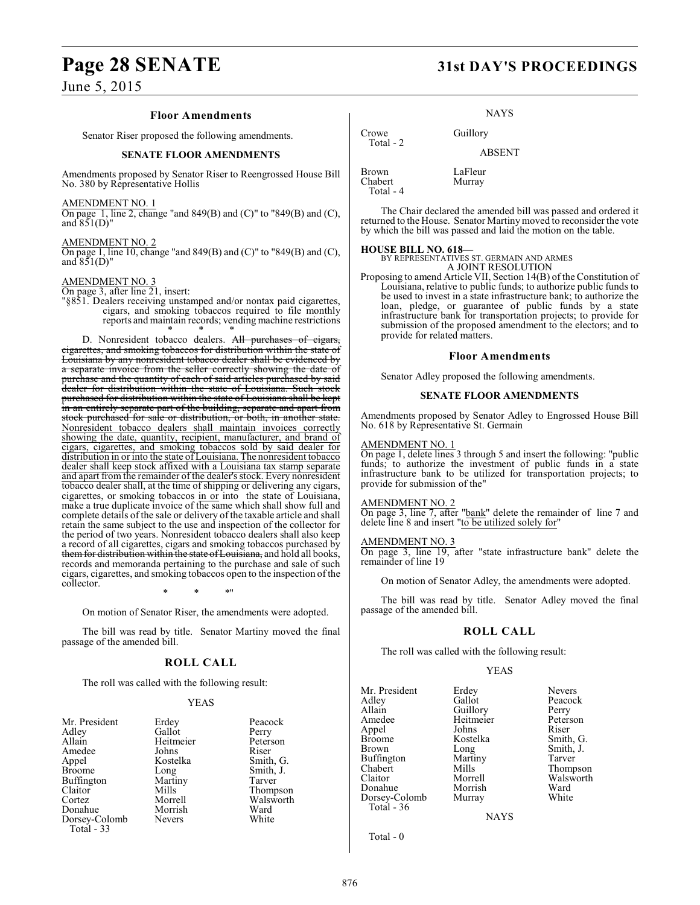#### **Floor Amendments**

Senator Riser proposed the following amendments.

#### **SENATE FLOOR AMENDMENTS**

Amendments proposed by Senator Riser to Reengrossed House Bill No. 380 by Representative Hollis

AMENDMENT NO. 1

On page 1, line 2, change "and 849(B) and (C)" to "849(B) and (C), and  $851(D)$ "

AMENDMENT NO. 2 On page 1, line 10, change "and 849(B) and (C)" to "849(B) and (C), and  $851(D)$ "

#### AMENDMENT NO. 3

On page 3, after line 21, insert:

"§851. Dealers receiving unstamped and/or nontax paid cigarettes, cigars, and smoking tobaccos required to file monthly reports and maintain records; vending machine restrictions

\* \* \* D. Nonresident tobacco dealers. All purchases of cigars, cigarettes, and smoking tobaccos for distribution within the state of Louisiana by any nonresident tobacco dealer shall be evidenced by a separate invoice from the seller correctly showing the date of purchase and the quantity of each of said articles purchased by said dealer for distribution within the state of Louisiana. Such stock purchased for distribution within the state of Louisiana shall be kept in an entirely separate part of the building, separate and apart from stock purchased for sale or distribution, or both, in another state. Nonresident tobacco dealers shall maintain invoices correctly showing the date, quantity, recipient, manufacturer, and brand of cigars, cigarettes, and smoking tobaccos sold by said dealer for distribution in or into the state of Louisiana. The nonresident tobacco dealer shall keep stock affixed with a Louisiana tax stamp separate and apart from the remainder of the dealer's stock. Every nonresident tobacco dealer shall, at the time of shipping or delivering any cigars, cigarettes, or smoking tobaccos in or into the state of Louisiana, make a true duplicate invoice of the same which shall show full and complete details of the sale or delivery of the taxable article and shall retain the same subject to the use and inspection of the collector for the period of two years. Nonresident tobacco dealers shall also keep a record of all cigarettes, cigars and smoking tobaccos purchased by them for distribution within the state of Louisiana, and hold all books, records and memoranda pertaining to the purchase and sale of such cigars, cigarettes, and smoking tobaccos open to the inspection of the collector.

\* \* \*"

On motion of Senator Riser, the amendments were adopted.

The bill was read by title. Senator Martiny moved the final passage of the amended bill.

#### **ROLL CALL**

The roll was called with the following result:

#### YEAS

| Mr. President     | Erdey         | Peacock   |
|-------------------|---------------|-----------|
| Adley             | Gallot        | Perry     |
| Allain            | Heitmeier     | Peterson  |
| Amedee            | Johns         | Riser     |
| Appel             | Kostelka      | Smith, G. |
| <b>Broome</b>     | Long          | Smith, J. |
| <b>Buffington</b> | Martiny       | Tarver    |
| Claitor           | Mills         | Thompson  |
| Cortez            | Morrell       | Walsworth |
| Donahue           | Morrish       | Ward      |
| Dorsey-Colomb     | <b>Nevers</b> | White     |
| Total - 33        |               |           |

| Peacock   |
|-----------|
| Perry     |
| Peterson  |
| Riser     |
| Smith, G. |
| Smith, J. |
| Tarver    |
| Thompson  |
| Walsworth |
| Ward      |
| White     |

# **Page 28 SENATE 31st DAY'S PROCEEDINGS**

**NAYS** 

Crowe Guillory Total - 2 ABSENT Brown LaFleur<br>Chabert Murray Chabert Total - 4

The Chair declared the amended bill was passed and ordered it returned to the House. Senator Martiny moved to reconsider the vote by which the bill was passed and laid the motion on the table.

**HOUSE BILL NO. 618—** BY REPRESENTATIVES ST. GERMAIN AND ARMES A JOINT RESOLUTION

Proposing to amend Article VII, Section 14(B) of the Constitution of Louisiana, relative to public funds; to authorize public funds to be used to invest in a state infrastructure bank; to authorize the loan, pledge, or guarantee of public funds by a state infrastructure bank for transportation projects; to provide for submission of the proposed amendment to the electors; and to provide for related matters.

#### **Floor Amendments**

Senator Adley proposed the following amendments.

#### **SENATE FLOOR AMENDMENTS**

Amendments proposed by Senator Adley to Engrossed House Bill No. 618 by Representative St. Germain

#### AMENDMENT NO. 1

On page 1, delete lines 3 through 5 and insert the following: "public funds; to authorize the investment of public funds in a state infrastructure bank to be utilized for transportation projects; to provide for submission of the"

#### AMENDMENT NO. 2

On page 3, line 7, after "bank" delete the remainder of line 7 and delete line 8 and insert "to be utilized solely for"

#### AMENDMENT NO. 3

On page 3, line 19, after "state infrastructure bank" delete the remainder of line 19

On motion of Senator Adley, the amendments were adopted.

The bill was read by title. Senator Adley moved the final passage of the amended bill.

## **ROLL CALL**

The roll was called with the following result:

#### YEAS

Mr. President Erdey Nevers<br>Adley Gallot Peacocl Adley Gallot Peacock Allain Guillory Perry<br>
Amedee Heitmeier Peterson Appel Johns<br>Broome Kostelka Broome Kostelka Smith, G.<br>Brown Long Smith, J. Buffington Marti<br>Chabert Mills Chabert Mills Thompson<br>Claitor Morrell Walsworth Donahue Morrish Ward Dorsey-Colomb Total - 36

Heitmeier Peters<br>
Johns Riser Long Smith, J.<br>Martiny Tarver Morrell Walsworth<br>
Morrish Ward

**NAYS** 

Total - 0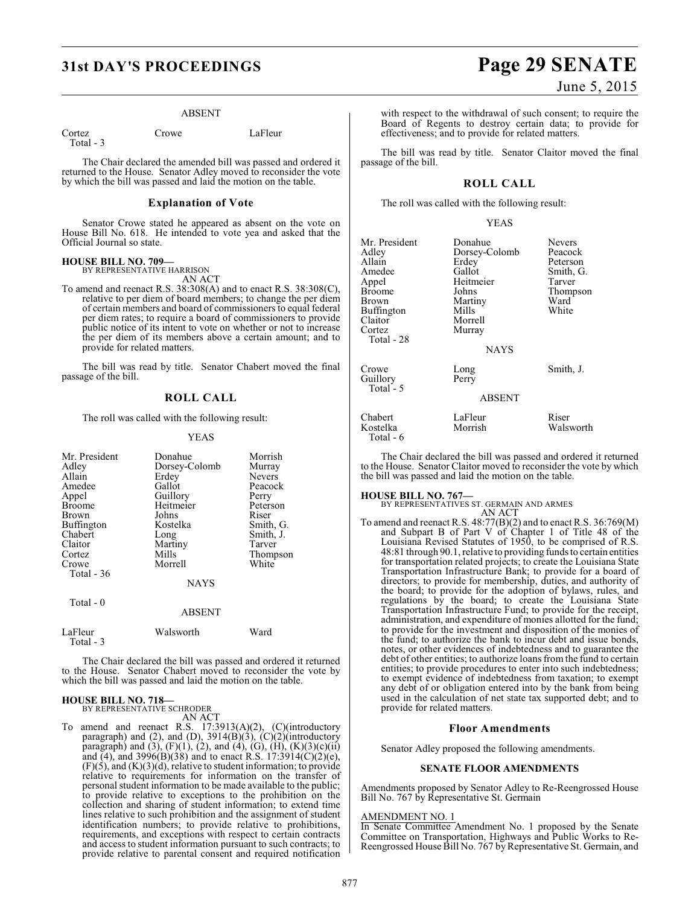#### ABSENT

Cortez Crowe LaFleur Total - 3

The Chair declared the amended bill was passed and ordered it returned to the House. Senator Adley moved to reconsider the vote by which the bill was passed and laid the motion on the table.

#### **Explanation of Vote**

Senator Crowe stated he appeared as absent on the vote on House Bill No. 618. He intended to vote yea and asked that the Official Journal so state.

#### **HOUSE BILL NO. 709—** BY REPRESENTATIVE HARRISON

AN ACT

To amend and reenact R.S. 38:308(A) and to enact R.S. 38:308(C), relative to per diem of board members; to change the per diem of certain members and board of commissioners to equal federal per diem rates; to require a board of commissioners to provide public notice of its intent to vote on whether or not to increase the per diem of its members above a certain amount; and to provide for related matters.

The bill was read by title. Senator Chabert moved the final passage of the bill.

#### **ROLL CALL**

The roll was called with the following result:

#### YEAS

| Mr. President<br>Adley<br>Allain<br>Amedee<br>Appel<br><b>Broome</b><br>Brown<br>Buffington<br>Chabert<br>Claitor<br>Cortez<br>Crowe<br>Total $-36$<br>Total - 0 | Donahue<br>Dorsey-Colomb<br>Erdey<br>Gallot<br>Guillory<br>Heitmeier<br>Johns<br>Kostelka<br>Long<br>Martiny<br>Mills<br>Morrell<br><b>NAYS</b> | Morrish<br>Murray<br>Nevers<br>Peacock<br>Perry<br>Peterson<br>Riser<br>Smith, G.<br>Smith, J.<br>Tarver<br>Thompson<br>White |
|------------------------------------------------------------------------------------------------------------------------------------------------------------------|-------------------------------------------------------------------------------------------------------------------------------------------------|-------------------------------------------------------------------------------------------------------------------------------|
|                                                                                                                                                                  | <b>ABSENT</b>                                                                                                                                   |                                                                                                                               |
| LaFleur<br>Total - 3                                                                                                                                             | Walsworth                                                                                                                                       | Ward                                                                                                                          |

The Chair declared the bill was passed and ordered it returned to the House. Senator Chabert moved to reconsider the vote by which the bill was passed and laid the motion on the table.

#### **HOUSE BILL NO. 718—**

BY REPRESENTATIVE SCHRODER AN ACT

To amend and reenact R.S. 17:3913(A)(2), (C)(introductory paragraph) and (2), and (D), 3914(B)(3), (C)(2)(introductory paragraph) and (3),  $(F)(1)$ , (2), and (4), (G),  $(H)$ ,  $(K)(3)(c)(ii)$ and (4), and 3996(B)(38) and to enact R.S. 17:3914(C)(2)(e),  $(F)(5)$ , and  $(K)(3)(d)$ , relative to student information; to provide relative to requirements for information on the transfer of personal student information to be made available to the public; to provide relative to exceptions to the prohibition on the collection and sharing of student information; to extend time lines relative to such prohibition and the assignment of student identification numbers; to provide relative to prohibitions, requirements, and exceptions with respect to certain contracts and access to student information pursuant to such contracts; to provide relative to parental consent and required notification

# **31st DAY'S PROCEEDINGS Page 29 SENATE**

with respect to the withdrawal of such consent; to require the Board of Regents to destroy certain data; to provide for effectiveness; and to provide for related matters.

The bill was read by title. Senator Claitor moved the final passage of the bill.

#### **ROLL CALL**

The roll was called with the following result:

#### YEAS

| Mr. President<br>Adley<br>Allain<br>Amedee<br>Appel<br><b>Broome</b><br>Brown<br>Buffington<br>Claitor<br>Cortez<br>Total - 28 | Donahue<br>Dorsey-Colomb<br>Erdey<br>Gallot<br>Heitmeier<br>Johns<br>Martiny<br>Mills<br>Morrell<br>Murray<br><b>NAYS</b> | Nevers<br>Peacock<br>Peterson<br>Smith, G.<br>Tarver<br>Thompson<br>Ward<br>White |
|--------------------------------------------------------------------------------------------------------------------------------|---------------------------------------------------------------------------------------------------------------------------|-----------------------------------------------------------------------------------|
| Crowe<br>Guillory<br>Total - 5                                                                                                 | Long<br>Perry<br><b>ABSENT</b>                                                                                            | Smith, J.                                                                         |
| Chabert<br>Kostelka                                                                                                            | LaFleur<br>Morrish                                                                                                        | Riser<br>Walsworth                                                                |

The Chair declared the bill was passed and ordered it returned to the House. Senator Claitor moved to reconsider the vote by which the bill was passed and laid the motion on the table.

Total - 6

**HOUSE BILL NO. 767—** BY REPRESENTATIVES ST. GERMAIN AND ARMES AN ACT

To amend and reenact R.S. 48:77(B)(2) and to enact R.S. 36:769(M) and Subpart B of Part V of Chapter 1 of Title 48 of the Louisiana Revised Statutes of 1950, to be comprised of R.S. 48:81 through 90.1, relative to providing funds to certain entities for transportation related projects; to create the Louisiana State Transportation Infrastructure Bank; to provide for a board of directors; to provide for membership, duties, and authority of the board; to provide for the adoption of bylaws, rules, and regulations by the board; to create the Louisiana State Transportation Infrastructure Fund; to provide for the receipt, administration, and expenditure of monies allotted for the fund; to provide for the investment and disposition of the monies of the fund; to authorize the bank to incur debt and issue bonds, notes, or other evidences of indebtedness and to guarantee the debt of other entities; to authorize loans from the fund to certain entities; to provide procedures to enter into such indebtedness; to exempt evidence of indebtedness from taxation; to exempt any debt of or obligation entered into by the bank from being used in the calculation of net state tax supported debt; and to provide for related matters.

#### **Floor Amendments**

Senator Adley proposed the following amendments.

#### **SENATE FLOOR AMENDMENTS**

Amendments proposed by Senator Adley to Re-Reengrossed House Bill No. 767 by Representative St. Germain

#### AMENDMENT NO. 1

In Senate Committee Amendment No. 1 proposed by the Senate Committee on Transportation, Highways and Public Works to Re-Reengrossed House Bill No. 767 by Representative St. Germain, and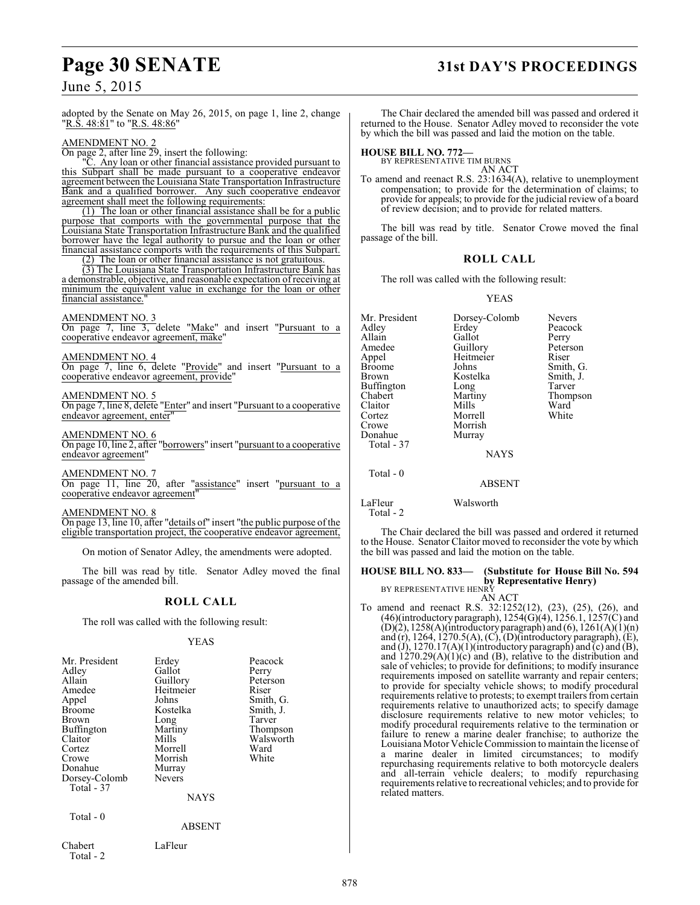# **Page 30 SENATE 31st DAY'S PROCEEDINGS**

June 5, 2015

adopted by the Senate on May 26, 2015, on page 1, line 2, change "R.S. 48:81" to "R.S. 48:86"

AMENDMENT NO. 2

On page 2, after line 29, insert the following:

"C. Any loan or other financial assistance provided pursuant to this Subpart shall be made pursuant to a cooperative endeavor agreement between the Louisiana State Transportation Infrastructure Bank and a qualified borrower.Any such cooperative endeavor agreement shall meet the following requirements:

(1) The loan or other financial assistance shall be for a public purpose that comports with the governmental purpose that the Louisiana State Transportation Infrastructure Bank and the qualified borrower have the legal authority to pursue and the loan or other financial assistance comports with the requirements of this Subpart.

(2) The loan or other financial assistance is not gratuitous.

(3) The Louisiana State Transportation Infrastructure Bank has a demonstrable, objective, and reasonable expectation of receiving at minimum the equivalent value in exchange for the loan or other financial assistance."

AMENDMENT NO. 3

On page 7, line 3, delete "Make" and insert "Pursuant to a cooperative endeavor agreement, make"

AMENDMENT NO. 4

On page 7, line 6, delete "Provide" and insert "Pursuant to a cooperative endeavor agreement, provide"

AMENDMENT NO. 5

On page 7, line 8, delete "Enter" and insert "Pursuant to a cooperative endeavor agreement, enter

AMENDMENT NO. 6

On page 10, line 2, after "borrowers" insert "pursuant to a cooperative endeavor agreement"

AMENDMENT NO. 7

On page 11, line 20, after "assistance" insert "pursuant to a cooperative endeavor agreement"

AMENDMENT NO. 8

On page 13, line 10, after "details of" insert "the public purpose of the eligible transportation project, the cooperative endeavor agreement,

On motion of Senator Adley, the amendments were adopted.

The bill was read by title. Senator Adley moved the final passage of the amended bill.

#### **ROLL CALL**

The roll was called with the following result:

YEAS

| Mr. President<br>Adley<br>Allain<br>Amedee<br>Appel<br><b>Broome</b><br>Brown<br>Buffington<br>Claitor<br>Cortez | Erdey<br>Gallot<br>Guillory<br>Heitmeier<br>Johns<br>Kostelka<br>Long<br>Martiny<br>Mills<br>Morrell | Peacock<br>Perry<br>Peterson<br>Riser<br>Smith, G.<br>Smith, J.<br>Tarver<br>Thompson<br>Walsworth<br>Ward |
|------------------------------------------------------------------------------------------------------------------|------------------------------------------------------------------------------------------------------|------------------------------------------------------------------------------------------------------------|
| Crowe                                                                                                            | Morrish                                                                                              | White                                                                                                      |
| Donahue                                                                                                          | Murray                                                                                               |                                                                                                            |
| Dorsey-Colomb<br>Total - 37                                                                                      | Nevers                                                                                               |                                                                                                            |
|                                                                                                                  | <b>NAYS</b>                                                                                          |                                                                                                            |
| Total - 0                                                                                                        |                                                                                                      |                                                                                                            |
|                                                                                                                  | ABSENT                                                                                               |                                                                                                            |
| Chabert<br>Total - 2                                                                                             | LaFleur                                                                                              |                                                                                                            |

The Chair declared the amended bill was passed and ordered it returned to the House. Senator Adley moved to reconsider the vote by which the bill was passed and laid the motion on the table.

**HOUSE BILL NO. 772—** BY REPRESENTATIVE TIM BURNS

AN ACT To amend and reenact R.S. 23:1634(A), relative to unemployment compensation; to provide for the determination of claims; to provide for appeals; to provide for the judicial review of a board of review decision; and to provide for related matters.

The bill was read by title. Senator Crowe moved the final passage of the bill.

#### **ROLL CALL**

The roll was called with the following result:

#### YEAS

Mr. President Dorsey-Colomb Nevers<br>Adley Erdey Peacoc Adley Erdey Peacock<br>Allain Gallot Perry Allain Gallot<br>Amedee Guillory Amedee Guillory Peterson<br>Appel Heitmeier Riser Appel Heitmeier<br>Broome Johns Broome Johns Smith, G.<br>Brown Kostelka Smith, J. Kostelka Smith,<br>
Long Tarver<br>
Martiny Thomp Buffington<br>Chabert Chabert Martiny Thompson<br>Claitor Mills Ward Claitor Mills Ward Cortez Morrell White Morrish<br>Murray Donahue Total - 37 NAYS Total - 0 ABSENT

LaFleur Walsworth Total - 2

The Chair declared the bill was passed and ordered it returned to the House. Senator Claitor moved to reconsider the vote by which the bill was passed and laid the motion on the table.

**HOUSE BILL NO. 833— (Substitute for House Bill No. 594 by Representative Henry)**<br>BY REPRESENTATIVE HENRY

AN ACT

To amend and reenact R.S. 32:1252(12), (23), (25), (26), and  $(46)$ (introductory paragraph),  $1254(G)(4)$ ,  $1256.1$ ,  $1257(C)$  and  $(D)(2)$ , 1258 $(A)$ (introductory paragraph) and  $(6)$ , 1261 $(A)(1)(n)$ and (r), 1264, 1270.5(A), (C), (D)(introductory paragraph), (E), and  $(J)$ , 1270.17(A)(1)(introductory paragraph) and  $(c)$  and  $(B)$ , and  $1270.29(A)(1)(c)$  and (B), relative to the distribution and sale of vehicles; to provide for definitions; to modify insurance requirements imposed on satellite warranty and repair centers; to provide for specialty vehicle shows; to modify procedural requirements relative to protests; to exempt trailers from certain requirements relative to unauthorized acts; to specify damage disclosure requirements relative to new motor vehicles; to modify procedural requirements relative to the termination or failure to renew a marine dealer franchise; to authorize the Louisiana Motor Vehicle Commission to maintain the license of a marine dealer in limited circumstances; to modify repurchasing requirements relative to both motorcycle dealers and all-terrain vehicle dealers; to modify repurchasing requirements relative to recreational vehicles; and to provide for related matters.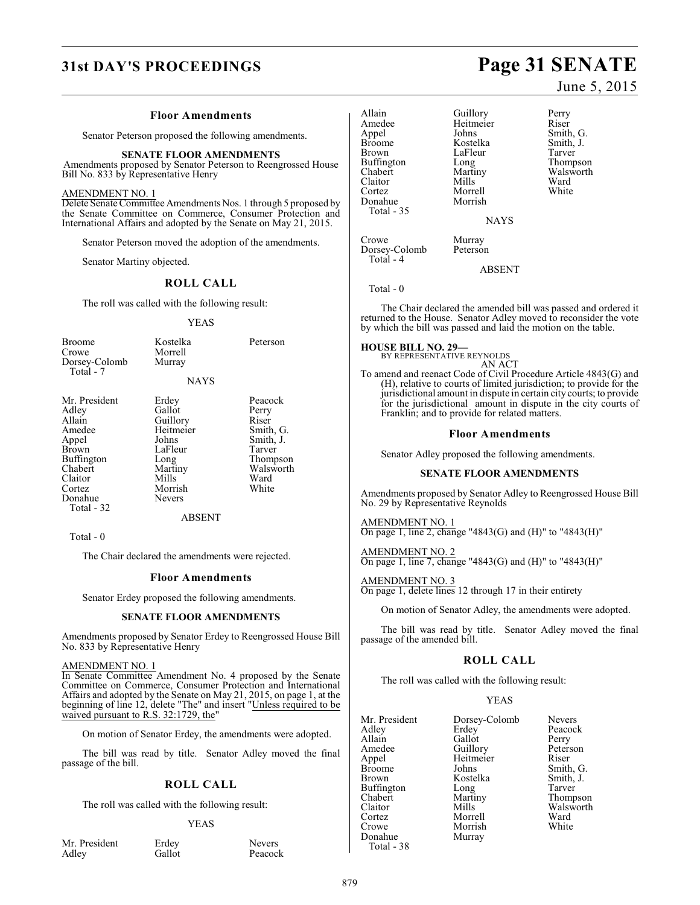#### **Floor Amendments**

Senator Peterson proposed the following amendments.

#### **SENATE FLOOR AMENDMENTS**

Amendments proposed by Senator Peterson to Reengrossed House Bill No. 833 by Representative Henry

#### AMENDMENT NO. 1

Delete Senate Committee Amendments Nos. 1 through 5 proposed by the Senate Committee on Commerce, Consumer Protection and International Affairs and adopted by the Senate on May 21, 2015.

Senator Peterson moved the adoption of the amendments.

Senator Martiny objected.

#### **ROLL CALL**

The roll was called with the following result:

#### YEAS

| <b>Broome</b><br>Crowe<br>Dorsey-Colomb<br>Total - 7                                                                                       | Kostelka<br>Morrell<br>Murray                                                                                        | Peterson                                                                                                |
|--------------------------------------------------------------------------------------------------------------------------------------------|----------------------------------------------------------------------------------------------------------------------|---------------------------------------------------------------------------------------------------------|
|                                                                                                                                            | <b>NAYS</b>                                                                                                          |                                                                                                         |
| Mr. President<br>Adley<br>Allain<br>Amedee<br>Appel<br><b>Brown</b><br>Buffington<br>Chabert<br>Claitor<br>Cortez<br>Donahue<br>Total - 32 | Erdey<br>Gallot<br>Guillory<br>Heitmeier<br>Johns<br>LaFleur<br>Long<br>Martiny<br>Mills<br>Morrish<br><b>Nevers</b> | Peacock<br>Perry<br>Riser<br>Smith, G.<br>Smith, J.<br>Tarver<br>Thompson<br>Walsworth<br>Ward<br>White |
|                                                                                                                                            | ABSENT                                                                                                               |                                                                                                         |

Total - 0

The Chair declared the amendments were rejected.

#### **Floor Amendments**

Senator Erdey proposed the following amendments.

#### **SENATE FLOOR AMENDMENTS**

Amendments proposed by Senator Erdey to Reengrossed House Bill No. 833 by Representative Henry

#### AMENDMENT NO. 1

In Senate Committee Amendment No. 4 proposed by the Senate Committee on Commerce, Consumer Protection and International Affairs and adopted by the Senate on May 21, 2015, on page 1, at the beginning of line 12, delete "The" and insert "Unless required to be waived pursuant to R.S. 32:1729, the"

On motion of Senator Erdey, the amendments were adopted.

The bill was read by title. Senator Adley moved the final passage of the bill.

## **ROLL CALL**

The roll was called with the following result:

#### YEAS

| Mr. President | Erdey  | <b>Nevers</b> |
|---------------|--------|---------------|
| Adley         | Gallot | Peacock       |
|               |        |               |

Allain Guillory Perry<br>
Amedee Heitmeier Riser Amedee Heitmeier<br>
Appel Johns Appel Johns Smith, G.<br>Broome Kostelka Smith, J. Broome Kostelka Smith, J.<br>Brown LaFleur Tarver Buffington Long<br>Chabert Martiny Chabert Martiny Walsworth<br>Claitor Mills Ward Claitor Mills Ward Cortez Morrell White<br>Donahue Morrish White Donahue

LaFleur Tarver<br>
Long Thompson

**NAYS** 

Crowe Murray<br>Dorsey-Colomb Peterson Dorsey-Colomb Total - 4

ABSENT

Total - 0

Total - 35

The Chair declared the amended bill was passed and ordered it returned to the House. Senator Adley moved to reconsider the vote by which the bill was passed and laid the motion on the table.

**HOUSE BILL NO. 29—**

BY REPRESENTATIVE REYNOLDS AN ACT

To amend and reenact Code of Civil Procedure Article 4843(G) and (H), relative to courts of limited jurisdiction; to provide for the jurisdictional amount in dispute in certain city courts; to provide for the jurisdictional amount in dispute in the city courts of Franklin; and to provide for related matters.

#### **Floor Amendments**

Senator Adley proposed the following amendments.

#### **SENATE FLOOR AMENDMENTS**

Amendments proposed by Senator Adley to Reengrossed House Bill No. 29 by Representative Reynolds

AMENDMENT NO. 1 On page 1, line 2, change "4843(G) and (H)" to "4843(H)"

AMENDMENT NO. 2 On page 1, line 7, change "4843(G) and (H)" to "4843(H)"

AMENDMENT NO. 3 On page 1, delete lines 12 through 17 in their entirety

On motion of Senator Adley, the amendments were adopted.

The bill was read by title. Senator Adley moved the final passage of the amended bill.

#### **ROLL CALL**

The roll was called with the following result:

#### YEAS

| Mr. President | Dorsey-Colomb | Nevers    |
|---------------|---------------|-----------|
| Adley         | Erdey         | Peacock   |
| Allain        | Gallot        | Perry     |
| Amedee        | Guillory      | Peterson  |
| Appel         | Heitmeier     | Riser     |
| <b>Broome</b> | Johns         | Smith, G. |
| Brown         | Kostelka      | Smith, J. |
| Buffington    | Long          | Tarver    |
| Chabert       | Martiny       | Thompson  |
| Claitor       | Mills         | Walsworth |
| Cortez        | Morrell       | Ward      |
| Crowe         | Morrish       | White     |
| Donahue       | Murray        |           |
| $Total - 38$  |               |           |

879

# **31st DAY'S PROCEEDINGS Page 31 SENATE**

June 5, 2015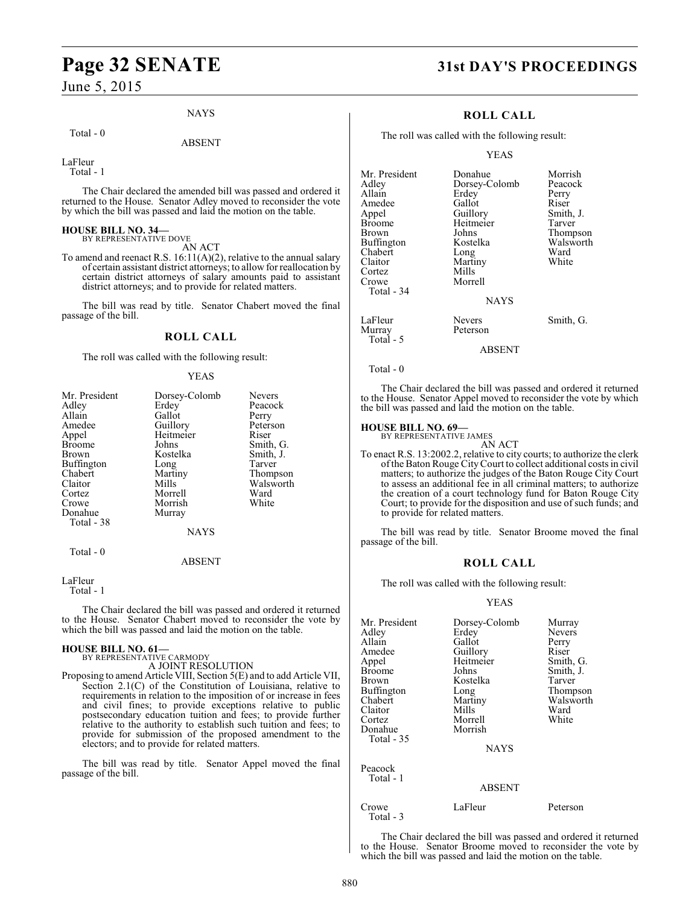# **Page 32 SENATE 31st DAY'S PROCEEDINGS**

June 5, 2015

#### NAYS

#### Total - 0

ABSENT

LaFleur Total - 1

The Chair declared the amended bill was passed and ordered it returned to the House. Senator Adley moved to reconsider the vote by which the bill was passed and laid the motion on the table.

# **HOUSE BILL NO. 34—** BY REPRESENTATIVE DOVE

AN ACT

To amend and reenact R.S. 16:11(A)(2), relative to the annual salary of certain assistant district attorneys; to allow for reallocation by certain district attorneys of salary amounts paid to assistant district attorneys; and to provide for related matters.

The bill was read by title. Senator Chabert moved the final passage of the bill.

#### **ROLL CALL**

The roll was called with the following result:

#### YEAS

| Mr. President | Dorsey-Colomb | <b>Nevers</b> |
|---------------|---------------|---------------|
| Adley         | Erdey         | Peacock       |
| Allain        | Gallot        | Perry         |
| Amedee        | Guillory      | Peterson      |
| Appel         | Heitmeier     | Riser         |
| <b>Broome</b> | Johns         | Smith, G.     |
| Brown         | Kostelka      | Smith, J.     |
| Buffington    | Long          | Tarver        |
| Chabert       | Martiny       | Thompson      |
| Claitor       | Mills         | Walsworth     |
| Cortez        | Morrell       | Ward          |
| Crowe         | Morrish       | White         |
| Donahue       | Murray        |               |
| Total - 38    |               |               |
|               | <b>NAYS</b>   |               |
| Total - 0     | <b>ABSENT</b> |               |

#### LaFleur

Total - 1

The Chair declared the bill was passed and ordered it returned to the House. Senator Chabert moved to reconsider the vote by which the bill was passed and laid the motion on the table.

#### **HOUSE BILL NO. 61—**

BY REPRESENTATIVE CARMODY A JOINT RESOLUTION

Proposing to amend Article VIII, Section 5(E) and to add Article VII, Section 2.1(C) of the Constitution of Louisiana, relative to requirements in relation to the imposition of or increase in fees and civil fines; to provide exceptions relative to public postsecondary education tuition and fees; to provide further relative to the authority to establish such tuition and fees; to provide for submission of the proposed amendment to the electors; and to provide for related matters.

The bill was read by title. Senator Appel moved the final passage of the bill.

#### **ROLL CALL**

The roll was called with the following result:

YEAS

| Mr. President<br>Adlev | Donahue<br>Dorsey-Colomb | Morrish<br>Peacock |
|------------------------|--------------------------|--------------------|
| Allain                 | Erdey                    | Perry              |
| Amedee                 | Gallot                   | Riser              |
| Appel                  | Guillory                 | Smith, J.          |
| Broome                 | Heitmeier                | Tarver             |
| Brown                  | Johns                    | Thompson           |
| Buffington             | Kostelka                 | Walsworth          |
| Chabert                | Long                     | Ward               |
| Claitor                | Martiny                  | White              |
| Cortez                 | Mills                    |                    |
| Crowe                  | Morrell                  |                    |
| Total - 34             |                          |                    |
|                        | <b>NAYS</b>              |                    |
| LaFleur<br>Murray      | Nevers<br>Peterson       | Smith, G.          |
| Total $-5$             |                          |                    |

#### ABSENT

Total - 0

The Chair declared the bill was passed and ordered it returned to the House. Senator Appel moved to reconsider the vote by which the bill was passed and laid the motion on the table.

# **HOUSE BILL NO. 69—** BY REPRESENTATIVE JAMES

AN ACT

To enact R.S. 13:2002.2, relative to city courts; to authorize the clerk of the Baton Rouge City Court to collect additional costs in civil matters; to authorize the judges of the Baton Rouge City Court to assess an additional fee in all criminal matters; to authorize the creation of a court technology fund for Baton Rouge City Court; to provide for the disposition and use of such funds; and to provide for related matters.

The bill was read by title. Senator Broome moved the final passage of the bill.

#### **ROLL CALL**

The roll was called with the following result:

#### YEAS

| Mr. President<br>Adlev<br>Allain<br>Amedee<br>Appel<br>Broome<br>Brown<br>Buffington<br>Chabert<br>Claitor<br>Cortez<br>Donahue<br>Total - 35 | Dorsey-Colomb<br>Erdey<br>Gallot<br>Guillory<br>Heitmeier<br>Johns<br>Kostelka<br>Long<br>Martiny<br>Mills<br>Morrell<br>Morrish | Murray<br><b>Nevers</b><br>Perry<br>Riser<br>Smith, G.<br>Smith, J.<br>Tarver<br>Thompson<br>Walsworth<br>Ward<br>White |
|-----------------------------------------------------------------------------------------------------------------------------------------------|----------------------------------------------------------------------------------------------------------------------------------|-------------------------------------------------------------------------------------------------------------------------|
|                                                                                                                                               | <b>NAYS</b>                                                                                                                      |                                                                                                                         |
| Peacock<br>Total - 1                                                                                                                          | ABSENT                                                                                                                           |                                                                                                                         |

#### Crowe LaFleur Peterson Total - 3

The Chair declared the bill was passed and ordered it returned to the House. Senator Broome moved to reconsider the vote by which the bill was passed and laid the motion on the table.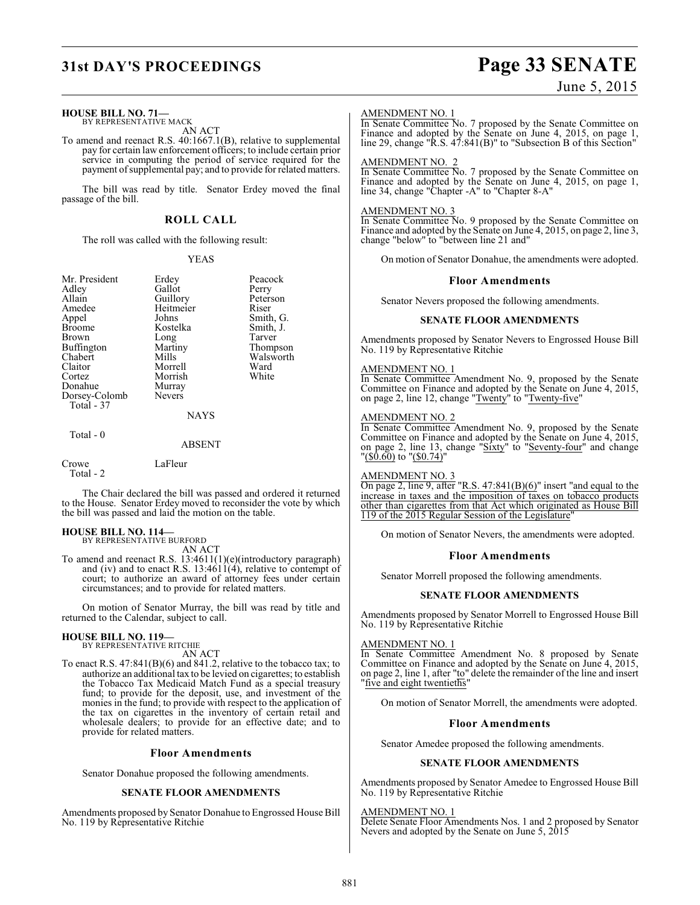# **HOUSE BILL NO. 71—** BY REPRESENTATIVE MACK AN ACT

To amend and reenact R.S. 40:1667.1(B), relative to supplemental pay for certain law enforcement officers; to include certain prior service in computing the period of service required for the payment of supplemental pay; and to provide for related matters.

The bill was read by title. Senator Erdey moved the final passage of the bill.

## **ROLL CALL**

The roll was called with the following result:

Morrish<br>Murray

#### YEAS

Mr. President Erdey Peacock<br>Adley Gallot Perry Adley Gallot<br>Allain Guillory Allain Guillory Peterson<br>Amedee Heitmeier Riser Amedee Heitmeier<br>Appel Johns Appel Johns Smith, G.<br>Broome Kostelka Smith, J. Brown Long Tarver<br>
Buffington Martiny Thompson Buffington Martin<br>Chabert Mills Chabert Mills Walsworth<br>Claitor Morrell Ward Claitor Morrell Ward<br>Cortez Morrish White Donahue Murray<br>Dorsey-Colomb Nevers Dorsey-Colomb Total - 37

# Kostelka Smith,<br>Long Tarver

#### ABSENT

NAYS

Crowe LaFleur Total - 2

Total - 0

The Chair declared the bill was passed and ordered it returned to the House. Senator Erdey moved to reconsider the vote by which the bill was passed and laid the motion on the table.

# **HOUSE BILL NO. 114—** BY REPRESENTATIVE BURFORD

AN ACT

To amend and reenact R.S. 13:4611(1)(e)(introductory paragraph) and (iv) and to enact R.S.  $13:4611(4)$ , relative to contempt of court; to authorize an award of attorney fees under certain circumstances; and to provide for related matters.

On motion of Senator Murray, the bill was read by title and returned to the Calendar, subject to call.

#### **HOUSE BILL NO. 119—** BY REPRESENTATIVE RITCHIE

AN ACT

To enact R.S. 47:841(B)(6) and 841.2, relative to the tobacco tax; to authorize an additional tax to be levied on cigarettes; to establish the Tobacco Tax Medicaid Match Fund as a special treasury fund; to provide for the deposit, use, and investment of the monies in the fund; to provide with respect to the application of the tax on cigarettes in the inventory of certain retail and wholesale dealers; to provide for an effective date; and to provide for related matters.

#### **Floor Amendments**

Senator Donahue proposed the following amendments.

#### **SENATE FLOOR AMENDMENTS**

Amendments proposed by Senator Donahue to Engrossed House Bill No. 119 by Representative Ritchie

# **31st DAY'S PROCEEDINGS Page 33 SENATE**

## June 5, 2015

#### AMENDMENT NO. 1

In Senate Committee No. 7 proposed by the Senate Committee on Finance and adopted by the Senate on June 4, 2015, on page 1, line 29, change "R.S. 47:841(B)" to "Subsection B of this Section"

#### AMENDMENT NO. 2

In Senate Committee No. 7 proposed by the Senate Committee on Finance and adopted by the Senate on June 4, 2015, on page 1, line 34, change "Chapter -A" to "Chapter 8-A"

#### AMENDMENT NO. 3

In Senate Committee No. 9 proposed by the Senate Committee on Finance and adopted by the Senate on June 4, 2015, on page 2, line 3, change "below" to "between line 21 and"

On motion of Senator Donahue, the amendments were adopted.

#### **Floor Amendments**

Senator Nevers proposed the following amendments.

#### **SENATE FLOOR AMENDMENTS**

Amendments proposed by Senator Nevers to Engrossed House Bill No. 119 by Representative Ritchie

#### AMENDMENT NO. 1

In Senate Committee Amendment No. 9, proposed by the Senate Committee on Finance and adopted by the Senate on June 4, 2015, on page 2, line 12, change "Twenty" to "Twenty-five"

#### AMENDMENT NO. 2

In Senate Committee Amendment No. 9, proposed by the Senate Committee on Finance and adopted by the Senate on June 4, 2015, on page 2, line 13, change "Sixty" to "Seventy-four" and change "<u>(\$0.60)</u> to "<u>(\$0.74)</u>"

#### AMENDMENT NO. 3

On page 2, line 9, after "R.S.  $47:841(B)(6)$ " insert "and equal to the increase in taxes and the imposition of taxes on tobacco products other than cigarettes from that Act which originated as House Bill 119 of the 2015 Regular Session of the Legislature"

On motion of Senator Nevers, the amendments were adopted.

#### **Floor Amendments**

Senator Morrell proposed the following amendments.

#### **SENATE FLOOR AMENDMENTS**

Amendments proposed by Senator Morrell to Engrossed House Bill No. 119 by Representative Ritchie

#### AMENDMENT NO. 1

In Senate Committee Amendment No. 8 proposed by Senate Committee on Finance and adopted by the Senate on June 4, 2015, on page 2, line 1, after "to" delete the remainder of the line and insert "five and eight twentieths"

On motion of Senator Morrell, the amendments were adopted.

#### **Floor Amendments**

Senator Amedee proposed the following amendments.

#### **SENATE FLOOR AMENDMENTS**

Amendments proposed by Senator Amedee to Engrossed House Bill No. 119 by Representative Ritchie

#### AMENDMENT NO. 1

Delete Senate Floor Amendments Nos. 1 and 2 proposed by Senator Nevers and adopted by the Senate on June 5, 2015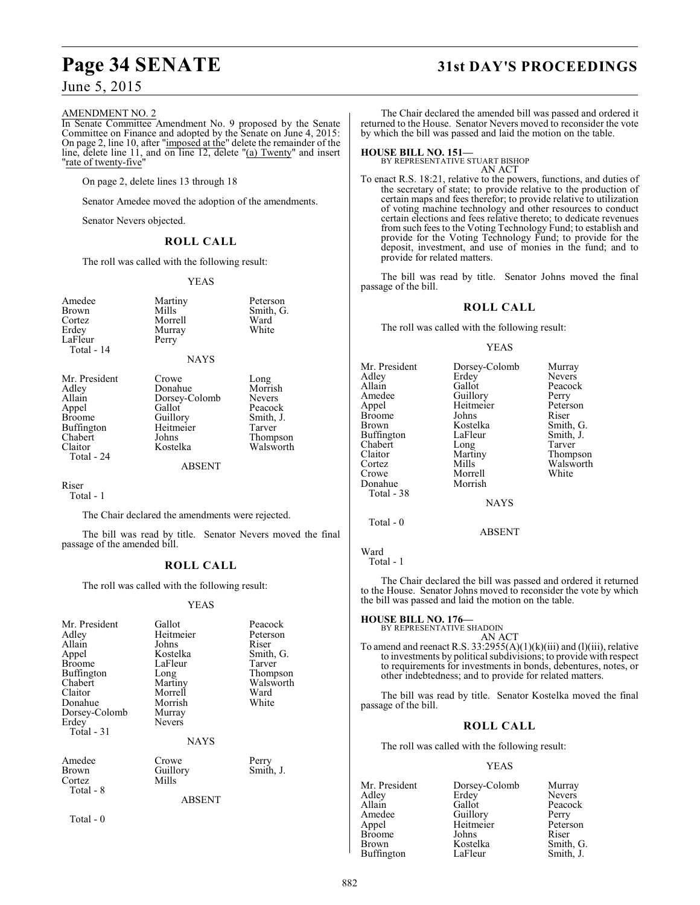# **Page 34 SENATE 31st DAY'S PROCEEDINGS**

June 5, 2015

#### AMENDMENT NO. 2

In Senate Committee Amendment No. 9 proposed by the Senate Committee on Finance and adopted by the Senate on June 4, 2015: On page 2, line 10, after "imposed at the" delete the remainder of the line, delete line 11, and on line 12, delete "(a) Twenty" and insert "rate of twenty-five"

On page 2, delete lines 13 through 18

Senator Amedee moved the adoption of the amendments.

Senator Nevers objected.

#### **ROLL CALL**

The roll was called with the following result:

YEAS

| Amedee<br><b>Brown</b><br>Cortez<br>Erdey<br>LaFleur<br>Total - 14                                                  | Martiny<br>Mills<br>Morrell<br>Murray<br>Perry<br><b>NAYS</b>                             | Peterson<br>Smith, G.<br>Ward<br>White                                                      |
|---------------------------------------------------------------------------------------------------------------------|-------------------------------------------------------------------------------------------|---------------------------------------------------------------------------------------------|
| Mr. President<br>Adley<br>Allain<br>Appel<br><b>Broome</b><br><b>Buffington</b><br>Chabert<br>Claitor<br>Total - 24 | Crowe<br>Donahue<br>Dorsey-Colomb<br>Gallot<br>Guillory<br>Heitmeier<br>Johns<br>Kostelka | Long<br>Morrish<br><b>Nevers</b><br>Peacock<br>Smith, J.<br>Tarver<br>Thompson<br>Walsworth |

#### ABSENT

Riser

Total - 1

The Chair declared the amendments were rejected.

The bill was read by title. Senator Nevers moved the final passage of the amended bill.

#### **ROLL CALL**

The roll was called with the following result:

#### YEAS

| Mr. President<br>Adley<br>Allain<br>Appel<br><b>Broome</b><br>Buffington<br>Chabert<br>Claitor<br>Donahue<br>Dorsey-Colomb<br>Erdey<br>Total - 31 | Gallot<br>Heitmeier<br>Johns<br>Kostelka<br>LaFleur<br>Long<br>Martiny<br>Morrell<br>Morrish<br>Murray<br><b>Nevers</b><br><b>NAYS</b> | Peacock<br>Peterson<br>Riser<br>Smith, G.<br>Tarver<br>Thompson<br>Walsworth<br>Ward<br>White |
|---------------------------------------------------------------------------------------------------------------------------------------------------|----------------------------------------------------------------------------------------------------------------------------------------|-----------------------------------------------------------------------------------------------|
| Amedee<br>Brown<br>Cortez<br>Total - 8                                                                                                            | Crowe<br>Guillory<br>Mills<br><b>ABSENT</b>                                                                                            | Perry<br>Smith, J.                                                                            |
|                                                                                                                                                   |                                                                                                                                        |                                                                                               |

Total - 0

The Chair declared the amended bill was passed and ordered it returned to the House. Senator Nevers moved to reconsider the vote by which the bill was passed and laid the motion on the table.

**HOUSE BILL NO. 151—** BY REPRESENTATIVE STUART BISHOP

AN ACT To enact R.S. 18:21, relative to the powers, functions, and duties of the secretary of state; to provide relative to the production of certain maps and fees therefor; to provide relative to utilization of voting machine technology and other resources to conduct certain elections and fees relative thereto; to dedicate revenues from such fees to the Voting Technology Fund; to establish and provide for the Voting Technology Fund; to provide for the deposit, investment, and use of monies in the fund; and to provide for related matters.

The bill was read by title. Senator Johns moved the final passage of the bill.

#### **ROLL CALL**

The roll was called with the following result:

YEAS

| Mr. President<br>Adley<br>Allain<br>Amedee<br>Appel<br><b>Broome</b> | Dorsey-Colomb<br>Erdey<br>Gallot<br>Guillory<br>Heitmeier<br>Johns | Murray<br><b>Nevers</b><br>Peacock<br>Perry<br>Peterson<br>Riser |
|----------------------------------------------------------------------|--------------------------------------------------------------------|------------------------------------------------------------------|
| <b>Brown</b>                                                         | Kostelka                                                           |                                                                  |
|                                                                      |                                                                    | Smith, G.                                                        |
| Buffington                                                           | LaFleur                                                            | Smith, J.                                                        |
| Chabert                                                              | Long                                                               | Tarver                                                           |
| Claitor                                                              | Martiny                                                            | Thompson                                                         |
| Cortez                                                               | Mills                                                              | Walsworth                                                        |
| Crowe                                                                | Morrell                                                            | White                                                            |
| Donahue                                                              | Morrish                                                            |                                                                  |
| Total - 38                                                           |                                                                    |                                                                  |
|                                                                      | <b>NAYS</b>                                                        |                                                                  |

ABSENT

Ward Total - 1

Total - 0

The Chair declared the bill was passed and ordered it returned to the House. Senator Johns moved to reconsider the vote by which the bill was passed and laid the motion on the table.

**HOUSE BILL NO. 176—** BY REPRESENTATIVE SHADOIN

AN ACT To amend and reenact R.S. 33:2955(A)(1)(k)(iii) and (l)(iii), relative to investments by political subdivisions; to provide with respect to requirements for investments in bonds, debentures, notes, or other indebtedness; and to provide for related matters.

The bill was read by title. Senator Kostelka moved the final passage of the bill.

#### **ROLL CALL**

The roll was called with the following result:

#### YEAS

| Mr. President     | Dorsey-Colomb | Murray        |
|-------------------|---------------|---------------|
| Adley             | Erdey         | <b>Nevers</b> |
| Allain            | Gallot        | Peacock       |
| Amedee            | Guillory      | Perry         |
| Appel             | Heitmeier     | Peterson      |
| <b>Broome</b>     | Johns         | Riser         |
| Brown             | Kostelka      | Smith, G.     |
| <b>Buffington</b> | LaFleur       | Smith, J.     |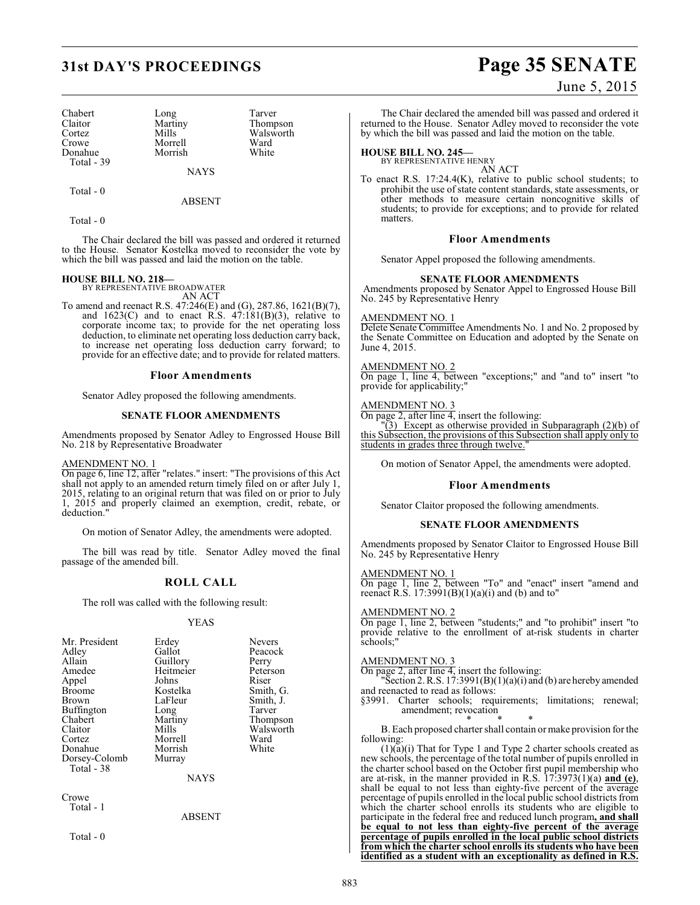| Chabert     | Long        | Tarver    |
|-------------|-------------|-----------|
| Claitor     | Martiny     | Thompson  |
| Cortez      | Mills       | Walsworth |
| Crowe       | Morrell     | Ward      |
| Donahue     | Morrish     | White     |
| Total $-39$ |             |           |
|             | <b>NAYS</b> |           |

Total - 0

ABSENT

Total - 0

The Chair declared the bill was passed and ordered it returned to the House. Senator Kostelka moved to reconsider the vote by which the bill was passed and laid the motion on the table.

# **HOUSE BILL NO. 218—** BY REPRESENTATIVE BROADWATER

AN ACT

To amend and reenact R.S. 47:246(E) and (G), 287.86, 1621(B)(7), and  $1623(C)$  and to enact R.S.  $47:181(B)(3)$ , relative to corporate income tax; to provide for the net operating loss deduction, to eliminate net operating loss deduction carry back, to increase net operating loss deduction carry forward; to provide for an effective date; and to provide for related matters.

#### **Floor Amendments**

Senator Adley proposed the following amendments.

#### **SENATE FLOOR AMENDMENTS**

Amendments proposed by Senator Adley to Engrossed House Bill No. 218 by Representative Broadwater

#### AMENDMENT NO. 1

On page 6, line 12, after "relates." insert: "The provisions of this Act shall not apply to an amended return timely filed on or after July 1, 2015, relating to an original return that was filed on or prior to July 1, 2015 and properly claimed an exemption, credit, rebate, or deduction."

On motion of Senator Adley, the amendments were adopted.

The bill was read by title. Senator Adley moved the final passage of the amended bill.

#### **ROLL CALL**

The roll was called with the following result:

#### YEAS

| Mr. President | Erdey          | <b>Nevers</b> |
|---------------|----------------|---------------|
| Adley         | Gallot         | Peacock       |
| Allain        | Guillory       | Perry         |
| Amedee        | Heitmeier      | Peterson      |
| Appel         | Johns          | Riser         |
| <b>Broome</b> | Kostelka       | Smith, G.     |
| <b>Brown</b>  | LaFleur        | Smith, J.     |
| Buffington    | Long           | Tarver        |
| Chabert       | Martiny        | Thompson      |
| Claitor       | Mills          | Walsworth     |
| Cortez        | Morrell        | Ward          |
| Donahue       | Morrish        | White         |
| Dorsey-Colomb | Murray         |               |
| Total - 38    |                |               |
|               | <b>ATA STO</b> |               |

NAYS

Crowe Total - 1

ABSENT

Total - 0

# **31st DAY'S PROCEEDINGS Page 35 SENATE**

## June 5, 2015

The Chair declared the amended bill was passed and ordered it returned to the House. Senator Adley moved to reconsider the vote by which the bill was passed and laid the motion on the table.

# **HOUSE BILL NO. 245—** BY REPRESENTATIVE HENRY

AN ACT

To enact R.S. 17:24.4(K), relative to public school students; to prohibit the use of state content standards, state assessments, or other methods to measure certain noncognitive skills of students; to provide for exceptions; and to provide for related matters.

#### **Floor Amendments**

Senator Appel proposed the following amendments.

#### **SENATE FLOOR AMENDMENTS**

Amendments proposed by Senator Appel to Engrossed House Bill No. 245 by Representative Henry

#### AMENDMENT NO. 1

Delete Senate Committee Amendments No. 1 and No. 2 proposed by the Senate Committee on Education and adopted by the Senate on June 4, 2015.

#### AMENDMENT NO. 2

On page 1, line 4, between "exceptions;" and "and to" insert "to provide for applicability;"

#### AMENDMENT NO. 3

 $\overline{\text{On page 2}}$ , after line 4, insert the following:  $(3)$  Except as otherwise provided in Subparagraph  $(2)(b)$  of this Subsection, the provisions of this Subsection shall apply only to students in grades three through twelve.

On motion of Senator Appel, the amendments were adopted.

#### **Floor Amendments**

Senator Claitor proposed the following amendments.

#### **SENATE FLOOR AMENDMENTS**

Amendments proposed by Senator Claitor to Engrossed House Bill No. 245 by Representative Henry

#### AMENDMENT NO. 1

On page 1, line 2, between "To" and "enact" insert "amend and reenact R.S.  $17:3991(B)(1)(a)(i)$  and (b) and to"

#### AMENDMENT NO. 2

On page 1, line 2, between "students;" and "to prohibit" insert "to provide relative to the enrollment of at-risk students in charter schools;"

#### AMENDMENT NO. 3

On page 2, after line 4, insert the following:

"Section 2. R.S.  $17:3991(B)(1)(a)(i)$  and (b) are hereby amended and reenacted to read as follows:

§3991. Charter schools; requirements; limitations; renewal; amendment; revocation

\* \* \* B. Each proposed charter shall contain or make provision for the following:

 $(1)(a)(i)$  That for Type 1 and Type 2 charter schools created as new schools, the percentage of the total number of pupils enrolled in the charter school based on the October first pupil membership who are at-risk, in the manner provided in R.S. 17:3973(1)(a) **and (e)**, shall be equal to not less than eighty-five percent of the average percentage of pupils enrolled in the local public school districts from which the charter school enrolls its students who are eligible to participate in the federal free and reduced lunch program**, and shall be equal to not less than eighty-five percent of the average percentage of pupils enrolled in the local public school districts from which the charter school enrolls its students who have been identified as a student with an exceptionality as defined in R.S.**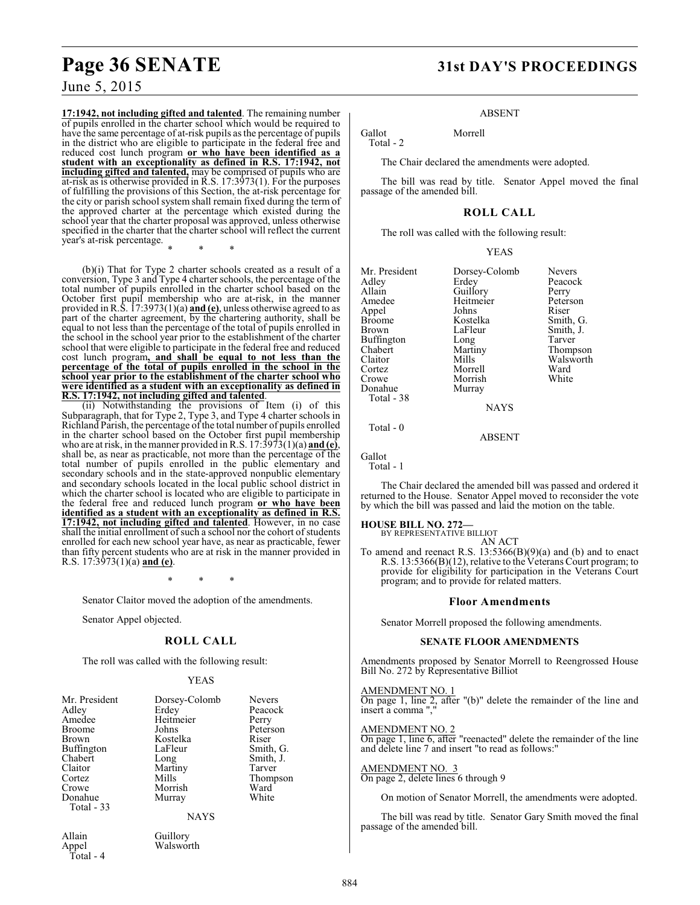**17:1942, not including gifted and talented**. The remaining number of pupils enrolled in the charter school which would be required to have the same percentage of at-risk pupils asthe percentage of pupils in the district who are eligible to participate in the federal free and reduced cost lunch program **or who have been identified as a student with an exceptionality as defined in R.S. 17:1942, not including gifted and talented,** may be comprised of pupils who are at-risk as is otherwise provided in R.S. 17:3973(1). For the purposes of fulfilling the provisions of this Section, the at-risk percentage for the city or parish school system shall remain fixed during the term of the approved charter at the percentage which existed during the school year that the charter proposal was approved, unless otherwise specified in the charter that the charter school will reflect the current year's at-risk percentage.

\* \* \*

(b)(i) That for Type 2 charter schools created as a result of a conversion, Type 3 and Type 4 charter schools, the percentage of the total number of pupils enrolled in the charter school based on the October first pupil membership who are at-risk, in the manner provided in R.S. 17:3973(1)(a) **and (e)**, unless otherwise agreed to as part of the charter agreement, by the chartering authority, shall be equal to not less than the percentage of the total of pupils enrolled in the school in the school year prior to the establishment of the charter school that were eligible to participate in the federal free and reduced cost lunch program**, and shall be equal to not less than the percentage of the total of pupils enrolled in the school in the school year prior to the establishment of the charter school who were identified as a student with an exceptionality as defined in R.S. 17:1942, not including gifted and talented**.

(ii) Notwithstanding the provisions of Item (i) of this Subparagraph, that for Type 2, Type 3, and Type 4 charter schools in Richland Parish, the percentage of the total number of pupils enrolled in the charter school based on the October first pupil membership who are at risk, in the manner provided in R.S. 17:3973(1)(a) **and (e)**, shall be, as near as practicable, not more than the percentage of the total number of pupils enrolled in the public elementary and secondary schools and in the state-approved nonpublic elementary and secondary schools located in the local public school district in which the charter school is located who are eligible to participate in the federal free and reduced lunch program **or who have been identified as a student with an exceptionality as defined in R.S. 17:1942, not including gifted and talented**. However, in no case shall the initial enrollment of such a school nor the cohort of students enrolled for each new school year have, as near as practicable, fewer than fifty percent students who are at risk in the manner provided in R.S. 17:3973(1)(a) **and (e)**.

\* \* \*

Senator Claitor moved the adoption of the amendments.

Senator Appel objected.

#### **ROLL CALL**

The roll was called with the following result:

#### YEAS

| Mr. President<br>Adley<br>Amedee<br>Broome<br>Brown<br>Buffington<br>Chabert<br>Claitor<br>Cortez<br>Crowe<br>Donahue | Dorsey-Colomb<br>Erdey<br>Heitmeier<br>Johns<br>Kostelka<br>LaFleur<br>Long<br>Martiny<br>Mills<br>Morrish<br>Murray | <b>Nevers</b><br>Peacock<br>Perry<br>Peterson<br>Riser<br>Smith, G.<br>Smith, J.<br>Tarver<br>Thompson<br>Ward<br>White |
|-----------------------------------------------------------------------------------------------------------------------|----------------------------------------------------------------------------------------------------------------------|-------------------------------------------------------------------------------------------------------------------------|
|                                                                                                                       |                                                                                                                      |                                                                                                                         |
| Total - 33                                                                                                            |                                                                                                                      |                                                                                                                         |
|                                                                                                                       | <b>NAYS</b>                                                                                                          |                                                                                                                         |
|                                                                                                                       |                                                                                                                      |                                                                                                                         |

Allain Guillory<br>Appel Walswor Walsworth

## Total - 4

**Page 36 SENATE 31st DAY'S PROCEEDINGS**

#### ABSENT

Gallot Morrell

The Chair declared the amendments were adopted.

The bill was read by title. Senator Appel moved the final passage of the amended bill.

#### **ROLL CALL**

The roll was called with the following result:

| <b>YEAS</b> |
|-------------|
|             |

| Mr. President<br>Adley<br>Allain<br>Amedee<br>Appel<br>Broome<br>Brown<br>Buffington<br>Chabert<br>Claitor<br>Cortez<br>Crowe<br>Donahue | Dorsey-Colomb<br>Erdey<br>Guillory<br>Heitmeier<br>Johns<br>Kostelka<br>LaFleur<br>Long<br>Martiny<br>Mills<br>Morrell<br>Morrish | <b>Nevers</b><br>Peacock<br>Perry<br>Peterson<br>Riser<br>Smith, G.<br>Smith, J.<br>Tarver<br>Thompson<br>Walsworth<br>Ward<br>White |
|------------------------------------------------------------------------------------------------------------------------------------------|-----------------------------------------------------------------------------------------------------------------------------------|--------------------------------------------------------------------------------------------------------------------------------------|
|                                                                                                                                          | Murray                                                                                                                            |                                                                                                                                      |
| Total - 38                                                                                                                               |                                                                                                                                   |                                                                                                                                      |
|                                                                                                                                          | <b>NAYS</b>                                                                                                                       |                                                                                                                                      |
|                                                                                                                                          |                                                                                                                                   |                                                                                                                                      |

Total - 0

Total - 2

ABSENT

Gallot Total - 1

The Chair declared the amended bill was passed and ordered it returned to the House. Senator Appel moved to reconsider the vote by which the bill was passed and laid the motion on the table.

# **HOUSE BILL NO. 272—** BY REPRESENTATIVE BILLIOT

AN ACT

To amend and reenact R.S.  $13:5366(B)(9)(a)$  and (b) and to enact R.S. 13:5366(B)(12), relative to the Veterans Court program; to provide for eligibility for participation in the Veterans Court program; and to provide for related matters.

#### **Floor Amendments**

Senator Morrell proposed the following amendments.

#### **SENATE FLOOR AMENDMENTS**

Amendments proposed by Senator Morrell to Reengrossed House Bill No. 272 by Representative Billiot

#### AMENDMENT NO. 1

On page 1, line 2, after "(b)" delete the remainder of the line and insert a comma ","

#### AMENDMENT NO. 2

On page 1, line 6, after "reenacted" delete the remainder of the line and delete line 7 and insert "to read as follows:"

#### AMENDMENT NO. 3 On page 2, delete lines 6 through 9

On motion of Senator Morrell, the amendments were adopted.

The bill was read by title. Senator Gary Smith moved the final passage of the amended bill.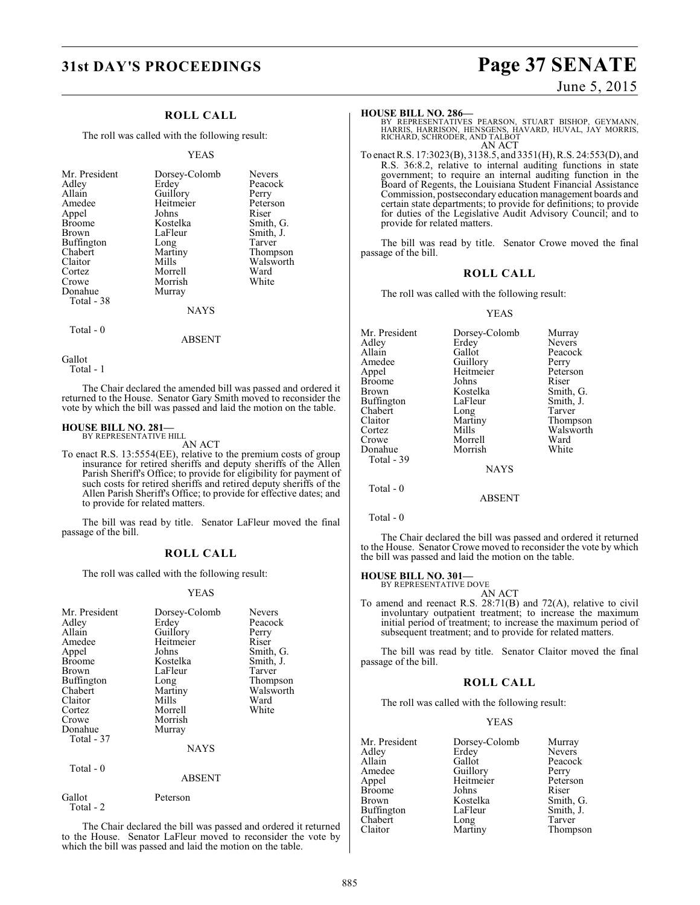### **ROLL CALL**

The roll was called with the following result:

### YEAS

| Mr. President | Dorsey-Colomb | <b>Nevers</b> |
|---------------|---------------|---------------|
| Adley         | Erdey         | Peacock       |
| Allain        | Guillory      | Perry         |
| Amedee        | Heitmeier     | Peterson      |
| Appel         | Johns         | Riser         |
| <b>Broome</b> | Kostelka      | Smith, G.     |
| Brown         | LaFleur       | Smith, J.     |
| Buffington    | Long          | Tarver        |
| Chabert       | Martiny       | Thompson      |
| Claitor       | Mills         | Walsworth     |
| Cortez        | Morrell       | Ward          |
| Crowe         | Morrish       | White         |
| Donahue       | Murray        |               |
| Total - 38    |               |               |
|               | <b>NAYS</b>   |               |
| Total - 0     |               |               |

ABSENT

Gallot

Total - 1

The Chair declared the amended bill was passed and ordered it returned to the House. Senator Gary Smith moved to reconsider the vote by which the bill was passed and laid the motion on the table.

### **HOUSE BILL NO. 281—** BY REPRESENTATIVE HILL

AN ACT

To enact R.S. 13:5554(EE), relative to the premium costs of group insurance for retired sheriffs and deputy sheriffs of the Allen Parish Sheriff's Office; to provide for eligibility for payment of such costs for retired sheriffs and retired deputy sheriffs of the Allen Parish Sheriff's Office; to provide for effective dates; and to provide for related matters.

The bill was read by title. Senator LaFleur moved the final passage of the bill.

### **ROLL CALL**

The roll was called with the following result:

### YEAS

| Mr. President<br>Adley<br>Allain<br>Amedee<br>Appel<br><b>Broome</b><br>Brown<br>Buffington<br>Chabert<br>Claitor<br>Cortez<br>Crowe<br>Donahue<br>Total - 37<br>Total - 0 | Dorsey-Colomb<br>Erdev<br>Guillory<br>Heitmeier<br>Johns<br>Kostelka<br>LaFleur<br>Long<br>Martiny<br>Mills<br>Morrell<br>Morrish<br>Murray<br><b>NAYS</b> | <b>Nevers</b><br>Peacock<br>Perry<br>Riser<br>Smith, G.<br>Smith, J.<br>Tarver<br>Thompson<br>Walsworth<br>Ward<br>White |
|----------------------------------------------------------------------------------------------------------------------------------------------------------------------------|------------------------------------------------------------------------------------------------------------------------------------------------------------|--------------------------------------------------------------------------------------------------------------------------|
|                                                                                                                                                                            | <b>ABSENT</b>                                                                                                                                              |                                                                                                                          |
| Gallot<br>Total - 2                                                                                                                                                        | Peterson                                                                                                                                                   |                                                                                                                          |

The Chair declared the bill was passed and ordered it returned to the House. Senator LaFleur moved to reconsider the vote by which the bill was passed and laid the motion on the table.

# **31st DAY'S PROCEEDINGS Page 37 SENATE**

### June 5, 2015

### **HOUSE BILL NO. 286—**

BY REPRESENTATIVES PEARSON, STUART BISHOP, GEYMANN,<br>HARRIS, HARRISON, HENSGENS, HAVARD, HUVAL, JAY MORRIS,<br>RICHARD, SCHRODER, AND TALBOT AN ACT

To enact R.S. 17:3023(B), 3138.5, and 3351(H), R.S. 24:553(D), and R.S. 36:8.2, relative to internal auditing functions in state government; to require an internal auditing function in the Board of Regents, the Louisiana Student Financial Assistance Commission, postsecondary education management boards and certain state departments; to provide for definitions; to provide for duties of the Legislative Audit Advisory Council; and to provide for related matters.

The bill was read by title. Senator Crowe moved the final passage of the bill.

### **ROLL CALL**

The roll was called with the following result:

### YEAS

| Mr. President | Dorsey-Colomb | Murray        |
|---------------|---------------|---------------|
| Adlev         | Erdey         | <b>Nevers</b> |
| Allain        | Gallot        | Peacock       |
| Amedee        | Guillory      | Perry         |
| Appel         | Heitmeier     | Peterson      |
| <b>Broome</b> | Johns         | Riser         |
| Brown         | Kostelka      | Smith, G.     |
| Buffington    | LaFleur       | Smith, J.     |
| Chabert       | Long          | Tarver        |
| Claitor       | Martiny       | Thompson      |
| Cortez        | Mills         | Walsworth     |
| Crowe         | Morrell       | Ward          |
| Donahue       | Morrish       | White         |
| Total - 39    |               |               |
|               | <b>NAYS</b>   |               |
| Total $-0$    |               |               |
|               | ABSENT        |               |

Total - 0

The Chair declared the bill was passed and ordered it returned to the House. Senator Crowe moved to reconsider the vote by which the bill was passed and laid the motion on the table.

### **HOUSE BILL NO. 301—** BY REPRESENTATIVE DOVE

AN ACT

To amend and reenact R.S. 28:71(B) and 72(A), relative to civil involuntary outpatient treatment; to increase the maximum initial period of treatment; to increase the maximum period of subsequent treatment; and to provide for related matters.

The bill was read by title. Senator Claitor moved the final passage of the bill.

### **ROLL CALL**

The roll was called with the following result:

### YEAS

| Mr. President | Dorsey-Colomb | Murray        |
|---------------|---------------|---------------|
| Adley         | Erdey         | <b>Nevers</b> |
| Allain        | Gallot        | Peacock       |
| Amedee        | Guillory      | Perry         |
| Appel         | Heitmeier     | Peterson      |
| Broome        | Johns         | Riser         |
| Brown         | Kostelka      | Smith, G.     |
| Buffington    | LaFleur       | Smith, J.     |
| Chabert       | Long          | Tarver        |
| Claitor       | Martiny       | Thompson      |
|               |               |               |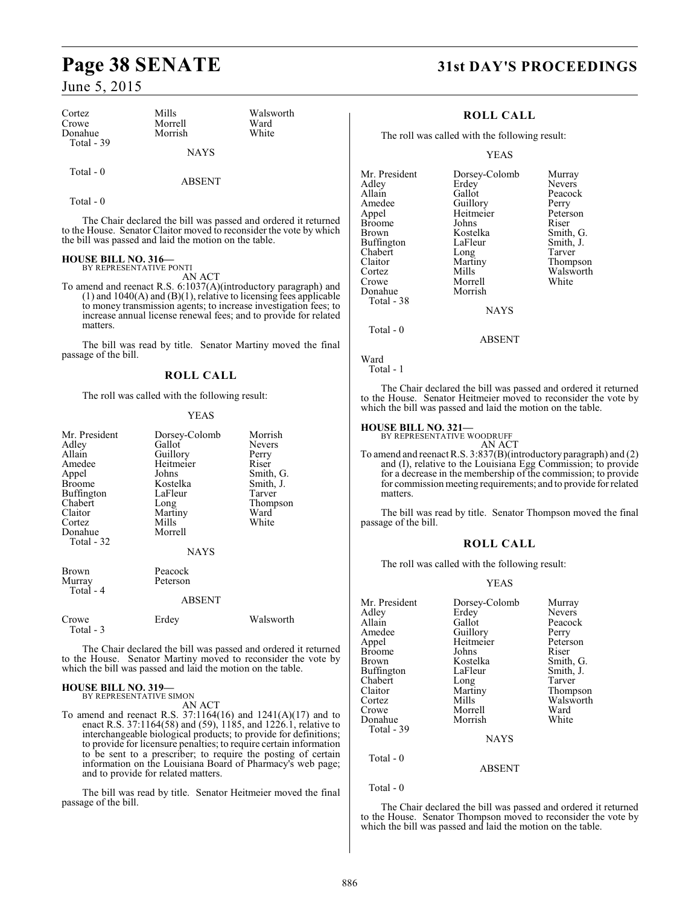# **Page 38 SENATE 31st DAY'S PROCEEDINGS**

### June 5, 2015

| Cortez<br>Crowe<br>Donahue<br>Total $-39$ | Mills<br>Morrell<br>Morrish | Walsworth<br>Ward<br>White |
|-------------------------------------------|-----------------------------|----------------------------|
|                                           | <b>NAYS</b>                 |                            |

### Total - 0

Total - 0

The Chair declared the bill was passed and ordered it returned to the House. Senator Claitor moved to reconsider the vote by which the bill was passed and laid the motion on the table.

ABSENT

### **HOUSE BILL NO. 316—** BY REPRESENTATIVE PONTI

AN ACT

To amend and reenact R.S. 6:1037(A)(introductory paragraph) and (1) and 1040(A) and (B)(1), relative to licensing fees applicable to money transmission agents; to increase investigation fees; to increase annual license renewal fees; and to provide for related matters.

The bill was read by title. Senator Martiny moved the final passage of the bill.

### **ROLL CALL**

The roll was called with the following result:

### YEAS

| Mr. President<br>Adley<br>Allain<br>Amedee<br>Appel<br><b>Broome</b><br><b>Buffington</b><br>Chabert<br>Claitor<br>Cortez<br>Donahue<br>Total - 32 | Dorsey-Colomb<br>Gallot<br>Guillory<br>Heitmeier<br>Johns<br>Kostelka<br>LaFleur<br>Long<br>Martiny<br>Mills<br>Morrell<br><b>NAYS</b> | Morrish<br><b>Nevers</b><br>Perry<br>Riser<br>Smith, G.<br>Smith, J.<br>Tarver<br>Thompson<br>Ward<br>White |
|----------------------------------------------------------------------------------------------------------------------------------------------------|----------------------------------------------------------------------------------------------------------------------------------------|-------------------------------------------------------------------------------------------------------------|
| Brown<br>Murray<br>Total - 4                                                                                                                       | Peacock<br>Peterson<br>ABSENT                                                                                                          |                                                                                                             |
| Crowe<br>Total - 3                                                                                                                                 | Erdey                                                                                                                                  | Walsworth                                                                                                   |

The Chair declared the bill was passed and ordered it returned to the House. Senator Martiny moved to reconsider the vote by which the bill was passed and laid the motion on the table.

### **HOUSE BILL NO. 319—** BY REPRESENTATIVE SIMON

AN ACT

To amend and reenact R.S. 37:1164(16) and 1241(A)(17) and to enact R.S. 37:1164(58) and (59), 1185, and 1226.1, relative to interchangeable biological products; to provide for definitions; to provide for licensure penalties; to require certain information to be sent to a prescriber; to require the posting of certain information on the Louisiana Board of Pharmacy's web page; and to provide for related matters.

The bill was read by title. Senator Heitmeier moved the final passage of the bill.

### **ROLL CALL**

The roll was called with the following result:

### YEAS

| Mr. President<br>Adley<br>Allain<br>Amedee<br>Appel<br>Broome<br>Brown<br>Buffington<br>Chabert<br>Claitor<br>Cortez<br>Crowe<br>Donahue<br>Total - 38 | Dorsey-Colomb<br>Erdey<br>Gallot<br>Guillory<br>Heitmeier<br>Johns<br>Kostelka<br>LaFleur<br>Long<br>Martiny<br>Mills<br>Morrell<br>Morrish<br><b>NAYS</b> | Murray<br><b>Nevers</b><br>Peacock<br>Perry<br>Peterson<br>Riser<br>Smith, G.<br>Smith, J.<br>Tarver<br>Thompson<br>Walsworth<br>White |
|--------------------------------------------------------------------------------------------------------------------------------------------------------|------------------------------------------------------------------------------------------------------------------------------------------------------------|----------------------------------------------------------------------------------------------------------------------------------------|
|                                                                                                                                                        |                                                                                                                                                            |                                                                                                                                        |
| Total $-0$                                                                                                                                             | <b>ABSENT</b>                                                                                                                                              |                                                                                                                                        |

Ward

Total - 1

The Chair declared the bill was passed and ordered it returned to the House. Senator Heitmeier moved to reconsider the vote by which the bill was passed and laid the motion on the table.

### **HOUSE BILL NO. 321—** BY REPRESENTATIVE WOODRUFF

AN ACT

To amend and reenactR.S. 3:837(B)(introductory paragraph) and (2) and (I), relative to the Louisiana Egg Commission; to provide for a decrease in the membership of the commission; to provide for commission meeting requirements; and to provide for related matters.

The bill was read by title. Senator Thompson moved the final passage of the bill.

### **ROLL CALL**

The roll was called with the following result:

### YEAS

| Mr. President | Dorsey-Colomb | Murray        |
|---------------|---------------|---------------|
| Adley         | Erdey         | <b>Nevers</b> |
| Allain        | Gallot        | Peacock       |
| Amedee        | Guillory      | Perry         |
| Appel         | Heitmeier     | Peterson      |
| <b>Broome</b> | Johns         | Riser         |
| <b>Brown</b>  | Kostelka      | Smith, G.     |
| Buffington    | LaFleur       | Smith, J.     |
| Chabert       | Long          | Tarver        |
| Claitor       | Martiny       | Thompson      |
| Cortez        | Mills         | Walsworth     |
| Crowe         | Morrell       | Ward          |
| Donahue       | Morrish       | White         |
| Total - 39    |               |               |
|               | <b>NAYS</b>   |               |
| Total - 0     |               |               |
|               | ABSENT        |               |

Total - 0

The Chair declared the bill was passed and ordered it returned to the House. Senator Thompson moved to reconsider the vote by which the bill was passed and laid the motion on the table.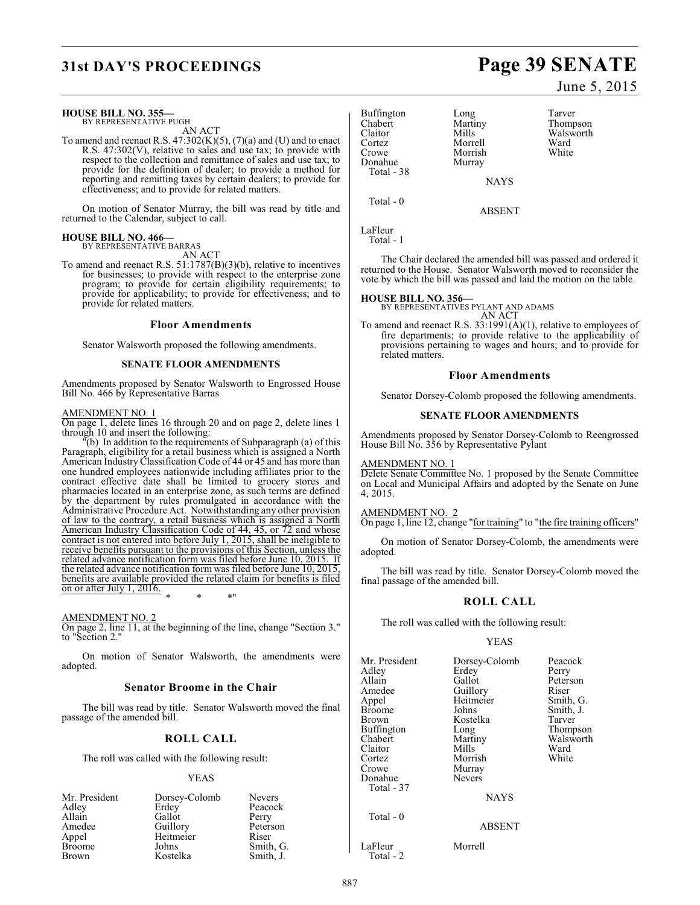### **HOUSE BILL NO. 355—**

BY REPRESENTATIVE PUGH AN ACT

To amend and reenact R.S.  $47:302(K)(5)$ ,  $(7)(a)$  and (U) and to enact R.S.  $47:302(V)$ , relative to sales and use tax; to provide with respect to the collection and remittance of sales and use tax; to provide for the definition of dealer; to provide a method for reporting and remitting taxes by certain dealers; to provide for effectiveness; and to provide for related matters.

On motion of Senator Murray, the bill was read by title and returned to the Calendar, subject to call.

### **HOUSE BILL NO. 466—**

BY REPRESENTATIVE BARRAS AN ACT

To amend and reenact R.S. 51:1787(B)(3)(b), relative to incentives for businesses; to provide with respect to the enterprise zone program; to provide for certain eligibility requirements; to provide for applicability; to provide for effectiveness; and to provide for related matters.

### **Floor Amendments**

Senator Walsworth proposed the following amendments.

### **SENATE FLOOR AMENDMENTS**

Amendments proposed by Senator Walsworth to Engrossed House Bill No. 466 by Representative Barras

### AMENDMENT NO. 1

On page 1, delete lines 16 through 20 and on page 2, delete lines 1 through 10 and insert the following:

"(b) In addition to the requirements of Subparagraph (a) of this Paragraph, eligibility for a retail business which is assigned a North American Industry Classification Code of 44 or 45 and has more than one hundred employees nationwide including affiliates prior to the contract effective date shall be limited to grocery stores and pharmacies located in an enterprise zone, as such terms are defined by the department by rules promulgated in accordance with the Administrative Procedure Act. Notwithstanding any other provision of law to the contrary, a retail business which is assigned a North American Industry Classification Code of 44, 45, or 72 and whose contract is not entered into before July 1, 2015, shall be ineligible to receive benefits pursuant to the provisions of this Section, unless the related advance notification form was filed before June 10, 2015. If the related advance notification form was filed before June 10, 2015, benefits are available provided the related claim for benefits is filed  $\frac{\text{otherwise}}{\text{on or after July 1, 2016.}}$ \* \* \*"

### AMENDMENT NO. 2

On page 2, line 11, at the beginning of the line, change "Section 3." to "Section 2."

On motion of Senator Walsworth, the amendments were adopted.

### **Senator Broome in the Chair**

The bill was read by title. Senator Walsworth moved the final passage of the amended bill.

### **ROLL CALL**

The roll was called with the following result:

### YEAS

| Mr. President | Dorsey-Colomb | <b>Nevers</b> |
|---------------|---------------|---------------|
| Adley         | Erdey         | Peacock       |
| Allain        | Gallot        | Perry         |
| Amedee        | Guillory      | Peterson      |
| Appel         | Heitmeier     | Riser         |
| <b>Broome</b> | Johns         | Smith, G.     |
| <b>Brown</b>  | Kostelka      | Smith, J.     |

Buffington Long Tarver<br>
Chabert Martiny Thomp Chabert Martiny Thompson Claitor Mills Walsworth<br>
Cortez Morrell Ward Cortez Morrell Ward Donahue Total - 38

Morrish<br>Murray

NAYS

ABSENT

LaFleur Total - 1

Total - 0

The Chair declared the amended bill was passed and ordered it returned to the House. Senator Walsworth moved to reconsider the vote by which the bill was passed and laid the motion on the table.

### **HOUSE BILL NO. 356—**

BY REPRESENTATIVES PYLANT AND ADAMS AN ACT

To amend and reenact R.S. 33:1991(A)(1), relative to employees of fire departments; to provide relative to the applicability of provisions pertaining to wages and hours; and to provide for related matters.

### **Floor Amendments**

Senator Dorsey-Colomb proposed the following amendments.

### **SENATE FLOOR AMENDMENTS**

Amendments proposed by Senator Dorsey-Colomb to Reengrossed House Bill No. 356 by Representative Pylant

### AMENDMENT NO. 1

Delete Senate Committee No. 1 proposed by the Senate Committee on Local and Municipal Affairs and adopted by the Senate on June 4, 2015.

### AMENDMENT NO. 2

On page 1, line 12, change "for training" to "the fire training officers"

On motion of Senator Dorsey-Colomb, the amendments were adopted.

The bill was read by title. Senator Dorsey-Colomb moved the final passage of the amended bill.

### **ROLL CALL**

The roll was called with the following result:

### YEAS

Mr. President Dorsey-Colomb Peacock<br>Adley Erdey Perry Adley Erdey<br>Allain Gallot Allain Gallot Peterson<br>Amedee Guillory Riser Amedee Guillory Riser<br>
Appel Heitmeier Smith, G. Appel Heitmeier<br>Broome Johns Broome Johns Smith, J.<br>Brown Kostelka Tarver Buffington Long<br>Chabert Martiny Chabert Martiny Walsworth<br>Claitor Mills Ward Claitor Mills Ward Cortez Morrish White<br>Crowe Murray Donahue Total - 37 Total - 0 LaFleur Morrell

Total - 2

Murray<br>Nevers

Kostelka Tarver<br>Long Thompson

NAYS

### ABSENT

# **31st DAY'S PROCEEDINGS Page 39 SENATE**

June 5, 2015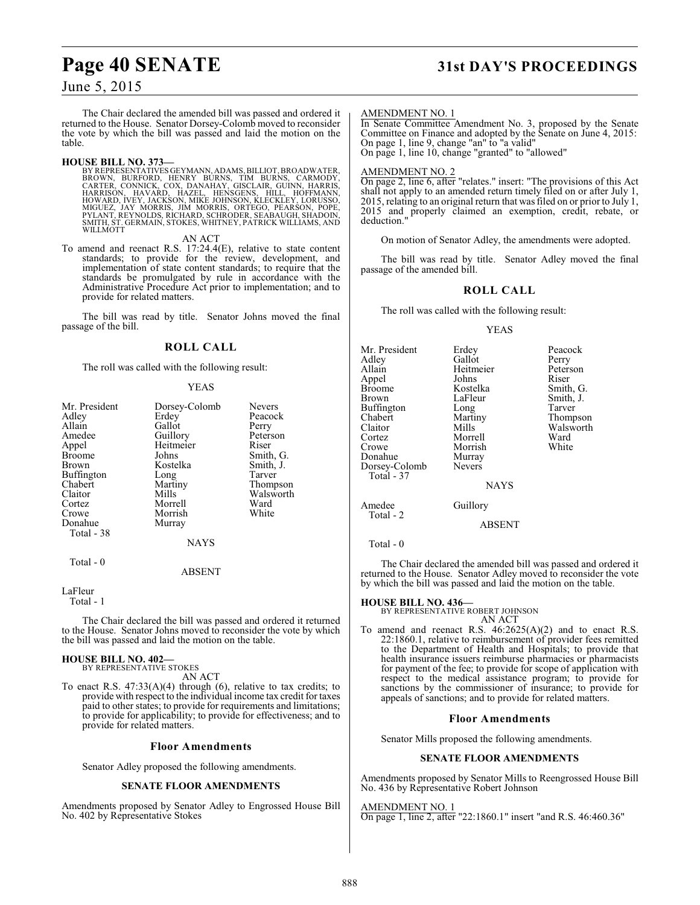# **Page 40 SENATE 31st DAY'S PROCEEDINGS**

### June 5, 2015

The Chair declared the amended bill was passed and ordered it returned to the House. Senator Dorsey-Colomb moved to reconsider the vote by which the bill was passed and laid the motion on the table.

**HOUSE BILL NO. 373—**<br>BY REPRESENTATIVES GEYMANN, ADAMS, BILLIOT, BROADWATER,<br>BROWN, BURFORD, HENRY BURNS, TIM BURNS, CARMODY,<br>CARTER, CONNICK, COX, DANAHAY, GISCLAIR, GUINN, HARRIS,<br>HARRISON, HAVARD, HAZEL, HENSGENS, HILL SMITH, ST. GERMAIN, STOKES, WHITNEY, PATRICK WILLIAMS, AND WILLMOTT

AN ACT

To amend and reenact R.S. 17:24.4(E), relative to state content standards; to provide for the review, development, and implementation of state content standards; to require that the standards be promulgated by rule in accordance with the Administrative Procedure Act prior to implementation; and to provide for related matters.

The bill was read by title. Senator Johns moved the final passage of the bill.

### **ROLL CALL**

The roll was called with the following result:

### YEAS

| Mr. President<br>Adley<br>Allain<br>Amedee<br>Appel<br><b>Broome</b><br>Brown<br>Buffington<br>Chabert<br>Claitor<br>Cortez<br>Crowe<br>Donahue | Dorsey-Colomb<br>Erdey<br>Gallot<br>Guillory<br>Heitmeier<br>Johns<br>Kostelka<br>Long<br>Martiny<br>Mills<br>Morrell<br>Morrish | <b>Nevers</b><br>Peacock<br>Perry<br>Peterson<br>Riser<br>Smith, G.<br>Smith, J.<br>Tarver<br>Thompson<br>Walsworth<br>Ward<br>White |
|-------------------------------------------------------------------------------------------------------------------------------------------------|----------------------------------------------------------------------------------------------------------------------------------|--------------------------------------------------------------------------------------------------------------------------------------|
| Total - 38<br>Total - 0                                                                                                                         | Murray<br><b>NAYS</b>                                                                                                            |                                                                                                                                      |

ABSENT

LaFleur

Total - 1

The Chair declared the bill was passed and ordered it returned to the House. Senator Johns moved to reconsider the vote by which the bill was passed and laid the motion on the table.

### **HOUSE BILL NO. 402—**

BY REPRESENTATIVE STOKES AN ACT

To enact R.S. 47:33(A)(4) through (6), relative to tax credits; to provide with respect to the individual income tax credit for taxes paid to other states; to provide for requirements and limitations; to provide for applicability; to provide for effectiveness; and to provide for related matters.

### **Floor Amendments**

Senator Adley proposed the following amendments.

### **SENATE FLOOR AMENDMENTS**

Amendments proposed by Senator Adley to Engrossed House Bill No. 402 by Representative Stokes

### AMENDMENT NO. 1

In Senate Committee Amendment No. 3, proposed by the Senate Committee on Finance and adopted by the Senate on June 4, 2015: On page 1, line 9, change "an" to "a valid" On page 1, line 10, change "granted" to "allowed"

### AMENDMENT NO. 2

On page 2, line 6, after "relates." insert: "The provisions of this Act shall not apply to an amended return timely filed on or after July 1, 2015, relating to an original return that wasfiled on or priorto July 1, 2015 and properly claimed an exemption, credit, rebate, or deduction.'

On motion of Senator Adley, the amendments were adopted.

The bill was read by title. Senator Adley moved the final passage of the amended bill.

### **ROLL CALL**

The roll was called with the following result:

### YEAS

| Mr. President<br>Adley<br>Allain<br>Appel<br><b>Broome</b><br>Brown<br><b>Buffington</b><br>Chabert<br>Claitor<br>Cortez<br>Crowe<br>Donahue<br>Dorsey-Colomb<br>Total - 37 | Erdey<br>Gallot<br>Heitmeier<br>Johns<br>Kostelka<br>LaFleur<br>Long<br>Martiny<br>Mills<br>Morrell<br>Morrish<br>Murray<br>Nevers | Peacock<br>Perry<br>Peterson<br>Riser<br>Smith, G.<br>Smith, J.<br>Tarver<br>Thompson<br>Walsworth<br>Ward<br>White |
|-----------------------------------------------------------------------------------------------------------------------------------------------------------------------------|------------------------------------------------------------------------------------------------------------------------------------|---------------------------------------------------------------------------------------------------------------------|
|                                                                                                                                                                             | <b>NAYS</b>                                                                                                                        |                                                                                                                     |
| Amedee<br>Total - 2                                                                                                                                                         | Guillory                                                                                                                           |                                                                                                                     |

ABSENT

The Chair declared the amended bill was passed and ordered it returned to the House. Senator Adley moved to reconsider the vote by which the bill was passed and laid the motion on the table.

**HOUSE BILL NO. 436—** BY REPRESENTATIVE ROBERT JOHNSON AN ACT

To amend and reenact R.S. 46:2625(A)(2) and to enact R.S. 22:1860.1, relative to reimbursement of provider fees remitted to the Department of Health and Hospitals; to provide that health insurance issuers reimburse pharmacies or pharmacists for payment of the fee; to provide for scope of application with respect to the medical assistance program; to provide for sanctions by the commissioner of insurance; to provide for appeals of sanctions; and to provide for related matters.

### **Floor Amendments**

Senator Mills proposed the following amendments.

### **SENATE FLOOR AMENDMENTS**

Amendments proposed by Senator Mills to Reengrossed House Bill No. 436 by Representative Robert Johnson

AMENDMENT NO. 1 On page 1, line 2, after "22:1860.1" insert "and R.S. 46:460.36"

Total - 0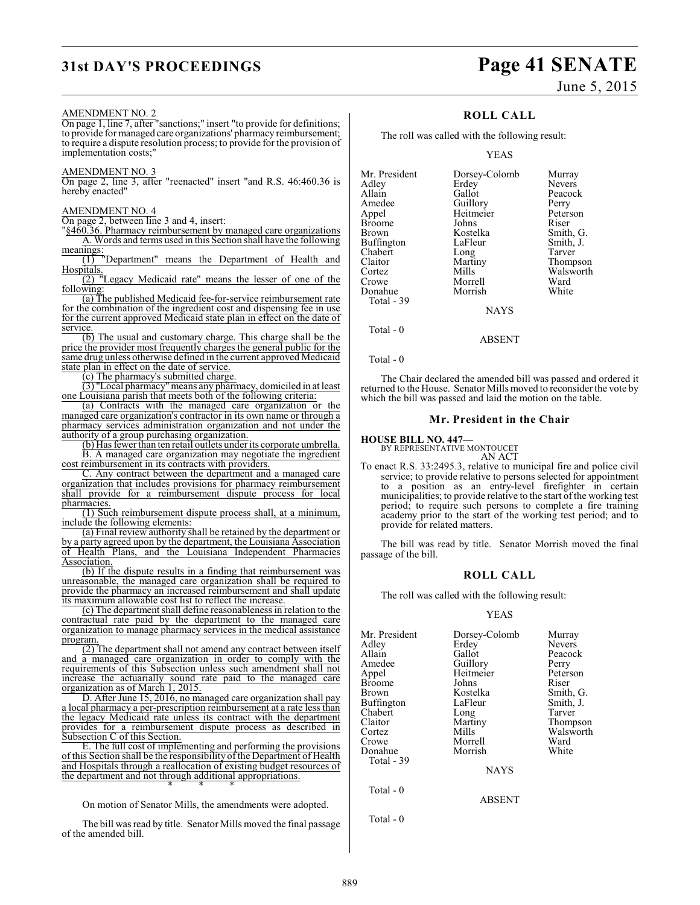# **31st DAY'S PROCEEDINGS Page 41 SENATE**

### AMENDMENT NO. 2

On page 1, line 7, after "sanctions;" insert "to provide for definitions; to provide for managed care organizations' pharmacy reimbursement; to require a dispute resolution process; to provide for the provision of implementation costs;"

### AMENDMENT NO. 3

On page 2, line 3, after "reenacted" insert "and R.S. 46:460.36 is hereby enacted"

### AMENDMENT NO. 4

On page 2, between line 3 and 4, insert:

"§460.36. Pharmacy reimbursement by managed care organizations A. Words and terms used in this Section shall have the following meanings:

(1) "Department" means the Department of Health and **Hospitals** 

(2) "Legacy Medicaid rate" means the lesser of one of the following:

(a) The published Medicaid fee-for-service reimbursement rate for the combination of the ingredient cost and dispensing fee in use for the current approved Medicaid state plan in effect on the date of service.

(b) The usual and customary charge. This charge shall be the price the provider most frequently charges the general public for the same drug unless otherwise defined in the current approved Medicaid state plan in effect on the date of service.

(c) The pharmacy's submitted charge.

(3) "Local pharmacy" means any pharmacy, domiciled in at least one Louisiana parish that meets both of the following criteria:

(a) Contracts with the managed care organization or the managed care organization's contractor in its own name or through a pharmacy services administration organization and not under the authority of a group purchasing organization.

(b) Has fewer than ten retail outlets under its corporate umbrella. B. A managed care organization may negotiate the ingredient cost reimbursement in its contracts with providers.

C. Any contract between the department and a managed care organization that includes provisions for pharmacy reimbursement shall provide for a reimbursement dispute process for local pharmacies.

(1) Such reimbursement dispute process shall, at a minimum, include the following elements:

(a) Final review authority shall be retained by the department or by a party agreed upon by the department, the Louisiana Association of Health Plans, and the Louisiana Independent Pharmacies Association.

(b) If the dispute results in a finding that reimbursement was unreasonable, the managed care organization shall be required to provide the pharmacy an increased reimbursement and shall update its maximum allowable cost list to reflect the increase.

(c) The department shall define reasonableness in relation to the contractual rate paid by the department to the managed care organization to manage pharmacy services in the medical assistance program.

(2) The department shall not amend any contract between itself and a managed care organization in order to comply with the requirements of this Subsection unless such amendment shall not increase the actuarially sound rate paid to the managed care organization as of March 1, 2015.

D. After June 15, 2016, no managed care organization shall pay a local pharmacy a per-prescription reimbursement at a rate less than the legacy Medicaid rate unless its contract with the department provides for a reimbursement dispute process as described in Subsection C of this Section.

. The full cost of implementing and performing the provisions of this Section shall be the responsibility of the Department of Health and Hospitals through a reallocation of existing budget resources of the department and not through additional appropriations.

\* \* \* On motion of Senator Mills, the amendments were adopted.

The bill was read by title. Senator Mills moved the final passage of the amended bill.

June 5, 2015

### **ROLL CALL**

The roll was called with the following result:

### YEAS

| Mr. President<br>Adley<br>Allain<br>Amedee<br>Appel<br>Broome<br>Brown<br>Buffington<br>Chabert<br>Claitor<br>Cortez<br>Crowe<br>Donahue | Dorsey-Colomb<br>Erdey<br>Gallot<br>Guillory<br>Heitmeier<br>Johns<br>Kostelka<br>LaFleur<br>Long<br>Martiny<br>Mills<br>Morrell<br>Morrish | Murray<br><b>Nevers</b><br>Peacock<br>Perry<br>Peterson<br>Riser<br>Smith, G.<br>Smith, J.<br>Tarver<br>Thompson<br>Walsworth<br>Ward<br>White |
|------------------------------------------------------------------------------------------------------------------------------------------|---------------------------------------------------------------------------------------------------------------------------------------------|------------------------------------------------------------------------------------------------------------------------------------------------|
|                                                                                                                                          |                                                                                                                                             |                                                                                                                                                |
|                                                                                                                                          |                                                                                                                                             |                                                                                                                                                |
|                                                                                                                                          |                                                                                                                                             |                                                                                                                                                |
| Total - 39                                                                                                                               |                                                                                                                                             |                                                                                                                                                |
| Total - 0                                                                                                                                | <b>NAYS</b>                                                                                                                                 |                                                                                                                                                |

ABSENT

Total - 0

The Chair declared the amended bill was passed and ordered it returned to the House. Senator Millsmoved to reconsider the vote by which the bill was passed and laid the motion on the table.

### **Mr. President in the Chair**

**HOUSE BILL NO. 447—**

BY REPRESENTATIVE MONTOUCET

AN ACT To enact R.S. 33:2495.3, relative to municipal fire and police civil service; to provide relative to persons selected for appointment to a position as an entry-level firefighter in certain municipalities; to provide relative to the start of the working test period; to require such persons to complete a fire training academy prior to the start of the working test period; and to provide for related matters.

The bill was read by title. Senator Morrish moved the final passage of the bill.

### **ROLL CALL**

The roll was called with the following result:

### YEAS

| Mr. President | Dorsey-Colomb | Murray    |
|---------------|---------------|-----------|
|               |               |           |
| Adley         | Erdey         | Nevers    |
| Allain        | Gallot        | Peacock   |
| Amedee        | Guillory      | Perry     |
| Appel         | Heitmeier     | Peterson  |
| Broome        | Johns         | Riser     |
| Brown         | Kostelka      | Smith, G. |
| Buffington    | LaFleur       | Smith, J. |
| Chabert       | Long          | Tarver    |
| Claitor       | Martiny       | Thompson  |
| Cortez        | Mills         | Walsworth |
| Crowe         | Morrell       | Ward      |
| Donahue       | Morrish       | White     |
| Total - 39    |               |           |
|               | <b>NAYS</b>   |           |
| Total $-0$    |               |           |
|               | <b>ABSENT</b> |           |
|               |               |           |

Total - 0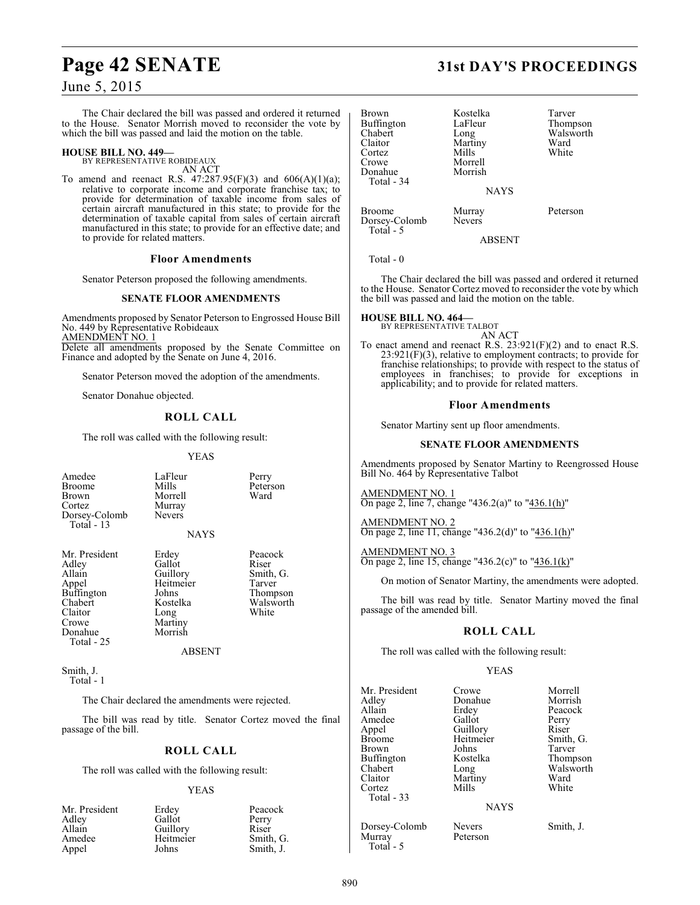# **Page 42 SENATE 31st DAY'S PROCEEDINGS**

### June 5, 2015

The Chair declared the bill was passed and ordered it returned to the House. Senator Morrish moved to reconsider the vote by which the bill was passed and laid the motion on the table.

### **HOUSE BILL NO. 449—**

BY REPRESENTATIVE ROBIDEAUX

AN ACT To amend and reenact R.S.  $47:287.95(F)(3)$  and  $606(A)(1)(a);$ relative to corporate income and corporate franchise tax; to provide for determination of taxable income from sales of certain aircraft manufactured in this state; to provide for the determination of taxable capital from sales of certain aircraft manufactured in this state; to provide for an effective date; and to provide for related matters.

### **Floor Amendments**

Senator Peterson proposed the following amendments.

### **SENATE FLOOR AMENDMENTS**

Amendments proposed by Senator Peterson to Engrossed House Bill No. 449 by Representative Robideaux AMENDMENT NO. 1

Delete all amendments proposed by the Senate Committee on Finance and adopted by the Senate on June 4, 2016.

Senator Peterson moved the adoption of the amendments.

Senator Donahue objected.

### **ROLL CALL**

The roll was called with the following result:

Morrell Murray Nevers

Morrish

**YEAS** 

LaFleur Perry<br>Mills Peters

Peterson<br>Ward

| Amedee        |
|---------------|
| <b>Broome</b> |
| <b>Brown</b>  |
| Cortez        |
| Dorsey-Colomb |
| Total - 13    |

**NAYS** 

Mr. President Erdey Peacock<br>Adley Gallot Riser Adley Gallot<br>Allain Guillory Buffington Johns<br>Chabert Kostelka Claitor Long<br>Crowe Martii Crowe Martiny<br>
Donahue Morrish Total - 25

Allain Guillory Smith, G. Heitmeier Tarver<br>
Johns Thompson Chabert **Kostelka** Walsworth<br>Claitor Long White

ABSENT

Smith, J. Total - 1

The Chair declared the amendments were rejected.

The bill was read by title. Senator Cortez moved the final passage of the bill.

### **ROLL CALL**

The roll was called with the following result:

### YEAS

| Mr. President | Erdey     | Peacock   |
|---------------|-----------|-----------|
| Adley         | Gallot    | Perry     |
| Allain        | Guillory  | Riser     |
| Amedee        | Heitmeier | Smith, G. |
| Appel         | Johns     | Smith, J. |

| Brown<br>Buffington<br>Chabert<br>Claitor<br>Cortez<br>Crowe<br>Donahue<br>Total - 34 | Kostelka<br>LaFleur<br>Long<br>Martiny<br>Mills<br>Morrell<br>Morrish<br><b>NAYS</b> | Tarver<br>Thom<br>Walsw<br>Ward<br>White |
|---------------------------------------------------------------------------------------|--------------------------------------------------------------------------------------|------------------------------------------|
|                                                                                       |                                                                                      |                                          |
|                                                                                       | <b>M</b>                                                                             | <b>D</b>                                 |

ostelka Tarver<br>aFleur Thomm aFleur Thompson<br>
ong Walsworth Walsworth<br>Ward Claitor Martiny Ward

Broome Murray Peterson<br>Dorsey-Colomb Nevers Dorsey-Colomb

Total - 5

ABSENT

Total - 0

The Chair declared the bill was passed and ordered it returned to the House. Senator Cortez moved to reconsider the vote by which the bill was passed and laid the motion on the table.

**HOUSE BILL NO. 464—** BY REPRESENTATIVE TALBOT

AN ACT To enact amend and reenact R.S. 23:921(F)(2) and to enact R.S. 23:921(F)(3), relative to employment contracts; to provide for franchise relationships; to provide with respect to the status of employees in franchises; to provide for exceptions in applicability; and to provide for related matters.

### **Floor Amendments**

Senator Martiny sent up floor amendments.

### **SENATE FLOOR AMENDMENTS**

Amendments proposed by Senator Martiny to Reengrossed House Bill No. 464 by Representative Talbot

AMENDMENT NO. 1 On page 2, line 7, change "436.2(a)" to "436.1(h)"

AMENDMENT NO. 2 On page 2, line 11, change "436.2(d)" to "436.1(h)"

AMENDMENT NO. 3 On page 2, line 15, change "436.2(c)" to "436.1(k)"

On motion of Senator Martiny, the amendments were adopted.

The bill was read by title. Senator Martiny moved the final passage of the amended bill.

### **ROLL CALL**

The roll was called with the following result:

### YEAS

| Mr. President     | Crowe         | Morrell   |
|-------------------|---------------|-----------|
| Adley             | Donahue       | Morrish   |
| Allain            | Erdey         | Peacock   |
| Amedee            | Gallot        | Perry     |
| Appel             | Guillory      | Riser     |
| <b>Broome</b>     | Heitmeier     | Smith, G. |
| Brown             | Johns         | Tarver    |
| <b>Buffington</b> | Kostelka      | Thompson  |
| Chabert           | Long          | Walsworth |
| Claitor           | Martiny       | Ward      |
| Cortez            | Mills         | White     |
| Total - 33        |               |           |
|                   | <b>NAYS</b>   |           |
| Dorsey-Colomb     | <b>Nevers</b> | Smith, J. |
| Murray            | Peterson      |           |
| Total - 5         |               |           |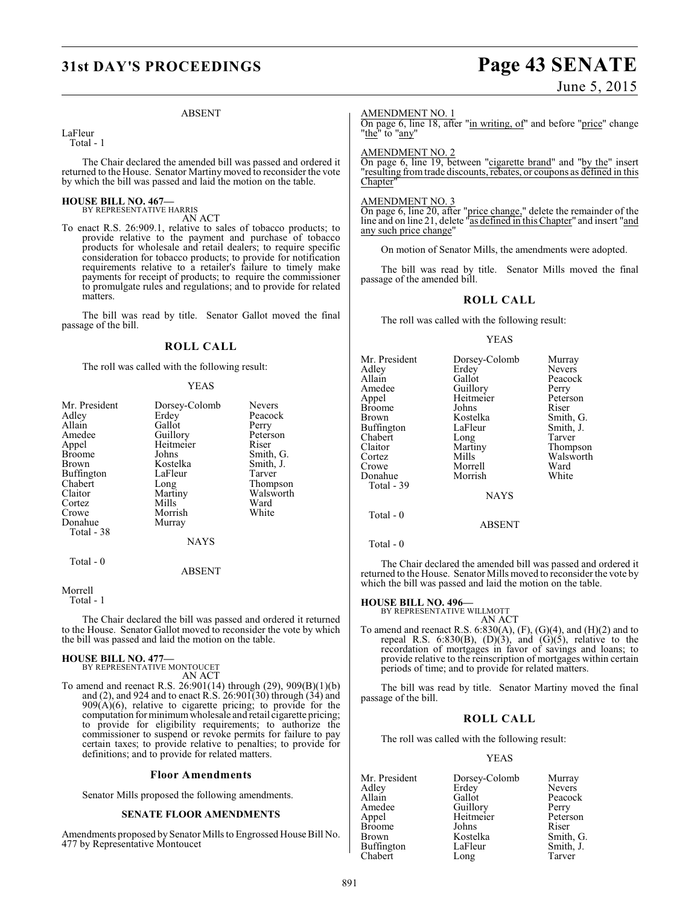# **31st DAY'S PROCEEDINGS Page 43 SENATE**

### June 5, 2015

### ABSENT

LaFleur Total - 1

The Chair declared the amended bill was passed and ordered it returned to the House. Senator Martiny moved to reconsider the vote by which the bill was passed and laid the motion on the table.

### **HOUSE BILL NO. 467—** BY REPRESENTATIVE HARRIS

AN ACT

To enact R.S. 26:909.1, relative to sales of tobacco products; to provide relative to the payment and purchase of tobacco products for wholesale and retail dealers; to require specific consideration for tobacco products; to provide for notification requirements relative to a retailer's failure to timely make payments for receipt of products; to require the commissioner to promulgate rules and regulations; and to provide for related matters.

The bill was read by title. Senator Gallot moved the final passage of the bill.

### **ROLL CALL**

The roll was called with the following result:

### YEAS

| Mr. President | Dorsey-Colomb | <b>Nevers</b> |
|---------------|---------------|---------------|
| Adley         | Erdey         | Peacock       |
|               |               |               |
| Allain        | Gallot        | Perry         |
| Amedee        | Guillory      | Peterson      |
| Appel         | Heitmeier     | Riser         |
| <b>Broome</b> | Johns         | Smith, G.     |
| Brown         | Kostelka      | Smith, J.     |
| Buffington    | LaFleur       | Tarver        |
| Chabert       | Long          | Thompson      |
| Claitor       | Martiny       | Walsworth     |
| Cortez        | Mills         | Ward          |
| Crowe         | Morrish       | White         |
| Donahue       | Murray        |               |
| Total - 38    |               |               |
|               | <b>NAYS</b>   |               |
| Total - 0     |               |               |
|               | ABSENT        |               |

Morrell

Total - 1

The Chair declared the bill was passed and ordered it returned to the House. Senator Gallot moved to reconsider the vote by which the bill was passed and laid the motion on the table.

# **HOUSE BILL NO. 477—** BY REPRESENTATIVE MONTOUCET

AN ACT

To amend and reenact R.S. 26:901(14) through (29), 909(B)(1)(b) and (2), and 924 and to enact R.S.  $26:901(30)$  through  $(34)$  and 909(A)(6), relative to cigarette pricing; to provide for the computation for minimum wholesale and retail cigarette pricing; to provide for eligibility requirements; to authorize the commissioner to suspend or revoke permits for failure to pay certain taxes; to provide relative to penalties; to provide for definitions; and to provide for related matters.

### **Floor Amendments**

Senator Mills proposed the following amendments.

### **SENATE FLOOR AMENDMENTS**

Amendments proposed by Senator Mills to Engrossed House Bill No. 477 by Representative Montoucet

### AMENDMENT NO. 1

On page 6, line 18, after "in writing, of" and before "price" change "the" to "<u>any</u>"

### AMENDMENT NO. 2

On page 6, line 19, between "cigarette brand" and "by the" insert "resulting from trade discounts, rebates, or coupons as defined in this Chapter'

### AMENDMENT NO. 3

On page 6, line 20, after "price change," delete the remainder of the line and on line 21, delete "as defined in thisChapter" and insert "and any such price change"

On motion of Senator Mills, the amendments were adopted.

The bill was read by title. Senator Mills moved the final passage of the amended bill.

### **ROLL CALL**

The roll was called with the following result:

### YEAS

| Mr. President<br>Adlev<br>Allain<br>Amedee<br>Appel<br>Broome<br>Brown<br>Buffington<br>Chabert<br>Claitor<br>Cortez<br>Crowe<br>Donahue<br>Total - 39 | Dorsey-Colomb<br>Erdey<br>Gallot<br>Guillory<br>Heitmeier<br>Johns<br>Kostelka<br>LaFleur<br>Long<br>Martiny<br>Mills<br>Morrell<br>Morrish<br><b>NAYS</b> | Murray<br><b>Nevers</b><br>Peacock<br>Perry<br>Peterson<br>Riser<br>Smith, G.<br>Smith, J.<br>Tarver<br>Thompson<br>Walsworth<br>Ward<br>White |
|--------------------------------------------------------------------------------------------------------------------------------------------------------|------------------------------------------------------------------------------------------------------------------------------------------------------------|------------------------------------------------------------------------------------------------------------------------------------------------|
|                                                                                                                                                        |                                                                                                                                                            |                                                                                                                                                |
| Total - 0                                                                                                                                              | <b>ABSENT</b>                                                                                                                                              |                                                                                                                                                |

Total - 0

The Chair declared the amended bill was passed and ordered it returned to the House. Senator Mills moved to reconsider the vote by which the bill was passed and laid the motion on the table.

**HOUSE BILL NO. 496—** BY REPRESENTATIVE WILLMOTT AN ACT

To amend and reenact R.S.  $6:830(A), (F), (G)(4),$  and  $(H)(2)$  and to repeal R.S.  $6:830(B)$ ,  $(D)(3)$ , and  $(G)(5)$ , relative to the recordation of mortgages in favor of savings and loans; to provide relative to the reinscription of mortgages within certain periods of time; and to provide for related matters.

The bill was read by title. Senator Martiny moved the final passage of the bill.

### **ROLL CALL**

The roll was called with the following result:

### YEAS

| Mr. President | Dorsey-Colomb | Murray        |
|---------------|---------------|---------------|
| Adley         | Erdey         | <b>Nevers</b> |
| Allain        | Gallot        | Peacock       |
| Amedee        | Guillory      | Perry         |
| Appel         | Heitmeier     | Peterson      |
| <b>Broome</b> | Johns         | Riser         |
| Brown         | Kostelka      | Smith, G.     |
| Buffington    | LaFleur       | Smith, J.     |
| Chabert       | Long          | Tarver        |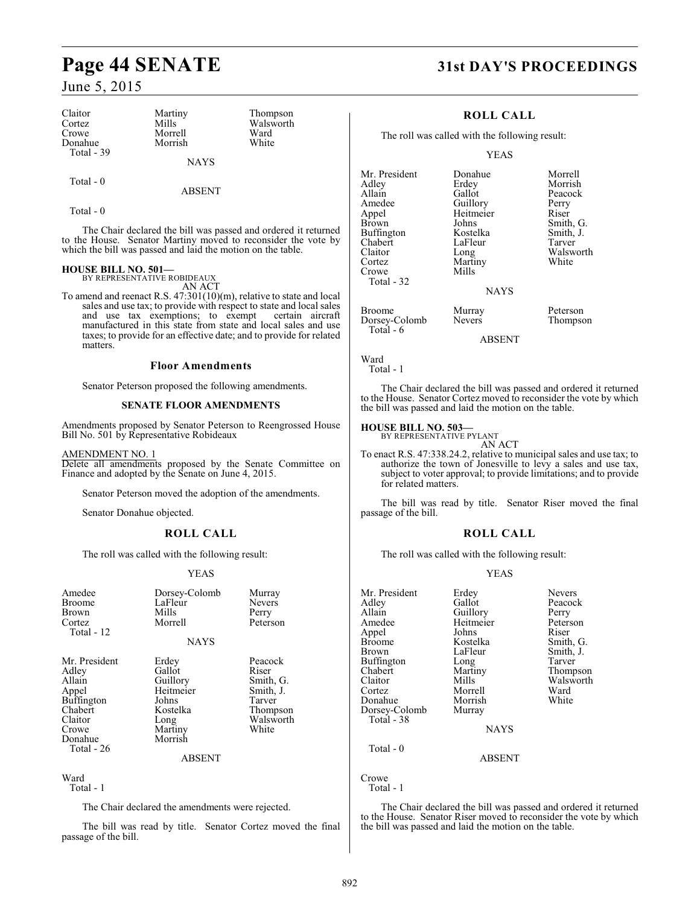# **Page 44 SENATE 31st DAY'S PROCEEDINGS**

### June 5, 2015

| Claitor     | Martiny     | Thompson  |
|-------------|-------------|-----------|
| Cortez      | Mills       | Walsworth |
|             |             |           |
| Crowe       | Morrell     | Ward      |
| Donahue     | Morrish     | White     |
| Total $-39$ |             |           |
|             | <b>NAYS</b> |           |

Total - 0

ABSENT

Total - 0

The Chair declared the bill was passed and ordered it returned to the House. Senator Martiny moved to reconsider the vote by which the bill was passed and laid the motion on the table.

# **HOUSE BILL NO. 501—** BY REPRESENTATIVE ROBIDEAUX

AN ACT

To amend and reenact R.S. 47:301(10)(m), relative to state and local sales and use tax; to provide with respect to state and local sales and use tax exemptions; to exempt certain aircraft and use tax exemptions; to exempt manufactured in this state from state and local sales and use taxes; to provide for an effective date; and to provide for related matters.

### **Floor Amendments**

Senator Peterson proposed the following amendments.

### **SENATE FLOOR AMENDMENTS**

Amendments proposed by Senator Peterson to Reengrossed House Bill No. 501 by Representative Robideaux

AMENDMENT NO. 1

Delete all amendments proposed by the Senate Committee on Finance and adopted by the Senate on June 4, 2015.

Senator Peterson moved the adoption of the amendments.

Senator Donahue objected.

### **ROLL CALL**

The roll was called with the following result:

### YEAS

| Amedee<br><b>Broome</b><br>Brown<br>Cortez<br>Total - 12                                                 | Dorsey-Colomb<br>LaFleur<br>Mills<br>Morrell                                                | Murray<br>Nevers<br>Perry<br>Peterson                                                  |
|----------------------------------------------------------------------------------------------------------|---------------------------------------------------------------------------------------------|----------------------------------------------------------------------------------------|
|                                                                                                          | <b>NAYS</b>                                                                                 |                                                                                        |
| Mr. President<br>Adley<br>Allain<br>Appel<br><b>Buffington</b><br>Chabert<br>Claitor<br>Crowe<br>Donahue | Erdey<br>Gallot<br>Guillory<br>Heitmeier<br>Johns<br>Kostelka<br>Long<br>Martiny<br>Morrish | Peacock<br>Riser<br>Smith, G.<br>Smith, J.<br>Tarver<br>Thompson<br>Walsworth<br>White |

### ABSENT

Ward Total - 1

The Chair declared the amendments were rejected.

The bill was read by title. Senator Cortez moved the final passage of the bill.

### **ROLL CALL**

The roll was called with the following result:

YEAS

| Mr. President | Donahue       | Morrell   |
|---------------|---------------|-----------|
| Adlev         | Erdey         | Morrish   |
| Allain        | Gallot        | Peacock   |
| Amedee        | Guillory      | Perry     |
| Appel         | Heitmeier     | Riser     |
| Brown         | Johns         | Smith, G. |
| Buffington    | Kostelka      | Smith, J. |
| Chabert       | LaFleur       | Tarver    |
| Claitor       | Long          | Walsworth |
| Cortez        | Martiny       | White     |
| Crowe         | Mills         |           |
| Total - 32    |               |           |
|               | <b>NAYS</b>   |           |
| Broome        | Murray        | Peterson  |
| Dorsey-Colomb | <b>Nevers</b> | Thompson  |
| Total - 6     |               |           |
|               | <b>ABSENT</b> |           |
|               |               |           |

Ward Total - 1

The Chair declared the bill was passed and ordered it returned to the House. Senator Cortez moved to reconsider the vote by which the bill was passed and laid the motion on the table.

### **HOUSE BILL NO. 503—** BY REPRESENTATIVE PYLANT

AN ACT

To enact R.S. 47:338.24.2, relative to municipal sales and use tax; to authorize the town of Jonesville to levy a sales and use tax, subject to voter approval; to provide limitations; and to provide for related matters.

The bill was read by title. Senator Riser moved the final passage of the bill.

### **ROLL CALL**

The roll was called with the following result:

### YEAS

| Mr. President<br>Adley<br>Allain<br>Amedee<br>Appel<br><b>Broome</b><br>Brown<br>Buffington<br>Chabert<br>Claitor<br>Cortez<br>Donahue<br>Dorsey-Colomb<br>Total - 38<br>Total - 0 | Erdey<br>Gallot<br>Guillory<br>Heitmeier<br>Johns<br>Kostelka<br>LaFleur<br>Long<br>Martiny<br>Mills<br>Morrell<br>Morrish<br>Murray<br><b>NAYS</b><br><b>ABSENT</b> | <b>Nevers</b><br>Peacock<br>Perry<br>Peterson<br>Riser<br>Smith, G.<br>Smith, J.<br>Tarver<br>Thompson<br>Walsworth<br>Ward<br>White |
|------------------------------------------------------------------------------------------------------------------------------------------------------------------------------------|----------------------------------------------------------------------------------------------------------------------------------------------------------------------|--------------------------------------------------------------------------------------------------------------------------------------|
| Crowe<br>Total - 1                                                                                                                                                                 |                                                                                                                                                                      |                                                                                                                                      |

The Chair declared the bill was passed and ordered it returned to the House. Senator Riser moved to reconsider the vote by which the bill was passed and laid the motion on the table.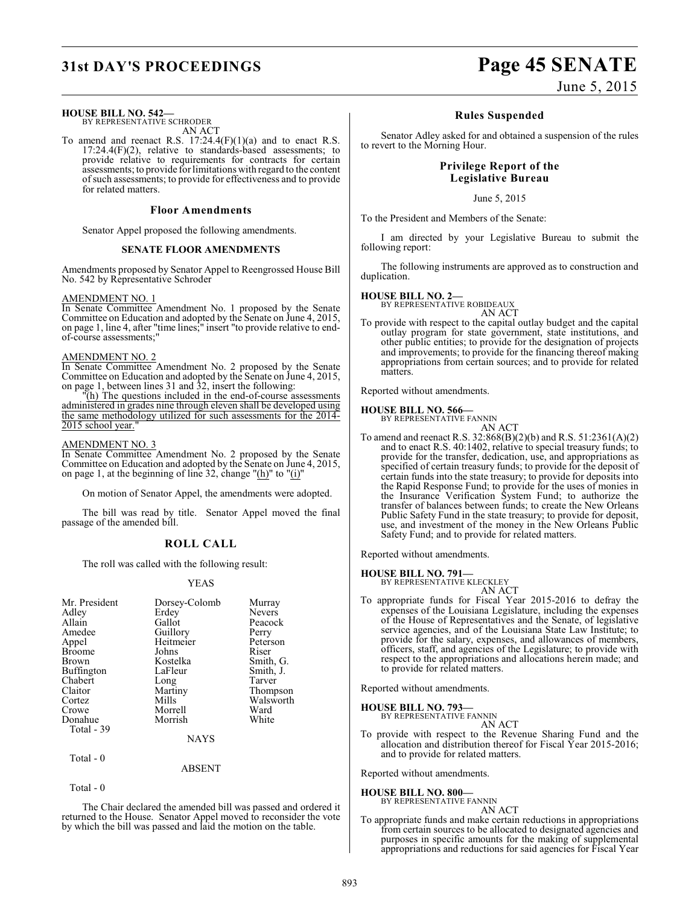### **HOUSE BILL NO. 542—**

BY REPRESENTATIVE SCHRODER

AN ACT

To amend and reenact R.S. 17:24.4(F)(1)(a) and to enact R.S.  $17:24.4(F)(2)$ , relative to standards-based assessments; to provide relative to requirements for contracts for certain assessments; to provide for limitations with regard to the content of such assessments; to provide for effectiveness and to provide for related matters.

### **Floor Amendments**

Senator Appel proposed the following amendments.

### **SENATE FLOOR AMENDMENTS**

Amendments proposed by Senator Appel to Reengrossed House Bill No. 542 by Representative Schroder

### AMENDMENT NO. 1

In Senate Committee Amendment No. 1 proposed by the Senate Committee on Education and adopted by the Senate on June 4, 2015, on page 1, line 4, after "time lines;" insert "to provide relative to endof-course assessments;"

### AMENDMENT NO. 2

In Senate Committee Amendment No. 2 proposed by the Senate Committee on Education and adopted by the Senate on June 4, 2015, on page 1, between lines 31 and 32, insert the following:

"(h) The questions included in the end-of-course assessments administered in grades nine through eleven shall be developed using the same methodology utilized for such assessments for the 2014- 2015 school year."

### AMENDMENT NO. 3

In Senate Committee Amendment No. 2 proposed by the Senate Committee on Education and adopted by the Senate on June 4, 2015, on page 1, at the beginning of line 32, change " $(h)$ " to " $(i)$ "

On motion of Senator Appel, the amendments were adopted.

The bill was read by title. Senator Appel moved the final passage of the amended bill.

### **ROLL CALL**

The roll was called with the following result:

### YEAS

| Mr. President | Dorsey-Colomb | Murray        |
|---------------|---------------|---------------|
| Adley         | Erdey         | <b>Nevers</b> |
| Allain        | Gallot        | Peacock       |
| Amedee        | Guillory      | Perry         |
| Appel         | Heitmeier     | Peterson      |
| <b>Broome</b> | Johns         | Riser         |
| Brown         | Kostelka      | Smith, G.     |
| Buffington    | LaFleur       | Smith, J.     |
| Chabert       | Long          | Tarver        |
| Claitor       | Martiny       | Thompson      |
| Cortez        | Mills         | Walsworth     |
| Crowe         | Morrell       | Ward          |
| Donahue       | Morrish       | White         |
| Total - 39    |               |               |
|               | <b>NAYS</b>   |               |
| Total - 0     |               |               |

ABSENT

```
 Total - 0
```
The Chair declared the amended bill was passed and ordered it returned to the House. Senator Appel moved to reconsider the vote by which the bill was passed and laid the motion on the table.

# **31st DAY'S PROCEEDINGS Page 45 SENATE**

### **Rules Suspended**

Senator Adley asked for and obtained a suspension of the rules to revert to the Morning Hour.

### **Privilege Report of the Legislative Bureau**

June 5, 2015

To the President and Members of the Senate:

I am directed by your Legislative Bureau to submit the following report:

The following instruments are approved as to construction and duplication.

### **HOUSE BILL NO. 2—**

BY REPRESENTATIVE ROBIDEAUX AN ACT

To provide with respect to the capital outlay budget and the capital outlay program for state government, state institutions, and other public entities; to provide for the designation of projects and improvements; to provide for the financing thereof making appropriations from certain sources; and to provide for related matters.

Reported without amendments.

### **HOUSE BILL NO. 566—**



To amend and reenact R.S. 32:868(B)(2)(b) and R.S. 51:2361(A)(2) and to enact R.S. 40:1402, relative to special treasury funds; to provide for the transfer, dedication, use, and appropriations as specified of certain treasury funds; to provide for the deposit of certain funds into the state treasury; to provide for deposits into the Rapid Response Fund; to provide for the uses of monies in the Insurance Verification System Fund; to authorize the transfer of balances between funds; to create the New Orleans Public Safety Fund in the state treasury; to provide for deposit, use, and investment of the money in the New Orleans Public Safety Fund; and to provide for related matters.

Reported without amendments.

### **HOUSE BILL NO. 791—**

BY REPRESENTATIVE KLECKLEY

AN ACT To appropriate funds for Fiscal Year 2015-2016 to defray the expenses of the Louisiana Legislature, including the expenses of the House of Representatives and the Senate, of legislative service agencies, and of the Louisiana State Law Institute; to provide for the salary, expenses, and allowances of members, officers, staff, and agencies of the Legislature; to provide with respect to the appropriations and allocations herein made; and to provide for related matters.

Reported without amendments.

### **HOUSE BILL NO. 793—** BY REPRESENTATIVE

AN ACT To provide with respect to the Revenue Sharing Fund and the allocation and distribution thereof for Fiscal Year 2015-2016; and to provide for related matters.

Reported without amendments.

### **HOUSE BILL NO. 800—**

BY REPRESENTATIVE FANNIN AN ACT

To appropriate funds and make certain reductions in appropriations from certain sources to be allocated to designated agencies and purposes in specific amounts for the making of supplemental appropriations and reductions for said agencies for Fiscal Year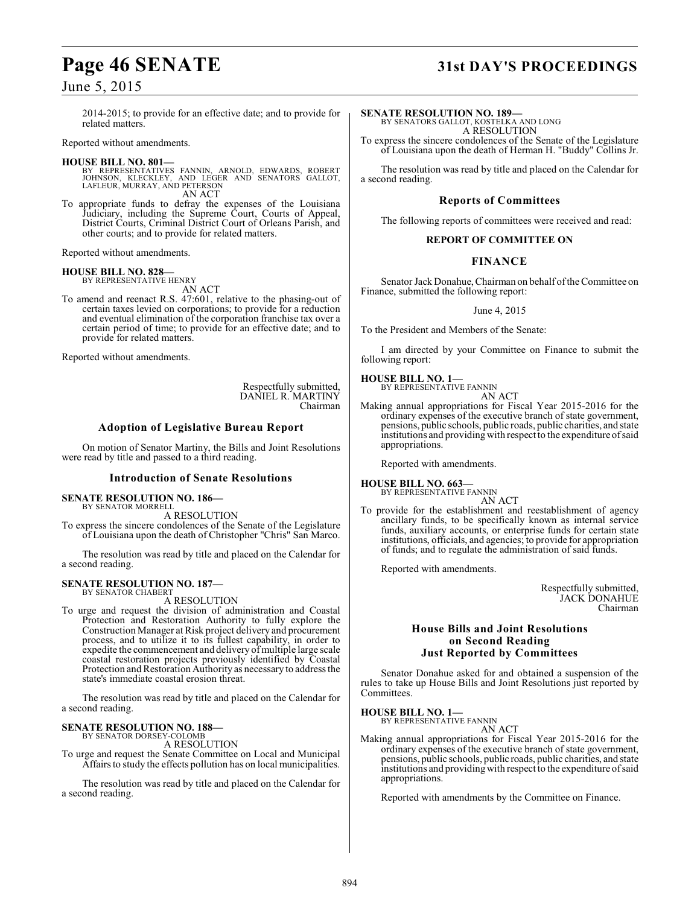### June 5, 2015

2014-2015; to provide for an effective date; and to provide for related matters.

Reported without amendments.

### **HOUSE BILL NO. 801—**

- BY REPRESENTATIVES FANNIN, ARNOLD, EDWARDS, ROBERT JOHNSON, KLECKLEY, AND LEGER AND SENATORS GALLOT, LAFLEUR, MURRAY, AND PETERSON AN ACT
- To appropriate funds to defray the expenses of the Louisiana Judiciary, including the Supreme Court, Courts of Appeal, District Courts, Criminal District Court of Orleans Parish, and other courts; and to provide for related matters.

Reported without amendments.

### **HOUSE BILL NO. 828—**

BY REPRESENTATIVE HENRY AN ACT

To amend and reenact R.S. 47:601, relative to the phasing-out of certain taxes levied on corporations; to provide for a reduction and eventual elimination of the corporation franchise tax over a certain period of time; to provide for an effective date; and to provide for related matters.

Reported without amendments.

Respectfully submitted, DANIEL R. MARTINY Chairman

### **Adoption of Legislative Bureau Report**

On motion of Senator Martiny, the Bills and Joint Resolutions were read by title and passed to a third reading.

### **Introduction of Senate Resolutions**

### **SENATE RESOLUTION NO. 186—** BY SENATOR MORRELL

A RESOLUTION

To express the sincere condolences of the Senate of the Legislature of Louisiana upon the death of Christopher "Chris" San Marco.

The resolution was read by title and placed on the Calendar for a second reading.

### **SENATE RESOLUTION NO. 187—**

BY SENATOR CHABERT A RESOLUTION

To urge and request the division of administration and Coastal Protection and Restoration Authority to fully explore the Construction Manager at Risk project delivery and procurement process, and to utilize it to its fullest capability, in order to expedite the commencement and delivery of multiple large scale coastal restoration projects previously identified by Coastal Protection and Restoration Authority as necessary to address the state's immediate coastal erosion threat.

The resolution was read by title and placed on the Calendar for a second reading.

# **SENATE RESOLUTION NO. 188—** BY SENATOR DORSEY-COLOMB

A RESOLUTION

To urge and request the Senate Committee on Local and Municipal Affairs to study the effects pollution has on local municipalities.

The resolution was read by title and placed on the Calendar for a second reading.

# **Page 46 SENATE 31st DAY'S PROCEEDINGS**

**SENATE RESOLUTION NO. 189—**

BY SENATORS GALLOT, KOSTELKA AND LONG A RESOLUTION

To express the sincere condolences of the Senate of the Legislature of Louisiana upon the death of Herman H. "Buddy" Collins Jr.

The resolution was read by title and placed on the Calendar for a second reading.

### **Reports of Committees**

The following reports of committees were received and read:

### **REPORT OF COMMITTEE ON**

### **FINANCE**

Senator Jack Donahue, Chairman on behalf of the Committee on Finance, submitted the following report:

### June 4, 2015

To the President and Members of the Senate:

I am directed by your Committee on Finance to submit the following report:

**HOUSE BILL NO. 1—**

BY REPRESENTATIVE FANNIN AN ACT

Making annual appropriations for Fiscal Year 2015-2016 for the ordinary expenses of the executive branch of state government, pensions, public schools, public roads, public charities, and state institutions and providing with respect to the expenditure of said appropriations.

Reported with amendments.

### **HOUSE BILL NO. 663—**

BY REPRESENTATIVE FANNIN AN ACT

To provide for the establishment and reestablishment of agency ancillary funds, to be specifically known as internal service funds, auxiliary accounts, or enterprise funds for certain state institutions, officials, and agencies; to provide for appropriation of funds; and to regulate the administration of said funds.

Reported with amendments.

Respectfully submitted, JACK DONAHUE Chairman

### **House Bills and Joint Resolutions on Second Reading Just Reported by Committees**

Senator Donahue asked for and obtained a suspension of the rules to take up House Bills and Joint Resolutions just reported by Committees.

### **HOUSE BILL NO. 1—** BY REPRESENTATIVE FANNIN

AN ACT

Making annual appropriations for Fiscal Year 2015-2016 for the ordinary expenses of the executive branch of state government, pensions, public schools, public roads, public charities, and state institutions and providing with respect to the expenditure of said appropriations.

Reported with amendments by the Committee on Finance.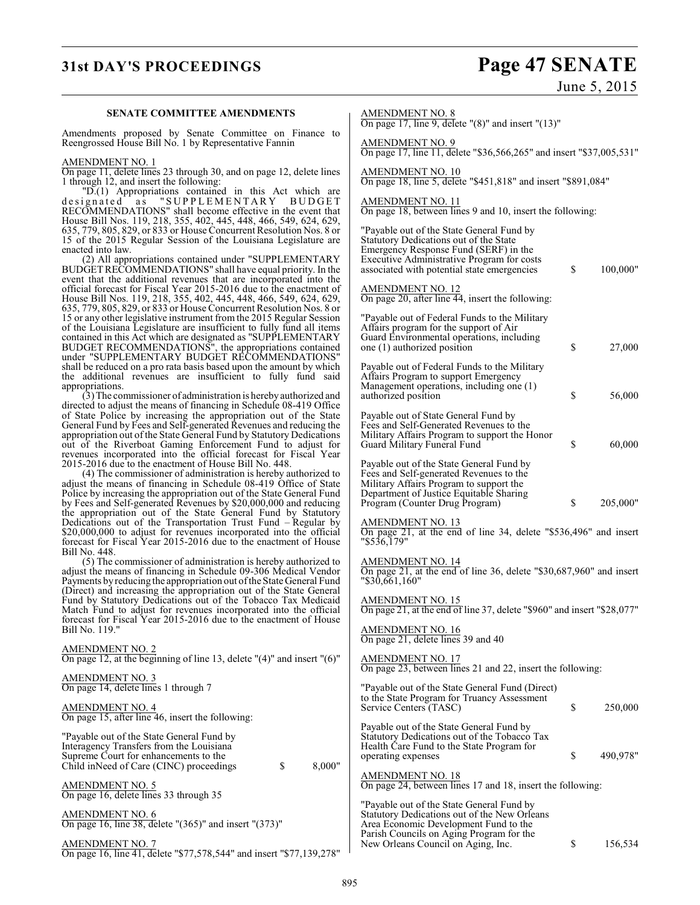**SENATE COMMITTEE AMENDMENTS**

On page 16, line 41, delete "\$77,578,544" and insert "\$77,139,278"

# **31st DAY'S PROCEEDINGS Page 47 SENATE**

June 5, 2015

|                                                                                                                                            | On page 17, line 9, delete " $(8)$ " and insert " $(13)$ "                                     |
|--------------------------------------------------------------------------------------------------------------------------------------------|------------------------------------------------------------------------------------------------|
| Amendments proposed by Senate Committee on Finance to<br>Reengrossed House Bill No. 1 by Representative Fannin                             | <b>AMENDMENT NO. 9</b><br>On page 17, line 11, delete "\$36,566,265" and insert "\$37,005,531" |
| AMENDMENT NO. 1                                                                                                                            |                                                                                                |
| On page 11, delete lines 23 through 30, and on page 12, delete lines<br>1 through 12, and insert the following:                            | AMENDMENT NO. 10<br>On page 18, line 5, delete "\$451,818" and insert "\$891,084"              |
| "D.(1) Appropriations contained in this Act which are<br>designated as "SUPPLEMENTARY BUDGET                                               | AMENDMENT NO. 11                                                                               |
| RECOMMENDATIONS" shall become effective in the event that                                                                                  | On page 18, between lines 9 and 10, insert the following:                                      |
| House Bill Nos. 119, 218, 355, 402, 445, 448, 466, 549, 624, 629,                                                                          |                                                                                                |
| 635, 779, 805, 829, or 833 or House Concurrent Resolution Nos. 8 or                                                                        | "Payable out of the State General Fund by                                                      |
| 15 of the 2015 Regular Session of the Louisiana Legislature are<br>enacted into law.                                                       | Statutory Dedications out of the State<br>Emergency Response Fund (SERF) in the                |
| (2) All appropriations contained under "SUPPLEMENTARY                                                                                      | Executive Administrative Program for costs                                                     |
| BUDGET RECOMMENDATIONS" shall have equal priority. In the                                                                                  | \$<br>100,000"<br>associated with potential state emergencies                                  |
| event that the additional revenues that are incorporated into the                                                                          |                                                                                                |
| official forecast for Fiscal Year 2015-2016 due to the enactment of<br>House Bill Nos. 119, 218, 355, 402, 445, 448, 466, 549, 624, 629,   | <b>AMENDMENT NO. 12</b><br>On page 20, after line $\overline{44}$ , insert the following:      |
| 635, 779, 805, 829, or 833 or House Concurrent Resolution Nos. 8 or                                                                        |                                                                                                |
| 15 or any other legislative instrument from the 2015 Regular Session                                                                       | "Payable out of Federal Funds to the Military"                                                 |
| of the Louisiana Legislature are insufficient to fully fund all items                                                                      | Affairs program for the support of Air                                                         |
| contained in this Act which are designated as "SUPPLEMENTARY                                                                               | Guard Environmental operations, including<br>\$                                                |
| BUDGET RECOMMENDATIONS", the appropriations contained<br>under "SUPPLEMENTARY BUDGET RECOMMENDATIONS"                                      | 27,000<br>one (1) authorized position                                                          |
| shall be reduced on a pro rata basis based upon the amount by which                                                                        | Payable out of Federal Funds to the Military                                                   |
| the additional revenues are insufficient to fully fund said                                                                                | Affairs Program to support Emergency                                                           |
| appropriations.                                                                                                                            | Management operations, including one (1)                                                       |
| (3) The commissioner of administration is hereby authorized and<br>directed to adjust the means of financing in Schedule 08-419 Office     | \$<br>56,000<br>authorized position                                                            |
| of State Police by increasing the appropriation out of the State                                                                           | Payable out of State General Fund by                                                           |
| General Fund by Fees and Self-generated Revenues and reducing the                                                                          | Fees and Self-Generated Revenues to the                                                        |
| appropriation out of the State General Fund by Statutory Dedications                                                                       | Military Affairs Program to support the Honor                                                  |
| out of the Riverboat Gaming Enforcement Fund to adjust for<br>revenues incorporated into the official forecast for Fiscal Year             | \$<br>60,000<br>Guard Military Funeral Fund                                                    |
| 2015-2016 due to the enactment of House Bill No. 448.                                                                                      | Payable out of the State General Fund by                                                       |
| (4) The commissioner of administration is hereby authorized to                                                                             | Fees and Self-generated Revenues to the                                                        |
| adjust the means of financing in Schedule 08-419 Office of State                                                                           | Military Affairs Program to support the                                                        |
| Police by increasing the appropriation out of the State General Fund<br>by Fees and Self-generated Revenues by \$20,000,000 and reducing   | Department of Justice Equitable Sharing<br>\$<br>205,000"<br>Program (Counter Drug Program)    |
| the appropriation out of the State General Fund by Statutory                                                                               |                                                                                                |
| Dedications out of the Transportation Trust Fund – Regular by                                                                              | AMENDMENT NO. 13                                                                               |
| \$20,000,000 to adjust for revenues incorporated into the official                                                                         | On page 21, at the end of line 34, delete "\$536,496" and insert                               |
| forecast for Fiscal Year 2015-2016 due to the enactment of House<br>Bill No. 448.                                                          | $"\$5\overline{3}6\overline{.}179"$                                                            |
| (5) The commissioner of administration is hereby authorized to                                                                             | <b>AMENDMENT NO. 14</b>                                                                        |
| adjust the means of financing in Schedule 09-306 Medical Vendor                                                                            | On page 21, at the end of line 36, delete "\$30,687,960" and insert                            |
| Payments by reducing the appropriation out of the State General Fund<br>(Direct) and increasing the appropriation out of the State General | "\$30,661,160"                                                                                 |
| Fund by Statutory Dedications out of the Tobacco Tax Medicaid                                                                              | AMENDMENT NO. 15                                                                               |
| Match Fund to adjust for revenues incorporated into the official                                                                           | On page 21, at the end of line 37, delete "\$960" and insert "\$28,077"                        |
| forecast for Fiscal Year 2015-2016 due to the enactment of House<br>Bill No. 119."                                                         | AMENDMENT NO. 16                                                                               |
|                                                                                                                                            | On page 21, delete lines 39 and 40                                                             |
| $\frac{\text{AMENDMENT NO. 2}}{\text{On page 12, at the beginning of line 13, delete }''(4)''$ and insert $''(6)''$                        |                                                                                                |
|                                                                                                                                            | <b>AMENDMENT NO. 17</b>                                                                        |
| <b>AMENDMENT NO. 3</b>                                                                                                                     | On page 23, between lines 21 and 22, insert the following:                                     |
| On page 14, delete lines 1 through 7                                                                                                       | "Payable out of the State General Fund (Direct)                                                |
|                                                                                                                                            | to the State Program for Truancy Assessment                                                    |
| <b>AMENDMENT NO. 4</b>                                                                                                                     | \$<br>Service Centers (TASC)<br>250,000                                                        |
| On page 15, after line 46, insert the following:                                                                                           | Payable out of the State General Fund by                                                       |
| "Payable out of the State General Fund by                                                                                                  | Statutory Dedications out of the Tobacco Tax                                                   |
| Interagency Transfers from the Louisiana                                                                                                   | Health Care Fund to the State Program for                                                      |
| Supreme Court for enhancements to the                                                                                                      | 490,978"<br>\$<br>operating expenses                                                           |
| \$<br>8,000"<br>Child in Need of Care (CINC) proceedings                                                                                   | <b>AMENDMENT NO. 18</b>                                                                        |
| <u>AMENDMENT NO. 5</u>                                                                                                                     | On page 24, between lines 17 and 18, insert the following:                                     |
| On page 16, delete lines 33 through 35                                                                                                     |                                                                                                |
|                                                                                                                                            | "Payable out of the State General Fund by                                                      |
| <b>AMENDMENT NO. 6</b><br>On page 16, line 38, delete "(365)" and insert "(373)"                                                           | Statutory Dedications out of the New Orleans<br>Area Economic Development Fund to the          |
|                                                                                                                                            | Parish Councils on Aging Program for the                                                       |
| AMENDMENT NO. 7                                                                                                                            | \$<br>156,534<br>New Orleans Council on Aging, Inc.                                            |

AMENDMENT NO. 8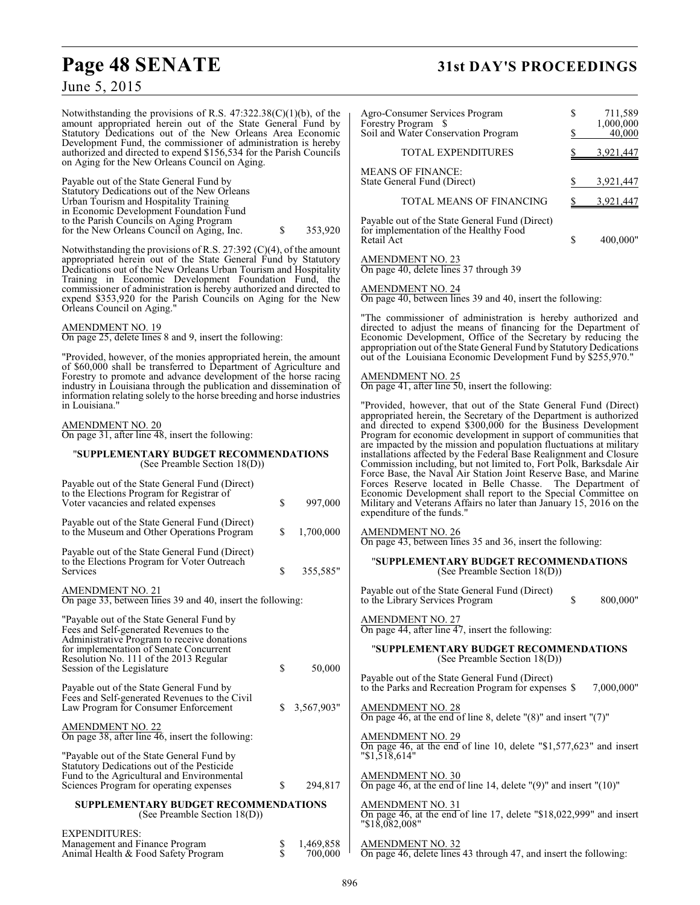# **Page 48 SENATE 31st DAY'S PROCEEDINGS**

### June 5, 2015

Notwithstanding the provisions of R.S. 47:322.38(C)(1)(b), of the amount appropriated herein out of the State General Fund by Statutory Dedications out of the New Orleans Area Economic Development Fund, the commissioner of administration is hereby authorized and directed to expend \$156,534 for the Parish Councils on Aging for the New Orleans Council on Aging.

Payable out of the State General Fund by Statutory Dedications out of the New Orleans Urban Tourism and Hospitality Training in Economic Development Foundation Fund to the Parish Councils on Aging Program for the New Orleans Council on Aging, Inc.  $\qquad$  \$ 353,920

Notwithstanding the provisions of R.S. 27:392 (C)(4), of the amount appropriated herein out of the State General Fund by Statutory Dedications out of the New Orleans Urban Tourism and Hospitality Training in Economic Development Foundation Fund, the commissioner of administration is hereby authorized and directed to expend \$353,920 for the Parish Councils on Aging for the New Orleans Council on Aging."

### AMENDMENT NO. 19

On page 25, delete lines 8 and 9, insert the following:

"Provided, however, of the monies appropriated herein, the amount of \$60,000 shall be transferred to Department of Agriculture and Forestry to promote and advance development of the horse racing industry in Louisiana through the publication and dissemination of information relating solely to the horse breeding and horse industries in Louisiana."

### AMENDMENT NO. 20

On page 31, after line 48, insert the following:

### "**SUPPLEMENTARY BUDGET RECOMMENDATIONS** (See Preamble Section 18(D))

| Payable out of the State General Fund (Direct)<br>to the Elections Program for Registrar of<br>Voter vacancies and related expenses                                                                                                                    | \$<br>997,000    |
|--------------------------------------------------------------------------------------------------------------------------------------------------------------------------------------------------------------------------------------------------------|------------------|
| Payable out of the State General Fund (Direct)<br>to the Museum and Other Operations Program                                                                                                                                                           | \$<br>1,700,000  |
| Payable out of the State General Fund (Direct)<br>to the Elections Program for Voter Outreach<br>Services                                                                                                                                              | \$<br>355,585"   |
| AMENDMENT NO. 21<br>On page 33, between lines 39 and 40, insert the following:                                                                                                                                                                         |                  |
| "Payable out of the State General Fund by<br>Fees and Self-generated Revenues to the<br>Administrative Program to receive donations<br>for implementation of Senate Concurrent<br>Resolution No. 111 of the 2013 Regular<br>Session of the Legislature | \$<br>50,000     |
| Payable out of the State General Fund by<br>Fees and Self-generated Revenues to the Civil<br>Law Program for Consumer Enforcement                                                                                                                      | \$<br>3,567,903" |
| <b>AMENDMENT NO. 22</b><br>On page 38, after line 46, insert the following:                                                                                                                                                                            |                  |
| "Payable out of the State General Fund by<br>Statutory Dedications out of the Pesticide<br>Fund to the Agricultural and Environmental<br>Sciences Program for operating expenses                                                                       | \$<br>294,817    |
| SUPPLEMENTARY BUDGET RECOMMENDATIONS<br>(See Preamble Section 18(D))                                                                                                                                                                                   |                  |
| <b>EXPENDITURES:</b>                                                                                                                                                                                                                                   | 0.110000         |

| EXPENDITURES:                       |           |
|-------------------------------------|-----------|
| Management and Finance Program      | 1.469.858 |
| Animal Health & Food Safety Program | 700,000   |
|                                     |           |

| Agro-Consumer Services Program<br>Forestry Program<br>-8<br>Soil and Water Conservation Program                                                                                                                                                                                                                                                                                                                                                                                                                                                                                                                                                                                                                                                                                                     | \$<br>\$                 | 711,589<br>1,000,000<br>40,000 |  |  |  |
|-----------------------------------------------------------------------------------------------------------------------------------------------------------------------------------------------------------------------------------------------------------------------------------------------------------------------------------------------------------------------------------------------------------------------------------------------------------------------------------------------------------------------------------------------------------------------------------------------------------------------------------------------------------------------------------------------------------------------------------------------------------------------------------------------------|--------------------------|--------------------------------|--|--|--|
| <b>TOTAL EXPENDITURES</b>                                                                                                                                                                                                                                                                                                                                                                                                                                                                                                                                                                                                                                                                                                                                                                           | $\overline{\mathcal{E}}$ | 3,921,447                      |  |  |  |
| <b>MEANS OF FINANCE:</b>                                                                                                                                                                                                                                                                                                                                                                                                                                                                                                                                                                                                                                                                                                                                                                            |                          |                                |  |  |  |
| State General Fund (Direct)                                                                                                                                                                                                                                                                                                                                                                                                                                                                                                                                                                                                                                                                                                                                                                         | \$                       | 3,921,447                      |  |  |  |
| TOTAL MEANS OF FINANCING                                                                                                                                                                                                                                                                                                                                                                                                                                                                                                                                                                                                                                                                                                                                                                            | \$                       | 3,921,447                      |  |  |  |
| Payable out of the State General Fund (Direct)<br>for implementation of the Healthy Food<br>Retail Act                                                                                                                                                                                                                                                                                                                                                                                                                                                                                                                                                                                                                                                                                              | \$                       | 400,000"                       |  |  |  |
| AMENDMENT NO. 23<br>On page 40, delete lines 37 through 39                                                                                                                                                                                                                                                                                                                                                                                                                                                                                                                                                                                                                                                                                                                                          |                          |                                |  |  |  |
| AMEND <u>MENT NO. 24</u><br>On page 40, between lines 39 and 40, insert the following:                                                                                                                                                                                                                                                                                                                                                                                                                                                                                                                                                                                                                                                                                                              |                          |                                |  |  |  |
| "The commissioner of administration is hereby authorized and<br>directed to adjust the means of financing for the Department of<br>Economic Development, Office of the Secretary by reducing the<br>appropriation out of the State General Fund by Statutory Dedications<br>out of the Louisiana Economic Development Fund by \$255,970."                                                                                                                                                                                                                                                                                                                                                                                                                                                           |                          |                                |  |  |  |
| <u>AMENDMENT NO. 25</u><br>On page 41, after line 50, insert the following:                                                                                                                                                                                                                                                                                                                                                                                                                                                                                                                                                                                                                                                                                                                         |                          |                                |  |  |  |
| "Provided, however, that out of the State General Fund (Direct)<br>appropriated herein, the Secretary of the Department is authorized<br>and directed to expend \$300,000 for the Business Development<br>Program for economic development in support of communities that<br>are impacted by the mission and population fluctuations at military<br>installations affected by the Federal Base Realignment and Closure<br>Commission including, but not limited to, Fort Polk, Barksdale Air<br>Force Base, the Naval Air Station Joint Reserve Base, and Marine<br>Forces Reserve located in Belle Chasse. The Department of<br>Economic Development shall report to the Special Committee on<br>Military and Veterans Affairs no later than January 15, 2016 on the<br>expenditure of the funds." |                          |                                |  |  |  |
| AMENDMENT NO. 26<br>On page 43, between lines 35 and 36, insert the following:                                                                                                                                                                                                                                                                                                                                                                                                                                                                                                                                                                                                                                                                                                                      |                          |                                |  |  |  |
| "SUPPLEMENTARY BUDGET RECOMMENDATIONS<br>(See Preamble Section 18(D))                                                                                                                                                                                                                                                                                                                                                                                                                                                                                                                                                                                                                                                                                                                               |                          |                                |  |  |  |
| Payable out of the State General Fund (Direct)<br>to the Library Services Program                                                                                                                                                                                                                                                                                                                                                                                                                                                                                                                                                                                                                                                                                                                   | \$                       | 800,000"                       |  |  |  |
| AMENDMENT NO. 27<br>On page 44, after line 47, insert the following:                                                                                                                                                                                                                                                                                                                                                                                                                                                                                                                                                                                                                                                                                                                                |                          |                                |  |  |  |
| "SUPPLEMENTARY BUDGET RECOMMENDATIONS<br>(See Preamble Section 18(D))                                                                                                                                                                                                                                                                                                                                                                                                                                                                                                                                                                                                                                                                                                                               |                          |                                |  |  |  |
| Payable out of the State General Fund (Direct)<br>to the Parks and Recreation Program for expenses \$                                                                                                                                                                                                                                                                                                                                                                                                                                                                                                                                                                                                                                                                                               |                          | 7,000,000"                     |  |  |  |
| <b>AMENDMENT NO. 28</b><br>On page 46, at the end of line 8, delete $\degree$ (8)" and insert $\degree$ (7)"                                                                                                                                                                                                                                                                                                                                                                                                                                                                                                                                                                                                                                                                                        |                          |                                |  |  |  |
| AMENDMENT NO. 29<br>On page 46, at the end of line 10, delete "\$1,577,623" and insert "\$1,518,614"                                                                                                                                                                                                                                                                                                                                                                                                                                                                                                                                                                                                                                                                                                |                          |                                |  |  |  |
| $\frac{\text{AMENDMENT NO. 30}}{\text{On page 46, at the end of line 14, delete } (9)^n \text{ and insert } (10)^n$                                                                                                                                                                                                                                                                                                                                                                                                                                                                                                                                                                                                                                                                                 |                          |                                |  |  |  |
| AMENDMENT NO. 31<br>On page 46, at the end of line 17, delete "\$18,022,999" and insert<br>$"\$1\overline{8,082,008"$                                                                                                                                                                                                                                                                                                                                                                                                                                                                                                                                                                                                                                                                               |                          |                                |  |  |  |
| AMENDMENT NO. 32<br>On page 46, delete lines 43 through 47, and insert the following:                                                                                                                                                                                                                                                                                                                                                                                                                                                                                                                                                                                                                                                                                                               |                          |                                |  |  |  |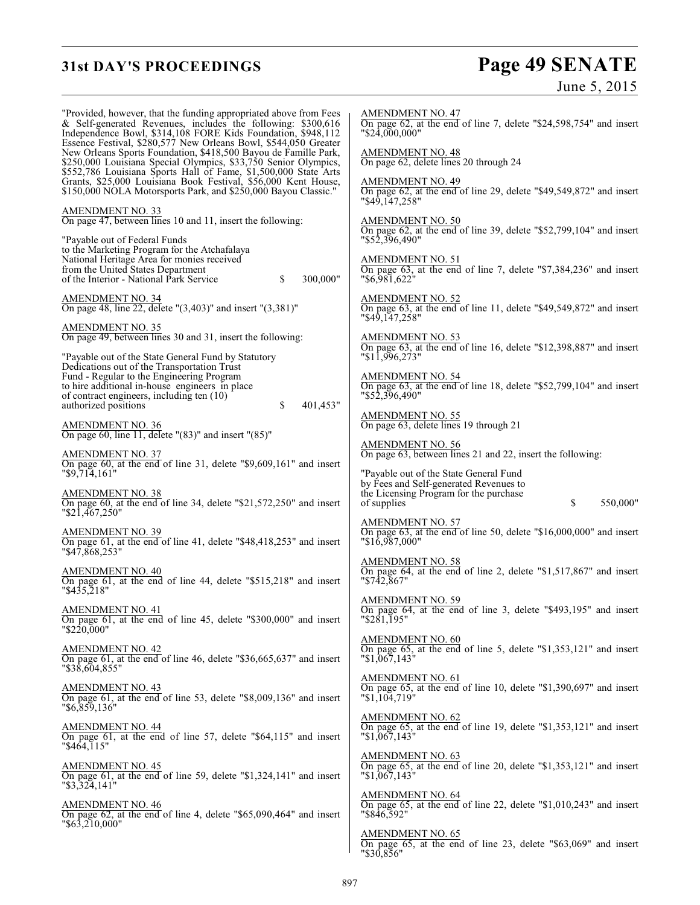# **31st DAY'S PROCEEDINGS Page 49 SENATE**

June 5, 2015

"Provided, however, that the funding appropriated above from Fees & Self-generated Revenues, includes the following: \$300,616 Independence Bowl, \$314,108 FORE Kids Foundation, \$948,112 Essence Festival, \$280,577 New Orleans Bowl, \$544,050 Greater New Orleans Sports Foundation, \$418,500 Bayou de Famille Park, \$250,000 Louisiana Special Olympics, \$33,750 Senior Olympics, \$552,786 Louisiana Sports Hall of Fame, \$1,500,000 State Arts Grants, \$25,000 Louisiana Book Festival, \$56,000 Kent House, \$150,000 NOLA Motorsports Park, and \$250,000 Bayou Classic." AMENDMENT NO. 33 On page 47, between lines 10 and 11, insert the following: "Payable out of Federal Funds to the Marketing Program for the Atchafalaya National Heritage Area for monies received from the United States Department of the Interior - National Park Service \$ 300,000" AMENDMENT NO. 34 On page 48, line 22, delete "(3,403)" and insert "(3,381)" AMENDMENT NO. 35 On page 49, between lines 30 and 31, insert the following: "Payable out of the State General Fund by Statutory Dedications out of the Transportation Trust Fund - Regular to the Engineering Program to hire additional in-house engineers in place of contract engineers, including ten (10) authorized positions  $\frac{1}{2}$   $\frac{401,453}{ }$ AMENDMENT NO. 36 On page 60, line 11, delete "(83)" and insert "(85)" AMENDMENT NO. 37 On page 60, at the end of line 31, delete "\$9,609,161" and insert "\$9,714,161" AMENDMENT NO. 38 On page 60, at the end of line 34, delete "\$21,572,250" and insert "\$21,467,250" AMENDMENT NO. 39 On page 61, at the end of line 41, delete "\$48,418,253" and insert "\$47,868,253" AMENDMENT NO. 40 On page 61, at the end of line 44, delete "\$515,218" and insert "\$435,218" AMENDMENT NO. 41 On page 61, at the end of line 45, delete "\$300,000" and insert "\$220,000" AMENDMENT NO. 42 On page 61, at the end of line 46, delete "\$36,665,637" and insert "\$38,604,855" AMENDMENT NO. 43 On page 61, at the end of line 53, delete "\$8,009,136" and insert "\$6,859,136" AMENDMENT NO. 44 On page 61, at the end of line 57, delete "\$64,115" and insert "\$464,115" AMENDMENT NO. 45 On page 61, at the end of line 59, delete "\$1,324,141" and insert "\$3,324,141" AMENDMENT NO. 46 On page 62, at the end of line 4, delete "\$65,090,464" and insert "\$63,210,000" "\$24,000,000" "\$49,147,258" "\$52,396,490" "\$6,981,622" "\$49,147,258" "\$11,996,273" "\$52,396,490" "\$16,987,000" "\$742,867" "\$281,195" "\$1,067,143" "\$1,104,719" "\$1,067,143" "\$1,067,143" "\$846,592" AMENDMENT NO. 65 On page 65, at the end of line 23, delete "\$63,069" and insert

AMENDMENT NO. 47 On page 62, at the end of line 7, delete "\$24,598,754" and insert AMENDMENT NO. 48 On page 62, delete lines 20 through 24 AMENDMENT NO. 49  $\overline{On}$  page 62, at the end of line 29, delete "\$49,549,872" and insert AMENDMENT NO. 50 On page 62, at the end of line 39, delete "\$52,799,104" and insert AMENDMENT NO. 51 On page 63, at the end of line 7, delete "\$7,384,236" and insert AMENDMENT NO. 52 On page 63, at the end of line 11, delete "\$49,549,872" and insert AMENDMENT NO. 53 On page 63, at the end of line 16, delete "\$12,398,887" and insert AMENDMENT NO. 54 On page 63, at the end of line 18, delete "\$52,799,104" and insert AMENDMENT NO. 55 On page 63, delete lines 19 through 21 AMENDMENT NO. 56 On page 63, between lines 21 and 22, insert the following: "Payable out of the State General Fund by Fees and Self-generated Revenues to the Licensing Program for the purchase of supplies  $\qquad \qquad$  \$ 550,000" AMENDMENT NO. 57 On page 63, at the end of line 50, delete "\$16,000,000" and insert AMENDMENT NO. 58 On page 64, at the end of line 2, delete "\$1,517,867" and insert AMENDMENT NO. 59 On page 64, at the end of line 3, delete "\$493,195" and insert AMENDMENT NO. 60 On page 65, at the end of line 5, delete "\$1,353,121" and insert AMENDMENT NO. 61 On page 65, at the end of line 10, delete "\$1,390,697" and insert AMENDMENT NO. 62 On page 65, at the end of line 19, delete "\$1,353,121" and insert AMENDMENT NO. 63 On page 65, at the end of line 20, delete "\$1,353,121" and insert AMENDMENT NO. 64 On page 65, at the end of line 22, delete "\$1,010,243" and insert

"\$30,856"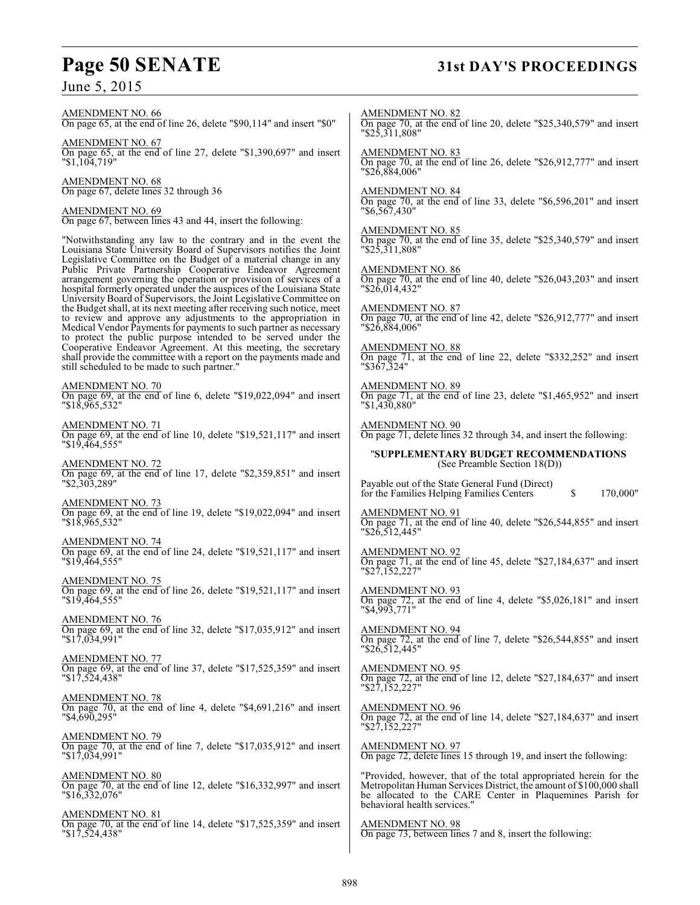# **Page 50 SENATE 31st DAY'S PROCEEDINGS**

June 5, 2015

### AMENDMENT NO. 66

On page 65, at the end of line 26, delete "\$90,114" and insert "\$0"

AMENDMENT NO. 67 On page 65, at the end of line 27, delete "\$1,390,697" and insert "\$1,104,719"

AMENDMENT NO. 68 On page 67, delete lines 32 through 36

AMENDMENT NO. 69 On page 67, between lines 43 and 44, insert the following:

"Notwithstanding any law to the contrary and in the event the Louisiana State University Board of Supervisors notifies the Joint Legislative Committee on the Budget of a material change in any Public Private Partnership Cooperative Endeavor Agreement arrangement governing the operation or provision of services of a hospital formerly operated under the auspices of the Louisiana State University Board of Supervisors, the Joint Legislative Committee on the Budget shall, at its next meeting after receiving such notice, meet to review and approve any adjustments to the appropriation in Medical Vendor Payments for payments to such partner as necessary to protect the public purpose intended to be served under the Cooperative Endeavor Agreement. At this meeting, the secretary shall provide the committee with a report on the payments made and still scheduled to be made to such partner."

### AMENDMENT NO. 70

On page 69, at the end of line 6, delete "\$19,022,094" and insert "\$18,965,532"

AMENDMENT NO. 71 On page 69, at the end of line 10, delete "\$19,521,117" and insert "\$19,464,555"

AMENDMENT NO. 72 On page 69, at the end of line 17, delete "\$2,359,851" and insert "\$2,303,289"

AMENDMENT NO. 73 On page 69, at the end of line 19, delete "\$19,022,094" and insert "\$18,965,532"

AMENDMENT NO. 74 On page 69, at the end of line 24, delete "\$19,521,117" and insert "\$19,464,555"

AMENDMENT NO. 75 On page 69, at the end of line 26, delete "\$19,521,117" and insert "\$19,464,555"

AMENDMENT NO. 76 On page 69, at the end of line 32, delete "\$17,035,912" and insert "\$17,034,991"

AMENDMENT NO. 77 On page 69, at the end of line 37, delete "\$17,525,359" and insert "\$17,524,438"

AMENDMENT NO. 78 On page 70, at the end of line 4, delete "\$4,691,216" and insert "\$4,690,295"

AMENDMENT NO. 79 On page 70, at the end of line 7, delete "\$17,035,912" and insert "\$17,034,991"

AMENDMENT NO. 80 On page 70, at the end of line 12, delete "\$16,332,997" and insert "\$16,332,076"

AMENDMENT NO. 81 On page 70, at the end of line 14, delete "\$17,525,359" and insert "\$17,524,438"

AMENDMENT NO. 82 On page 70, at the end of line 20, delete "\$25,340,579" and insert "\$25,311,808" AMENDMENT NO. 83 On page 70, at the end of line 26, delete "\$26,912,777" and insert "\$26,884,006" AMENDMENT NO. 84 On page 70, at the end of line 33, delete "\$6,596,201" and insert "\$6,567,430" AMENDMENT NO. 85 On page 70, at the end of line 35, delete "\$25,340,579" and insert "\$25,311,808" AMENDMENT NO. 86 On page 70, at the end of line 40, delete "\$26,043,203" and insert "\$26,014,432" AMENDMENT NO. 87 On page 70, at the end of line 42, delete "\$26,912,777" and insert "\$26,884,006" AMENDMENT NO. 88 On page 71, at the end of line 22, delete "\$332,252" and insert "\$367,324" AMENDMENT NO. 89 On page 71, at the end of line 23, delete "\$1,465,952" and insert "\$1,430,880" AMENDMENT NO. 90 On page 71, delete lines 32 through 34, and insert the following: "**SUPPLEMENTARY BUDGET RECOMMENDATIONS** (See Preamble Section 18(D)) Payable out of the State General Fund (Direct) for the Families Helping Families Centers \$ 170,000" AMENDMENT NO. 91 On page 71, at the end of line 40, delete "\$26,544,855" and insert "\$26,512,445" AMENDMENT NO. 92 On page 71, at the end of line 45, delete "\$27,184,637" and insert "\$27,152,227" AMENDMENT NO. 93 On page 72, at the end of line 4, delete "\$5,026,181" and insert "\$4,993,771" AMENDMENT NO. 94 On page 72, at the end of line 7, delete "\$26,544,855" and insert "\$26,512,445" AMENDMENT NO. 95 On page 72, at the end of line 12, delete "\$27,184,637" and insert "\$27,152,227" AMENDMENT NO. 96 On page 72, at the end of line 14, delete "\$27,184,637" and insert "\$27,152,227" AMENDMENT NO. 97 On page 72, delete lines 15 through 19, and insert the following: "Provided, however, that of the total appropriated herein for the Metropolitan Human Services District, the amount of \$100,000 shall be allocated to the CARE Center in Plaquemines Parish for behavioral health services." AMENDMENT NO. 98

On page 73, between lines 7 and 8, insert the following: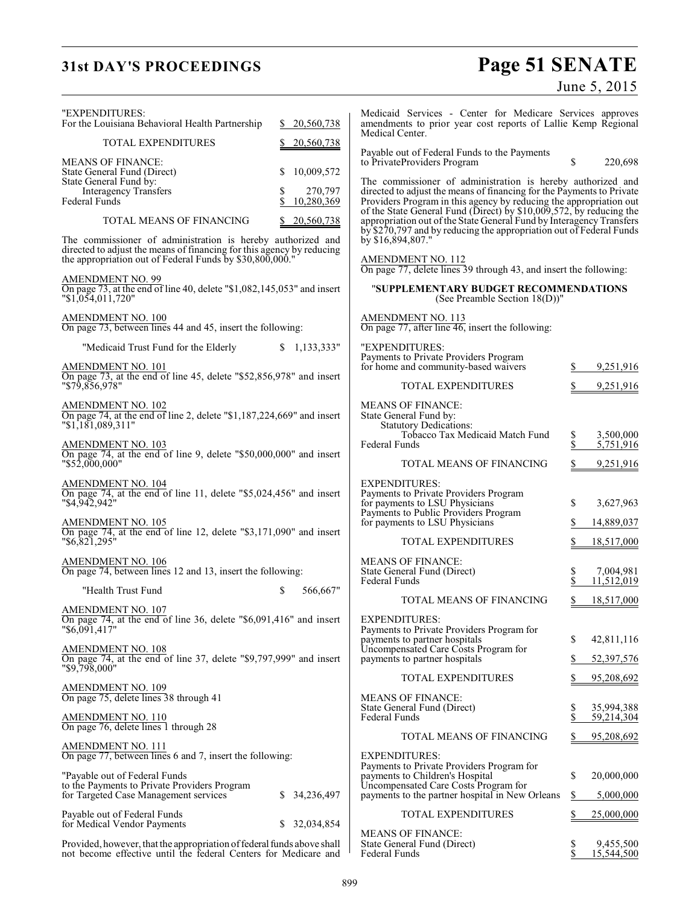# **31st DAY'S PROCEEDINGS**

# Page 51 SENATE<br>June 5, 2015

| "EXPENDITURES:<br>For the Louisiana Behavioral Health Partnership                                                                                                                                | 20,560,738                  | Medicaid Services - Center for Medicare Services approves<br>amendments to prior year cost reports of Lallie Kemp Regional<br>Medical Center.                                                                      |          |                          |
|--------------------------------------------------------------------------------------------------------------------------------------------------------------------------------------------------|-----------------------------|--------------------------------------------------------------------------------------------------------------------------------------------------------------------------------------------------------------------|----------|--------------------------|
| TOTAL EXPENDITURES                                                                                                                                                                               | 20,560,738                  | Payable out of Federal Funds to the Payments                                                                                                                                                                       |          |                          |
| <b>MEANS OF FINANCE:</b><br>State General Fund (Direct)<br>State General Fund by:                                                                                                                | 10,009,572                  | to PrivateProviders Program<br>The commissioner of administration is hereby authorized and                                                                                                                         | S        | 220,698                  |
| Interagency Transfers<br>Federal Funds                                                                                                                                                           | 270,797<br>\$<br>10,280,369 | directed to adjust the means of financing for the Payments to Private<br>Providers Program in this agency by reducing the appropriation out                                                                        |          |                          |
| TOTAL MEANS OF FINANCING                                                                                                                                                                         | 20,560,738                  | of the State General Fund (Direct) by \$10,009,572, by reducing the<br>appropriation out of the State General Fund by Interagency Transfers<br>by \$270,797 and by reducing the appropriation out of Federal Funds |          |                          |
| The commissioner of administration is hereby authorized and<br>directed to adjust the means of financing for this agency by reducing<br>the appropriation out of Federal Funds by \$30,800,000." |                             | by \$16,894,807."<br>AMENDMENT NO. 112<br>On page 77, delete lines 39 through 43, and insert the following:                                                                                                        |          |                          |
| <b>AMENDMENT NO. 99</b><br>On page 73, at the end of line 40, delete "\$1,082,145,053" and insert                                                                                                |                             | "SUPPLEMENTARY BUDGET RECOMMENDATIONS                                                                                                                                                                              |          |                          |
| "\$1,054,011,720"                                                                                                                                                                                |                             | (See Preamble Section $18(D)$ )"                                                                                                                                                                                   |          |                          |
| AMENDMENT NO. 100<br>On page 73, between lines 44 and 45, insert the following:                                                                                                                  |                             | AMENDMENT NO. 113<br>On page 77, after line 46, insert the following:                                                                                                                                              |          |                          |
| "Medicaid Trust Fund for the Elderly<br>AMENDMENT NO. 101                                                                                                                                        | \$1,133,333"                | "EXPENDITURES:<br>Payments to Private Providers Program<br>for home and community-based waivers                                                                                                                    | S        | 9,251,916                |
| On page 73, at the end of line 45, delete "\$52,856,978" and insert<br>"\$79.856.978"                                                                                                            |                             | <b>TOTAL EXPENDITURES</b>                                                                                                                                                                                          |          | 9,251,916                |
| $\frac{\text{AMENDMENT NO. 102}}{\text{On page 74, at the end of line 2, delete "$1,187,224,669" and insert }$                                                                                   |                             | <b>MEANS OF FINANCE:</b><br>State General Fund by:                                                                                                                                                                 |          |                          |
| "\$1,181,089,311"                                                                                                                                                                                |                             | <b>Statutory Dedications:</b><br>Tobacco Tax Medicaid Match Fund                                                                                                                                                   | \$       | 3,500,000                |
| AMENDMENT NO. 103<br>On page 74, at the end of line 9, delete "\$50,000,000" and insert<br>"\$52,000,000"                                                                                        |                             | Federal Funds<br>TOTAL MEANS OF FINANCING                                                                                                                                                                          | \$<br>\$ | 5,751,916<br>9,251,916   |
| <u>AMENDMENT NO. 104</u>                                                                                                                                                                         |                             | <b>EXPENDITURES:</b>                                                                                                                                                                                               |          |                          |
| On page 74, at the end of line 11, delete "\$5,024,456" and insert<br>"\$4,942,942"                                                                                                              |                             | Payments to Private Providers Program<br>for payments to LSU Physicians<br>Payments to Public Providers Program                                                                                                    | \$       | 3,627,963                |
| <u>AMENDMENT NO. 105</u><br>On page 74, at the end of line 12, delete "\$3,171,090" and insert                                                                                                   |                             | for payments to LSU Physicians                                                                                                                                                                                     | \$       | 14,889,037               |
| "\$6,821,295"                                                                                                                                                                                    |                             | <b>TOTAL EXPENDITURES</b>                                                                                                                                                                                          |          | 18,517,000               |
| <u>AMENDMENT NO. 106</u><br>On page 74, between lines 12 and 13, insert the following:                                                                                                           |                             | <b>MEANS OF FINANCE:</b><br>State General Fund (Direct)<br><b>Federal Funds</b>                                                                                                                                    | \$       | 7,004,981<br>11,512,019  |
| "Health Trust Fund                                                                                                                                                                               | \$<br>566,667"              | TOTAL MEANS OF FINANCING                                                                                                                                                                                           | S        | 18,517,000               |
| <u>AMENDMENT NO. 107</u><br>On page 74, at the end of line 36, delete " $$6,091,416"$ and insert                                                                                                 |                             | <b>EXPENDITURES:</b>                                                                                                                                                                                               |          |                          |
| "\$6,091,417"                                                                                                                                                                                    |                             | Payments to Private Providers Program for<br>payments to partner hospitals                                                                                                                                         | \$       | 42,811,116               |
| <u>AMENDMENT NO. 108</u><br>On page 74, at the end of line 37, delete "\$9,797,999" and insert                                                                                                   |                             | Uncompensated Care Costs Program for<br>payments to partner hospitals                                                                                                                                              | S        | 52,397,576               |
| "\$9,798,000"                                                                                                                                                                                    |                             | <b>TOTAL EXPENDITURES</b>                                                                                                                                                                                          |          | 95,208,692               |
| <b>AMENDMENT NO. 109</b><br>On page 75, delete lines 38 through 41                                                                                                                               |                             | <b>MEANS OF FINANCE:</b>                                                                                                                                                                                           |          |                          |
| <u>AMENDMENT NO. 110</u><br>On page 76, delete lines 1 through 28                                                                                                                                |                             | State General Fund (Direct)<br>Federal Funds                                                                                                                                                                       | \$<br>\$ | 35,994,388<br>59,214,304 |
| AMENDMENT NO. 111                                                                                                                                                                                |                             | TOTAL MEANS OF FINANCING                                                                                                                                                                                           | S        | 95,208,692               |
| On page 77, between lines 6 and 7, insert the following:                                                                                                                                         |                             | <b>EXPENDITURES:</b><br>Payments to Private Providers Program for                                                                                                                                                  |          |                          |
| "Payable out of Federal Funds<br>to the Payments to Private Providers Program                                                                                                                    |                             | payments to Children's Hospital<br>Uncompensated Care Costs Program for                                                                                                                                            | \$       | 20,000,000               |
| for Targeted Case Management services                                                                                                                                                            | \$ 34,236,497               | payments to the partner hospital in New Orleans                                                                                                                                                                    | \$       | 5,000,000                |
| Payable out of Federal Funds<br>for Medical Vendor Payments                                                                                                                                      | \$32,034,854                | <b>TOTAL EXPENDITURES</b>                                                                                                                                                                                          |          | 25,000,000               |
| Provided, however, that the appropriation of federal funds above shall<br>not become effective until the federal Centers for Medicare and                                                        |                             | <b>MEANS OF FINANCE:</b><br>State General Fund (Direct)<br>Federal Funds                                                                                                                                           | \$<br>\$ | 9,455,500<br>15,544,500  |
|                                                                                                                                                                                                  |                             |                                                                                                                                                                                                                    |          |                          |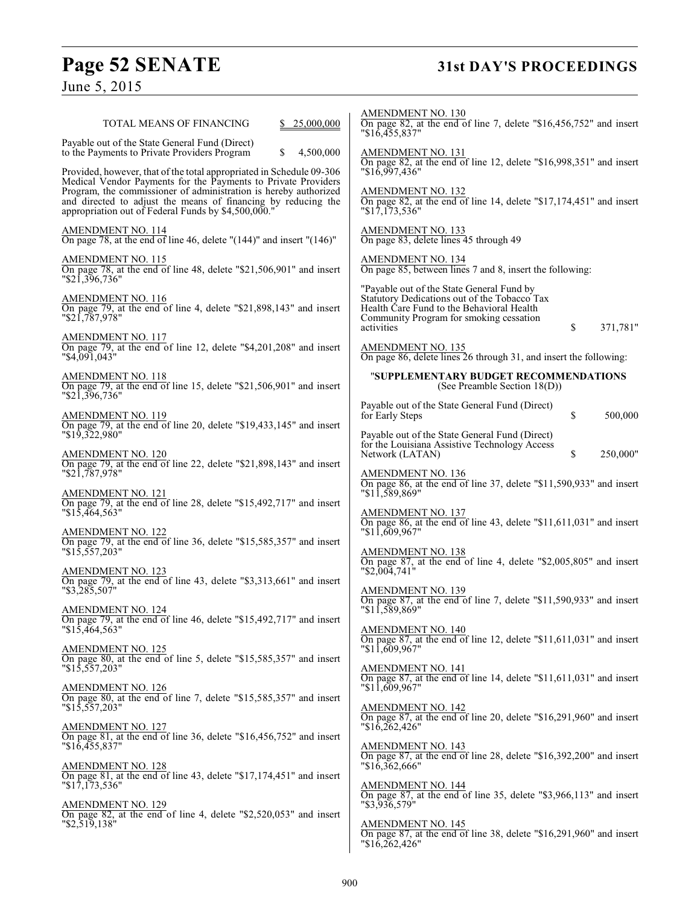# **Page 52 SENATE 31st DAY'S PROCEEDINGS**

June 5, 2015

| TOTAL MEANS OF FINANCING<br>25,000,000                                                                                                                                                                                                                                                                                            | AMENDMENT NO. 130<br>On page 82, at the end of line 7, delete " $$16,456,752$ " and insert<br>"\$16,455,837"                                                                                                      |
|-----------------------------------------------------------------------------------------------------------------------------------------------------------------------------------------------------------------------------------------------------------------------------------------------------------------------------------|-------------------------------------------------------------------------------------------------------------------------------------------------------------------------------------------------------------------|
| Payable out of the State General Fund (Direct)<br>\$<br>4,500,000<br>to the Payments to Private Providers Program                                                                                                                                                                                                                 | AMENDMENT NO. 131<br>On page 82, at the end of line 12, delete " $$16,998,351"$ and insert                                                                                                                        |
| Provided, however, that of the total appropriated in Schedule 09-306<br>Medical Vendor Payments for the Payments to Private Providers<br>Program, the commissioner of administration is hereby authorized<br>and directed to adjust the means of financing by reducing the<br>appropriation out of Federal Funds by \$4,500,000." | $"\$16,997,436"$<br><b>AMENDMENT NO. 132</b><br>On page 82, at the end of line 14, delete "\$17,174,451" and insert<br>"\$17,173,536"                                                                             |
| $\frac{\text{AMENDMENT NO. 114}}{\text{On page 78, at the end of line 46, delete } (144)$ " and insert "(146)"                                                                                                                                                                                                                    | AMENDMENT NO. 133<br>On page 83, delete lines 45 through 49                                                                                                                                                       |
| AMENDMENT NO. 115<br>On page 78, at the end of line 48, delete "\$21,506,901" and insert<br>$"\$2\overline{1},3\overline{9}6,736"$                                                                                                                                                                                                | AMENDMENT NO. 134<br>On page 85, between lines 7 and 8, insert the following:                                                                                                                                     |
| <u>AMENDMENT NO. 116</u><br>On page 79, at the end of line 4, delete "\$21,898,143" and insert<br>$"\$21,787,978"$                                                                                                                                                                                                                | "Payable out of the State General Fund by<br>Statutory Dedications out of the Tobacco Tax<br>Health Care Fund to the Behavioral Health<br>Community Program for smoking cessation<br>371,781"<br>activities<br>\$ |
| $\frac{\text{AMENDMENT NO. 117}}{\text{On page 79}}$ , at the end of line 12, delete "\$4,201,208" and insert<br>"\$4,091,043"                                                                                                                                                                                                    | <b>AMENDMENT NO. 135</b><br>On page 86, delete lines 26 through 31, and insert the following:                                                                                                                     |
| <b>AMENDMENT NO. 118</b><br>On page 79, at the end of line 15, delete " $$21,506,901"$ and insert<br>$"\$2\overline{1},3\overline{9}6,736"$                                                                                                                                                                                       | "SUPPLEMENTARY BUDGET RECOMMENDATIONS<br>(See Preamble Section 18(D))                                                                                                                                             |
| AMENDMENT NO. 119<br>On page 79, at the end of line 20, delete "\$19,433,145" and insert                                                                                                                                                                                                                                          | Payable out of the State General Fund (Direct)<br>\$<br>for Early Steps<br>500,000                                                                                                                                |
| $"\$1\overline{9}3\overline{2}2,980"$<br>AMENDMENT NO. 120                                                                                                                                                                                                                                                                        | Payable out of the State General Fund (Direct)<br>for the Louisiana Assistive Technology Access<br>\$<br>250,000"<br>Network (LATAN)                                                                              |
| On page 79, at the end of line 22, delete "\$21,898,143" and insert<br>$"$ \$21,787,978"                                                                                                                                                                                                                                          | <b>AMENDMENT NO. 136</b><br>On page 86, at the end of line 37, delete "\$11,590,933" and insert                                                                                                                   |
| <b>AMENDMENT NO. 121</b><br>On page 79, at the end of line 28, delete "\$15,492,717" and insert<br>"\$15,464,563"                                                                                                                                                                                                                 | "11,589,869"<br>AMENDMENT NO. 137                                                                                                                                                                                 |
| <b>AMENDMENT NO. 122</b><br>On page 79, at the end of line 36, delete "\$15,585,357" and insert                                                                                                                                                                                                                                   | On page 86, at the end of line 43, delete " $$11,611,031$ " and insert<br>"11,609,967"                                                                                                                            |
| $"\$1\overline{5}, \overline{557}, 203"$<br><b>AMENDMENT NO. 123</b>                                                                                                                                                                                                                                                              | <b>AMENDMENT NO. 138</b><br>On page $87$ , at the end of line 4, delete "\$2,005,805" and insert<br>$"\$2,004,741"$                                                                                               |
| On page 79, at the end of line 43, delete "\$3,313,661" and insert<br>"\$3,285,507"                                                                                                                                                                                                                                               | <b>AMENDMENT NO. 139</b><br>On page 87, at the end of line 7, delete "\$11,590,933" and insert<br>"\$11,589,869"                                                                                                  |
| <b>AMENDMENT NO. 124</b><br>On page 79, at the end of line 46, delete "\$15,492,717" and insert<br>$"\$1\overline{5}.\overline{4}64.563"$                                                                                                                                                                                         | AMENDMENT NO. 140<br>On page 87, at the end of line 12, delete "\$11,611,031" and insert                                                                                                                          |
| $\frac{\text{AMENDMENT NO. 125}}{\text{On page 80, at the end of line 5, delete "$15,585,357" and insert }$<br>$"\$1\overline{5},5\overline{5}7,203"$                                                                                                                                                                             | "11,609,967"<br><b>AMENDMENT NO. 141</b>                                                                                                                                                                          |
| <b>AMENDMENT NO. 126</b><br>On page 80, at the end of line 7, delete "\$15,585,357" and insert                                                                                                                                                                                                                                    | On page 87, at the end of line 14, delete "\$11,611,031" and insert<br>"11,609,967"                                                                                                                               |
| $"\$1\overline{5},5\overline{5}7,203"$<br><b>AMENDMENT NO. 127</b>                                                                                                                                                                                                                                                                | $\frac{\text{AMENDMENT NO. 142}}{\text{On page 87, at the end of line 20, delete "$16,291,960" and insert}$<br>"\$16,262,426"                                                                                     |
| On page 81, at the end of line 36, delete "\$16,456,752" and insert<br>$"\$16,455,837"$                                                                                                                                                                                                                                           | $\frac{\text{AMENDMENT NO. 143}}{\text{On page 87, at the end of line 28, delete "$16,392,200" and insert }$                                                                                                      |
| <b>AMENDMENT NO. 128</b><br>On page 81, at the end of line 43, delete "\$17,174,451" and insert<br>$"\$1\overline{7},1\overline{7}3,536"$                                                                                                                                                                                         | "\$16,362,666"<br><b>AMENDMENT NO. 144</b><br>On page 87, at the end of line 35, delete "\$3,966,113" and insert                                                                                                  |
| <b>AMENDMENT NO. 129</b><br>On page 82, at the end of line 4, delete "\$2,520,053" and insert<br>"\$2,519,138"                                                                                                                                                                                                                    | "\$3,936,579"                                                                                                                                                                                                     |
|                                                                                                                                                                                                                                                                                                                                   | <u>AMENDMENT NO. 145</u><br>On page 87, at the end of line 38, delete "\$16,291,960" and insert<br>"\$16,262,426"                                                                                                 |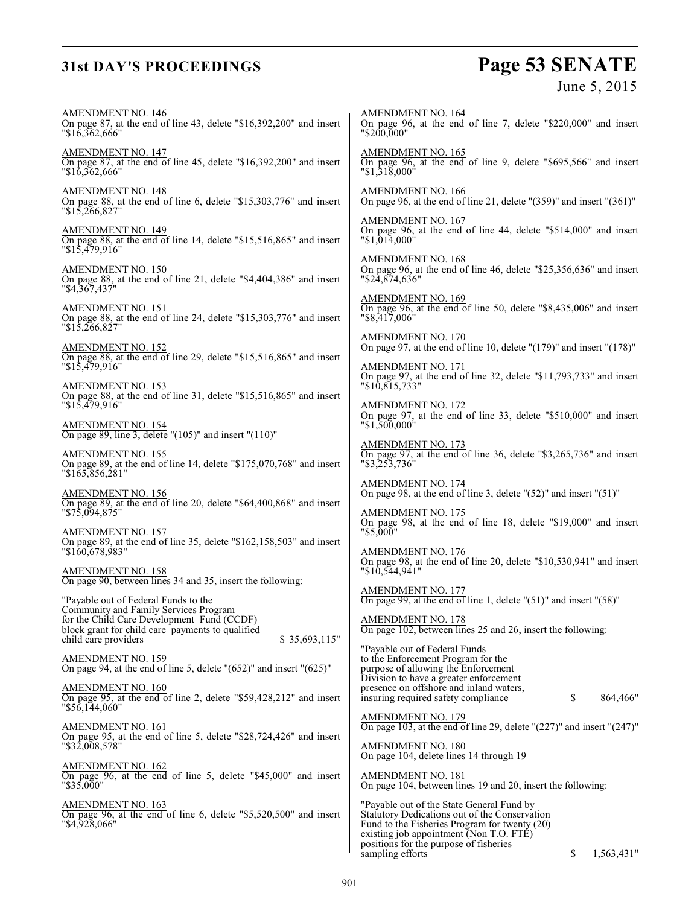# **31st DAY'S PROCEEDINGS**

# Page 53 SENATE<br>June 5, 2015

| <b>AMENDMENT NO. 146</b><br>On page 87, at the end of line 43, delete "\$16,392,200" and insert<br>"\$16,362,666"                       | <b>AMENDMENT NO. 164</b><br>On page 96, at the end of line 7, delete "\$220,000" and insert<br>"\$200,000"                                                                                                                       |
|-----------------------------------------------------------------------------------------------------------------------------------------|----------------------------------------------------------------------------------------------------------------------------------------------------------------------------------------------------------------------------------|
| AMENDMENT NO. 147<br>On page 87, at the end of line 45, delete "\$16,392,200" and insert<br>"\$16,362,666"                              | <b>AMENDMENT NO. 165</b><br>On page 96, at the end of line 9, delete "\$695,566" and insert<br>$"\$1,31\$ $000"$                                                                                                                 |
| <b>AMENDMENT NO. 148</b><br>On page 88, at the end of line 6, delete "\$15,303,776" and insert<br>$"\$1\overline{5}$ , 266, 827"        | <b>AMENDMENT NO. 166</b><br>On page 96, at the end of line 21, delete " $(359)$ " and insert " $(361)$ "                                                                                                                         |
| <u>AMENDMENT NO. 149</u><br>On page 88, at the end of line 14, delete "\$15,516,865" and insert<br>$"\$1\overline{5,479,916"$           | <b>AMENDMENT NO. 167</b><br>On page 96, at the end of line 44, delete "\$514,000" and insert<br>"\$1,014,000"                                                                                                                    |
| AMENDMENT NO. 150<br>On page 88, at the end of line 21, delete "\$4,404,386" and insert<br>"\$4,367,437"                                | <b>AMENDMENT NO. 168</b><br>On page 96, at the end of line 46, delete "\$25,356,636" and insert<br>"\$24,874,636"                                                                                                                |
| <b>AMENDMENT NO. 151</b><br>On page 88, at the end of line 24, delete "\$15,303,776" and insert<br>$"\$1\overline{5,266,827"$           | <b>AMENDMENT NO. 169</b><br>On page 96, at the end of line 50, delete " $$8,435,006"$ and insert<br>"\$8,417,006"                                                                                                                |
| <b>AMENDMENT NO. 152</b><br>On page 88, at the end of line 29, delete "\$15,516,865" and insert                                         | $\frac{\text{AMENDMENT NO. 170}}{\text{On page 97}}$ , at the end of line 10, delete "(179)" and insert "(178)"                                                                                                                  |
| $"\$1\overline{5}479.916"$<br><b>AMENDMENT NO. 153</b>                                                                                  | <b>AMENDMENT NO. 171</b><br>On page 97, at the end of line 32, delete "\$11,793,733" and insert<br>$"\$10,815,733"$                                                                                                              |
| On page 88, at the end of line 31, delete "\$15,516,865" and insert<br>$"\$1\overline{5}$ ,479,916"                                     | AMENDMENT NO. 172<br>On page 97, at the end of line 33, delete "\$510,000" and insert<br>$"\$1,500,000"$                                                                                                                         |
| $\frac{\text{AMENDMENT NO. 154}}{\text{On page 89, line 3, delete}}$ "(105)" and insert "(110)"                                         | <b>AMENDMENT NO. 173</b>                                                                                                                                                                                                         |
| AMENDMENT NO. 155<br>On page 89, at the end of line 14, delete "\$175,070,768" and insert<br>"\$165,856,281"                            | On page 97, at the end of line 36, delete "\$3,265,736" and insert<br>$"\$3,253,736"$                                                                                                                                            |
| <b>AMENDMENT NO. 156</b><br>On page 89, at the end of line 20, delete "\$64,400,868" and insert                                         | AMENDMENT NO. 174<br>On page 98, at the end of line 3, delete " $(52)$ " and insert " $(51)$ "                                                                                                                                   |
| $"\$7\overline{5,094,875"$<br><b>AMENDMENT NO. 157</b>                                                                                  | <b>AMENDMENT NO. 175</b><br>On page 98, at the end of line 18, delete "\$19,000" and insert<br>$"$ \$5,000"                                                                                                                      |
| On page 89, at the end of line 35, delete "\$162,158,503" and insert<br>"\$160,678,983"                                                 | <b>AMENDMENT NO. 176</b><br>On page 98, at the end of line 20, delete "\$10,530,941" and insert                                                                                                                                  |
| <b>AMENDMENT NO. 158</b><br>On page 90, between lines 34 and 35, insert the following:                                                  | $"\$10,544,941"$                                                                                                                                                                                                                 |
| "Payable out of Federal Funds to the<br>Community and Family Services Program                                                           | <b>AMENDMENT NO. 177</b><br>On page 99, at the end of line 1, delete $"(51)"$ and insert $"(58)"$                                                                                                                                |
| for the Child Care Development Fund (CCDF)<br>block grant for child care payments to qualified<br>child care providers<br>\$35,693,115" | <b>AMENDMENT NO. 178</b><br>On page 102, between lines 25 and 26, insert the following:                                                                                                                                          |
| $\frac{\text{AMENDMENT NO. 159}}{\text{On page 94, at the end of line 5, delete } ((652)'' \text{ and insert } ((625)''$                | "Payable out of Federal Funds<br>to the Enforcement Program for the<br>purpose of allowing the Enforcement                                                                                                                       |
| <b>AMENDMENT NO. 160</b><br>On page 95, at the end of line 2, delete "\$59,428,212" and insert<br>"\$56,144,060"                        | Division to have a greater enforcement<br>presence on offshore and inland waters,<br>\$<br>864,466"<br>insuring required safety compliance                                                                                       |
| AMENDMENT NO. 161                                                                                                                       | <b>AMENDMENT NO. 179</b><br>On page 103, at the end of line 29, delete " $(227)$ " and insert " $(247)$ "                                                                                                                        |
| On page 95, at the end of line 5, delete "\$28,724,426" and insert<br>$"\$32,008,578"$                                                  | <b>AMENDMENT NO. 180</b><br>On page 104, delete lines 14 through 19                                                                                                                                                              |
| <b>AMENDMENT NO. 162</b><br>On page $96$ , at the end of line 5, delete "\$45,000" and insert<br>"\$35,000"                             | <b>AMENDMENT NO. 181</b><br>On page 104, between lines 19 and 20, insert the following:                                                                                                                                          |
| <b>AMENDMENT NO. 163</b><br>On page 96, at the end of line 6, delete "\$5,520,500" and insert<br>"\$4,928,066"                          | "Payable out of the State General Fund by<br>Statutory Dedications out of the Conservation<br>Fund to the Fisheries Program for twenty (20)<br>existing job appointment (Non T.O. FTE)<br>positions for the purpose of fisheries |
|                                                                                                                                         | sampling efforts<br>\$<br>1,563,431"                                                                                                                                                                                             |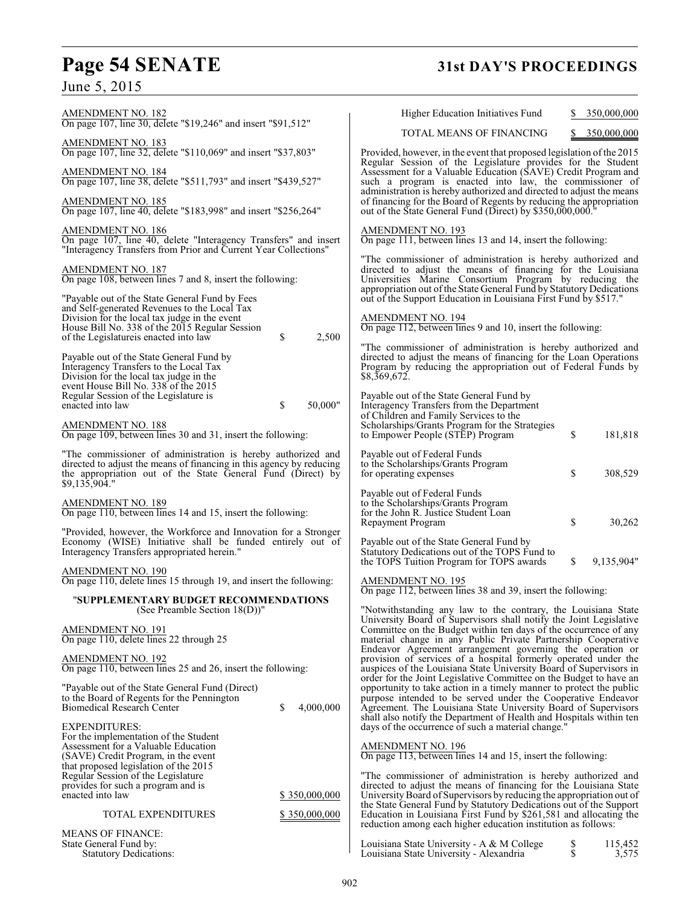# **Page 54 SENATE 31st DAY'S PROCEEDINGS**

June 5, 2015

| AMENDMENT NO. 182                                                                                                                                                                                                    | Higher Education Initiatives Fund<br>350,000,000                                                                                                                                                                                                                                                                                                   |
|----------------------------------------------------------------------------------------------------------------------------------------------------------------------------------------------------------------------|----------------------------------------------------------------------------------------------------------------------------------------------------------------------------------------------------------------------------------------------------------------------------------------------------------------------------------------------------|
| On page 107, line 30, delete "\$19,246" and insert "\$91,512"                                                                                                                                                        | TOTAL MEANS OF FINANCING<br>350,000,000                                                                                                                                                                                                                                                                                                            |
| <b>AMENDMENT NO. 183</b><br>On page 107, line 32, delete "\$110,069" and insert "\$37,803"                                                                                                                           | Provided, however, in the event that proposed legislation of the 2015<br>Regular Session of the Legislature provides for the Student                                                                                                                                                                                                               |
| AMENDMENT NO. 184<br>On page 107, line 38, delete "\$511,793" and insert "\$439,527"                                                                                                                                 | Assessment for a Valuable Education (SAVE) Credit Program and<br>such a program is enacted into law, the commissioner of<br>administration is hereby authorized and directed to adjust the means                                                                                                                                                   |
| <u>AMENDMENT NO. 185</u><br>On page 107, line 40, delete "\$183,998" and insert "\$256,264"                                                                                                                          | of financing for the Board of Regents by reducing the appropriation<br>out of the State General Fund (Direct) by \$350,000,000."                                                                                                                                                                                                                   |
| <b>AMENDMENT NO. 186</b><br>On page 107, line 40, delete "Interagency Transfers" and insert<br>"Interagency Transfers from Prior and Current Year Collections"                                                       | AMENDMENT NO. 193<br>On page 111, between lines 13 and 14, insert the following:                                                                                                                                                                                                                                                                   |
| <b>AMENDMENT NO. 187</b><br>On page 108, between lines 7 and 8, insert the following:                                                                                                                                | "The commissioner of administration is hereby authorized and<br>directed to adjust the means of financing for the Louisiana<br>Universities Marine Consortium Program by reducing the<br>appropriation out of the State General Fund by Statutory Dedications                                                                                      |
| "Payable out of the State General Fund by Fees<br>and Self-generated Revenues to the Local Tax                                                                                                                       | out of the Support Education in Louisiana First Fund by \$517."                                                                                                                                                                                                                                                                                    |
| Division for the local tax judge in the event<br>House Bill No. 338 of the 2015 Regular Session<br>\$<br>2,500<br>of the Legislatureis enacted into law                                                              | <b>AMENDMENT NO. 194</b><br>On page 112, between lines 9 and 10, insert the following:                                                                                                                                                                                                                                                             |
| Payable out of the State General Fund by<br>Interagency Transfers to the Local Tax<br>Division for the local tax judge in the<br>event House Bill No. 338 of the 2015                                                | "The commissioner of administration is hereby authorized and<br>directed to adjust the means of financing for the Loan Operations<br>Program by reducing the appropriation out of Federal Funds by<br>\$8,369,672.                                                                                                                                 |
| Regular Session of the Legislature is<br>enacted into law<br>\$<br>50.000"                                                                                                                                           | Payable out of the State General Fund by<br>Interagency Transfers from the Department<br>of Children and Family Services to the                                                                                                                                                                                                                    |
| <b>AMENDMENT NO. 188</b><br>On page 109, between lines 30 and 31, insert the following:                                                                                                                              | Scholarships/Grants Program for the Strategies<br>\$<br>to Empower People (STEP) Program<br>181,818                                                                                                                                                                                                                                                |
| "The commissioner of administration is hereby authorized and<br>directed to adjust the means of financing in this agency by reducing<br>the appropriation out of the State General Fund (Direct) by<br>\$9,135,904." | Payable out of Federal Funds<br>to the Scholarships/Grants Program<br>\$<br>308,529<br>for operating expenses                                                                                                                                                                                                                                      |
| AMENDMENT NO. 189<br>On page 110, between lines 14 and 15, insert the following:                                                                                                                                     | Payable out of Federal Funds<br>to the Scholarships/Grants Program<br>for the John R. Justice Student Loan<br>\$<br>Repayment Program<br>30,262                                                                                                                                                                                                    |
| "Provided, however, the Workforce and Innovation for a Stronger<br>Economy (WISE) Initiative shall be funded entirely out of<br>Interagency Transfers appropriated herein."                                          | Payable out of the State General Fund by<br>Statutory Dedications out of the TOPS Fund to                                                                                                                                                                                                                                                          |
| <b>AMENDMENT NO. 190</b><br>On page 110, delete lines 15 through 19, and insert the following:                                                                                                                       | \$<br>9,135,904"<br>the TOPS Tuition Program for TOPS awards<br>AMENDMENT NO. 195<br>On page 112, between lines 38 and 39, insert the following:                                                                                                                                                                                                   |
| "SUPPLEMENTARY BUDGET RECOMMENDATIONS<br>(See Preamble Section $18(D)$ )"                                                                                                                                            |                                                                                                                                                                                                                                                                                                                                                    |
| <b>AMENDMENT NO. 191</b><br>On page 110, delete lines 22 through 25                                                                                                                                                  | "Notwithstanding any law to the contrary, the Louisiana State<br>University Board of Supervisors shall notify the Joint Legislative<br>Committee on the Budget within ten days of the occurrence of any<br>material change in any Public Private Partnership Cooperative                                                                           |
| AMENDMENT NO. 192<br>On page 110, between lines 25 and 26, insert the following:                                                                                                                                     | Endeavor Agreement arrangement governing the operation or<br>provision of services of a hospital formerly operated under the<br>auspices of the Louisiana State University Board of Supervisors in                                                                                                                                                 |
| "Payable out of the State General Fund (Direct)<br>to the Board of Regents for the Pennington<br><b>Biomedical Research Center</b><br>\$<br>4,000,000                                                                | order for the Joint Legislative Committee on the Budget to have an<br>opportunity to take action in a timely manner to protect the public<br>purpose intended to be served under the Cooperative Endeavor<br>Agreement. The Louisiana State University Board of Supervisors<br>shall also notify the Department of Health and Hospitals within ten |
| EXPENDITURES:<br>For the implementation of the Student<br>Assessment for a Valuable Education<br>(SAVE) Credit Program, in the event                                                                                 | days of the occurrence of such a material change."<br>AMENDMENT NO. 196<br>On page 113, between lines 14 and 15, insert the following:                                                                                                                                                                                                             |
| that proposed legislation of the 2015<br>Regular Session of the Legislature                                                                                                                                          | "The commissioner of administration is hereby authorized and                                                                                                                                                                                                                                                                                       |
| provides for such a program and is<br>enacted into law<br>\$350,000,000                                                                                                                                              | directed to adjust the means of financing for the Louisiana State<br>University Board of Supervisors by reducing the appropriation out of                                                                                                                                                                                                          |
| TOTAL EXPENDITURES<br>\$350,000,000                                                                                                                                                                                  | the State General Fund by Statutory Dedications out of the Support<br>Education in Louisiana First Fund by \$261,581 and allocating the<br>reduction among each higher education institution as follows:                                                                                                                                           |
| <b>MEANS OF FINANCE:</b><br>State General Fund by:<br><b>Statutory Dedications:</b>                                                                                                                                  | Louisiana State University - A & M College<br>\$<br>115,452<br>$\dot{\mathbb{S}}$<br>Louisiana State University - Alexandria<br>3,575                                                                                                                                                                                                              |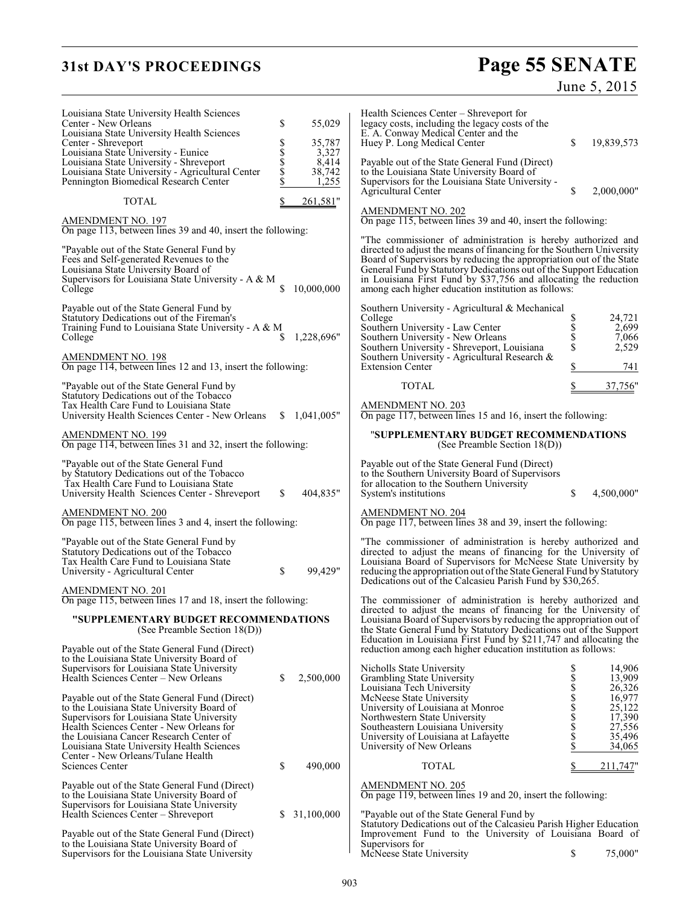# **31st DAY'S PROCEEDINGS**

# Page 55 SENATE<br>June 5, 2015

| Louisiana State University Health Sciences<br>Center - New Orleans<br>Louisiana State University Health Sciences<br>Center - Shreveport<br>Louisiana State University - Eunice<br>Louisiana State University - Shreveport<br>Louisiana State University - Agricultural Center                                         | \$<br>s<br>\$<br>\$ | 55,029<br>35,787<br>3,327<br>8,414<br>38,742 | Health Sciences Center – Shreveport for<br>legacy costs, including the legacy costs of the<br>E. A. Conway Medical Center and the<br>Huey P. Long Medical Center<br>Payable out of the State General Fund (Direct)<br>to the Louisiana State University Board of                                                                                                                                              | \$                        | 19,839,573                                                         |
|-----------------------------------------------------------------------------------------------------------------------------------------------------------------------------------------------------------------------------------------------------------------------------------------------------------------------|---------------------|----------------------------------------------|---------------------------------------------------------------------------------------------------------------------------------------------------------------------------------------------------------------------------------------------------------------------------------------------------------------------------------------------------------------------------------------------------------------|---------------------------|--------------------------------------------------------------------|
| Pennington Biomedical Research Center<br><b>TOTAL</b>                                                                                                                                                                                                                                                                 | \$                  | 1,255<br>261,581"                            | Supervisors for the Louisiana State University -<br><b>Agricultural Center</b>                                                                                                                                                                                                                                                                                                                                | \$                        | 2,000,000"                                                         |
| <b>AMENDMENT NO. 197</b><br>On page 113, between lines 39 and 40, insert the following:                                                                                                                                                                                                                               |                     |                                              | <b>AMENDMENT NO. 202</b><br>On page 115, between lines 39 and 40, insert the following:                                                                                                                                                                                                                                                                                                                       |                           |                                                                    |
| "Payable out of the State General Fund by<br>Fees and Self-generated Revenues to the<br>Louisiana State University Board of<br>Supervisors for Louisiana State University - A & M<br>College                                                                                                                          |                     | 10,000,000                                   | "The commissioner of administration is hereby authorized and<br>directed to adjust the means of financing for the Southern University<br>Board of Supervisors by reducing the appropriation out of the State<br>General Fund by Statutory Dedications out of the Support Education<br>in Louisiana First Fund by \$37,756 and allocating the reduction<br>among each higher education institution as follows: |                           |                                                                    |
| Payable out of the State General Fund by<br>Statutory Dedications out of the Fireman's<br>Training Fund to Louisiana State University - A & M<br>College                                                                                                                                                              | S                   | 1,228,696"                                   | Southern University - Agricultural & Mechanical<br>College<br>Southern University - Law Center<br>Southern University - New Orleans<br>Southern University - Shreveport, Louisiana                                                                                                                                                                                                                            | \$<br>\$<br>\$<br>\$      | 24,721<br>2,699<br>7,066<br>2,529                                  |
| <b>AMENDMENT NO. 198</b><br>On page 114, between lines 12 and 13, insert the following:                                                                                                                                                                                                                               |                     |                                              | Southern University - Agricultural Research &<br><b>Extension Center</b>                                                                                                                                                                                                                                                                                                                                      | \$                        | 741                                                                |
| "Payable out of the State General Fund by<br>Statutory Dedications out of the Tobacco<br>Tax Health Care Fund to Louisiana State                                                                                                                                                                                      |                     |                                              | <b>TOTAL</b><br><b>AMENDMENT NO. 203</b>                                                                                                                                                                                                                                                                                                                                                                      | \$                        | 37,756"                                                            |
| University Health Sciences Center - New Orleans<br>AMENDMENT NO. 199<br>On page 114, between lines 31 and 32, insert the following:                                                                                                                                                                                   |                     | \$1,041,005"                                 | On page 117, between lines 15 and 16, insert the following:<br>"SUPPLEMENTARY BUDGET RECOMMENDATIONS<br>(See Preamble Section $18(D)$ )                                                                                                                                                                                                                                                                       |                           |                                                                    |
| "Payable out of the State General Fund"<br>by Statutory Dedications out of the Tobacco<br>Tax Health Care Fund to Louisiana State<br>University Health Sciences Center - Shreveport                                                                                                                                   | S                   | 404,835"                                     | Payable out of the State General Fund (Direct)<br>to the Southern University Board of Supervisors<br>for allocation to the Southern University<br>System's institutions                                                                                                                                                                                                                                       | \$                        | 4,500,000"                                                         |
| <b>AMENDMENT NO. 200</b><br>On page 115, between lines 3 and 4, insert the following:                                                                                                                                                                                                                                 |                     |                                              | AMENDMENT NO. 204<br>On page 117, between lines 38 and 39, insert the following:                                                                                                                                                                                                                                                                                                                              |                           |                                                                    |
| "Payable out of the State General Fund by<br>Statutory Dedications out of the Tobacco<br>Tax Health Care Fund to Louisiana State<br>University - Agricultural Center                                                                                                                                                  | \$                  | 99,429"                                      | "The commissioner of administration is hereby authorized and<br>directed to adjust the means of financing for the University of<br>Louisiana Board of Supervisors for McNeese State University by<br>reducing the appropriation out of the State General Fund by Statutory<br>Dedications out of the Calcasieu Parish Fund by \$30,265.                                                                       |                           |                                                                    |
| <b>AMENDMENT NO. 201</b><br>On page 115, between lines 17 and 18, insert the following:                                                                                                                                                                                                                               |                     |                                              | The commissioner of administration is hereby authorized and                                                                                                                                                                                                                                                                                                                                                   |                           |                                                                    |
| "SUPPLEMENTARY BUDGET RECOMMENDATIONS<br>(See Preamble Section 18(D))                                                                                                                                                                                                                                                 |                     |                                              | directed to adjust the means of financing for the University of<br>Louisiana Board of Supervisors by reducing the appropriation out of<br>the State General Fund by Statutory Dedications out of the Support<br>Education in Louisiana First Fund by \$211,747 and allocating the                                                                                                                             |                           |                                                                    |
| Payable out of the State General Fund (Direct)<br>to the Louisiana State University Board of<br>Supervisors for Louisiana State University<br>Health Sciences Center – New Orleans                                                                                                                                    | \$                  | 2,500,000                                    | reduction among each higher education institution as follows:<br>Nicholls State University<br>Grambling State University                                                                                                                                                                                                                                                                                      |                           | 14,906<br>13,909                                                   |
| Payable out of the State General Fund (Direct)<br>to the Louisiana State University Board of<br>Supervisors for Louisiana State University<br>Health Sciences Center - New Orleans for<br>the Louisiana Cancer Research Center of<br>Louisiana State University Health Sciences<br>Center - New Orleans/Tulane Health |                     |                                              | Louisiana Tech University<br>McNeese State University<br>University of Louisiana at Monroe<br>Northwestern State University<br>Southeastern Louisiana University<br>University of Louisiana at Lafayette<br>University of New Orleans                                                                                                                                                                         | S<br>\$\$\$\$\$\$\$\$\$\$ | 26,326<br>16,977<br>25,122<br>17,390<br>27,556<br>35,496<br>34,065 |
| Sciences Center                                                                                                                                                                                                                                                                                                       | \$                  | 490,000                                      | <b>TOTAL</b>                                                                                                                                                                                                                                                                                                                                                                                                  | \$                        | 211,747"                                                           |
| Payable out of the State General Fund (Direct)<br>to the Louisiana State University Board of<br>Supervisors for Louisiana State University<br>Health Sciences Center - Shreveport<br>Payable out of the State General Fund (Direct)                                                                                   | S.                  | 31,100,000                                   | <b>AMENDMENT NO. 205</b><br>On page 119, between lines 19 and 20, insert the following:<br>"Payable out of the State General Fund by<br>Statutory Dedications out of the Calcasieu Parish Higher Education<br>Improvement Fund to the University of Louisiana Board of                                                                                                                                        |                           |                                                                    |
| to the Louisiana State University Board of<br>Supervisors for the Louisiana State University                                                                                                                                                                                                                          |                     |                                              | Supervisors for<br>McNeese State University                                                                                                                                                                                                                                                                                                                                                                   | \$                        | 75,000"                                                            |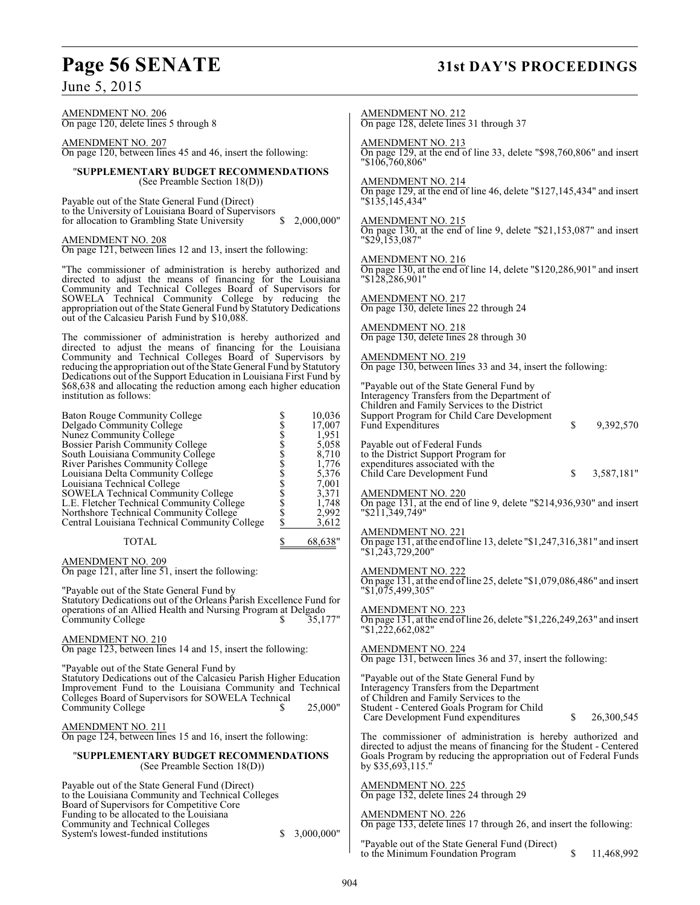# **Page 56 SENATE 31st DAY'S PROCEEDINGS**

June 5, 2015

AMENDMENT NO. 206 On page 120, delete lines 5 through 8 AMENDMENT NO. 207 On page 120, between lines 45 and 46, insert the following: "**SUPPLEMENTARY BUDGET RECOMMENDATIONS** (See Preamble Section 18(D)) Payable out of the State General Fund (Direct) to the University of Louisiana Board of Supervisors for allocation to Grambling State University \$ 2,000,000" AMENDMENT NO. 208 On page 121, between lines 12 and 13, insert the following: "The commissioner of administration is hereby authorized and directed to adjust the means of financing for the Louisiana Community and Technical Colleges Board of Supervisors for SOWELA Technical Community College by reducing the appropriation out of the State General Fund by Statutory Dedications out of the Calcasieu Parish Fund by \$10,088. The commissioner of administration is hereby authorized and directed to adjust the means of financing for the Louisiana Community and Technical Colleges Board of Supervisors by reducing the appropriation out of the State General Fund by Statutory Dedications out of the Support Education in Louisiana First Fund by \$68,638 and allocating the reduction among each higher education institution as follows: Baton Rouge Community College  $\begin{array}{ccc}\n \text{Baton} & 10,036 \\
 \text{Delgado Community College} & \text{S} & 17,007 \\
 \text{Nunez Community College} & \text{S} & 1,951 \\
 \text{Bosser Parish A Community College} & \text{S} & 5,058 \\
 \text{South Louisiana Community College} & \text{S} & 5,058 \\
 \text{South Louisiana Community College} & \text{S} & 7,10 \\
 \text{River Parishes Community College} & \text{S} & 1,776 \\
 \text{Louisiana Technical Community College} & \text{S} & 5,376 \\
 \text{Louisiana Technical$ Delgado Community College  $\begin{array}{ccc} 8 & 17,007 \\ 17,007 \end{array}$ <br>Nunez Community College  $\begin{array}{ccc} 8 & 17,007 \\ 1,951 \end{array}$ Nunez Community College  $$ 1,951$ <br>Bossier Parish Community College  $$ 5,058$ Bossier Parish Community College  $\begin{array}{ccc} 8 & 5,058 \\ 8 & 8,710 \\ \text{River Parishes Community College} & & 8 \\ 1,776 & & \end{array}$ South Louisiana Community College River Parishes Community College  $\begin{array}{ccc} 8 & 1,776 \\ \text{Louisiana Delta Community College} & & S \\ \end{array}$ Louisiana Delta Community College \$ 5,376 Louisiana Technical College \$ 7,001 Example 1 and Technical College  $\begin{array}{ccc}\n 3 & 3,371 \\
 \text{SOWELA Technical Community College} & \text{S} & 3,371 \\
 \text{L.E. Fletcher Technical Community College} & \text{S} & 1,748\n \end{array}$ L.E. Fletcher Technical Community College  $\begin{array}{ccc} 5 & 1,748 \\ \text{Northshore Technical Community College} & \text{S} & 2,992 \end{array}$ Northshore Technical Community College  $\begin{array}{cc} $ & 2,992 \$ & $ 2,992 \$ & $ 3,612 \end{array}$ Central Louisiana Technical Community College TOTAL \$ 68,638" AMENDMENT NO. 209 On page 121, after line 51, insert the following: "Payable out of the State General Fund by Statutory Dedications out of the Orleans Parish Excellence Fund for operations of an Allied Health and Nursing Program at Delgado<br>Community College \$35.177 Community College AMENDMENT NO. 210 On page 123, between lines 14 and 15, insert the following: "Payable out of the State General Fund by Statutory Dedications out of the Calcasieu Parish Higher Education Improvement Fund to the Louisiana Community and Technical Colleges Board of Supervisors for SOWELA Technical Community College \$ 25,000" AMENDMENT NO. 211 On page 124, between lines 15 and 16, insert the following: "**SUPPLEMENTARY BUDGET RECOMMENDATIONS** (See Preamble Section 18(D)) Payable out of the State General Fund (Direct) to the Louisiana Community and Technical Colleges Board of Supervisors for Competitive Core Funding to be allocated to the Louisiana Community and Technical Colleges System's lowest-funded institutions  $\qquad$  \$ 3,000,000" AMENDMENT NO. 212 AMENDMENT NO. 213 "\$106,760,806" AMENDMENT NO. 214 "\$135,145,434" AMENDMENT NO. 215 "\$29,153,087" AMENDMENT NO. 216 "\$128,286,901" AMENDMENT NO. 217 AMENDMENT NO. 218 AMENDMENT NO. 219 Payable out of Federal Funds AMENDMENT NO. 220 "\$211,349,749" AMENDMENT NO. 221 "\$1,243,729,200" AMENDMENT NO. 222 "\$1,075,499,305" AMENDMENT NO. 223 "\$1,222,662,082" AMENDMENT NO. 224 by \$35,693,115." AMENDMENT NO. 225 AMENDMENT NO. 226

On page 128, delete lines 31 through 37

On page 129, at the end of line 33, delete "\$98,760,806" and insert

On page 129, at the end of line 46, delete "\$127,145,434" and insert

On page 130, at the end of line 9, delete "\$21,153,087" and insert

On page 130, at the end of line 14, delete "\$120,286,901" and insert

On page 130, delete lines 22 through 24

On page 130, delete lines 28 through 30

On page 130, between lines 33 and 34, insert the following:

"Payable out of the State General Fund by Interagency Transfers from the Department of Children and Family Services to the District Support Program for Child Care Development Fund Expenditures  $\qquad \qquad$  \$ 9,392,570

to the District Support Program for expenditures associated with the Child Care Development Fund  $\qquad$  \$ 3,587,181"

On page 131, at the end of line 9, delete "\$214,936,930" and insert

On page 131, at the end of line 13, delete "\$1,247,316,381" and insert

On page 131, at the end of line 25, delete "\$1,079,086,486" and insert

On page 131, at the end of line 26, delete "\$1,226,249,263" and insert

On page 131, between lines 36 and 37, insert the following:

"Payable out of the State General Fund by Interagency Transfers from the Department of Children and Family Services to the Student - Centered Goals Program for Child Care Development Fund expenditures \$ 26,300,545

The commissioner of administration is hereby authorized and directed to adjust the means of financing for the Student - Centered Goals Program by reducing the appropriation out of Federal Funds

On page 132, delete lines 24 through 29

On page 133, delete lines 17 through 26, and insert the following:

"Payable out of the State General Fund (Direct) to the Minimum Foundation Program  $\sim$  \$ 11,468,992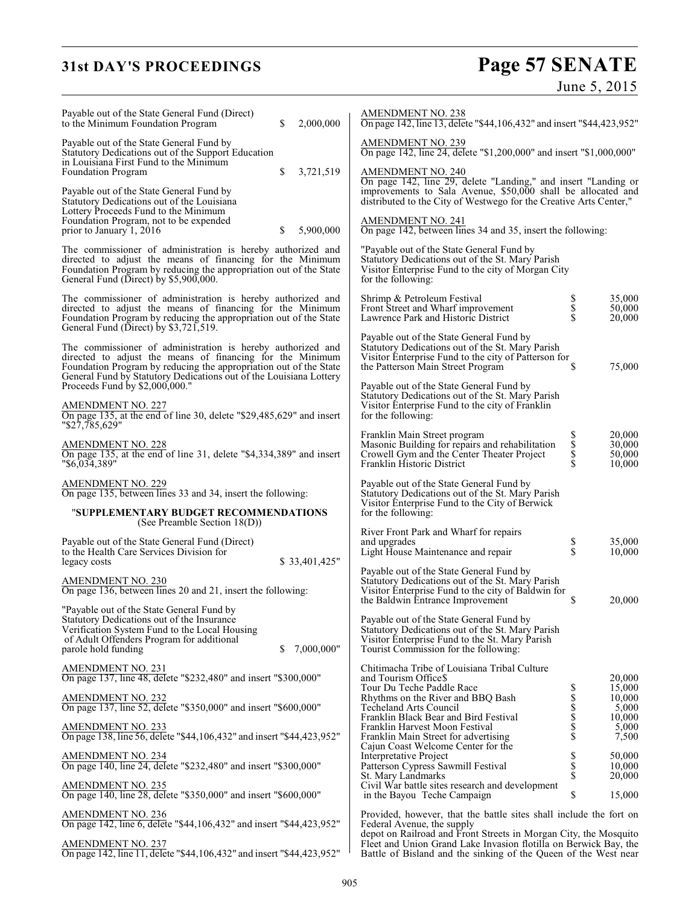# **31st DAY'S PROCEEDINGS**

# Page 57 SENATE<br>June 5, 2015

| Payable out of the State General Fund (Direct)<br>to the Minimum Foundation Program                                                                                                                                                                                 | \$ | 2,000,000     | <b>AMENDMENT NO. 238</b><br>On page 142, line 13, delete "\$44, 106, 432" and insert "\$44, 423, 952"                                                                                                   |                                                                                      |                            |
|---------------------------------------------------------------------------------------------------------------------------------------------------------------------------------------------------------------------------------------------------------------------|----|---------------|---------------------------------------------------------------------------------------------------------------------------------------------------------------------------------------------------------|--------------------------------------------------------------------------------------|----------------------------|
| Payable out of the State General Fund by<br>Statutory Dedications out of the Support Education                                                                                                                                                                      |    |               | AMENDMENT NO. 239<br>On page 142, line 24, delete "\$1,200,000" and insert "\$1,000,000"                                                                                                                |                                                                                      |                            |
| in Louisiana First Fund to the Minimum<br>Foundation Program                                                                                                                                                                                                        | \$ | 3,721,519     | <b>AMENDMENT NO. 240</b>                                                                                                                                                                                |                                                                                      |                            |
| Payable out of the State General Fund by<br>Statutory Dedications out of the Louisiana<br>Lottery Proceeds Fund to the Minimum                                                                                                                                      |    |               | On page 142, line 29, delete "Landing," and insert "Landing or<br>improvements to Sala Avenue, \$50,000 shall be allocated and<br>distributed to the City of Westwego for the Creative Arts Center,"    |                                                                                      |                            |
| Foundation Program, not to be expended<br>prior to January 1, 2016                                                                                                                                                                                                  | \$ | 5,900,000     | <b>AMENDMENT NO. 241</b><br>On page 142, between lines 34 and 35, insert the following:                                                                                                                 |                                                                                      |                            |
| The commissioner of administration is hereby authorized and<br>directed to adjust the means of financing for the Minimum<br>Foundation Program by reducing the appropriation out of the State<br>General Fund (Direct) by \$5,900,000.                              |    |               | "Payable out of the State General Fund by<br>Statutory Dedications out of the St. Mary Parish<br>Visitor Enterprise Fund to the city of Morgan City<br>for the following:                               |                                                                                      |                            |
| The commissioner of administration is hereby authorized and<br>directed to adjust the means of financing for the Minimum<br>Foundation Program by reducing the appropriation out of the State<br>General Fund (Direct) by \$3,721,519.                              |    |               | Shrimp & Petroleum Festival<br>Front Street and Wharf improvement<br>Lawrence Park and Historic District                                                                                                | ծ<br>Տ<br>Տ                                                                          | 35,000<br>50,000<br>20,000 |
| The commissioner of administration is hereby authorized and<br>directed to adjust the means of financing for the Minimum<br>Foundation Program by reducing the appropriation out of the State<br>General Fund by Statutory Dedications out of the Louisiana Lottery |    |               | Payable out of the State General Fund by<br>Statutory Dedications out of the St. Mary Parish<br>Visitor Enterprise Fund to the city of Patterson for<br>the Patterson Main Street Program               | S                                                                                    | 75,000                     |
| Proceeds Fund by \$2,000,000."<br><b>AMENDMENT NO. 227</b><br>On page 135, at the end of line 30, delete "\$29,485,629" and insert                                                                                                                                  |    |               | Payable out of the State General Fund by<br>Statutory Dedications out of the St. Mary Parish<br>Visitor Enterprise Fund to the city of Franklin<br>for the following:                                   |                                                                                      |                            |
| "\$27,785,629"                                                                                                                                                                                                                                                      |    |               | Franklin Main Street program                                                                                                                                                                            |                                                                                      | 20,000                     |
| <u>AMENDMENT NO. 228</u><br>On page 135, at the end of line 31, delete "\$4,334,389" and insert<br>"\$6,034,389"                                                                                                                                                    |    |               | Masonic Building for repairs and rehabilitation<br>Crowell Gym and the Center Theater Project<br>Franklin Historic District                                                                             | Տ<br>Տ<br>Տ<br>Տ                                                                     | 30,000<br>50,000<br>10,000 |
| <u>AMENDMENT NO. 229</u><br>On page 135, between lines 33 and 34, insert the following:                                                                                                                                                                             |    |               | Payable out of the State General Fund by<br>Statutory Dedications out of the St. Mary Parish<br>Visitor Enterprise Fund to the City of Berwick                                                          |                                                                                      |                            |
| "SUPPLEMENTARY BUDGET RECOMMENDATIONS<br>(See Preamble Section 18(D))                                                                                                                                                                                               |    |               | for the following:                                                                                                                                                                                      |                                                                                      |                            |
| Payable out of the State General Fund (Direct)<br>to the Health Care Services Division for<br>legacy costs                                                                                                                                                          |    | \$33,401,425" | River Front Park and Wharf for repairs<br>and upgrades<br>Light House Maintenance and repair                                                                                                            | \$<br>\$                                                                             | 35,000<br>10,000           |
| <u>AMENDMENT NO. 230</u><br>On page 136, between lines 20 and 21, insert the following:                                                                                                                                                                             |    |               | Payable out of the State General Fund by<br>Statutory Dedications out of the St. Mary Parish<br>Visitor Enterprise Fund to the city of Baldwin for                                                      | S                                                                                    | 20,000                     |
| "Payable out of the State General Fund by<br>Statutory Dedications out of the Insurance                                                                                                                                                                             |    |               | the Baldwin Entrance Improvement<br>Payable out of the State General Fund by                                                                                                                            |                                                                                      |                            |
| Verification System Fund to the Local Housing<br>of Adult Offenders Program for additional<br>parole hold funding                                                                                                                                                   | \$ | 7,000,000"    | Statutory Dedications out of the St. Mary Parish<br>Visitor Enterprise Fund to the St. Mary Parish<br>Tourist Commission for the following:                                                             |                                                                                      |                            |
| AMENDMENT NO. 231<br>On page 137, line 48, delete "\$232,480" and insert "\$300,000"                                                                                                                                                                                |    |               | Chitimacha Tribe of Louisiana Tribal Culture<br>and Tourism Office \$                                                                                                                                   |                                                                                      | 20,000                     |
| AMENDMENT NO. 232<br>On page 137, line 52, delete "\$350,000" and insert "\$600,000"                                                                                                                                                                                |    |               | Tour Du Teche Paddle Race<br>Rhythms on the River and BBQ Bash                                                                                                                                          |                                                                                      | 15,000<br>10.000           |
|                                                                                                                                                                                                                                                                     |    |               | Techeland Arts Council<br>Franklin Black Bear and Bird Festival                                                                                                                                         |                                                                                      | 5,000<br>10,000            |
| AMENDMENT NO. 233<br>On page 138, line 56, delete "\$44,106,432" and insert "\$44,423,952"                                                                                                                                                                          |    |               | Franklin Harvest Moon Festival<br>Franklin Main Street for advertising<br>Cajun Coast Welcome Center for the                                                                                            | S<br>S<br>S<br>S<br>S<br>S<br>S<br>S<br>S<br>S<br>S<br>S<br><br><br><br><br><br><br> | 5,000<br>7,500             |
| <u>AMENDMENT NO. 234</u><br>On page 140, line 24, delete "\$232,480" and insert "\$300,000"                                                                                                                                                                         |    |               | Interpretative Project                                                                                                                                                                                  | \$<br>\$                                                                             | 50,000<br>10,000           |
|                                                                                                                                                                                                                                                                     |    |               | Patterson Cypress Sawmill Festival<br>St. Mary Landmarks                                                                                                                                                | Š                                                                                    | 20,000                     |
| AMENDMENT NO. 235<br>On page 140, line 28, delete "\$350,000" and insert "\$600,000"                                                                                                                                                                                |    |               | Civil War battle sites research and development<br>in the Bayou Teche Campaign                                                                                                                          | \$                                                                                   | 15,000                     |
| <b>AMENDMENT NO. 236</b><br>On page 142, line 6, delete "\$44,106,432" and insert "\$44,423,952"                                                                                                                                                                    |    |               | Provided, however, that the battle sites shall include the fort on<br>Federal Avenue, the supply                                                                                                        |                                                                                      |                            |
| AMENDMENT NO. 237<br>On page 142, line 11, delete "\$44,106,432" and insert "\$44,423,952"                                                                                                                                                                          |    |               | depot on Railroad and Front Streets in Morgan City, the Mosquito<br>Fleet and Union Grand Lake Invasion flotilla on Berwick Bay, the<br>Battle of Bisland and the sinking of the Queen of the West near |                                                                                      |                            |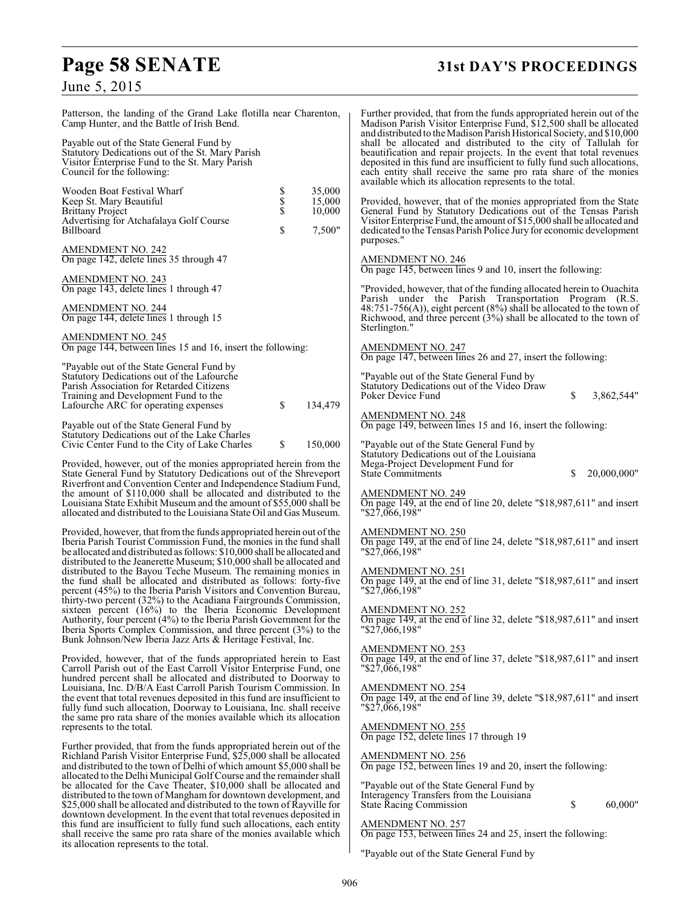# **Page 58 SENATE 31st DAY'S PROCEEDINGS**

# June 5, 2015

| Patterson, the landing of the Grand Lake flotilla near Charenton,<br>Camp Hunter, and the Battle of Irish Bend.<br>Payable out of the State General Fund by<br>Statutory Dedications out of the St. Mary Parish                                                                                                                                                  |             |                            | Further provided, that from the funds appropriated herein out of the<br>Madison Parish Visitor Enterprise Fund, \$12,500 shall be allocated<br>and distributed to the Madison Parish Historical Society, and \$10,000<br>shall be allocated and distributed to the city of Tallulah for<br>beautification and repair projects. In the event that total revenues |
|------------------------------------------------------------------------------------------------------------------------------------------------------------------------------------------------------------------------------------------------------------------------------------------------------------------------------------------------------------------|-------------|----------------------------|-----------------------------------------------------------------------------------------------------------------------------------------------------------------------------------------------------------------------------------------------------------------------------------------------------------------------------------------------------------------|
| Visitor Enterprise Fund to the St. Mary Parish<br>Council for the following:                                                                                                                                                                                                                                                                                     |             |                            | deposited in this fund are insufficient to fully fund such allocations,<br>each entity shall receive the same pro rata share of the monies<br>available which its allocation represents to the total.                                                                                                                                                           |
| Wooden Boat Festival Wharf<br>Keep St. Mary Beautiful<br><b>Brittany Project</b>                                                                                                                                                                                                                                                                                 | Տ<br>Տ<br>Տ | 35,000<br>15,000<br>10,000 | Provided, however, that of the monies appropriated from the State<br>General Fund by Statutory Dedications out of the Tensas Parish                                                                                                                                                                                                                             |
| Advertising for Atchafalaya Golf Course<br>Billboard                                                                                                                                                                                                                                                                                                             | \$          | 7,500"                     | Visitor Enterprise Fund, the amount of \$15,000 shall be allocated and<br>dedicated to the Tensas Parish Police Jury for economic development<br>purposes."                                                                                                                                                                                                     |
| <b>AMENDMENT NO. 242</b><br>On page 142, delete lines 35 through 47                                                                                                                                                                                                                                                                                              |             |                            | <b>AMENDMENT NO. 246</b><br>On page 145, between lines 9 and 10, insert the following:                                                                                                                                                                                                                                                                          |
| <b>AMENDMENT NO. 243</b><br>On page 143, delete lines 1 through 47                                                                                                                                                                                                                                                                                               |             |                            | "Provided, however, that of the funding allocated herein to Ouachita                                                                                                                                                                                                                                                                                            |
| <b>AMENDMENT NO. 244</b><br>On page 144, delete lines 1 through 15                                                                                                                                                                                                                                                                                               |             |                            | Parish under the Parish Transportation Program (R.S.<br>48:751-756(A)), eight percent (8%) shall be allocated to the town of<br>Richwood, and three percent $(3%)$ shall be allocated to the town of<br>Sterlington."                                                                                                                                           |
| <b>AMENDMENT NO. 245</b><br>On page 144, between lines 15 and 16, insert the following:                                                                                                                                                                                                                                                                          |             |                            | <b>AMENDMENT NO. 247</b><br>On page 147, between lines 26 and 27, insert the following:                                                                                                                                                                                                                                                                         |
| "Payable out of the State General Fund by<br>Statutory Dedications out of the Lafourche                                                                                                                                                                                                                                                                          |             |                            | "Payable out of the State General Fund by                                                                                                                                                                                                                                                                                                                       |
| Parish Association for Retarded Citizens<br>Training and Development Fund to the<br>Lafourche ARC for operating expenses                                                                                                                                                                                                                                         | \$          | 134,479                    | Statutory Dedications out of the Video Draw<br>Poker Device Fund<br>\$<br>3.862.544"                                                                                                                                                                                                                                                                            |
| Payable out of the State General Fund by                                                                                                                                                                                                                                                                                                                         |             |                            | <b>AMENDMENT NO. 248</b><br>On page 149, between lines 15 and 16, insert the following:                                                                                                                                                                                                                                                                         |
| Statutory Dedications out of the Lake Charles<br>Civic Center Fund to the City of Lake Charles                                                                                                                                                                                                                                                                   | \$          | 150,000                    | "Payable out of the State General Fund by<br>Statutory Dedications out of the Louisiana                                                                                                                                                                                                                                                                         |
| Provided, however, out of the monies appropriated herein from the<br>State General Fund by Statutory Dedications out of the Shreveport<br>Riverfront and Convention Center and Independence Stadium Fund,                                                                                                                                                        |             |                            | Mega-Project Development Fund for<br><b>State Commitments</b><br>\$<br>20,000,000"                                                                                                                                                                                                                                                                              |
| the amount of \$110,000 shall be allocated and distributed to the<br>Louisiana State Exhibit Museum and the amount of \$55,000 shall be<br>allocated and distributed to the Louisiana State Oil and Gas Museum.                                                                                                                                                  |             |                            | <b>AMENDMENT NO. 249</b><br>On page 149, at the end of line 20, delete " $$18,987,611$ " and insert<br>$"\$27,066,198"$                                                                                                                                                                                                                                         |
| Provided, however, that from the funds appropriated herein out of the<br>Iberia Parish Tourist Commission Fund, the monies in the fund shall<br>be allocated and distributed as follows: \$10,000 shall be allocated and<br>distributed to the Jeanerette Museum; \$10,000 shall be allocated and                                                                |             |                            | <u>AMENDMENT NO. 250</u><br>On page 149, at the end of line 24, delete "\$18,987,611" and insert<br>$"\$2\overline{7,066,198"$                                                                                                                                                                                                                                  |
| distributed to the Bayou Teche Museum. The remaining monies in<br>the fund shall be allocated and distributed as follows: forty-five<br>percent (45%) to the Iberia Parish Visitors and Convention Bureau,                                                                                                                                                       |             |                            | AMENDMENT NO. 251<br>On page 149, at the end of line 31, delete "\$18,987,611" and insert<br>$"\$27,066,198"$                                                                                                                                                                                                                                                   |
| thirty-two percent (32%) to the Acadiana Fairgrounds Commission,<br>sixteen percent $(16%)$ to the Iberia Economic Development<br>Authority, four percent (4%) to the Iberia Parish Government for the<br>Iberia Sports Complex Commission, and three percent $(3%)$ to the<br>Bunk Johnson/New Iberia Jazz Arts & Heritage Festival, Inc.                       |             |                            | <b>AMENDMENT NO. 252</b><br>$\overline{On}$ page 149, at the end of line 32, delete "\$18,987,611" and insert<br>"\$27,066,198"                                                                                                                                                                                                                                 |
| Provided, however, that of the funds appropriated herein to East<br>Carroll Parish out of the East Carroll Visitor Enterprise Fund, one                                                                                                                                                                                                                          |             |                            | <b>AMENDMENT NO. 253</b><br>On page 149, at the end of line 37, delete "\$18,987,611" and insert<br>"\$27,066,198"                                                                                                                                                                                                                                              |
| hundred percent shall be allocated and distributed to Doorway to<br>Louisiana, Inc. D/B/A East Carroll Parish Tourism Commission. In<br>the event that total revenues deposited in this fund are insufficient to<br>fully fund such allocation, Doorway to Louisiana, Inc. shall receive<br>the same pro rata share of the monies available which its allocation |             |                            | <b>AMENDMENT NO. 254</b><br>On page 149, at the end of line 39, delete " $$18,987,611$ " and insert<br>"\$27,066,198"                                                                                                                                                                                                                                           |
| represents to the total.                                                                                                                                                                                                                                                                                                                                         |             |                            | <b>AMENDMENT NO. 255</b><br>On page 152, delete lines 17 through 19                                                                                                                                                                                                                                                                                             |
| Further provided, that from the funds appropriated herein out of the<br>Richland Parish Visitor Enterprise Fund, \$25,000 shall be allocated<br>and distributed to the town of Delhi of which amount \$5,000 shall be<br>allocated to the Delhi Municipal Golf Course and the remainder shall                                                                    |             |                            | <b>AMENDMENT NO. 256</b><br>On page 152, between lines 19 and 20, insert the following:                                                                                                                                                                                                                                                                         |
| be allocated for the Cave Theater, \$10,000 shall be allocated and<br>distributed to the town of Mangham for downtown development, and<br>\$25,000 shall be allocated and distributed to the town of Rayville for                                                                                                                                                |             |                            | "Payable out of the State General Fund by<br>Interagency Transfers from the Louisiana<br>\$<br>60,000"<br><b>State Racing Commission</b>                                                                                                                                                                                                                        |
| downtown development. In the event that total revenues deposited in<br>this fund are insufficient to fully fund such allocations, each entity<br>shall receive the same pro rata share of the monies available which                                                                                                                                             |             |                            | <b>AMENDMENT NO. 257</b><br>On page 153, between lines 24 and 25, insert the following:                                                                                                                                                                                                                                                                         |
| its allocation represents to the total.                                                                                                                                                                                                                                                                                                                          |             |                            | "Payable out of the State General Fund by                                                                                                                                                                                                                                                                                                                       |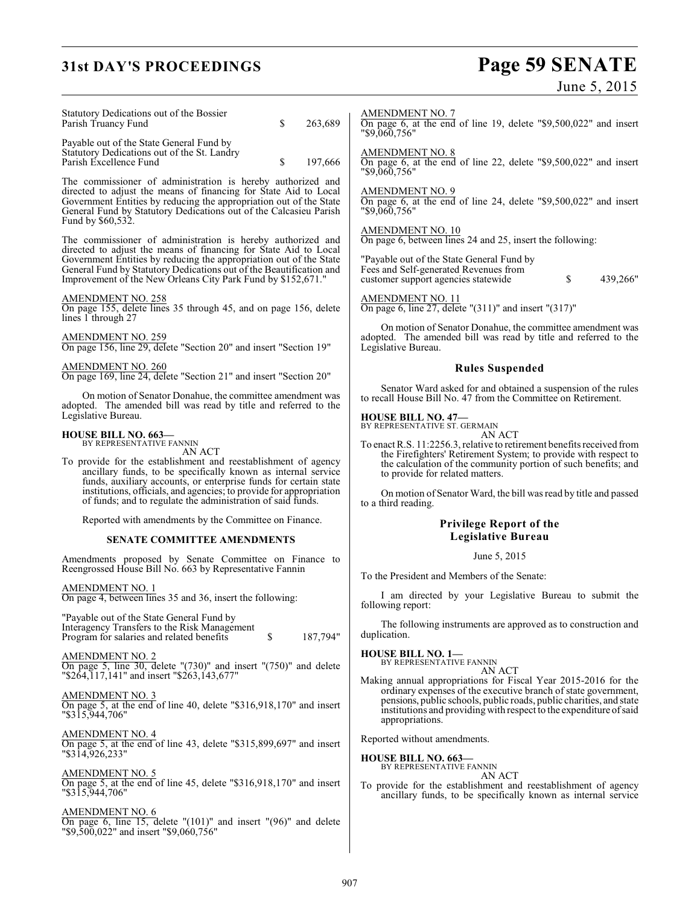# **31st DAY'S PROCEEDINGS**

# Page 59 SENATE<br>June 5, 2015

| Statutory Dedications out of the Bossier<br>\$<br>263,689<br>Parish Truancy Fund                                                                                                                                                                                                                | <b>AMENDMENT NO. 7</b><br>On page 6, at the end of line 19, delete "\$9,500,022" and insert<br>"\$9,060.756"                                                                                                                                             |
|-------------------------------------------------------------------------------------------------------------------------------------------------------------------------------------------------------------------------------------------------------------------------------------------------|----------------------------------------------------------------------------------------------------------------------------------------------------------------------------------------------------------------------------------------------------------|
| Payable out of the State General Fund by<br>Statutory Dedications out of the St. Landry<br>Parish Excellence Fund<br>\$<br>197,666                                                                                                                                                              | <u>AMENDMENT NO. 8</u><br>On page 6, at the end of line 22, delete "\$9,500,022" and insert<br>"\$9,060,756"                                                                                                                                             |
| The commissioner of administration is hereby authorized and<br>directed to adjust the means of financing for State Aid to Local<br>Government Entities by reducing the appropriation out of the State<br>General Fund by Statutory Dedications out of the Calcasieu Parish<br>Fund by \$60,532. | <b>AMENDMENT NO. 9</b><br>On page 6, at the end of line 24, delete $\text{\degree$9,500,022" }$ and insert<br>"\$9,060,756"                                                                                                                              |
| The commissioner of administration is hereby authorized and<br>directed to adjust the means of financing for State Aid to Local                                                                                                                                                                 | <b>AMENDMENT NO. 10</b><br>On page 6, between lines 24 and 25, insert the following:                                                                                                                                                                     |
| Government Entities by reducing the appropriation out of the State<br>General Fund by Statutory Dedications out of the Beautification and<br>Improvement of the New Orleans City Park Fund by \$152,671."                                                                                       | "Payable out of the State General Fund by<br>Fees and Self-generated Revenues from<br>\$<br>439,266"<br>customer support agencies statewide                                                                                                              |
| AMENDMENT NO. 258<br>On page 155, delete lines 35 through 45, and on page 156, delete<br>lines 1 through 27                                                                                                                                                                                     | AMENDMENT NO. 11<br>On page 6, line 27, delete " $(311)$ " and insert " $(317)$ "                                                                                                                                                                        |
| AMENDMENT NO. 259<br>On page 156, line 29, delete "Section 20" and insert "Section 19"                                                                                                                                                                                                          | On motion of Senator Donahue, the committee amendment was<br>adopted. The amended bill was read by title and referred to the<br>Legislative Bureau.                                                                                                      |
| <b>AMENDMENT NO. 260</b><br>On page 169, line 24, delete "Section 21" and insert "Section 20"                                                                                                                                                                                                   | <b>Rules Suspended</b>                                                                                                                                                                                                                                   |
| On motion of Senator Donahue, the committee amendment was<br>adopted. The amended bill was read by title and referred to the                                                                                                                                                                    | Senator Ward asked for and obtained a suspension of the rules<br>to recall House Bill No. 47 from the Committee on Retirement.                                                                                                                           |
| Legislative Bureau.                                                                                                                                                                                                                                                                             | <b>HOUSE BILL NO. 47-</b><br>BY REPRESENTATIVE ST. GERMAIN                                                                                                                                                                                               |
| <b>HOUSE BILL NO. 663—</b><br>BY REPRESENTATIVE FANNIN<br>AN ACT<br>To provide for the establishment and reestablishment of agency<br>ancillary funds, to be specifically known as internal service                                                                                             | AN ACT<br>To enact R.S. 11:2256.3, relative to retirement benefits received from<br>the Firefighters' Retirement System; to provide with respect to<br>the calculation of the community portion of such benefits; and<br>to provide for related matters. |
| funds, auxiliary accounts, or enterprise funds for certain state<br>institutions, officials, and agencies; to provide for appropriation<br>of funds; and to regulate the administration of said funds.                                                                                          | On motion of Senator Ward, the bill was read by title and passed<br>to a third reading.                                                                                                                                                                  |
| Reported with amendments by the Committee on Finance.                                                                                                                                                                                                                                           | <b>Privilege Report of the</b>                                                                                                                                                                                                                           |
| <b>SENATE COMMITTEE AMENDMENTS</b>                                                                                                                                                                                                                                                              | <b>Legislative Bureau</b>                                                                                                                                                                                                                                |
| Amendments proposed by Senate Committee on Finance to<br>Reengrossed House Bill No. 663 by Representative Fannin                                                                                                                                                                                | June 5, 2015<br>To the President and Members of the Senate:                                                                                                                                                                                              |
| AMENDMENT NO. 1<br>On page 4, between lines 35 and 36, insert the following:                                                                                                                                                                                                                    | I am directed by your Legislative Bureau to submit the<br>following report:                                                                                                                                                                              |
| "Payable out of the State General Fund by<br>Interagency Transfers to the Risk Management<br>187,794"<br>Program for salaries and related benefits<br>\$                                                                                                                                        | The following instruments are approved as to construction and<br>duplication.                                                                                                                                                                            |
| AMENDMENT NO. 2<br>On page 5, line 30, delete " $(730)$ " and insert " $(750)$ " and delete                                                                                                                                                                                                     | <b>HOUSE BILL NO. 1-</b><br>BY REPRESENTATIVE FANNIN                                                                                                                                                                                                     |
| "\$264,117,141" and insert "\$263,143,677"                                                                                                                                                                                                                                                      | AN ACT<br>Making annual appropriations for Fiscal Year 2015-2016 for the<br>ordinary expenses of the executive branch of state government,                                                                                                               |
| AMENDMENT NO. 3<br>On page 5, at the end of line 40, delete "\$316,918,170" and insert<br>"\$315,944,706"                                                                                                                                                                                       | pensions, public schools, public roads, public charities, and state<br>institutions and providing with respect to the expenditure of said<br>appropriations.                                                                                             |
| AMENDMENT NO. 4<br>On page 5, at the end of line 43, delete "\$315,899,697" and insert                                                                                                                                                                                                          | Reported without amendments.                                                                                                                                                                                                                             |
| "\$314,926,233"                                                                                                                                                                                                                                                                                 | <b>HOUSE BILL NO. 663-</b><br>BY REPRESENTATIVE FANNIN                                                                                                                                                                                                   |
| AMENDMENT NO. 5<br>On page 5, at the end of line 45, delete "\$316,918,170" and insert<br>"\$315,944,706"                                                                                                                                                                                       | AN ACT<br>To provide for the establishment and reestablishment of agency<br>ancillary funds, to be specifically known as internal service                                                                                                                |
| AMENDMENT NO. 6                                                                                                                                                                                                                                                                                 |                                                                                                                                                                                                                                                          |
| On page 6, line $15$ , delete " $(101)$ " and insert " $(96)$ " and delete<br>"\$9,500,022" and insert "\$9,060,756"                                                                                                                                                                            |                                                                                                                                                                                                                                                          |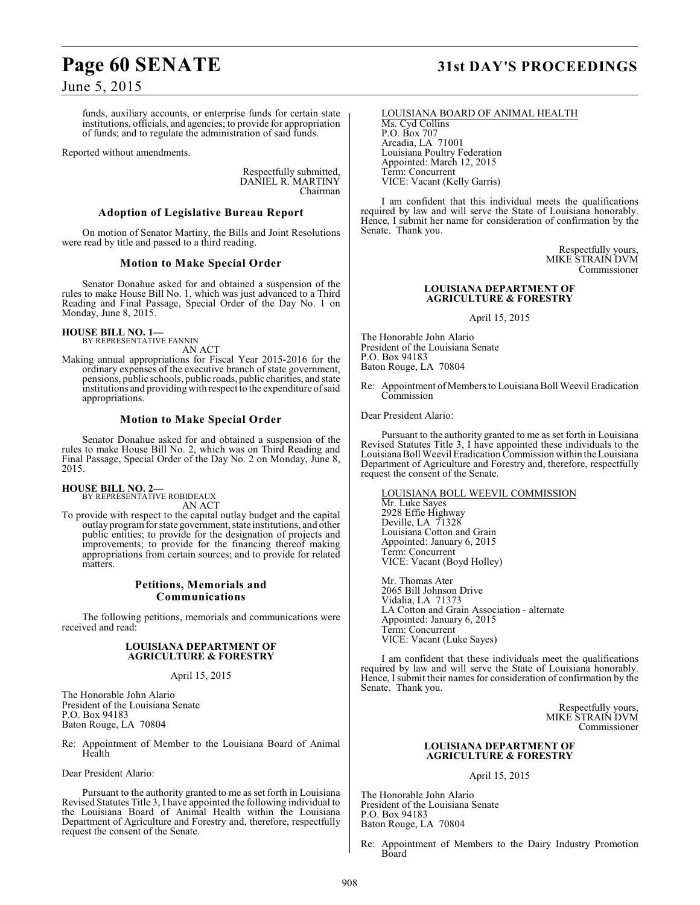# **Page 60 SENATE 31st DAY'S PROCEEDINGS**

June 5, 2015

funds, auxiliary accounts, or enterprise funds for certain state institutions, officials, and agencies; to provide for appropriation of funds; and to regulate the administration of said funds.

Reported without amendments.

Respectfully submitted, DANIEL R. MARTINY Chairman

### **Adoption of Legislative Bureau Report**

On motion of Senator Martiny, the Bills and Joint Resolutions were read by title and passed to a third reading.

### **Motion to Make Special Order**

Senator Donahue asked for and obtained a suspension of the rules to make House Bill No. 1, which was just advanced to a Third Reading and Final Passage, Special Order of the Day No. 1 on Monday, June 8, 2015.

**HOUSE BILL NO. 1—** BY REPRESENTATIVE FANNIN

AN ACT

Making annual appropriations for Fiscal Year 2015-2016 for the ordinary expenses of the executive branch of state government, pensions, public schools, public roads, public charities, and state institutions and providing with respect to the expenditure of said appropriations.

### **Motion to Make Special Order**

Senator Donahue asked for and obtained a suspension of the rules to make House Bill No. 2, which was on Third Reading and Final Passage, Special Order of the Day No. 2 on Monday, June 8, 2015.

**HOUSE BILL NO. 2—** BY REPRESENTATIVE ROBIDEAUX

AN ACT

To provide with respect to the capital outlay budget and the capital outlay program for state government, state institutions, and other public entities; to provide for the designation of projects and improvements; to provide for the financing thereof making appropriations from certain sources; and to provide for related matters.

### **Petitions, Memorials and Communications**

The following petitions, memorials and communications were received and read:

### **LOUISIANA DEPARTMENT OF AGRICULTURE & FORESTRY**

### April 15, 2015

The Honorable John Alario President of the Louisiana Senate P.O. Box 94183 Baton Rouge, LA 70804

Re: Appointment of Member to the Louisiana Board of Animal Health

Dear President Alario:

Pursuant to the authority granted to me as set forth in Louisiana Revised Statutes Title 3, I have appointed the following individual to the Louisiana Board of Animal Health within the Louisiana Department of Agriculture and Forestry and, therefore, respectfully request the consent of the Senate.

### LOUISIANA BOARD OF ANIMAL HEALTH

Ms. Cyd Collins P.O. Box 707 Arcadia, LA 71001 Louisiana Poultry Federation Appointed: March 12, 2015 Term: Concurrent VICE: Vacant (Kelly Garris)

I am confident that this individual meets the qualifications required by law and will serve the State of Louisiana honorably. Hence, I submit her name for consideration of confirmation by the Senate. Thank you.

> Respectfully yours, MIKE STRAIN DVM Commissioner

### **LOUISIANA DEPARTMENT OF AGRICULTURE & FORESTRY**

April 15, 2015

The Honorable John Alario President of the Louisiana Senate P.O. Box 94183 Baton Rouge, LA 70804

Re: Appointment of Members to Louisiana Boll Weevil Eradication Commission

Dear President Alario:

Pursuant to the authority granted to me as set forth in Louisiana Revised Statutes Title 3, I have appointed these individuals to the Louisiana Boll Weevil Eradication Commission within the Louisiana Department of Agriculture and Forestry and, therefore, respectfully request the consent of the Senate.

LOUISIANA BOLL WEEVIL COMMISSION Mr. Luke Sayes 2928 Effie Highway Deville, LA 71328 Louisiana Cotton and Grain Appointed: January 6, 2015 Term: Concurrent VICE: Vacant (Boyd Holley)

Mr. Thomas Ater 2065 Bill Johnson Drive Vidalia, LA 71373 LA Cotton and Grain Association - alternate Appointed: January 6, 2015 Term: Concurrent VICE: Vacant (Luke Sayes)

I am confident that these individuals meet the qualifications required by law and will serve the State of Louisiana honorably. Hence, I submit their names for consideration of confirmation by the Senate. Thank you.

> Respectfully yours, MIKE STRAIN DVM Commissioner

### **LOUISIANA DEPARTMENT OF AGRICULTURE & FORESTRY**

April 15, 2015

The Honorable John Alario President of the Louisiana Senate P.O. Box 94183 Baton Rouge, LA 70804

Re: Appointment of Members to the Dairy Industry Promotion Board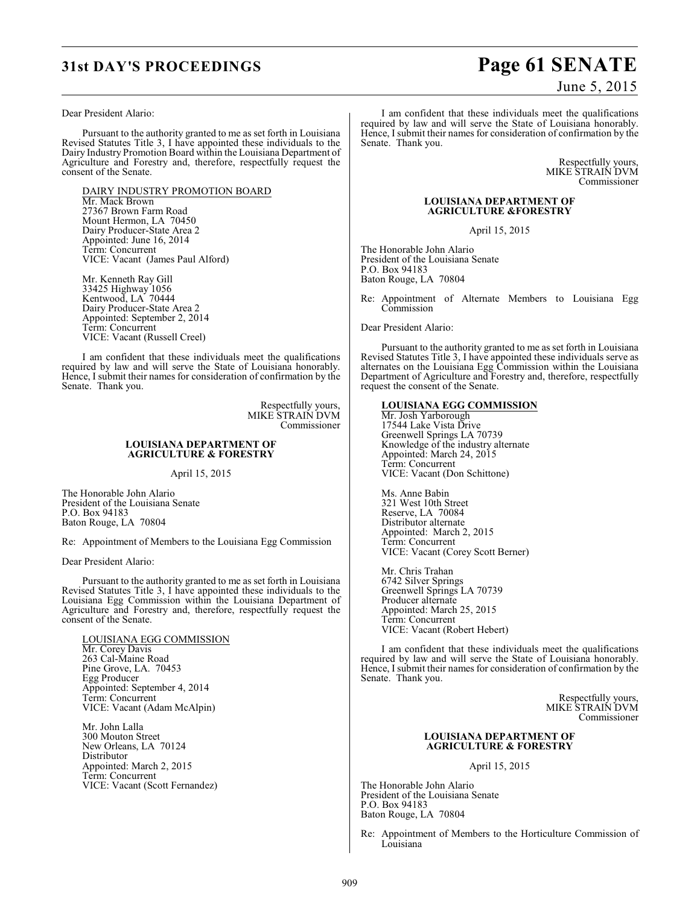# **31st DAY'S PROCEEDINGS Page 61 SENATE**

### Dear President Alario:

Pursuant to the authority granted to me as set forth in Louisiana Revised Statutes Title 3, I have appointed these individuals to the Dairy Industry Promotion Board within the Louisiana Department of Agriculture and Forestry and, therefore, respectfully request the consent of the Senate.

DAIRY INDUSTRY PROMOTION BOARD Mr. Mack Brown 27367 Brown Farm Road Mount Hermon, LA 70450 Dairy Producer-State Area 2 Appointed: June 16, 2014 Term: Concurrent VICE: Vacant (James Paul Alford)

Mr. Kenneth Ray Gill 33425 Highway 1056 Kentwood, LA 70444 Dairy Producer-State Area 2 Appointed: September 2, 2014 Term: Concurrent VICE: Vacant (Russell Creel)

I am confident that these individuals meet the qualifications required by law and will serve the State of Louisiana honorably. Hence, I submit their names for consideration of confirmation by the Senate. Thank you.

> Respectfully yours, MIKE STRAIN DVM Commissioner

### **LOUISIANA DEPARTMENT OF AGRICULTURE & FORESTRY**

April 15, 2015

The Honorable John Alario President of the Louisiana Senate P.O. Box 94183 Baton Rouge, LA 70804

Re: Appointment of Members to the Louisiana Egg Commission

Dear President Alario:

Pursuant to the authority granted to me as set forth in Louisiana Revised Statutes Title 3, I have appointed these individuals to the Louisiana Egg Commission within the Louisiana Department of Agriculture and Forestry and, therefore, respectfully request the consent of the Senate.

LOUISIANA EGG COMMISSION Mr. Corey Davis 263 Cal-Maine Road Pine Grove, LA. 70453 Egg Producer Appointed: September 4, 2014 Term: Concurrent VICE: Vacant (Adam McAlpin)

Mr. John Lalla 300 Mouton Street New Orleans, LA 70124 Distributor Appointed: March 2, 2015 Term: Concurrent VICE: Vacant (Scott Fernandez)

June 5, 2015

I am confident that these individuals meet the qualifications required by law and will serve the State of Louisiana honorably. Hence, I submit their names for consideration of confirmation by the Senate. Thank you.

> Respectfully yours, MIKE STRAIN DVM Commissioner

### **LOUISIANA DEPARTMENT OF AGRICULTURE &FORESTRY**

April 15, 2015

The Honorable John Alario President of the Louisiana Senate P.O. Box 94183 Baton Rouge, LA 70804

Re: Appointment of Alternate Members to Louisiana Egg **Commission** 

Dear President Alario:

Pursuant to the authority granted to me as set forth in Louisiana Revised Statutes Title 3, I have appointed these individuals serve as alternates on the Louisiana Egg Commission within the Louisiana Department of Agriculture and Forestry and, therefore, respectfully request the consent of the Senate.

### **LOUISIANA EGG COMMISSION**

Mr. Josh Yarborough 17544 Lake Vista Drive Greenwell Springs LA 70739 Knowledge of the industry alternate Appointed: March 24, 2015 Term: Concurrent VICE: Vacant (Don Schittone)

Ms. Anne Babin 321 West 10th Street Reserve, LA 70084 Distributor alternate Appointed: March 2, 2015 Term: Concurrent VICE: Vacant (Corey Scott Berner)

Mr. Chris Trahan 6742 Silver Springs Greenwell Springs LA 70739 Producer alternate Appointed: March 25, 2015 Term: Concurrent VICE: Vacant (Robert Hebert)

I am confident that these individuals meet the qualifications required by law and will serve the State of Louisiana honorably. Hence, I submit their names for consideration of confirmation by the Senate. Thank you.

> Respectfully yours, MIKE STRAIN DVM Commissioner

### **LOUISIANA DEPARTMENT OF AGRICULTURE & FORESTRY**

April 15, 2015

The Honorable John Alario President of the Louisiana Senate P.O. Box 94183 Baton Rouge, LA 70804

Re: Appointment of Members to the Horticulture Commission of Louisiana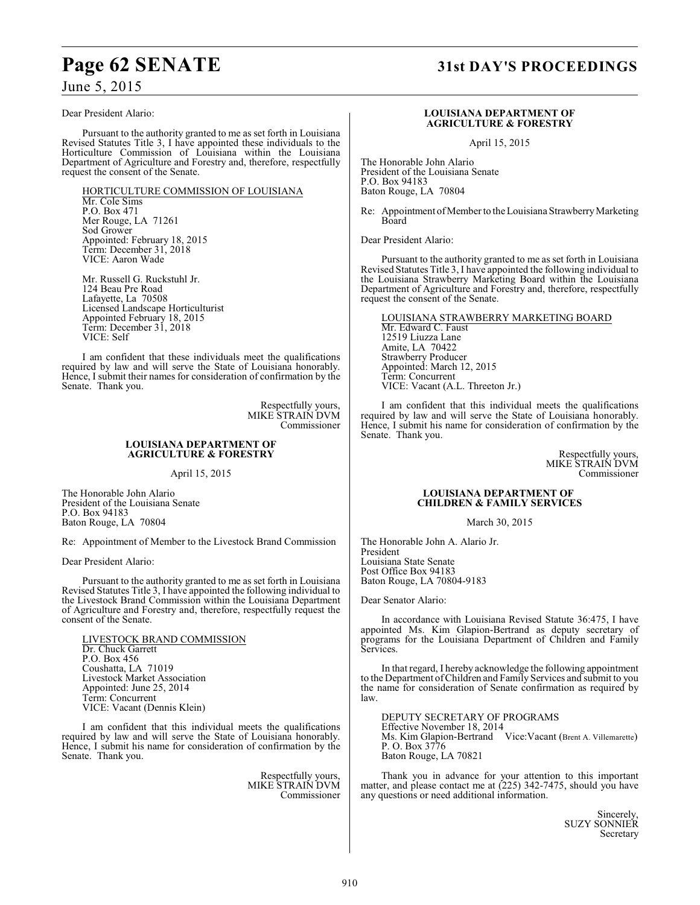# **Page 62 SENATE 31st DAY'S PROCEEDINGS**

June 5, 2015

### Dear President Alario:

Pursuant to the authority granted to me as set forth in Louisiana Revised Statutes Title 3, I have appointed these individuals to the Horticulture Commission of Louisiana within the Louisiana Department of Agriculture and Forestry and, therefore, respectfully request the consent of the Senate.

HORTICULTURE COMMISSION OF LOUISIANA Mr. Cole Sims P.O. Box 471 Mer Rouge, LA 71261 Sod Grower Appointed: February 18, 2015 Term: December 31, 2018

Mr. Russell G. Ruckstuhl Jr. 124 Beau Pre Road Lafayette, La 70508 Licensed Landscape Horticulturist Appointed February 18, 2015 Term: December 31, 2018 VICE: Self

VICE: Aaron Wade

I am confident that these individuals meet the qualifications required by law and will serve the State of Louisiana honorably. Hence, I submit their names for consideration of confirmation by the Senate. Thank you.

> Respectfully yours, MIKE STRAIN DVM Commissioner

### **LOUISIANA DEPARTMENT OF AGRICULTURE & FORESTRY**

April 15, 2015

The Honorable John Alario President of the Louisiana Senate P.O. Box 94183 Baton Rouge, LA 70804

Re: Appointment of Member to the Livestock Brand Commission

Dear President Alario:

Pursuant to the authority granted to me as set forth in Louisiana Revised Statutes Title 3, I have appointed the following individual to the Livestock Brand Commission within the Louisiana Department of Agriculture and Forestry and, therefore, respectfully request the consent of the Senate.

LIVESTOCK BRAND COMMISSION Dr. Chuck Garrett P.O. Box 456 Coushatta, LA 71019 Livestock Market Association Appointed: June 25, 2014 Term: Concurrent VICE: Vacant (Dennis Klein)

I am confident that this individual meets the qualifications required by law and will serve the State of Louisiana honorably. Hence, I submit his name for consideration of confirmation by the Senate. Thank you.

> Respectfully yours, MIKE STRAIN DVM Commissioner

### **LOUISIANA DEPARTMENT OF AGRICULTURE & FORESTRY**

April 15, 2015

The Honorable John Alario President of the Louisiana Senate P.O. Box 94183 Baton Rouge, LA 70804

Re: Appointment of Member to the Louisiana Strawberry Marketing Board

Dear President Alario:

Pursuant to the authority granted to me as set forth in Louisiana Revised Statutes Title 3, I have appointed the following individual to the Louisiana Strawberry Marketing Board within the Louisiana Department of Agriculture and Forestry and, therefore, respectfully request the consent of the Senate.

LOUISIANA STRAWBERRY MARKETING BOARD Mr. Edward C. Faust 12519 Liuzza Lane Amite, LA 70422 Strawberry Producer Appointed: March 12, 2015 Term: Concurrent VICE: Vacant (A.L. Threeton Jr.)

I am confident that this individual meets the qualifications required by law and will serve the State of Louisiana honorably. Hence, I submit his name for consideration of confirmation by the Senate. Thank you.

> Respectfully yours, MIKE STRAIN DVM Commissioner

### **LOUISIANA DEPARTMENT OF CHILDREN & FAMILY SERVICES**

March 30, 2015

The Honorable John A. Alario Jr. President Louisiana State Senate Post Office Box 94183 Baton Rouge, LA 70804-9183

Dear Senator Alario:

In accordance with Louisiana Revised Statute 36:475, I have appointed Ms. Kim Glapion-Bertrand as deputy secretary of programs for the Louisiana Department of Children and Family Services.

In that regard, I hereby acknowledge the following appointment to the Department ofChildren and Family Services and submit to you the name for consideration of Senate confirmation as required by law.

DEPUTY SECRETARY OF PROGRAMS Effective November 18, 2014 Ms. Kim Glapion-Bertrand Vice:Vacant (Brent A. Villemarette) P. O. Box 3776 Baton Rouge, LA 70821

Thank you in advance for your attention to this important matter, and please contact me at (225) 342-7475, should you have any questions or need additional information.

> Sincerely, SUZY SONNIER Secretary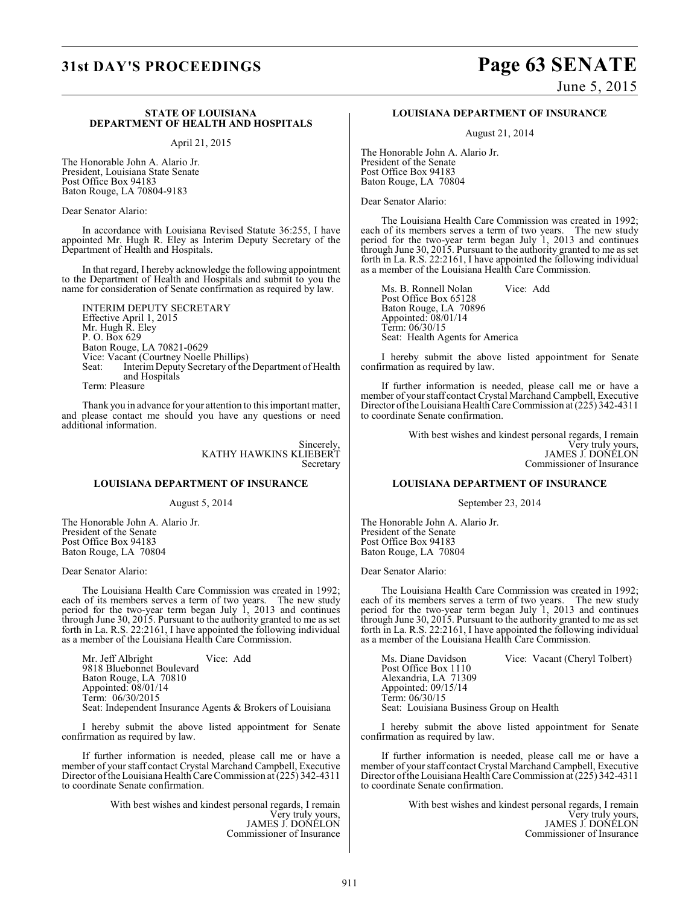# **31st DAY'S PROCEEDINGS Page 63 SENATE**

June 5, 2015

### **STATE OF LOUISIANA DEPARTMENT OF HEALTH AND HOSPITALS**

April 21, 2015

The Honorable John A. Alario Jr. President, Louisiana State Senate Post Office Box 94183 Baton Rouge, LA 70804-9183

Dear Senator Alario:

In accordance with Louisiana Revised Statute 36:255, I have appointed Mr. Hugh R. Eley as Interim Deputy Secretary of the Department of Health and Hospitals.

In that regard, I hereby acknowledge the following appointment to the Department of Health and Hospitals and submit to you the name for consideration of Senate confirmation as required by law.

INTERIM DEPUTY SECRETARY Effective April 1, 2015 Mr. Hugh R. Eley P. O. Box 629 Baton Rouge, LA 70821-0629 Vice: Vacant (Courtney Noelle Phillips)<br>Seat: Interim Deputy Secretary of the Interim Deputy Secretary of the Department of Health and Hospitals

Term: Pleasure

Thank you in advance for your attention to this important matter, and please contact me should you have any questions or need additional information.

> Sincerely, KATHY HAWKINS KLIEBERT Secretary

### **LOUISIANA DEPARTMENT OF INSURANCE**

August 5, 2014

The Honorable John A. Alario Jr. President of the Senate Post Office Box 94183 Baton Rouge, LA 70804

Dear Senator Alario:

The Louisiana Health Care Commission was created in 1992; each of its members serves a term of two years. The new study period for the two-year term began July 1, 2013 and continues through June 30, 2015. Pursuant to the authority granted to me as set forth in La. R.S. 22:2161, I have appointed the following individual as a member of the Louisiana Health Care Commission.

Mr. Jeff Albright Vice: Add 9818 Bluebonnet Boulevard Baton Rouge, LA 70810 Appointed: 08/01/14 Term: 06/30/2015 Seat: Independent Insurance Agents & Brokers of Louisiana

I hereby submit the above listed appointment for Senate confirmation as required by law.

If further information is needed, please call me or have a member of your staff contact Crystal Marchand Campbell, Executive Director of the Louisiana Health Care Commission at (225) 342-4311 to coordinate Senate confirmation.

> With best wishes and kindest personal regards, I remain Very truly yours, JAMES J. DONELON Commissioner of Insurance

### **LOUISIANA DEPARTMENT OF INSURANCE**

August 21, 2014

The Honorable John A. Alario Jr. President of the Senate Post Office Box 94183 Baton Rouge, LA 70804

Dear Senator Alario:

The Louisiana Health Care Commission was created in 1992; each of its members serves a term of two years. The new study period for the two-year term began July 1, 2013 and continues through June 30, 2015. Pursuant to the authority granted to me as set forth in La. R.S. 22:2161, I have appointed the following individual as a member of the Louisiana Health Care Commission.

Ms. B. Ronnell Nolan Vice: Add Post Office Box 65128 Baton Rouge, LA 70896 Appointed: 08/01/14 Term: 06/30/15 Seat: Health Agents for America

I hereby submit the above listed appointment for Senate confirmation as required by law.

If further information is needed, please call me or have a member of your staff contact Crystal Marchand Campbell, Executive Director of the Louisiana Health Care Commission at (225) 342-4311 to coordinate Senate confirmation.

> With best wishes and kindest personal regards, I remain Very truly yours, JAMES J. DONELON Commissioner of Insurance

### **LOUISIANA DEPARTMENT OF INSURANCE**

September 23, 2014

The Honorable John A. Alario Jr. President of the Senate Post Office Box 94183 Baton Rouge, LA 70804

Dear Senator Alario:

The Louisiana Health Care Commission was created in 1992; each of its members serves a term of two years. The new study period for the two-year term began July 1, 2013 and continues through June 30, 2015. Pursuant to the authority granted to me as set forth in La. R.S. 22:2161, I have appointed the following individual as a member of the Louisiana Health Care Commission.

Ms. Diane Davidson Vice: Vacant (Cheryl Tolbert) Post Office Box 1110 Alexandria, LA 71309 Appointed: 09/15/14 Term: 06/30/15 Seat: Louisiana Business Group on Health

I hereby submit the above listed appointment for Senate confirmation as required by law.

If further information is needed, please call me or have a member of your staff contact Crystal Marchand Campbell, Executive Director of the Louisiana Health Care Commission at (225) 342-4311 to coordinate Senate confirmation.

> With best wishes and kindest personal regards, I remain Very truly yours, JAMES J. DONELON Commissioner of Insurance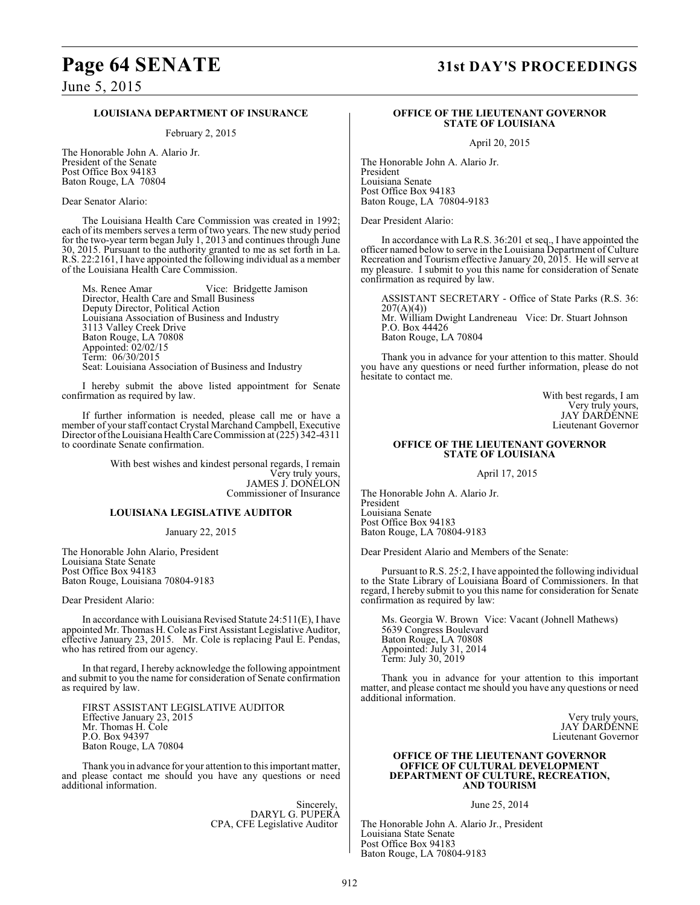# **Page 64 SENATE 31st DAY'S PROCEEDINGS**

June 5, 2015

### **LOUISIANA DEPARTMENT OF INSURANCE**

February 2, 2015

The Honorable John A. Alario Jr. President of the Senate Post Office Box 94183 Baton Rouge, LA 70804

Dear Senator Alario:

The Louisiana Health Care Commission was created in 1992; each of its members serves a term of two years. The new study period for the two-year term began July 1, 2013 and continues through June 30, 2015. Pursuant to the authority granted to me as set forth in La. R.S. 22:2161, I have appointed the following individual as a member of the Louisiana Health Care Commission.

Ms. Renee Amar Vice: Bridgette Jamison Director, Health Care and Small Business Deputy Director, Political Action Louisiana Association of Business and Industry 3113 Valley Creek Drive Baton Rouge, LA 70808 Appointed: 02/02/15 Term: 06/30/2015 Seat: Louisiana Association of Business and Industry

I hereby submit the above listed appointment for Senate confirmation as required by law.

If further information is needed, please call me or have a member of your staff contact Crystal Marchand Campbell, Executive Director oftheLouisiana Health CareCommission at (225) 342-4311 to coordinate Senate confirmation.

> With best wishes and kindest personal regards, I remain Very truly yours, JAMES J. DONELON Commissioner of Insurance

### **LOUISIANA LEGISLATIVE AUDITOR**

January 22, 2015

The Honorable John Alario, President Louisiana State Senate Post Office Box 94183 Baton Rouge, Louisiana 70804-9183

Dear President Alario:

In accordance with Louisiana Revised Statute 24:511(E), I have appointed Mr. Thomas H. Cole as First Assistant Legislative Auditor, effective January 23, 2015. Mr. Cole is replacing Paul E. Pendas, who has retired from our agency.

In that regard, I hereby acknowledge the following appointment and submit to you the name for consideration of Senate confirmation as required by law.

FIRST ASSISTANT LEGISLATIVE AUDITOR Effective January 23, 2015 Mr. Thomas H. Cole P.O. Box 94397 Baton Rouge, LA 70804

Thank you in advance for your attention to this important matter, and please contact me should you have any questions or need additional information.

> Sincerely, DARYL G. PUPERA CPA, CFE Legislative Auditor

### **OFFICE OF THE LIEUTENANT GOVERNOR STATE OF LOUISIANA**

April 20, 2015

The Honorable John A. Alario Jr. President Louisiana Senate Post Office Box 94183 Baton Rouge, LA 70804-9183

Dear President Alario:

In accordance with La R.S. 36:201 et seq., I have appointed the officer named below to serve in the Louisiana Department of Culture Recreation and Tourism effective January 20, 2015. He will serve at my pleasure. I submit to you this name for consideration of Senate confirmation as required by law.

ASSISTANT SECRETARY - Office of State Parks (R.S. 36: 207(A)(4)) Mr. William Dwight Landreneau Vice: Dr. Stuart Johnson P.O. Box 44426 Baton Rouge, LA 70804

Thank you in advance for your attention to this matter. Should you have any questions or need further information, please do not hesitate to contact me.

> With best regards, I am Very truly yours, JAY DARDENNE Lieutenant Governor

### **OFFICE OF THE LIEUTENANT GOVERNOR STATE OF LOUISIANA**

April 17, 2015

The Honorable John A. Alario Jr. President Louisiana Senate Post Office Box 94183 Baton Rouge, LA 70804-9183

Dear President Alario and Members of the Senate:

Pursuant to R.S. 25:2, I have appointed the following individual to the State Library of Louisiana Board of Commissioners. In that regard, I hereby submit to you this name for consideration for Senate confirmation as required by law:

Ms. Georgia W. Brown Vice: Vacant (Johnell Mathews) 5639 Congress Boulevard Baton Rouge, LA 70808 Appointed: July 31, 2014 Term: July 30, 2019

Thank you in advance for your attention to this important matter, and please contact me should you have any questions or need additional information.

> Very truly yours, JAY ĎARĎĚNNÉ Lieutenant Governor

### **OFFICE OF THE LIEUTENANT GOVERNOR OFFICE OF CULTURAL DEVELOPMENT DEPARTMENT OF CULTURE, RECREATION, AND TOURISM**

June 25, 2014

The Honorable John A. Alario Jr., President Louisiana State Senate Post Office Box 94183 Baton Rouge, LA 70804-9183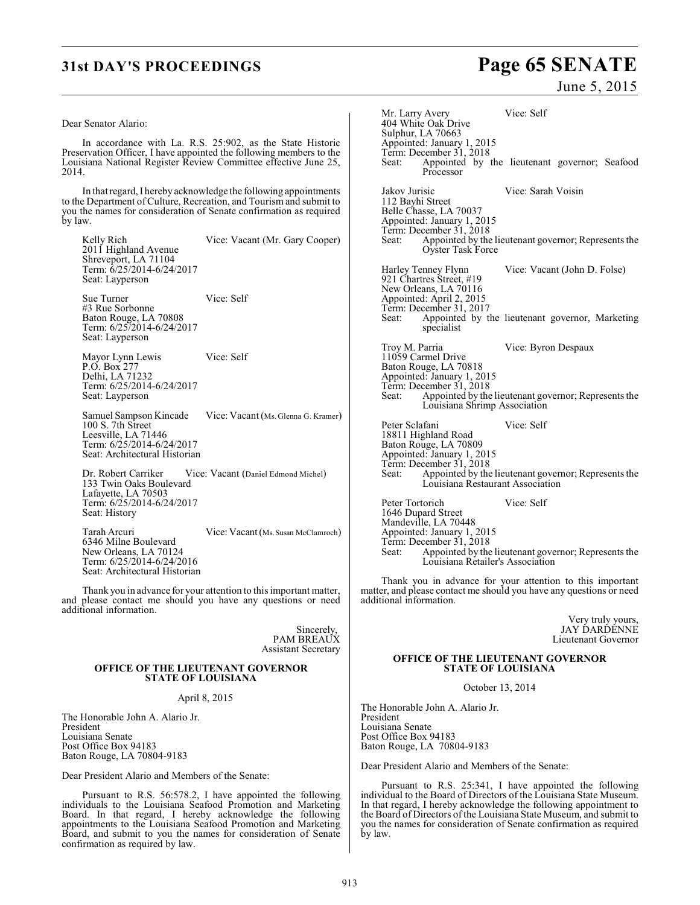### Dear Senator Alario:

In accordance with La. R.S. 25:902, as the State Historic Preservation Officer, I have appointed the following members to the Louisiana National Register Review Committee effective June 25, 2014.

In that regard, I hereby acknowledge the following appointments to the Department of Culture, Recreation, and Tourism and submit to you the names for consideration of Senate confirmation as required by law.

Kelly Rich Vice: Vacant (Mr. Gary Cooper) 2011 Highland Avenue Shreveport, LA 71104 Term: 6/25/2014-6/24/2017 Seat: Layperson

Sue Turner Vice: Self #3 Rue Sorbonne Baton Rouge, LA 70808 Term: 6/25/2014-6/24/2017 Seat: Layperson

Mayor Lynn Lewis Vice: Self P.O. Box 277 Delhi, LA 71232 Term: 6/25/2014-6/24/2017 Seat: Layperson

Samuel Sampson Kincade Vice: Vacant (Ms. Glenna G. Kramer) 100 S. 7th Street Leesville, LA 71446 Term: 6/25/2014-6/24/2017 Seat: Architectural Historian

Dr. Robert Carriker Vice: Vacant (Daniel Edmond Michel) 133 Twin Oaks Boulevard Lafayette, LA 70503 Term: 6/25/2014-6/24/2017 Seat: History

Tarah Arcuri Vice: Vacant (Ms. Susan McClamroch) 6346 Milne Boulevard New Orleans, LA 70124 Term: 6/25/2014-6/24/2016 Seat: Architectural Historian

Thank you in advance for your attention to this important matter, and please contact me should you have any questions or need additional information.

> Sincerely, PAM BREAUX Assistant Secretary

### **OFFICE OF THE LIEUTENANT GOVERNOR STATE OF LOUISIANA**

April 8, 2015

The Honorable John A. Alario Jr. President Louisiana Senate Post Office Box 94183 Baton Rouge, LA 70804-9183

Dear President Alario and Members of the Senate:

Pursuant to R.S. 56:578.2, I have appointed the following individuals to the Louisiana Seafood Promotion and Marketing Board. In that regard, I hereby acknowledge the following appointments to the Louisiana Seafood Promotion and Marketing Board, and submit to you the names for consideration of Senate confirmation as required by law.

# **31st DAY'S PROCEEDINGS Page 65 SENATE**

June 5, 2015

Mr. Larry Avery Vice: Self 404 White Oak Drive Sulphur, LA 70663 Appointed: January 1, 2015 Term: December 31, 2018<br>Seat: Appointed by Appointed by the lieutenant governor; Seafood Processor Jakov Jurisic Vice: Sarah Voisin 112 Bayhi Street Belle Chasse, LA 70037 Appointed: January 1, 2015 Term: December 31, 2018<br>Seat: Appointed by the Appointed by the lieutenant governor; Represents the Oyster Task Force Harley Tenney Flynn Vice: Vacant (John D. Folse) 921 Chartres Street, #19 New Orleans, LA 70116 Appointed: April 2, 2015 Term: December 31, 2017<br>Seat: Appointed by t Appointed by the lieutenant governor, Marketing specialist Troy M. Parria Vice: Byron Despaux 11059 Carmel Drive Baton Rouge, LA 70818 Appointed: January 1, 2015 Term: December 31, 2018 Seat: Appointed by the lieutenant governor; Represents the Louisiana Shrimp Association Peter Sclafani Vice: Self 18811 Highland Road Baton Rouge, LA 70809 Appointed: January 1, 2015 Term: December 31, 2018 Seat: Appointed by the lieutenant governor; Represents the Louisiana Restaurant Association Peter Tortorich Vice: Self 1646 Dupard Street Mandeville, LA 70448 Appointed: January 1, 2015 Term: December 31, 2018 Seat: Appointed by the lieutenant governor; Represents the Louisiana Retailer's Association

Thank you in advance for your attention to this important matter, and please contact me should you have any questions or need additional information.

> Very truly yours, JAY DARDENNE Lieutenant Governor

### **OFFICE OF THE LIEUTENANT GOVERNOR STATE OF LOUISIANA**

October 13, 2014

The Honorable John A. Alario Jr. President Louisiana Senate Post Office Box 94183 Baton Rouge, LA 70804-9183

Dear President Alario and Members of the Senate:

Pursuant to R.S. 25:341, I have appointed the following individual to the Board of Directors of the Louisiana State Museum. In that regard, I hereby acknowledge the following appointment to the Board of Directors of the Louisiana State Museum, and submit to you the names for consideration of Senate confirmation as required by law.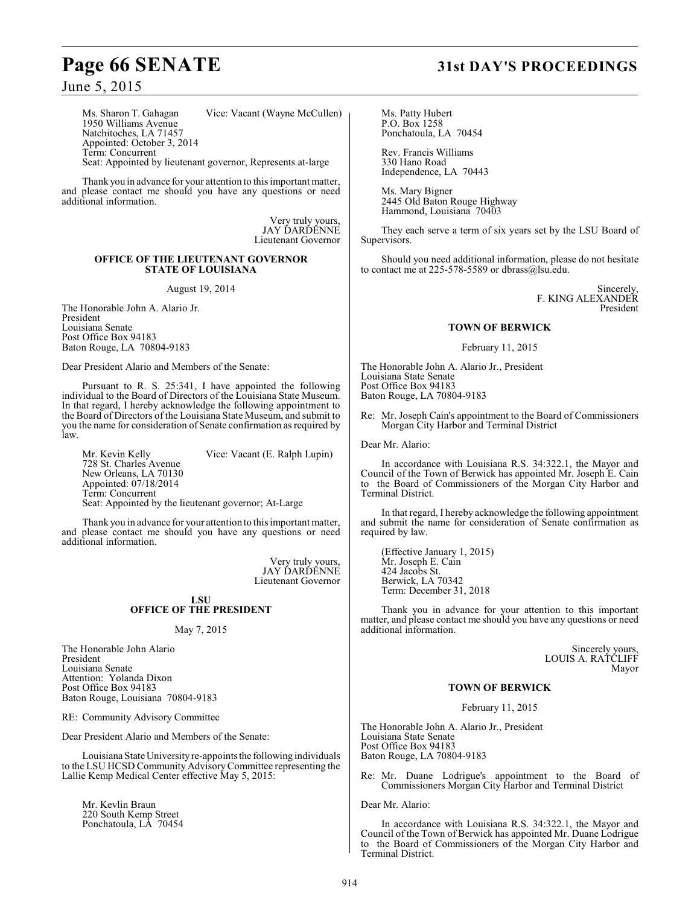June 5, 2015

Ms. Sharon T. Gahagan Vice: Vacant (Wayne McCullen) 1950 Williams Avenue Natchitoches, LA 71457 Appointed: October 3, 2014 Term: Concurrent Seat: Appointed by lieutenant governor, Represents at-large

Thank you in advance for your attention to this important matter, and please contact me should you have any questions or need additional information.

> Very truly yours, JAY ĎARĎĚNNE Lieutenant Governor

### **OFFICE OF THE LIEUTENANT GOVERNOR STATE OF LOUISIANA**

August 19, 2014

The Honorable John A. Alario Jr. President Louisiana Senate Post Office Box 94183 Baton Rouge, LA 70804-9183

Dear President Alario and Members of the Senate:

Pursuant to R. S. 25:341, I have appointed the following individual to the Board of Directors of the Louisiana State Museum. In that regard, I hereby acknowledge the following appointment to the Board of Directors of the Louisiana State Museum, and submit to you the name for consideration of Senate confirmation as required by law.

Mr. Kevin Kelly Vice: Vacant (E. Ralph Lupin) 728 St. Charles Avenue New Orleans, LA 70130 Appointed: 07/18/2014 Term: Concurrent Seat: Appointed by the lieutenant governor; At-Large

Thank you in advance for your attention to this important matter, and please contact me should you have any questions or need additional information.

> Very truly yours, JAY DARDENNE Lieutenant Governor

### **LSU OFFICE OF THE PRESIDENT**

### May 7, 2015

The Honorable John Alario President Louisiana Senate Attention: Yolanda Dixon Post Office Box 94183 Baton Rouge, Louisiana 70804-9183

RE: Community Advisory Committee

Dear President Alario and Members of the Senate:

Louisiana State University re-appoints the following individuals to the LSU HCSD Community Advisory Committee representing the Lallie Kemp Medical Center effective May 5, 2015:

Mr. Kevlin Braun 220 South Kemp Street Ponchatoula, LA 70454

# **Page 66 SENATE 31st DAY'S PROCEEDINGS**

Ms. Patty Hubert P.O. Box 1258 Ponchatoula, LA 70454

Rev. Francis Williams 330 Hano Road Independence, LA 70443

Ms. Mary Bigner 2445 Old Baton Rouge Highway Hammond, Louisiana 70403

They each serve a term of six years set by the LSU Board of Supervisors.

Should you need additional information, please do not hesitate to contact me at 225-578-5589 or dbrass@lsu.edu.

> Sincerely, F. KING ALEXANDER President

### **TOWN OF BERWICK**

February 11, 2015

The Honorable John A. Alario Jr., President Louisiana State Senate Post Office Box 94183 Baton Rouge, LA 70804-9183

Re: Mr. Joseph Cain's appointment to the Board of Commissioners Morgan City Harbor and Terminal District

Dear Mr. Alario:

In accordance with Louisiana R.S. 34:322.1, the Mayor and Council of the Town of Berwick has appointed Mr. Joseph E. Cain to the Board of Commissioners of the Morgan City Harbor and Terminal District.

In that regard, I hereby acknowledge the following appointment and submit the name for consideration of Senate confirmation as required by law.

(Effective January 1, 2015) Mr. Joseph E. Cain 424 Jacobs St. Berwick, LA 70342 Term: December 31, 2018

Thank you in advance for your attention to this important matter, and please contact me should you have any questions or need additional information.

> Sincerely yours, LOUIS A. RATCLIFF Mayor

### **TOWN OF BERWICK**

February 11, 2015

The Honorable John A. Alario Jr., President Louisiana State Senate Post Office Box 94183 Baton Rouge, LA 70804-9183

Re: Mr. Duane Lodrigue's appointment to the Board of Commissioners Morgan City Harbor and Terminal District

Dear Mr. Alario:

In accordance with Louisiana R.S. 34:322.1, the Mayor and Council of the Town of Berwick has appointed Mr. Duane Lodrigue to the Board of Commissioners of the Morgan City Harbor and Terminal District.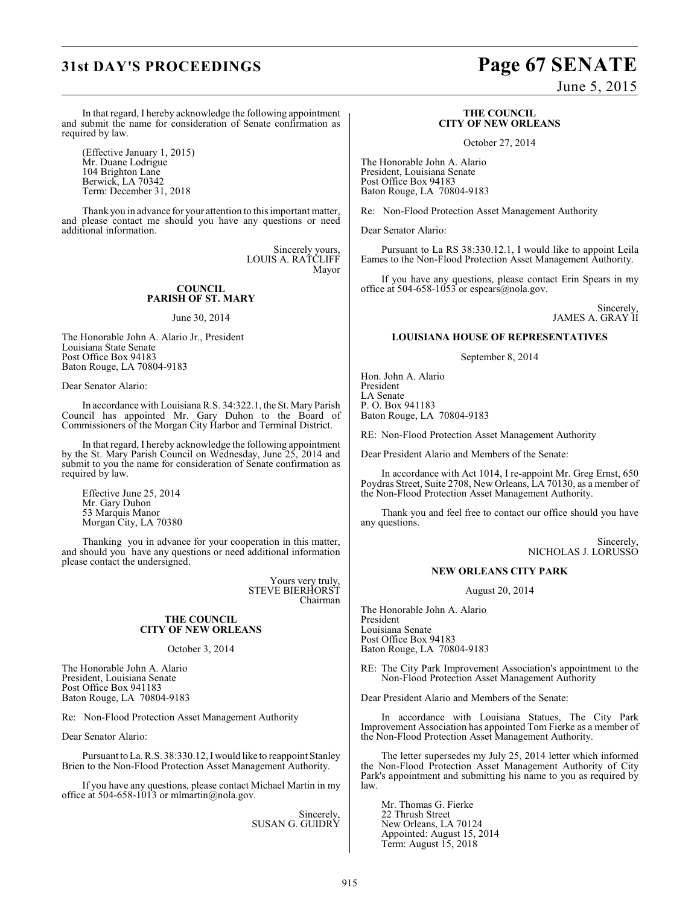# **31st DAY'S PROCEEDINGS Page 67 SENATE**

June 5, 2015

In that regard, I hereby acknowledge the following appointment and submit the name for consideration of Senate confirmation as required by law.

(Effective January 1, 2015) Mr. Duane Lodrigue 104 Brighton Lane Berwick, LA 70342 Term: December 31, 2018

Thank you in advance for your attention to this important matter, and please contact me should you have any questions or need additional information.

> Sincerely yours, LOUIS A. RATCLIFF Mayor

### **COUNCIL PARISH OF ST. MARY**

June 30, 2014

The Honorable John A. Alario Jr., President Louisiana State Senate Post Office Box 94183 Baton Rouge, LA 70804-9183

Dear Senator Alario:

In accordance with Louisiana R.S. 34:322.1, the St. Mary Parish Council has appointed Mr. Gary Duhon to the Board of Commissioners of the Morgan City Harbor and Terminal District.

In that regard, I hereby acknowledge the following appointment by the St. Mary Parish Council on Wednesday, June 25, 2014 and submit to you the name for consideration of Senate confirmation as required by law.

Effective June 25, 2014 Mr. Gary Duhon 53 Marquis Manor Morgan City, LA 70380

Thanking you in advance for your cooperation in this matter, and should you have any questions or need additional information please contact the undersigned.

> Yours very truly, STEVE BIERHORST Chairman

### **THE COUNCIL CITY OF NEW ORLEANS**

October 3, 2014

The Honorable John A. Alario President, Louisiana Senate Post Office Box 941183 Baton Rouge, LA 70804-9183

Re: Non-Flood Protection Asset Management Authority

Dear Senator Alario:

Pursuant to La. R.S. 38:330.12, I would like to reappoint Stanley Brien to the Non-Flood Protection Asset Management Authority.

If you have any questions, please contact Michael Martin in my office at 504-658-1013 or mlmartin@nola.gov.

> Sincerely, SUSAN G. GUIDRY

### **THE COUNCIL CITY OF NEW ORLEANS**

October 27, 2014

The Honorable John A. Alario President, Louisiana Senate Post Office Box 94183 Baton Rouge, LA 70804-9183

Re: Non-Flood Protection Asset Management Authority

Dear Senator Alario:

Pursuant to La RS 38:330.12.1, I would like to appoint Leila Eames to the Non-Flood Protection Asset Management Authority.

If you have any questions, please contact Erin Spears in my office at 504-658-1053 or espears@nola.gov.

> Sincerely, JAMES A. GRAY II

### **LOUISIANA HOUSE OF REPRESENTATIVES**

September 8, 2014

Hon. John A. Alario President LA Senate P. O. Box 941183 Baton Rouge, LA 70804-9183

RE: Non-Flood Protection Asset Management Authority

Dear President Alario and Members of the Senate:

In accordance with Act 1014, I re-appoint Mr. Greg Ernst, 650 Poydras Street, Suite 2708, New Orleans, LA 70130, as a member of the Non-Flood Protection Asset Management Authority.

Thank you and feel free to contact our office should you have any questions.

> Sincerely, NICHOLAS J. LORUSSO

### **NEW ORLEANS CITY PARK**

August 20, 2014

The Honorable John A. Alario President Louisiana Senate Post Office Box 94183 Baton Rouge, LA 70804-9183

RE: The City Park Improvement Association's appointment to the Non-Flood Protection Asset Management Authority

Dear President Alario and Members of the Senate:

In accordance with Louisiana Statues, The City Park Improvement Association has appointed Tom Fierke as a member of the Non-Flood Protection Asset Management Authority.

The letter supersedes my July 25, 2014 letter which informed the Non-Flood Protection Asset Management Authority of City Park's appointment and submitting his name to you as required by law.

Mr. Thomas G. Fierke 22 Thrush Street New Orleans, LA 70124 Appointed: August 15, 2014 Term: August 15, 2018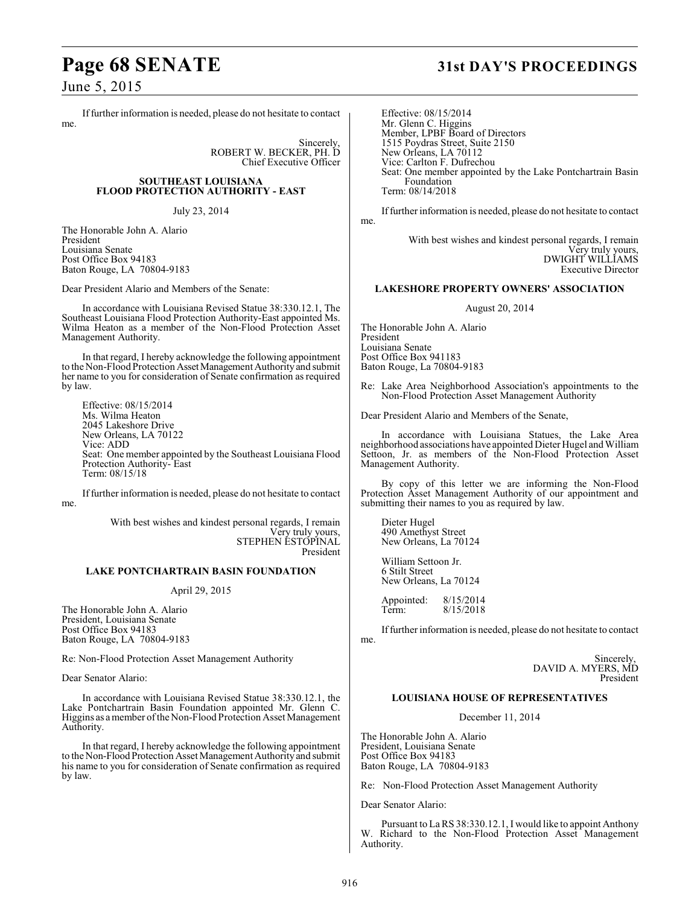June 5, 2015

If further information is needed, please do not hesitate to contact me.

> Sincerely, ROBERT W. BECKER, PH. D Chief Executive Officer

### **SOUTHEAST LOUISIANA FLOOD PROTECTION AUTHORITY - EAST**

July 23, 2014

The Honorable John A. Alario President Louisiana Senate Post Office Box 94183 Baton Rouge, LA 70804-9183

Dear President Alario and Members of the Senate:

In accordance with Louisiana Revised Statue 38:330.12.1, The Southeast Louisiana Flood Protection Authority-East appointed Ms. Wilma Heaton as a member of the Non-Flood Protection Asset Management Authority.

In that regard, I hereby acknowledge the following appointment to the Non-Flood Protection Asset Management Authority and submit her name to you for consideration of Senate confirmation as required by law.

Effective: 08/15/2014 Ms. Wilma Heaton 2045 Lakeshore Drive New Orleans, LA 70122 Vice: ADD Seat: One member appointed by the Southeast Louisiana Flood Protection Authority- East Term: 08/15/18

If further information is needed, please do not hesitate to contact me.

> With best wishes and kindest personal regards, I remain Very truly yours, STEPHEN ESTOPINAL President

### **LAKE PONTCHARTRAIN BASIN FOUNDATION**

### April 29, 2015

The Honorable John A. Alario President, Louisiana Senate Post Office Box 94183 Baton Rouge, LA 70804-9183

Re: Non-Flood Protection Asset Management Authority

Dear Senator Alario:

In accordance with Louisiana Revised Statue 38:330.12.1, the Lake Pontchartrain Basin Foundation appointed Mr. Glenn C. Higgins as a member of the Non-Flood Protection Asset Management Authority.

In that regard, I hereby acknowledge the following appointment to the Non-Flood Protection Asset Management Authority and submit his name to you for consideration of Senate confirmation as required by law.

# **Page 68 SENATE 31st DAY'S PROCEEDINGS**

Effective: 08/15/2014 Mr. Glenn C. Higgins Member, LPBF Board of Directors 1515 Poydras Street, Suite 2150 New Orleans, LA 70112 Vice: Carlton F. Dufrechou Seat: One member appointed by the Lake Pontchartrain Basin Foundation Term: 08/14/2018

If further information is needed, please do not hesitate to contact me.

> With best wishes and kindest personal regards, I remain Very truly yours, DWIGHT WILLIAMS Executive Director

### **LAKESHORE PROPERTY OWNERS' ASSOCIATION**

### August 20, 2014

The Honorable John A. Alario President Louisiana Senate Post Office Box 941183 Baton Rouge, La 70804-9183

Re: Lake Area Neighborhood Association's appointments to the Non-Flood Protection Asset Management Authority

Dear President Alario and Members of the Senate,

In accordance with Louisiana Statues, the Lake Area neighborhood associations have appointed Dieter Hugel and William Settoon, Jr. as members of the Non-Flood Protection Asset Management Authority.

By copy of this letter we are informing the Non-Flood Protection Asset Management Authority of our appointment and submitting their names to you as required by law.

Dieter Hugel 490 Amethyst Street New Orleans, La 70124

William Settoon Jr. 6 Stilt Street New Orleans, La 70124

Appointed: 8/15/2014<br>Term: 8/15/2018 Term: 8/15/2018

If further information is needed, please do not hesitate to contact me.

> Sincerely, DAVID A. MYERS, MD President

### **LOUISIANA HOUSE OF REPRESENTATIVES**

December 11, 2014

The Honorable John A. Alario President, Louisiana Senate Post Office Box 94183 Baton Rouge, LA 70804-9183

Re: Non-Flood Protection Asset Management Authority

Dear Senator Alario:

Pursuant to La RS 38:330.12.1, I would like to appoint Anthony W. Richard to the Non-Flood Protection Asset Management Authority.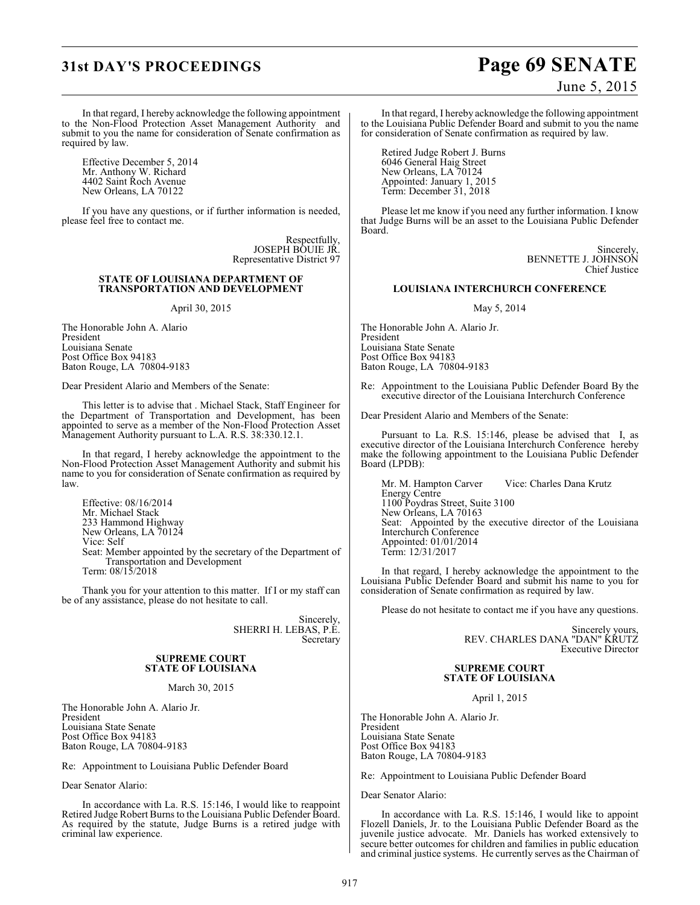# **31st DAY'S PROCEEDINGS Page 69 SENATE**

June 5, 2015

In that regard, I hereby acknowledge the following appointment to the Non-Flood Protection Asset Management Authority and submit to you the name for consideration of Senate confirmation as required by law.

Effective December 5, 2014 Mr. Anthony W. Richard 4402 Saint Roch Avenue New Orleans, LA 70122

If you have any questions, or if further information is needed, please feel free to contact me.

> Respectfully, JOSEPH BOUIE JR. Representative District 97

### **STATE OF LOUISIANA DEPARTMENT OF TRANSPORTATION AND DEVELOPMENT**

### April 30, 2015

The Honorable John A. Alario President Louisiana Senate Post Office Box 94183 Baton Rouge, LA 70804-9183

Dear President Alario and Members of the Senate:

This letter is to advise that . Michael Stack, Staff Engineer for the Department of Transportation and Development, has been appointed to serve as a member of the Non-Flood Protection Asset Management Authority pursuant to L.A. R.S. 38:330.12.1.

In that regard, I hereby acknowledge the appointment to the Non-Flood Protection Asset Management Authority and submit his name to you for consideration of Senate confirmation as required by law.

Effective: 08/16/2014 Mr. Michael Stack 233 Hammond Highway New Orleans, LA 70124 Vice: Self Seat: Member appointed by the secretary of the Department of Transportation and Development Term: 08/15/2018

Thank you for your attention to this matter. If I or my staff can be of any assistance, please do not hesitate to call.

> Sincerely, SHERRI H. LEBAS, P.E. Secretary

### **SUPREME COURT STATE OF LOUISIANA**

### March 30, 2015

The Honorable John A. Alario Jr. President Louisiana State Senate Post Office Box 94183 Baton Rouge, LA 70804-9183

Re: Appointment to Louisiana Public Defender Board

Dear Senator Alario:

In accordance with La. R.S. 15:146, I would like to reappoint Retired Judge Robert Burns to the Louisiana Public Defender Board. As required by the statute, Judge Burns is a retired judge with criminal law experience.

In that regard, I hereby acknowledge the following appointment to the Louisiana Public Defender Board and submit to you the name for consideration of Senate confirmation as required by law.

Retired Judge Robert J. Burns 6046 General Haig Street New Orleans, LA 70124 Appointed: January 1, 2015 Term: December 31, 2018

Please let me know if you need any further information. I know that Judge Burns will be an asset to the Louisiana Public Defender Board.

> Sincerely, BENNETTE J. JOHNSON Chief Justice

### **LOUISIANA INTERCHURCH CONFERENCE**

### May 5, 2014

The Honorable John A. Alario Jr. President Louisiana State Senate Post Office Box 94183 Baton Rouge, LA 70804-9183

Re: Appointment to the Louisiana Public Defender Board By the executive director of the Louisiana Interchurch Conference

Dear President Alario and Members of the Senate:

Pursuant to La. R.S. 15:146, please be advised that I, as executive director of the Louisiana Interchurch Conference hereby make the following appointment to the Louisiana Public Defender Board (LPDB):

Mr. M. Hampton Carver Vice: Charles Dana Krutz Energy Centre 1100 Poydras Street, Suite 3100 New Orleans, LA 70163 Seat: Appointed by the executive director of the Louisiana Interchurch Conference Appointed: 01/01/2014 Term: 12/31/2017

In that regard, I hereby acknowledge the appointment to the Louisiana Public Defender Board and submit his name to you for consideration of Senate confirmation as required by law.

Please do not hesitate to contact me if you have any questions.

Sincerely yours, REV. CHARLES DANA "DAN" KRUTZ Executive Director

### **SUPREME COURT STATE OF LOUISIANA**

April 1, 2015

The Honorable John A. Alario Jr. President Louisiana State Senate Post Office Box 94183 Baton Rouge, LA 70804-9183

Re: Appointment to Louisiana Public Defender Board

Dear Senator Alario:

In accordance with La. R.S. 15:146, I would like to appoint Flozell Daniels, Jr. to the Louisiana Public Defender Board as the juvenile justice advocate. Mr. Daniels has worked extensively to secure better outcomes for children and families in public education and criminal justice systems. He currently serves as the Chairman of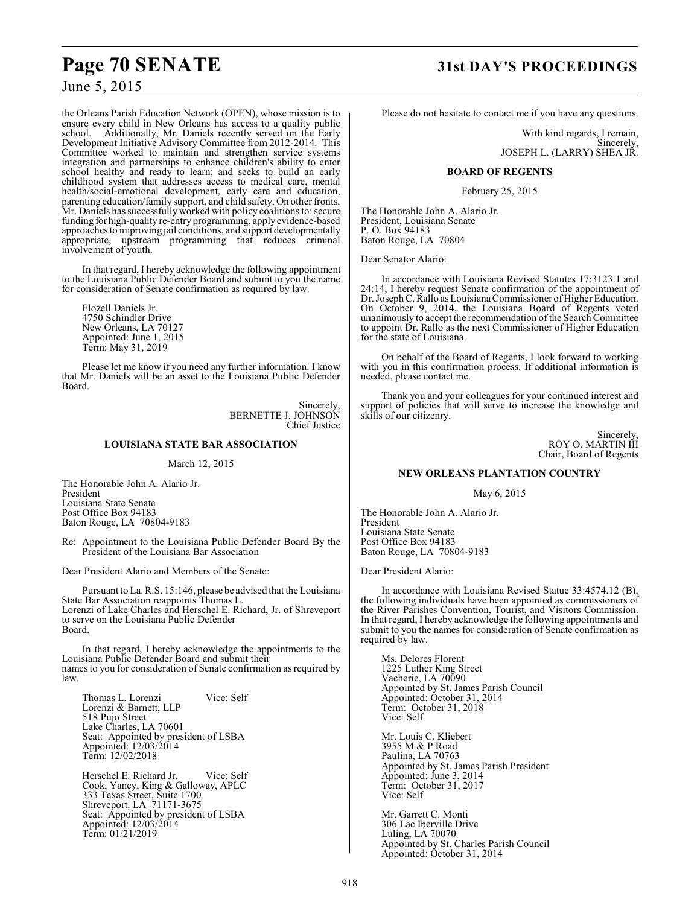# **Page 70 SENATE 31st DAY'S PROCEEDINGS**

### June 5, 2015

the Orleans Parish Education Network (OPEN), whose mission is to ensure every child in New Orleans has access to a quality public school. Additionally, Mr. Daniels recently served on the Early Additionally, Mr. Daniels recently served on the Early Development Initiative Advisory Committee from 2012-2014. This Committee worked to maintain and strengthen service systems integration and partnerships to enhance children's ability to enter school healthy and ready to learn; and seeks to build an early childhood system that addresses access to medical care, mental health/social-emotional development, early care and education, parenting education/family support, and child safety. On other fronts, Mr. Daniels has successfully worked with policy coalitions to: secure funding for high-quality re-entry programming, apply evidence-based approaches to improving jail conditions, and support developmentally appropriate, upstream programming that reduces criminal involvement of youth.

In that regard, I hereby acknowledge the following appointment to the Louisiana Public Defender Board and submit to you the name for consideration of Senate confirmation as required by law.

Flozell Daniels Jr. 4750 Schindler Drive New Orleans, LA 70127 Appointed: June 1, 2015 Term: May 31, 2019

Please let me know if you need any further information. I know that Mr. Daniels will be an asset to the Louisiana Public Defender Board.

> Sincerely, BERNETTE J. JOHNSON Chief Justice

### **LOUISIANA STATE BAR ASSOCIATION**

### March 12, 2015

The Honorable John A. Alario Jr. President Louisiana State Senate Post Office Box 94183 Baton Rouge, LA 70804-9183

Re: Appointment to the Louisiana Public Defender Board By the President of the Louisiana Bar Association

Dear President Alario and Members of the Senate:

Pursuant to La. R.S. 15:146, please be advised that the Louisiana State Bar Association reappoints Thomas L. Lorenzi of Lake Charles and Herschel E. Richard, Jr. of Shreveport to serve on the Louisiana Public Defender Board.

In that regard, I hereby acknowledge the appointments to the Louisiana Public Defender Board and submit their names to you for consideration of Senate confirmation as required by law.

Thomas L. Lorenzi Vice: Self Lorenzi & Barnett, LLP 518 Pujo Street Lake Charles, LA 70601 Seat: Appointed by president of LSBA Appointed: 12/03/2014 Term: 12/02/2018

Herschel E. Richard Jr. Vice: Self Cook, Yancy, King & Galloway, APLC 333 Texas Street, Suite 1700 Shreveport, LA 71171-3675 Seat: Appointed by president of LSBA Appointed: 12/03/2014 Term: 01/21/2019

Please do not hesitate to contact me if you have any questions.

With kind regards, I remain, Sincerely, JOSEPH L. (LARRY) SHEA JR.

### **BOARD OF REGENTS**

February 25, 2015

The Honorable John A. Alario Jr. President, Louisiana Senate P. O. Box 94183 Baton Rouge, LA 70804

Dear Senator Alario:

In accordance with Louisiana Revised Statutes 17:3123.1 and 24:14, I hereby request Senate confirmation of the appointment of Dr. Joseph C. Rallo as Louisiana Commissioner of Higher Education. On October 9, 2014, the Louisiana Board of Regents voted unanimously to accept the recommendation of the Search Committee to appoint Dr. Rallo as the next Commissioner of Higher Education for the state of Louisiana.

On behalf of the Board of Regents, I look forward to working with you in this confirmation process. If additional information is needed, please contact me.

Thank you and your colleagues for your continued interest and support of policies that will serve to increase the knowledge and skills of our citizenry.

> Sincerely, ROY O. MARTIN III Chair, Board of Regents

### **NEW ORLEANS PLANTATION COUNTRY**

May 6, 2015

The Honorable John A. Alario Jr. President Louisiana State Senate Post Office Box 94183 Baton Rouge, LA 70804-9183

Dear President Alario:

In accordance with Louisiana Revised Statue 33:4574.12 (B), the following individuals have been appointed as commissioners of the River Parishes Convention, Tourist, and Visitors Commission. In that regard, I hereby acknowledge the following appointments and submit to you the names for consideration of Senate confirmation as required by law.

Ms. Delores Florent 1225 Luther King Street Vacherie, LA 70090 Appointed by St. James Parish Council Appointed: October 31, 2014 Term: October 31, 2018 Vice: Self

Mr. Louis C. Kliebert 3955 M & P Road Paulina, LA 70763 Appointed by St. James Parish President Appointed: June 3, 2014 Term: October 31, 2017 Vice: Self

Mr. Garrett C. Monti 306 Lac Iberville Drive Luling, LA 70070 Appointed by St. Charles Parish Council Appointed: October 31, 2014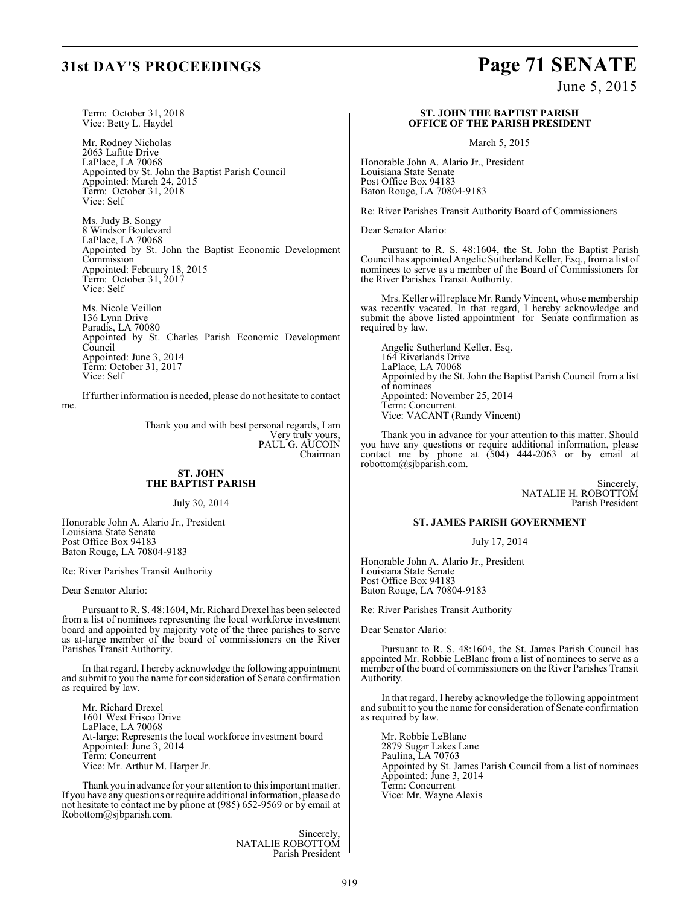Term: October 31, 2018 Vice: Betty L. Haydel

Mr. Rodney Nicholas 2063 Lafitte Drive LaPlace, LA 70068 Appointed by St. John the Baptist Parish Council Appointed: March 24, 2015 Term: October 31, 2018 Vice: Self

Ms. Judy B. Songy 8 Windsor Boulevard LaPlace, LA 70068 Appointed by St. John the Baptist Economic Development **Commission** Appointed: February 18, 2015 Term: October 31, 2017 Vice: Self

Ms. Nicole Veillon 136 Lynn Drive Paradis, LA 70080 Appointed by St. Charles Parish Economic Development **Council** Appointed: June 3, 2014 Term: October 31, 2017 Vice: Self

If further information is needed, please do not hesitate to contact me.

> Thank you and with best personal regards, I am Very truly yours, PAUL G. AUCOIN Chairman

### **ST. JOHN THE BAPTIST PARISH**

July 30, 2014

Honorable John A. Alario Jr., President Louisiana State Senate Post Office Box 94183 Baton Rouge, LA 70804-9183

Re: River Parishes Transit Authority

Dear Senator Alario:

Pursuant to R. S. 48:1604, Mr. Richard Drexel has been selected from a list of nominees representing the local workforce investment board and appointed by majority vote of the three parishes to serve as at-large member of the board of commissioners on the River Parishes Transit Authority.

In that regard, I hereby acknowledge the following appointment and submit to you the name for consideration of Senate confirmation as required by law.

Mr. Richard Drexel 1601 West Frisco Drive LaPlace, LA 70068 At-large; Represents the local workforce investment board Appointed: June 3, 2014 Term: Concurrent Vice: Mr. Arthur M. Harper Jr.

Thank you in advance for your attention to this important matter. If you have any questions or require additional information, please do not hesitate to contact me by phone at (985) 652-9569 or by email at Robottom@sjbparish.com.

> Sincerely, NATALIE ROBOTTOM Parish President

# **31st DAY'S PROCEEDINGS Page 71 SENATE**

June 5, 2015

### **ST. JOHN THE BAPTIST PARISH OFFICE OF THE PARISH PRESIDENT**

March 5, 2015

Honorable John A. Alario Jr., President Louisiana State Senate Post Office Box 94183 Baton Rouge, LA 70804-9183

Re: River Parishes Transit Authority Board of Commissioners

Dear Senator Alario:

Pursuant to R. S. 48:1604, the St. John the Baptist Parish Council has appointed Angelic Sutherland Keller, Esq., from a list of nominees to serve as a member of the Board of Commissioners for the River Parishes Transit Authority.

Mrs. Keller will replace Mr. Randy Vincent, whose membership was recently vacated. In that regard, I hereby acknowledge and submit the above listed appointment for Senate confirmation as required by law.

Angelic Sutherland Keller, Esq. 164 Riverlands Drive LaPlace, LA 70068 Appointed by the St. John the Baptist Parish Council from a list of nominees Appointed: November 25, 2014 Term: Concurrent Vice: VACANT (Randy Vincent)

Thank you in advance for your attention to this matter. Should you have any questions or require additional information, please contact me by phone at (504) 444-2063 or by email at robottom@sjbparish.com.

> Sincerely, NATALIE H. ROBOTTOM Parish President

### **ST. JAMES PARISH GOVERNMENT**

July 17, 2014

Honorable John A. Alario Jr., President Louisiana State Senate Post Office Box 94183 Baton Rouge, LA 70804-9183

Re: River Parishes Transit Authority

Dear Senator Alario:

Pursuant to R. S. 48:1604, the St. James Parish Council has appointed Mr. Robbie LeBlanc from a list of nominees to serve as a member of the board of commissioners on the River Parishes Transit Authority.

In that regard, I hereby acknowledge the following appointment and submit to you the name for consideration of Senate confirmation as required by law.

Mr. Robbie LeBlanc 2879 Sugar Lakes Lane Paulina, LA 70763 Appointed by St. James Parish Council from a list of nominees Appointed: June 3, 2014 Term: Concurrent Vice: Mr. Wayne Alexis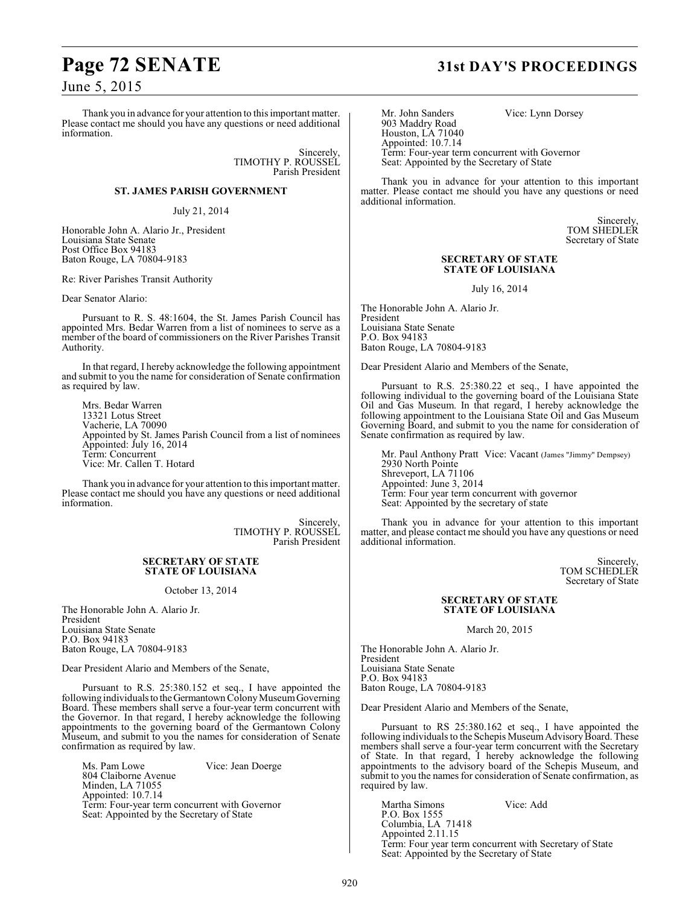# **Page 72 SENATE 31st DAY'S PROCEEDINGS**

June 5, 2015

Thank you in advance for your attention to this important matter. Please contact me should you have any questions or need additional information.

> Sincerely, TIMOTHY P. ROUSSEL Parish President

### **ST. JAMES PARISH GOVERNMENT**

### July 21, 2014

Honorable John A. Alario Jr., President Louisiana State Senate Post Office Box 94183 Baton Rouge, LA 70804-9183

Re: River Parishes Transit Authority

Dear Senator Alario:

Pursuant to R. S. 48:1604, the St. James Parish Council has appointed Mrs. Bedar Warren from a list of nominees to serve as a member of the board of commissioners on the River Parishes Transit Authority.

In that regard, I hereby acknowledge the following appointment and submit to you the name for consideration of Senate confirmation as required by law.

Mrs. Bedar Warren 13321 Lotus Street Vacherie, LA 70090 Appointed by St. James Parish Council from a list of nominees Appointed: July 16, 2014 Term: Concurrent Vice: Mr. Callen T. Hotard

Thank you in advance for your attention to this important matter. Please contact me should you have any questions or need additional information.

> Sincerely, TIMOTHY P. ROUSSEL Parish President

### **SECRETARY OF STATE STATE OF LOUISIANA**

October 13, 2014

The Honorable John A. Alario Jr. President Louisiana State Senate P.O. Box 94183 Baton Rouge, LA 70804-9183

Dear President Alario and Members of the Senate,

Pursuant to R.S. 25:380.152 et seq., I have appointed the following individuals to the Germantown Colony Museum Governing Board. These members shall serve a four-year term concurrent with the Governor. In that regard, I hereby acknowledge the following appointments to the governing board of the Germantown Colony Museum, and submit to you the names for consideration of Senate confirmation as required by law.

Ms. Pam Lowe Vice: Jean Doerge 804 Claiborne Avenue Minden, LA 71055 Appointed: 10.7.14 Term: Four-year term concurrent with Governor Seat: Appointed by the Secretary of State

Mr. John Sanders Vice: Lynn Dorsey 903 Maddry Road Houston, LA 71040 Appointed: 10.7.14 Term: Four-year term concurrent with Governor Seat: Appointed by the Secretary of State

Thank you in advance for your attention to this important matter. Please contact me should you have any questions or need additional information.

> Sincerely, TOM SHEDLER Secretary of State

### **SECRETARY OF STATE STATE OF LOUISIANA**

July 16, 2014

The Honorable John A. Alario Jr. President Louisiana State Senate P.O. Box 94183 Baton Rouge, LA 70804-9183

Dear President Alario and Members of the Senate,

Pursuant to R.S. 25:380.22 et seq., I have appointed the following individual to the governing board of the Louisiana State Oil and Gas Museum. In that regard, I hereby acknowledge the following appointment to the Louisiana State Oil and Gas Museum Governing Board, and submit to you the name for consideration of Senate confirmation as required by law.

Mr. Paul Anthony Pratt Vice: Vacant (James "Jimmy" Dempsey) 2930 North Pointe Shreveport, LA 71106 Appointed: June 3, 2014 Term: Four year term concurrent with governor Seat: Appointed by the secretary of state

Thank you in advance for your attention to this important matter, and please contact me should you have any questions or need additional information.

> Sincerely, TOM SCHEDLER Secretary of State

### **SECRETARY OF STATE STATE OF LOUISIANA**

March 20, 2015

The Honorable John A. Alario Jr. President Louisiana State Senate P.O. Box 94183 Baton Rouge, LA 70804-9183

Dear President Alario and Members of the Senate,

Pursuant to RS 25:380.162 et seq., I have appointed the following individuals to the Schepis Museum Advisory Board. These members shall serve a four-year term concurrent with the Secretary of State. In that regard, I hereby acknowledge the following appointments to the advisory board of the Schepis Museum, and submit to you the names for consideration of Senate confirmation, as required by law.

Martha Simons Vice: Add P.O. Box 1555 Columbia, LA 71418 Appointed 2.11.15 Term: Four year term concurrent with Secretary of State Seat: Appointed by the Secretary of State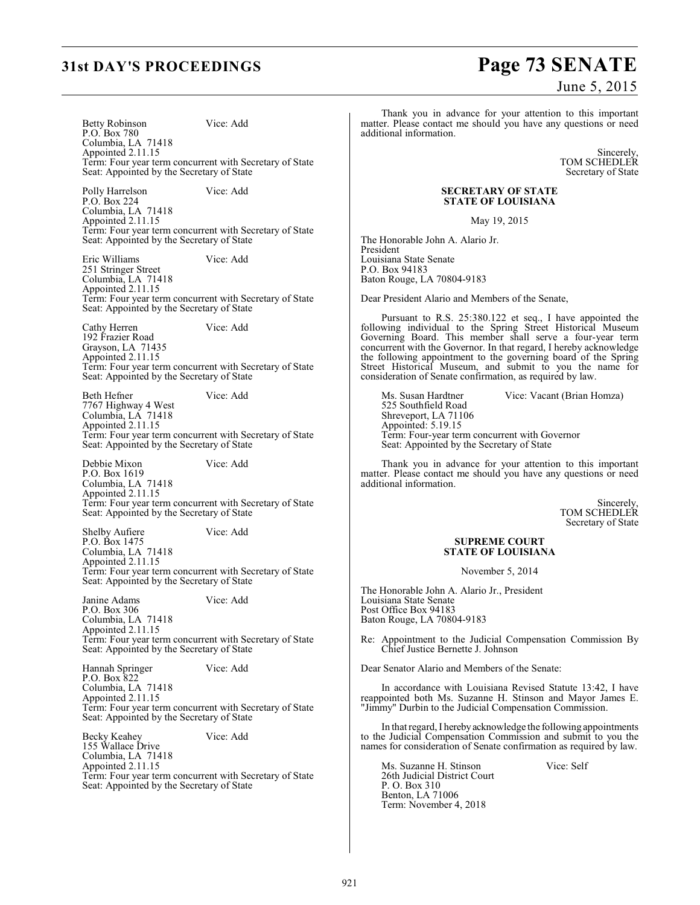# **31st DAY'S PROCEEDINGS Page 73 SENATE**

June 5, 2015

Betty Robinson Vice: Add P.O. Box 780 Columbia, LA 71418 Appointed 2.11.15 Term: Four year term concurrent with Secretary of State Seat: Appointed by the Secretary of State

Polly Harrelson Vice: Add P.O. Box 224 Columbia, LA 71418 Appointed 2.11.15 Term: Four year term concurrent with Secretary of State Seat: Appointed by the Secretary of State

Eric Williams Vice: Add 251 Stringer Street Columbia, LA 71418 Appointed 2.11.15 Term: Four year term concurrent with Secretary of State Seat: Appointed by the Secretary of State

Cathy Herren Vice: Add 192 Frazier Road Grayson, LA 71435 Appointed 2.11.15 Term: Four year term concurrent with Secretary of State Seat: Appointed by the Secretary of State

Beth Hefner Vice: Add 7767 Highway 4 West Columbia, LA 71418 Appointed 2.11.15 Term: Four year term concurrent with Secretary of State Seat: Appointed by the Secretary of State

Debbie Mixon Vice: Add P.O. Box 1619 Columbia, LA 71418 Appointed 2.11.15 Term: Four year term concurrent with Secretary of State Seat: Appointed by the Secretary of State

Shelby Aufiere Vice: Add P.O. Box 1475 Columbia, LA 71418 Appointed 2.11.15 Term: Four year term concurrent with Secretary of State Seat: Appointed by the Secretary of State

Janine Adams Vice: Add P.O. Box 306 Columbia, LA 71418 Appointed 2.11.15 Term: Four year term concurrent with Secretary of State Seat: Appointed by the Secretary of State

Hannah Springer Vice: Add P.O. Box 822 Columbia, LA 71418 Appointed 2.11.15 Term: Four year term concurrent with Secretary of State Seat: Appointed by the Secretary of State

Becky Keahey Vice: Add 155 Wallace Drive Columbia, LA 71418 Appointed 2.11.15 Term: Four year term concurrent with Secretary of State Seat: Appointed by the Secretary of State

Thank you in advance for your attention to this important matter. Please contact me should you have any questions or need additional information.

> Sincerely, TOM SCHEDLER Secretary of State

### **SECRETARY OF STATE STATE OF LOUISIANA**

May 19, 2015

The Honorable John A. Alario Jr. President Louisiana State Senate P.O. Box 94183 Baton Rouge, LA 70804-9183

Dear President Alario and Members of the Senate,

Pursuant to R.S. 25:380.122 et seq., I have appointed the following individual to the Spring Street Historical Museum Governing Board. This member shall serve a four-year term concurrent with the Governor. In that regard, I hereby acknowledge the following appointment to the governing board of the Spring Street Historical Museum, and submit to you the name for consideration of Senate confirmation, as required by law.

Ms. Susan Hardtner Vice: Vacant (Brian Homza) 525 Southfield Road Shreveport, LA 71106 Appointed: 5.19.15 Term: Four-year term concurrent with Governor Seat: Appointed by the Secretary of State

Thank you in advance for your attention to this important matter. Please contact me should you have any questions or need additional information.

> Sincerely, TOM SCHEDLER Secretary of State

### **SUPREME COURT STATE OF LOUISIANA**

November 5, 2014

The Honorable John A. Alario Jr., President Louisiana State Senate Post Office Box 94183 Baton Rouge, LA 70804-9183

Re: Appointment to the Judicial Compensation Commission By Chief Justice Bernette J. Johnson

Dear Senator Alario and Members of the Senate:

In accordance with Louisiana Revised Statute 13:42, I have reappointed both Ms. Suzanne H. Stinson and Mayor James E. "Jimmy" Durbin to the Judicial Compensation Commission.

In that regard, I hereby acknowledge the following appointments to the Judicial Compensation Commission and submit to you the names for consideration of Senate confirmation as required by law.

Ms. Suzanne H. Stinson Vice: Self 26th Judicial District Court P. O. Box 310 Benton, LA 71006 Term: November 4, 2018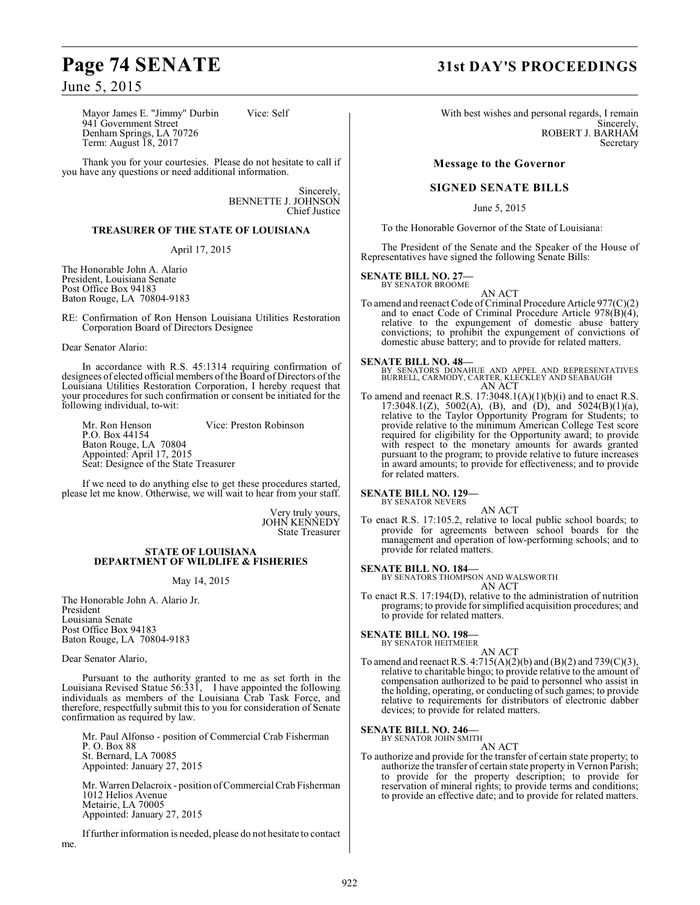# **Page 74 SENATE 31st DAY'S PROCEEDINGS**

June 5, 2015

Mayor James E. "Jimmy" Durbin Vice: Self 941 Government Street Denham Springs, LA 70726 Term: August 18, 2017

Thank you for your courtesies. Please do not hesitate to call if you have any questions or need additional information.

> Sincerely, BENNETTE J. JOHNSON Chief Justice

### **TREASURER OF THE STATE OF LOUISIANA**

April 17, 2015

The Honorable John A. Alario President, Louisiana Senate Post Office Box 94183 Baton Rouge, LA 70804-9183

RE: Confirmation of Ron Henson Louisiana Utilities Restoration Corporation Board of Directors Designee

Dear Senator Alario:

In accordance with R.S. 45:1314 requiring confirmation of designees of elected official members of the Board of Directors of the Louisiana Utilities Restoration Corporation, I hereby request that your procedures for such confirmation or consent be initiated for the following individual, to-wit:

Mr. Ron Henson Vice: Preston Robinson P.O. Box 44154 Baton Rouge, LA 70804 Appointed: April 17, 2015 Seat: Designee of the State Treasurer

If we need to do anything else to get these procedures started, please let me know. Otherwise, we will wait to hear from your staff.

> Very truly yours, JOHN KENNEDY State Treasurer

### **STATE OF LOUISIANA DEPARTMENT OF WILDLIFE & FISHERIES**

May 14, 2015

The Honorable John A. Alario Jr. President Louisiana Senate Post Office Box 94183 Baton Rouge, LA 70804-9183

Dear Senator Alario,

Pursuant to the authority granted to me as set forth in the Louisiana Revised Statue 56:331, I have appointed the following individuals as members of the Louisiana Crab Task Force, and therefore, respectfully submit this to you for consideration of Senate confirmation as required by law.

Mr. Paul Alfonso - position of Commercial Crab Fisherman P. O. Box 88 St. Bernard, LA 70085 Appointed: January 27, 2015

Mr. Warren Delacroix - position of Commercial Crab Fisherman 1012 Helios Avenue Metairie, LA 70005 Appointed: January 27, 2015

If further information is needed, please do not hesitate to contact me.

With best wishes and personal regards, I remain Sincerely, ROBERT J. BARHAM Secretary

### **Message to the Governor**

### **SIGNED SENATE BILLS**

June 5, 2015

To the Honorable Governor of the State of Louisiana:

The President of the Senate and the Speaker of the House of Representatives have signed the following Senate Bills:

### **SENATE BILL NO. 27—**

BY SENATOR BROOME

AN ACT To amend and reenact Code of Criminal Procedure Article 977(C)(2) and to enact Code of Criminal Procedure Article  $978(\dot{B})(4)$ , relative to the expungement of domestic abuse battery convictions; to prohibit the expungement of convictions of domestic abuse battery; and to provide for related matters.

### **SENATE BILL NO. 48—**

BY SENATORS DONAHUE AND APPEL AND REPRESENTATIVES BURRELL, CARMODY, CARTER, KLECKLEY AND SEABAUGH AN ACT

To amend and reenact R.S. 17:3048.1(A)(1)(b)(i) and to enact R.S. 17:3048.1(Z), 5002(A), (B), and (D), and 5024(B)(1)(a), relative to the Taylor Opportunity Program for Students; to provide relative to the minimum American College Test score required for eligibility for the Opportunity award; to provide with respect to the monetary amounts for awards granted pursuant to the program; to provide relative to future increases in award amounts; to provide for effectiveness; and to provide for related matters.

**SENATE BILL NO. 129—** BY SENATOR NEVERS

AN ACT

To enact R.S. 17:105.2, relative to local public school boards; to provide for agreements between school boards for the management and operation of low-performing schools; and to provide for related matters.

**SENATE BILL NO. 184—**

BY SENATORS THOMPSON AND WALSWORTH

AN ACT To enact R.S. 17:194(D), relative to the administration of nutrition programs; to provide for simplified acquisition procedures; and to provide for related matters.

## **SENATE BILL NO. 198—** BY SENATOR HEITMEIER

- 
- AN ACT To amend and reenact R.S.  $4:715(A)(2)(b)$  and  $(B)(2)$  and  $739(C)(3)$ , relative to charitable bingo; to provide relative to the amount of compensation authorized to be paid to personnel who assist in the holding, operating, or conducting of such games; to provide relative to requirements for distributors of electronic dabber devices; to provide for related matters.

### **SENATE BILL NO. 246—** BY SENATOR JOHN SMITH

AN ACT To authorize and provide for the transfer of certain state property; to authorize the transfer of certain state property in Vernon Parish; to provide for the property description; to provide for reservation of mineral rights; to provide terms and conditions; to provide an effective date; and to provide for related matters.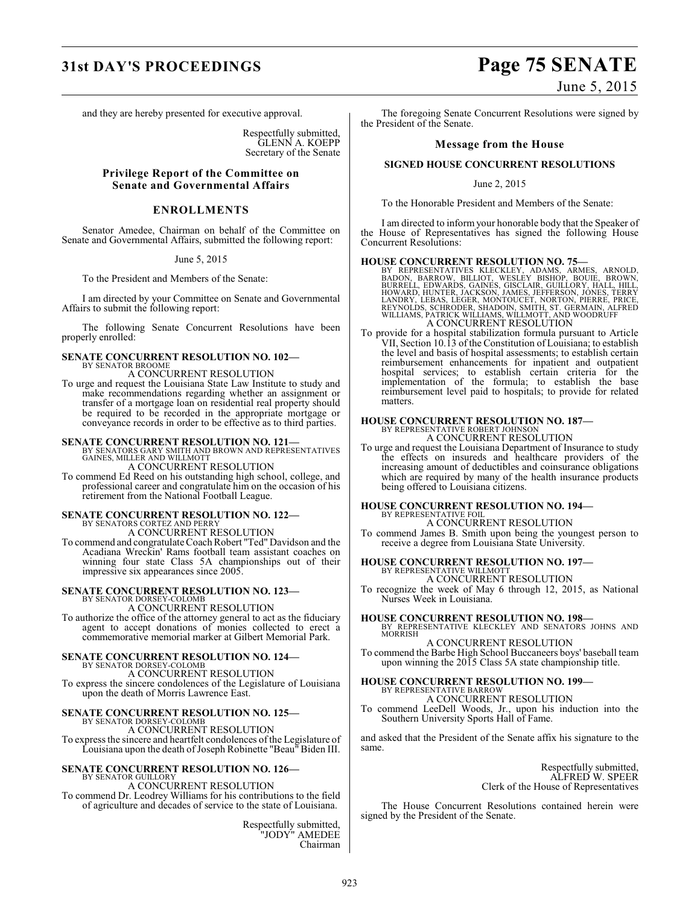## **31st DAY'S PROCEEDINGS Page 75 SENATE**

and they are hereby presented for executive approval.

Respectfully submitted, GLENN A. KOEPP Secretary of the Senate

### **Privilege Report of the Committee on Senate and Governmental Affairs**

### **ENROLLMENTS**

Senator Amedee, Chairman on behalf of the Committee on Senate and Governmental Affairs, submitted the following report:

### June 5, 2015

To the President and Members of the Senate:

I am directed by your Committee on Senate and Governmental Affairs to submit the following report:

The following Senate Concurrent Resolutions have been properly enrolled:

### **SENATE CONCURRENT RESOLUTION NO. 102—** BY SENATOR BROOME

A CONCURRENT RESOLUTION

To urge and request the Louisiana State Law Institute to study and make recommendations regarding whether an assignment or transfer of a mortgage loan on residential real property should be required to be recorded in the appropriate mortgage or conveyance records in order to be effective as to third parties.

**SENATE CONCURRENT RESOLUTION NO. 121—**<br>BY SENATORS GARY SMITH AND BROWN AND REPRESENTATIVES<br>GAINES, MILLER AND WILLMOTT

A CONCURRENT RESOLUTION

To commend Ed Reed on his outstanding high school, college, and professional career and congratulate him on the occasion of his retirement from the National Football League.

### **SENATE CONCURRENT RESOLUTION NO. 122—** BY SENATORS CORTEZ AND PERRY A CONCURRENT RESOLUTION

To commend and congratulateCoach Robert "Ted" Davidson and the Acadiana Wreckin' Rams football team assistant coaches on winning four state Class 5A championships out of their impressive six appearances since 2005.

## **SENATE CONCURRENT RESOLUTION NO. 123—**

BY SENATOR DORSEY-COLOMB A CONCURRENT RESOLUTION To authorize the office of the attorney general to act as the fiduciary agent to accept donations of monies collected to erect a commemorative memorial marker at Gilbert Memorial Park.

### **SENATE CONCURRENT RESOLUTION NO. 124—** BY SENATOR DORSEY-COLOMB

A CONCURRENT RESOLUTION To express the sincere condolences of the Legislature of Louisiana

upon the death of Morris Lawrence East.

## **SENATE CONCURRENT RESOLUTION NO. 125—** BY SENATOR DORSEY-COLOMB

A CONCURRENT RESOLUTION To express the sincere and heartfelt condolences of the Legislature of Louisiana upon the death of Joseph Robinette "Beau" Biden III.

### **SENATE CONCURRENT RESOLUTION NO. 126—** BY SENATOR GUILLORY

A CONCURRENT RESOLUTION To commend Dr. Leodrey Williams for his contributions to the field of agriculture and decades of service to the state of Louisiana.

> Respectfully submitted, "JODY" AMEDEE Chairman

June 5, 2015

The foregoing Senate Concurrent Resolutions were signed by the President of the Senate.

### **Message from the House**

### **SIGNED HOUSE CONCURRENT RESOLUTIONS**

June 2, 2015

To the Honorable President and Members of the Senate:

I am directed to inform your honorable body that the Speaker of the House of Representatives has signed the following House Concurrent Resolutions:

### **HOUSE CONCURRENT RESOLUTION NO. 75—**

BY REPRESENTATIVES KLECKLEY, ADAMS, ARMES, ARNOLD,<br>BODON, BARROW, BILLIOT, WESLEY BISHOP, BOUIE, BROWN,<br>BURRELL, EDWARDS, GAINES, GISCLAIR, GUILLORY, HALL, HILL,<br>HOWARD, HUNTER, JACKSON, JAMES, JEFFERSON, JONES, TERRY<br>LAND

To provide for a hospital stabilization formula pursuant to Article VII, Section 10.13 of the Constitution of Louisiana; to establish the level and basis of hospital assessments; to establish certain reimbursement enhancements for inpatient and outpatient hospital services; to establish certain criteria for the implementation of the formula; to establish the base reimbursement level paid to hospitals; to provide for related matters.

# **HOUSE CONCURRENT RESOLUTION NO. 187—** BY REPRESENTATIVE ROBERT JOHNSON A CONCURRENT RESOLUTION

To urge and request the Louisiana Department of Insurance to study the effects on insureds and healthcare providers of the increasing amount of deductibles and coinsurance obligations which are required by many of the health insurance products being offered to Louisiana citizens.

### **HOUSE CONCURRENT RESOLUTION NO. 194—** BY REPRESENTATIVE FOIL

A CONCURRENT RESOLUTION

To commend James B. Smith upon being the youngest person to receive a degree from Louisiana State University.

## **HOUSE CONCURRENT RESOLUTION NO. 197—** BY REPRESENTATIVE WILLMOTT

A CONCURRENT RESOLUTION

To recognize the week of May 6 through 12, 2015, as National Nurses Week in Louisiana.

### **HOUSE CONCURRENT RESOLUTION NO. 198—**

BY REPRESENTATIVE KLECKLEY AND SENATORS JOHNS AND MORRISH A CONCURRENT RESOLUTION

To commend the Barbe High School Buccaneers boys' baseball team upon winning the 2015 Class 5A state championship title.

### **HOUSE CONCURRENT RESOLUTION NO. 199—**

BY REPRESENTATIVE BARROW A CONCURRENT RESOLUTION

To commend LeeDell Woods, Jr., upon his induction into the Southern University Sports Hall of Fame.

and asked that the President of the Senate affix his signature to the same.

> Respectfully submitted, ALFRED W. SPEER Clerk of the House of Representatives

The House Concurrent Resolutions contained herein were signed by the President of the Senate.